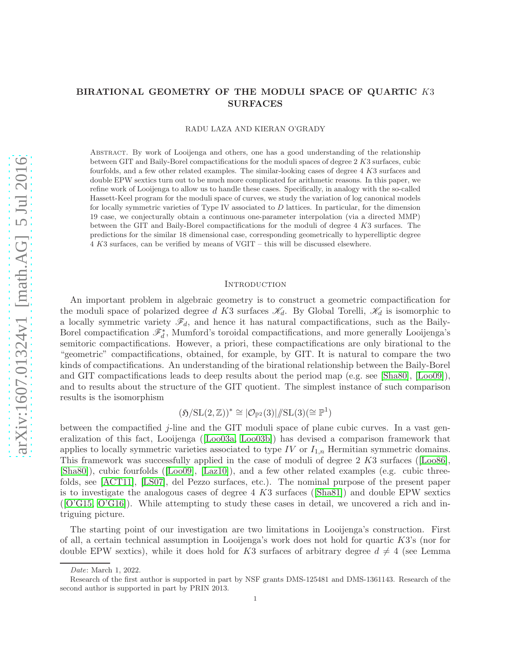# BIRATIONAL GEOMETRY OF THE MODULI SPACE OF QUARTIC K3 SURFACES

RADU LAZA AND KIERAN O'GRADY

Abstract. By work of Looijenga and others, one has a good understanding of the relationship between GIT and Baily-Borel compactifications for the moduli spaces of degree 2 K3 surfaces, cubic fourfolds, and a few other related examples. The similar-looking cases of degree 4 K3 surfaces and double EPW sextics turn out to be much more complicated for arithmetic reasons. In this paper, we refine work of Looijenga to allow us to handle these cases. Specifically, in analogy with the so-called Hassett-Keel program for the moduli space of curves, we study the variation of log canonical models for locally symmetric varieties of Type IV associated to  $D$  lattices. In particular, for the dimension 19 case, we conjecturally obtain a continuous one-parameter interpolation (via a directed MMP) between the GIT and Baily-Borel compactifications for the moduli of degree 4 K3 surfaces. The predictions for the similar 18 dimensional case, corresponding geometrically to hyperelliptic degree 4 K3 surfaces, can be verified by means of VGIT – this will be discussed elsewhere.

### **INTRODUCTION**

An important problem in algebraic geometry is to construct a geometric compactification for the moduli space of polarized degree d K3 surfaces  $\mathcal{K}_d$ . By Global Torelli,  $\mathcal{K}_d$  is isomorphic to a locally symmetric variety  $\mathscr{F}_d$ , and hence it has natural compactifications, such as the Baily-Borel compactification  $\mathscr{F}_d^*$ , Mumford's toroidal compactifications, and more generally Looijenga's semitoric compactifications. However, a priori, these compactifications are only birational to the "geometric" compactifications, obtained, for example, by GIT. It is natural to compare the two kinds of compactifications. An understanding of the birational relationship between the Baily-Borel and GIT compactifications leads to deep results about the period map (e.g. see [\[Sha80\]](#page-61-0), [\[Loo09\]](#page-61-1)), and to results about the structure of the GIT quotient. The simplest instance of such comparison results is the isomorphism

$$
(\mathfrak{H}/{\rm SL}(2,\mathbb{Z}))^*\cong |\mathcal{O}_{\mathbb{P}^2}(3)|/\!\!/ {\rm SL}(3)(\cong \mathbb{P}^1)
$$

between the compactified *j*-line and the GIT moduli space of plane cubic curves. In a vast generalization of this fact, Looijenga([\[Loo03a,](#page-61-2) [Loo03b\]](#page-61-3)) has devised a comparison framework that applies to locally symmetric varieties associated to type IV or  $I_{1,n}$  Hermitian symmetric domains. This framework was successfully applied in the case of moduli of degree 2 K3 surfaces([\[Loo86\]](#page-61-4), [\[Sha80\]](#page-61-0)), cubic fourfolds([\[Loo09\]](#page-61-1), [\[Laz10\]](#page-61-5)), and a few other related examples (e.g. cubic threefolds, see [\[ACT11\]](#page-60-0), [\[LS07\]](#page-61-6), del Pezzo surfaces, etc.). The nominal purpose of the present paper isto investigate the analogous cases of degree  $4$  K3 surfaces ([\[Sha81\]](#page-61-7)) and double EPW sextics ([\[O'G15,](#page-61-8) [O'G16\]](#page-61-9)). While attempting to study these cases in detail, we uncovered a rich and intriguing picture.

The starting point of our investigation are two limitations in Looijenga's construction. First of all, a certain technical assumption in Looijenga's work does not hold for quartic K3's (nor for double EPW sextics), while it does hold for K3 surfaces of arbitrary degree  $d \neq 4$  (see Lemma

Date: March 1, 2022.

Research of the first author is supported in part by NSF grants DMS-125481 and DMS-1361143. Research of the second author is supported in part by PRIN 2013.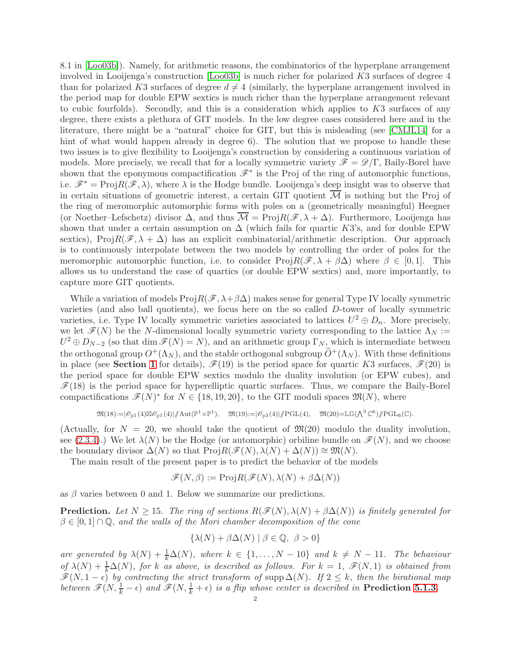8.1 in [\[Loo03b\]](#page-61-3)). Namely, for arithmetic reasons, the combinatorics of the hyperplane arrangement involved in Looijenga's construction  $\text{[Loo03b]}$  is much richer for polarized K3 surfaces of degree 4 than for polarized K3 surfaces of degree  $d \neq 4$  (similarly, the hyperplane arrangement involved in the period map for double EPW sextics is much richer than the hyperplane arrangement relevant to cubic fourfolds). Secondly, and this is a consideration which applies to  $K3$  surfaces of any degree, there exists a plethora of GIT models. In the low degree cases considered here and in the literature, there might be a "natural" choice for GIT, but this is misleading (see [\[CMJL14\]](#page-60-1) for a hint of what would happen already in degree 6). The solution that we propose to handle these two issues is to give flexibility to Looijenga's construction by considering a continuous variation of models. More precisely, we recall that for a locally symmetric variety  $\mathscr{F} = \mathscr{D}/\Gamma$ , Baily-Borel have shown that the eponymous compactification  $\mathscr{F}^*$  is the Proj of the ring of automorphic functions, i.e.  $\mathscr{F}^* = \text{Proj} R(\mathscr{F}, \lambda)$ , where  $\lambda$  is the Hodge bundle. Looijenga's deep insight was to observe that in certain situations of geometric interest, a certain GIT quotient  $\overline{\mathcal{M}}$  is nothing but the Proj of the ring of meromorphic automorphic forms with poles on a (geometrically meaningful) Heegner (or Noether–Lefschetz) divisor  $\Delta$ , and thus  $\overline{\mathcal{M}} = \text{Proj} R(\mathscr{F}, \lambda + \Delta)$ . Furthermore, Looijenga has shown that under a certain assumption on  $\Delta$  (which fails for quartic K3's, and for double EPW sextics), Proj $R(\mathscr{F}, \lambda + \Delta)$  has an explicit combinatorial/arithmetic description. Our approach is to continuously interpolate between the two models by controlling the order of poles for the meromorphic automorphic function, i.e. to consider  $\text{Proj}_R(\mathscr{F}, \lambda + \beta \Delta)$  where  $\beta \in [0, 1]$ . This allows us to understand the case of quartics (or double EPW sextics) and, more importantly, to capture more GIT quotients.

While a variation of models  $\text{Proj}R(\mathcal{F}, \lambda + \beta \Delta)$  makes sense for general Type IV locally symmetric varieties (and also ball quotients), we focus here on the so called D-tower of locally symmetric varieties, i.e. Type IV locally symmetric varieties associated to lattices  $U^2 \oplus D_n$ . More precisely, we let  $\mathscr{F}(N)$  be the N-dimensional locally symmetric variety corresponding to the lattice  $\Lambda_N$  :=  $U^2 \oplus D_{N-2}$  (so that dim  $\mathscr{F}(N) = N$ ), and an arithmetic group  $\Gamma_N$ , which is intermediate between the orthogonal group  $O^+(\Lambda_N)$ , and the stable orthogonal subgroup  $\widetilde{O}^+(\Lambda_N)$ . With these definitions in place (see Section [1](#page-6-0) for details),  $\mathscr{F}(19)$  is the period space for quartic K3 surfaces,  $\mathscr{F}(20)$  is the period space for double EPW sextics modulo the duality involution (or EPW cubes), and  $\mathscr{F}(18)$  is the period space for hyperelliptic quartic surfaces. Thus, we compare the Baily-Borel compactifications  $\mathscr{F}(N)^*$  for  $N \in \{18, 19, 20\}$ , to the GIT moduli spaces  $\mathfrak{M}(N)$ , where

$$
\mathfrak{M}(18)\hspace{-0.1em}:=\hspace{-0.1em}|\mathscr{O}_{\mathbb{P}^1}(4)\boxtimes \mathscr{O}_{\mathbb{P}^1}(4)|/\hspace{-0.1em}/\mathrm{Aut}(\mathbb{P}^1\times \mathbb{P}^1),\quad \mathfrak{M}(19)\hspace{-0.1em}:=\hspace{-0.1em}|\mathscr{O}_{\mathbb{P}^3}(4)|/\hspace{-0.1em}/\mathrm{PGL}(4),\quad \mathfrak{M}(20)\hspace{-0.1em}=\hspace{-0.1em}\mathbb{L}\mathbb{G}(\textstyle\bigwedge^3\mathbb{C}^6)/\hspace{-0.1em}/\mathrm{PGL}_6(\mathbb{C}).
$$

(Actually, for  $N = 20$ , we should take the quotient of  $\mathfrak{M}(20)$  modulo the duality involution, see [\(2.3.4\)](#page-29-0).) We let  $\lambda(N)$  be the Hodge (or automorphic) orbiline bundle on  $\mathscr{F}(N)$ , and we choose the boundary divisor  $\Delta(N)$  so that  $\text{Proj}_R(\mathscr{F}(N), \lambda(N) + \Delta(N)) \cong \mathfrak{M}(N)$ .

The main result of the present paper is to predict the behavior of the models

$$
\mathscr{F}(N,\beta) := \text{Proj} R(\mathscr{F}(N),\lambda(N) + \beta \Delta(N))
$$

as  $\beta$  varies between 0 and 1. Below we summarize our predictions.

**Prediction.** Let  $N \geq 15$ . The ring of sections  $R(\mathcal{F}(N), \lambda(N) + \beta \Delta(N))$  is finitely generated for  $\beta \in [0,1] \cap \mathbb{Q}$ , and the walls of the Mori chamber decomposition of the cone

$$
\{\lambda(N) + \beta \Delta(N) \mid \beta \in \mathbb{Q}, \ \beta > 0\}
$$

are generated by  $\lambda(N) + \frac{1}{k}\Delta(N)$ , where  $k \in \{1, ..., N-10\}$  and  $k \neq N-11$ . The behaviour of  $\lambda(N) + \frac{1}{k}\Delta(N)$ , for k as above, is described as follows. For  $k = 1$ ,  $\mathscr{F}(N, 1)$  is obtained from  $\mathscr{F}(N, 1-\epsilon)$  by contracting the strict transform of supp  $\Delta(N)$ . If  $2 \leq k$ , then the birational map between  $\mathscr{F}(N, \frac{1}{k} - \epsilon)$  and  $\mathscr{F}(N, \frac{1}{k} + \epsilon)$  is a flip whose center is described in **Prediction [5.1.3](#page-47-0)**.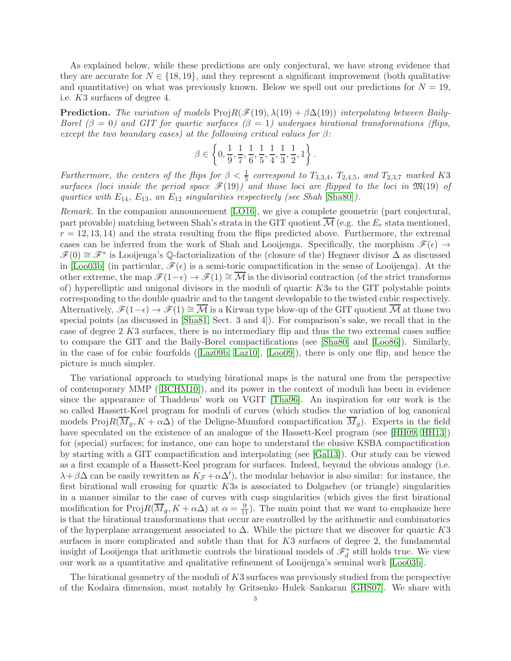As explained below, while these predictions are only conjectural, we have strong evidence that they are accurate for  $N \in \{18, 19\}$ , and they represent a significant improvement (both qualitative and quantitative) on what was previously known. Below we spell out our predictions for  $N = 19$ , i.e. K3 surfaces of degree 4.

**Prediction.** The variation of models  $\text{Proj}R(\mathcal{F}(19), \lambda(19) + \beta \Delta(19))$  interpolating between Baily-Borel  $(\beta = 0)$  and GIT for quartic surfaces  $(\beta = 1)$  undergoes birational transformations (flips, except the two boundary cases) at the following critical values for  $\beta$ :

$$
\beta\in\left\{0,\frac{1}{9},\frac{1}{7},\frac{1}{6},\frac{1}{5},\frac{1}{4},\frac{1}{3},\frac{1}{2},1\right\}.
$$

Furthermore, the centers of the flips for  $\beta < \frac{1}{5}$  correspond to T<sub>3,3,4</sub>, T<sub>2,4,5</sub>, and T<sub>2,3,7</sub> marked K<sub>3</sub> surfaces (loci inside the period space  $\mathcal{F}(19)$ ) and those loci are flipped to the loci in  $\mathfrak{M}(19)$  of quartics with  $E_{14}$ ,  $E_{13}$ , an  $E_{12}$  singularities respectively (see Shah [\[Sha80\]](#page-61-0)).

Remark. In the companion announcement [\[LO16\]](#page-61-10), we give a complete geometric (part conjectural, part provable) matching between Shah's strata in the GIT quotient  $\mathcal{M}$  (e.g. the  $E_r$  stata mentioned,  $r = 12, 13, 14$ ) and the strata resulting from the flips predicted above. Furthermore, the extremal cases can be inferred from the work of Shah and Looijenga. Specifically, the morphism  $\mathscr{F}(\epsilon) \rightarrow$  $\mathscr{F}(0) \cong \mathscr{F}^*$  is Looijenga's Q-factorialization of the (closure of the) Hegneer divisor  $\Delta$  as discussed in [\[Loo03b\]](#page-61-3) (in particular,  $\mathscr{F}(\epsilon)$  is a semi-toric compactification in the sense of Looijenga). At the other extreme, the map  $\mathscr{F}(1-\epsilon) \to \mathscr{F}(1) \cong \overline{\mathcal{M}}$  is the divisorial contraction (of the strict transforms of) hyperelliptic and unigonal divisors in the moduli of quartic K3s to the GIT polystable points corresponding to the double quadric and to the tangent developable to the twisted cubic respectively. Alternatively,  $\mathscr{F}(1-\epsilon) \to \mathscr{F}(1) \cong \overline{\mathcal{M}}$  is a Kirwan type blow-up of the GIT quotient  $\overline{\mathcal{M}}$  at those two special points (as discussed in [\[Sha81,](#page-61-7) Sect. 3 and 4]). For comparison's sake, we recall that in the case of degree 2 K3 surfaces, there is no intermediary flip and thus the two extremal cases suffice to compare the GIT and the Baily-Borel compactifications (see [\[Sha80\]](#page-61-0) and [\[Loo86\]](#page-61-4)). Similarly, in the case of for cubic fourfolds([\[Laz09b,](#page-60-2) [Laz10\]](#page-61-5), [\[Loo09\]](#page-61-1)), there is only one flip, and hence the picture is much simpler.

The variational approach to studying birational maps is the natural one from the perspective of contemporary MMP([\[BCHM10\]](#page-60-3)), and its power in the context of moduli has been in evidence since the appearance of Thaddeus' work on VGIT [\[Tha96\]](#page-61-11). An inspiration for our work is the so called Hassett-Keel program for moduli of curves (which studies the variation of log canonical models Proj $R(\overline{M}_g, K + \alpha \Delta)$  of the Deligne-Mumford compactification  $\overline{M}_g$ ). Experts in the field have speculated on the existence of an analogue of the Hassett-Keel program (see [\[HH09,](#page-60-4) [HH13\]](#page-60-5)) for (special) surfaces; for instance, one can hope to understand the elusive KSBA compactification by starting with a GIT compactification and interpolating (see [\[Gal13\]](#page-60-6)). Our study can be viewed as a first example of a Hassett-Keel program for surfaces. Indeed, beyond the obvious analogy (i.e.  $\lambda + \beta \Delta$  can be easily rewritten as  $K_{\mathcal{F}} + \alpha \Delta'$ , the modular behavior is also similar: for instance, the first birational wall crossing for quartic K3s is associated to Dolgachev (or triangle) singularities in a manner similar to the case of curves with cusp singularities (which gives the first birational modification for Proj $R(\overline{M}_g, K + \alpha \Delta)$  at  $\alpha = \frac{9}{11}$ . The main point that we want to emphasize here is that the birational transformations that occur are controlled by the arithmetic and combinatorics of the hyperplane arrangement associated to  $\Delta$ . While the picture that we discover for quartic K3 surfaces is more complicated and subtle than that for  $K3$  surfaces of degree 2, the fundamental insight of Looijenga that arithmetic controls the birational models of  $\mathscr{F}_d^*$  still holds true. We view our work as a quantitative and qualitative refinement of Looijenga's seminal work [\[Loo03b\]](#page-61-3).

The birational geometry of the moduli of K3 surfaces was previously studied from the perspective of the Kodaira dimension, most notably by Gritsenko–Hulek–Sankaran [\[GHS07\]](#page-60-7). We share with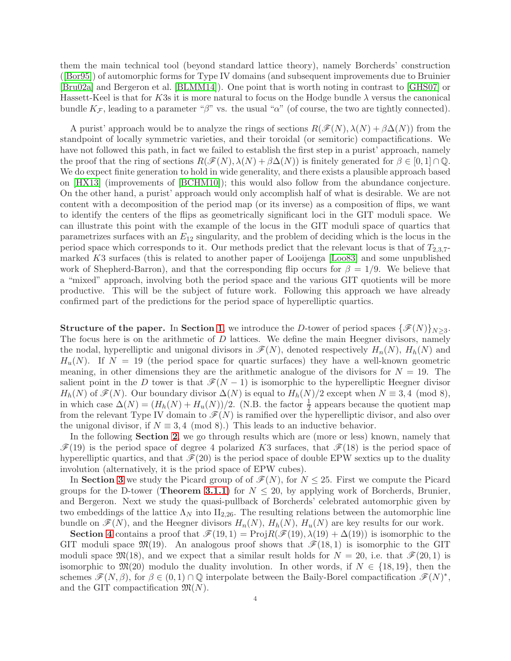them the main technical tool (beyond standard lattice theory), namely Borcherds' construction ([\[Bor95\]](#page-60-8)) of automorphic forms for Type IV domains (and subsequent improvements due to Bruinier [\[Bru02a\]](#page-60-9) and Bergeron et al. [\[BLMM14\]](#page-60-10)). One point that is worth noting in contrast to [\[GHS07\]](#page-60-7) or Hassett-Keel is that for K3s it is more natural to focus on the Hodge bundle  $\lambda$  versus the canonical bundle  $K_{\mathcal{F}}$ , leading to a parameter "β" vs. the usual " $\alpha$ " (of course, the two are tightly connected).

A purist' approach would be to analyze the rings of sections  $R(\mathscr{F}(N), \lambda(N) + \beta \Delta(N))$  from the standpoint of locally symmetric varieties, and their toroidal (or semitoric) compactifications. We have not followed this path, in fact we failed to establish the first step in a purist' approach, namely the proof that the ring of sections  $R(\mathscr{F}(N), \lambda(N) + \beta \Delta(N))$  is finitely generated for  $\beta \in [0, 1] \cap \mathbb{Q}$ . We do expect finite generation to hold in wide generality, and there exists a plausible approach based on [\[HX13\]](#page-60-11) (improvements of [\[BCHM10\]](#page-60-3)); this would also follow from the abundance conjecture. On the other hand, a purist' approach would only accomplish half of what is desirable. We are not content with a decomposition of the period map (or its inverse) as a composition of flips, we want to identify the centers of the flips as geometrically significant loci in the GIT moduli space. We can illustrate this point with the example of the locus in the GIT moduli space of quartics that parametrizes surfaces with an  $E_{12}$  singularity, and the problem of deciding which is the locus in the period space which corresponds to it. Our methods predict that the relevant locus is that of  $T_{2,3,7}$ marked K3 surfaces (this is related to another paper of Looijenga [\[Loo83\]](#page-61-12) and some unpublished work of Shepherd-Barron), and that the corresponding flip occurs for  $\beta = 1/9$ . We believe that a "mixed" approach, involving both the period space and the various GIT quotients will be more productive. This will be the subject of future work. Following this approach we have already confirmed part of the predictions for the period space of hyperelliptic quartics.

**Structure of the paper.** In Section [1](#page-6-0), we introduce the D-tower of period spaces  $\{\mathscr{F}(N)\}_{N\geq 3}$ . The focus here is on the arithmetic of  $D$  lattices. We define the main Heegner divisors, namely the nodal, hyperelliptic and unigonal divisors in  $\mathscr{F}(N)$ , denoted respectively  $H_n(N)$ ,  $H_h(N)$  and  $H_u(N)$ . If  $N = 19$  (the period space for quartic surfaces) they have a well-known geometric meaning, in other dimensions they are the arithmetic analogue of the divisors for  $N = 19$ . The salient point in the D tower is that  $\mathcal{F}(N-1)$  is isomorphic to the hyperelliptic Heegner divisor  $H_h(N)$  of  $\mathscr{F}(N)$ . Our boundary divisor  $\Delta(N)$  is equal to  $H_h(N)/2$  except when  $N \equiv 3,4 \pmod{8}$ , in which case  $\Delta(N) = (H_h(N) + H_u(N))/2$ . (N.B. the factor  $\frac{1}{2}$  appears because the quotient map from the relevant Type IV domain to  $\mathscr{F}(N)$  is ramified over the hyperelliptic divisor, and also over the unigonal divisor, if  $N \equiv 3, 4 \pmod{8}$ . This leads to an inductive behavior.

In the following **Section [2](#page-25-0)**, we go through results which are (more or less) known, namely that  $\mathscr{F}(19)$  is the period space of degree 4 polarized K3 surfaces, that  $\mathscr{F}(18)$  is the period space of hyperelliptic quartics, and that  $\mathcal{F}(20)$  is the period space of double EPW sextics up to the duality involution (alternatively, it is the priod space of EPW cubes).

In Section [3](#page-30-0) we study the Picard group of of  $\mathcal{F}(N)$ , for  $N \leq 25$ . First we compute the Picard groups for the D-tower (Theorem [3.1.1](#page-30-1)) for  $N \leq 20$ , by applying work of Borcherds, Brunier, and Bergeron. Next we study the quasi-pullback of Borcherds' celebrated automorphic given by two embeddings of the lattice  $\Lambda_N$  into  $II_{2,26}$ . The resulting relations between the automorphic line bundle on  $\mathscr{F}(N)$ , and the Heegner divisors  $H_n(N)$ ,  $H_n(N)$ ,  $H_u(N)$  are key results for our work.

Section [4](#page-40-0) contains a proof that  $\mathscr{F}(19,1) = \text{Proj} R(\mathscr{F}(19),\lambda(19) + \Delta(19))$  is isomorphic to the GIT moduli space  $\mathfrak{M}(19)$ . An analogous proof shows that  $\mathscr{F}(18,1)$  is isomorphic to the GIT moduli space  $\mathfrak{M}(18)$ , and we expect that a similar result holds for  $N = 20$ , i.e. that  $\mathscr{F}(20, 1)$  is isomorphic to  $\mathfrak{M}(20)$  modulo the duality involution. In other words, if  $N \in \{18, 19\}$ , then the schemes  $\mathscr{F}(N,\beta)$ , for  $\beta \in (0,1) \cap \mathbb{Q}$  interpolate between the Baily-Borel compactification  $\mathscr{F}(N)^*$ , and the GIT compactification  $\mathfrak{M}(N)$ .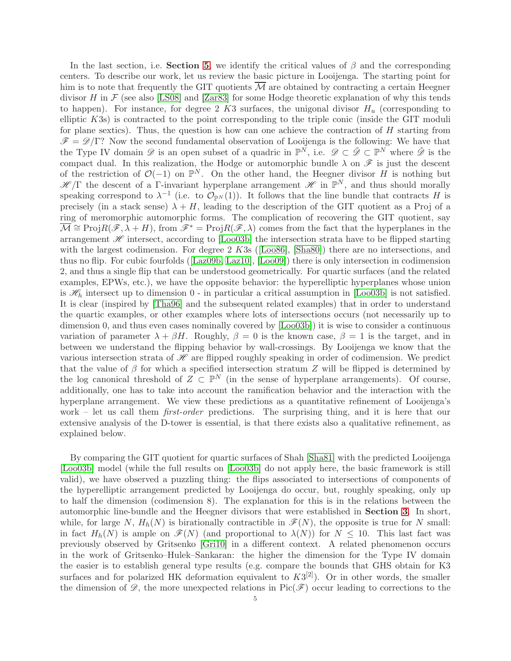In the last section, i.e. Section [5](#page-45-0), we identify the critical values of  $\beta$  and the corresponding centers. To describe our work, let us review the basic picture in Looijenga. The starting point for him is to note that frequently the GIT quotients  $\overline{\mathcal{M}}$  are obtained by contracting a certain Heegner divisor H in  $\mathcal F$  (see also [\[LS08\]](#page-61-13) and [\[Zar83\]](#page-61-14) for some Hodge theoretic explanation of why this tends to happen). For instance, for degree 2 K3 surfaces, the unigonal divisor  $H_u$  (corresponding to elliptic K3s) is contracted to the point corresponding to the triple conic (inside the GIT moduli for plane sextics). Thus, the question is how can one achieve the contraction of  $H$  starting from  $\mathscr{F} = \mathscr{D}/\Gamma$ ? Now the second fundamental observation of Looijenga is the following: We have that the Type IV domain  $\mathscr D$  is an open subset of a quadric in  $\mathbb P^N$ , i.e.  $\mathscr D \subset \check{\mathscr D} \subset \mathbb P^N$  where  $\check{\mathscr D}$  is the compact dual. In this realization, the Hodge or automorphic bundle  $\lambda$  on  $\mathscr F$  is just the descent of the restriction of  $\mathcal{O}(-1)$  on  $\mathbb{P}^N$ . On the other hand, the Heegner divisor H is nothing but  $\mathscr{H}/\Gamma$  the descent of a  $\Gamma$ -invariant hyperplane arrangement  $\mathscr{H}$  in  $\mathbb{P}^N$ , and thus should morally speaking correspond to  $\lambda^{-1}$  (i.e. to  $\mathcal{O}_{\mathbb{P}^N}(1)$ ). It follows that the line bundle that contracts H is precisely (in a stack sense)  $\lambda + H$ , leading to the description of the GIT quotient as a Proj of a ring of meromorphic automorphic forms. The complication of recovering the GIT quotient, say  $\overline{\mathcal{M}} \cong \text{Proj} R(\mathcal{F}, \lambda + H)$ , from  $\mathcal{F}^* = \text{Proj} R(\mathcal{F}, \lambda)$  comes from the fact that the hyperplanes in the arrangement  $\mathscr H$  intersect, according to [\[Loo03b\]](#page-61-3) the intersection strata have to be flipped starting withthe largest codimension. For degree 2 K3s ([\[Loo86\]](#page-61-4), [\[Sha80\]](#page-61-0)) there are no intersections, and thus no flip. For cubic fourfolds([\[Laz09b,](#page-60-2) [Laz10\]](#page-61-5), [\[Loo09\]](#page-61-1)) there is only intersection in codimension 2, and thus a single flip that can be understood geometrically. For quartic surfaces (and the related examples, EPWs, etc.), we have the opposite behavior: the hyperelliptic hyperplanes whose union is  $\mathscr{H}_h$  intersect up to dimension 0 - in particular a critical assumption in [\[Loo03b\]](#page-61-3) is not satisfied. It is clear (inspired by [\[Tha96\]](#page-61-11) and the subsequent related examples) that in order to understand the quartic examples, or other examples where lots of intersections occurs (not necessarily up to dimension 0, and thus even cases nominally covered by [\[Loo03b\]](#page-61-3)) it is wise to consider a continuous variation of parameter  $\lambda + \beta H$ . Roughly,  $\beta = 0$  is the known case,  $\beta = 1$  is the target, and in between we understand the flipping behavior by wall-crossings. By Looijenga we know that the various intersection strata of  $\mathcal H$  are flipped roughly speaking in order of codimension. We predict that the value of  $\beta$  for which a specified intersection stratum Z will be flipped is determined by the log canonical threshold of  $Z \subset \mathbb{P}^N$  (in the sense of hyperplane arrangements). Of course, additionally, one has to take into account the ramification behavior and the interaction with the hyperplane arrangement. We view these predictions as a quantitative refinement of Looijenga's work – let us call them *first-order* predictions. The surprising thing, and it is here that our extensive analysis of the D-tower is essential, is that there exists also a qualitative refinement, as explained below.

By comparing the GIT quotient for quartic surfaces of Shah [\[Sha81\]](#page-61-7) with the predicted Looijenga [\[Loo03b\]](#page-61-3) model (while the full results on [\[Loo03b\]](#page-61-3) do not apply here, the basic framework is still valid), we have observed a puzzling thing: the flips associated to intersections of components of the hyperelliptic arrangement predicted by Looijenga do occur, but, roughly speaking, only up to half the dimension (codimension 8). The explanation for this is in the relations between the automorphic line-bundle and the Heegner divisors that were established in Section [3](#page-30-0). In short, while, for large N,  $H_h(N)$  is birationally contractible in  $\mathscr{F}(N)$ , the opposite is true for N small: in fact  $H_h(N)$  is ample on  $\mathscr{F}(N)$  (and proportional to  $\lambda(N)$ ) for  $N \leq 10$ . This last fact was previously observed by Gritsenko [\[Gri10\]](#page-60-12) in a different context. A related phenomenon occurs in the work of Gritsenko–Hulek–Sankaran: the higher the dimension for the Type IV domain the easier is to establish general type results (e.g. compare the bounds that GHS obtain for K3 surfaces and for polarized HK deformation equivalent to  $K3^{[2]}$ ). Or in other words, the smaller the dimension of  $\mathscr{D}$ , the more unexpected relations in Pic( $\mathscr{F}$ ) occur leading to corrections to the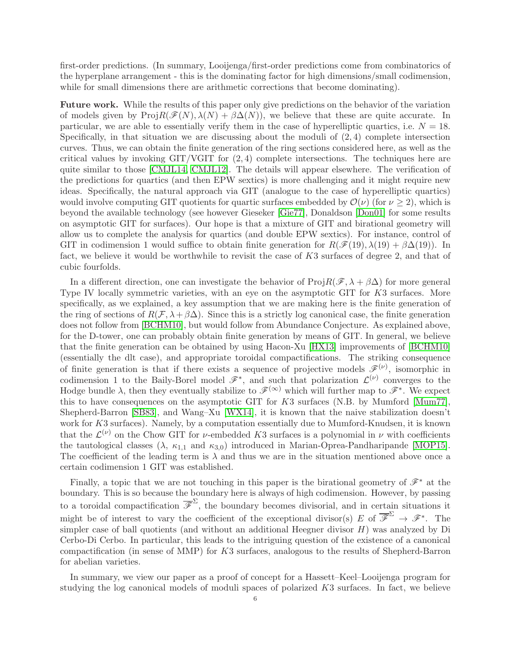first-order predictions. (In summary, Looijenga/first-order predictions come from combinatorics of the hyperplane arrangement - this is the dominating factor for high dimensions/small codimension, while for small dimensions there are arithmetic corrections that become dominating).

Future work. While the results of this paper only give predictions on the behavior of the variation of models given by  $\text{Proj}R(\mathcal{F}(N), \lambda(N) + \beta \Delta(N))$ , we believe that these are quite accurate. In particular, we are able to essentially verify them in the case of hyperelliptic quartics, i.e.  $N = 18$ . Specifically, in that situation we are discussing about the moduli of  $(2, 4)$  complete intersection curves. Thus, we can obtain the finite generation of the ring sections considered here, as well as the critical values by invoking  $GIT/VGIT$  for  $(2, 4)$  complete intersections. The techniques here are quite similar to those [\[CMJL14,](#page-60-1) [CMJL12\]](#page-60-13). The details will appear elsewhere. The verification of the predictions for quartics (and then EPW sextics) is more challenging and it might require new ideas. Specifically, the natural approach via GIT (analogue to the case of hyperelliptic quartics) would involve computing GIT quotients for quartic surfaces embedded by  $\mathcal{O}(\nu)$  (for  $\nu \geq 2$ ), which is beyond the available technology (see however Gieseker [\[Gie77\]](#page-60-14), Donaldson [\[Don01\]](#page-60-15) for some results on asymptotic GIT for surfaces). Our hope is that a mixture of GIT and birational geometry will allow us to complete the analysis for quartics (and double EPW sextics). For instance, control of GIT in codimension 1 would suffice to obtain finite generation for  $R(\mathscr{F}(19), \lambda(19) + \beta \Delta(19))$ . In fact, we believe it would be worthwhile to revisit the case of K3 surfaces of degree 2, and that of cubic fourfolds.

In a different direction, one can investigate the behavior of  $\text{Proj}R(\mathscr{F}, \lambda + \beta \Delta)$  for more general Type IV locally symmetric varieties, with an eye on the asymptotic GIT for K3 surfaces. More specifically, as we explained, a key assumption that we are making here is the finite generation of the ring of sections of  $R(\mathcal{F}, \lambda + \beta \Delta)$ . Since this is a strictly log canonical case, the finite generation does not follow from [\[BCHM10\]](#page-60-3), but would follow from Abundance Conjecture. As explained above, for the D-tower, one can probably obtain finite generation by means of GIT. In general, we believe that the finite generation can be obtained by using Hacon-Xu [\[HX13\]](#page-60-11) improvements of [\[BCHM10\]](#page-60-3) (essentially the dlt case), and appropriate toroidal compactifications. The striking consequence of finite generation is that if there exists a sequence of projective models  $\mathscr{F}^{(\nu)}$ , isomorphic in codimension 1 to the Baily-Borel model  $\mathscr{F}^*$ , and such that polarization  $\mathcal{L}^{(\nu)}$  converges to the Hodge bundle  $\lambda$ , then they eventually stabilize to  $\mathscr{F}^{(\infty)}$  which will further map to  $\mathscr{F}^*$ . We expect this to have consequences on the asymptotic GIT for K3 surfaces (N.B. by Mumford [\[Mum77\]](#page-61-15), Shepherd-Barron [\[SB83\]](#page-61-16), and Wang–Xu [\[WX14\]](#page-61-17), it is known that the naive stabilization doesn't work for K3 surfaces). Namely, by a computation essentially due to Mumford-Knudsen, it is known that the  $\mathcal{L}^{(\nu)}$  on the Chow GIT for *v*-embedded K3 surfaces is a polynomial in  $\nu$  with coefficients the tautological classes  $(\lambda, \kappa_{1,1} \text{ and } \kappa_{3,0})$  introduced in Marian-Oprea-Pandharipande [\[MOP15\]](#page-61-18). The coefficient of the leading term is  $\lambda$  and thus we are in the situation mentioned above once a certain codimension 1 GIT was established.

Finally, a topic that we are not touching in this paper is the birational geometry of  $\mathscr{F}^*$  at the boundary. This is so because the boundary here is always of high codimension. However, by passing to a toroidal compactification  $\overline{\mathscr{F}}^{\Sigma}$ , the boundary becomes divisorial, and in certain situations it might be of interest to vary the coefficient of the exceptional divisor(s)  $E$  of  $\overline{\mathscr{F}}^{\Sigma} \to \mathscr{F}^*$ . The simpler case of ball quotients (and without an additional Heegner divisor  $H$ ) was analyzed by Di Cerbo-Di Cerbo. In particular, this leads to the intriguing question of the existence of a canonical compactification (in sense of MMP) for K3 surfaces, analogous to the results of Shepherd-Barron for abelian varieties.

In summary, we view our paper as a proof of concept for a Hassett–Keel–Looijenga program for studying the log canonical models of moduli spaces of polarized K3 surfaces. In fact, we believe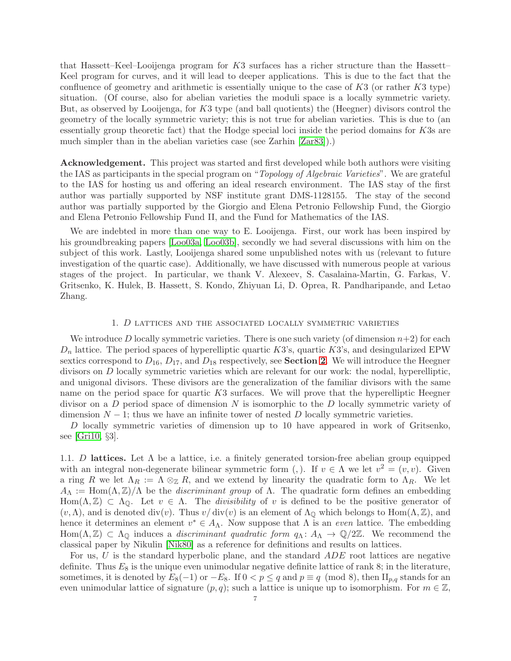that Hassett–Keel–Looijenga program for K3 surfaces has a richer structure than the Hassett– Keel program for curves, and it will lead to deeper applications. This is due to the fact that the confluence of geometry and arithmetic is essentially unique to the case of  $K3$  (or rather  $K3$  type) situation. (Of course, also for abelian varieties the moduli space is a locally symmetric variety. But, as observed by Looijenga, for K3 type (and ball quotients) the (Heegner) divisors control the geometry of the locally symmetric variety; this is not true for abelian varieties. This is due to (an essentially group theoretic fact) that the Hodge special loci inside the period domains for K3s are much simpler than in the abelian varieties case (see Zarhin [\[Zar83\]](#page-61-14)).)

Acknowledgement. This project was started and first developed while both authors were visiting the IAS as participants in the special program on "Topology of Algebraic Varieties". We are grateful to the IAS for hosting us and offering an ideal research environment. The IAS stay of the first author was partially supported by NSF institute grant DMS-1128155. The stay of the second author was partially supported by the Giorgio and Elena Petronio Fellowship Fund, the Giorgio and Elena Petronio Fellowship Fund II, and the Fund for Mathematics of the IAS.

We are indebted in more than one way to E. Looijenga. First, our work has been inspired by his groundbreaking papers [\[Loo03a,](#page-61-2) [Loo03b\]](#page-61-3), secondly we had several discussions with him on the subject of this work. Lastly, Looijenga shared some unpublished notes with us (relevant to future investigation of the quartic case). Additionally, we have discussed with numerous people at various stages of the project. In particular, we thank V. Alexeev, S. Casalaina-Martin, G. Farkas, V. Gritsenko, K. Hulek, B. Hassett, S. Kondo, Zhiyuan Li, D. Oprea, R. Pandharipande, and Letao Zhang.

### 1. D lattices and the associated locally symmetric varieties

<span id="page-6-0"></span>We introduce D locally symmetric varieties. There is one such variety (of dimension  $n+2$ ) for each  $D_n$  lattice. The period spaces of hyperelliptic quartic K3's, quartic K3's, and desingularized EPW sextics correspond to  $D_{16}$ ,  $D_{17}$ , and  $D_{18}$  respectively, see **Section [2](#page-25-0)**. We will introduce the Heegner divisors on D locally symmetric varieties which are relevant for our work: the nodal, hyperelliptic, and unigonal divisors. These divisors are the generalization of the familiar divisors with the same name on the period space for quartic  $K3$  surfaces. We will prove that the hyperelliptic Heegner divisor on a  $D$  period space of dimension  $N$  is isomorphic to the  $D$  locally symmetric variety of dimension  $N-1$ ; thus we have an infinite tower of nested D locally symmetric varieties.

D locally symmetric varieties of dimension up to 10 have appeared in work of Gritsenko, see [\[Gri10,](#page-60-12) §3].

1.1. D lattices. Let  $\Lambda$  be a lattice, i.e. a finitely generated torsion-free abelian group equipped with an integral non-degenerate bilinear symmetric form (,). If  $v \in \Lambda$  we let  $v^2 = (v, v)$ . Given a ring R we let  $\Lambda_R := \Lambda \otimes_{\mathbb{Z}} R$ , and we extend by linearity the quadratic form to  $\Lambda_R$ . We let  $A_\Lambda := \text{Hom}(\Lambda, \mathbb{Z})/\Lambda$  be the *discriminant group* of  $\Lambda$ . The quadratic form defines an embedding Hom( $\Lambda, \mathbb{Z}$ )  $\subset \Lambda_{\mathbb{Q}}$ . Let  $v \in \Lambda$ . The *divisibility* of v is defined to be the positive generator of  $(v, \Lambda)$ , and is denoted div(v). Thus  $v/\text{div}(v)$  is an element of  $\Lambda_{\mathbb{Q}}$  which belongs to Hom( $\Lambda, \mathbb{Z}$ ), and hence it determines an element  $v^* \in A_\Lambda$ . Now suppose that  $\Lambda$  is an *even* lattice. The embedding Hom( $\Lambda$ ,  $\mathbb{Z}$ )  $\subset \Lambda_{\mathbb{Q}}$  induces a *discriminant quadratic form*  $q_{\Lambda}: A_{\Lambda} \to \mathbb{Q}/2\mathbb{Z}$ . We recommend the classical paper by Nikulin [\[Nik80\]](#page-61-19) as a reference for definitions and results on lattices.

For us,  $U$  is the standard hyperbolic plane, and the standard  $ADE$  root lattices are negative definite. Thus  $E_8$  is the unique even unimodular negative definite lattice of rank 8; in the literature, sometimes, it is denoted by  $E_8(-1)$  or  $-E_8$ . If  $0 < p \le q$  and  $p \equiv q \pmod{8}$ , then  $\prod_{p,q}$  stands for an even unimodular lattice of signature  $(p, q)$ ; such a lattice is unique up to isomorphism. For  $m \in \mathbb{Z}$ ,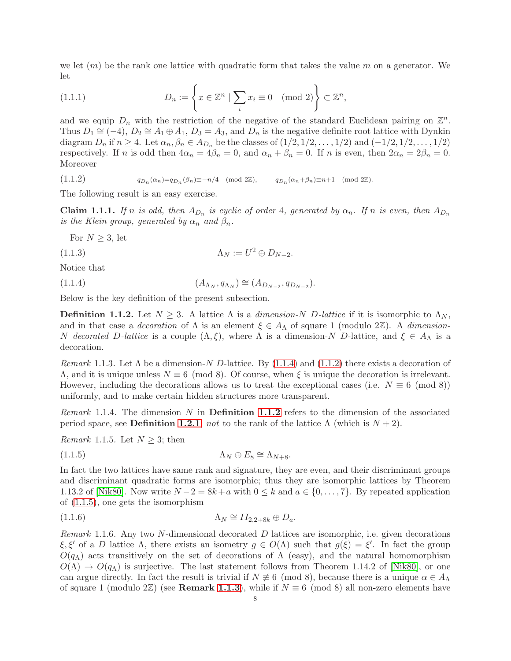we let  $(m)$  be the rank one lattice with quadratic form that takes the value m on a generator. We let

(1.1.1) 
$$
D_n := \left\{ x \in \mathbb{Z}^n \mid \sum_i x_i \equiv 0 \pmod{2} \right\} \subset \mathbb{Z}^n,
$$

and we equip  $D_n$  with the restriction of the negative of the standard Euclidean pairing on  $\mathbb{Z}^n$ . Thus  $D_1 \cong (-4)$ ,  $D_2 \cong A_1 \oplus A_1$ ,  $D_3 = A_3$ , and  $D_n$  is the negative definite root lattice with Dynkin diagram  $D_n$  if  $n \geq 4$ . Let  $\alpha_n, \beta_n \in A_{D_n}$  be the classes of  $(1/2, 1/2, \ldots, 1/2)$  and  $(-1/2, 1/2, \ldots, 1/2)$ respectively. If n is odd then  $4\alpha_n = 4\beta_n = 0$ , and  $\alpha_n + \beta_n = 0$ . If n is even, then  $2\alpha_n = 2\beta_n = 0$ . Moreover

<span id="page-7-1"></span>(1.1.2)  $q_{D_n}(\alpha_n)=q_{D_n}(\beta_n)\equiv -n/4 \pmod{2\mathbb{Z}}, \qquad q_{D_n}(\alpha_n+\beta_n)\equiv n+1 \pmod{2\mathbb{Z}}.$ 

The following result is an easy exercise.

<span id="page-7-7"></span>**Claim 1.1.1.** If n is odd, then  $A_{D_n}$  is cyclic of order 4, generated by  $\alpha_n$ . If n is even, then  $A_{D_n}$ is the Klein group, generated by  $\alpha_n$  and  $\beta_n$ .

<span id="page-7-0"></span>For  $N \geq 3$ , let

(1.1.3) Λ<sup>N</sup> := U <sup>2</sup> ⊕ DN−2.

Notice that

 $(1.1.4)$  $, q_{\Lambda_N}$ )  $\cong (A_{D_{N-2}}, q_{D_{N-2}}).$ 

Below is the key definition of the present subsection.

<span id="page-7-2"></span>**Definition 1.1.2.** Let  $N \geq 3$ . A lattice  $\Lambda$  is a dimension-N D-lattice if it is isomorphic to  $\Lambda_N$ , and in that case a *decoration* of  $\Lambda$  is an element  $\xi \in A_{\Lambda}$  of square 1 (modulo 2 $\mathbb{Z}$ ). A *dimension*-N decorated D-lattice is a couple  $(\Lambda, \xi)$ , where  $\Lambda$  is a dimension-N D-lattice, and  $\xi \in A_{\Lambda}$  is a decoration.

<span id="page-7-4"></span>Remark 1.1.3. Let  $\Lambda$  be a dimension-N D-lattice. By [\(1.1.4\)](#page-7-0) and [\(1.1.2\)](#page-7-1) there exists a decoration of  $Λ$ , and it is unique unless  $N \equiv 6 \pmod{8}$ . Of course, when ξ is unique the decoration is irrelevant. However, including the decorations allows us to treat the exceptional cases (i.e.  $N \equiv 6 \pmod{8}$ ) uniformly, and to make certain hidden structures more transparent.

*Remark* 1.1.4. The dimension N in **Definition [1.1.2](#page-7-2)** refers to the dimension of the associated period space, see **Definition [1.2.1](#page-8-0)**, not to the rank of the lattice  $\Lambda$  (which is  $N + 2$ ).

<span id="page-7-6"></span>*Remark* 1.1.5. Let  $N \geq 3$ ; then

<span id="page-7-3"></span>(1.1.5) Λ<sup>N</sup> ⊕ E<sup>8</sup> ∼= ΛN+8.

In fact the two lattices have same rank and signature, they are even, and their discriminant groups and discriminant quadratic forms are isomorphic; thus they are isomorphic lattices by Theorem 1.13.2 of [\[Nik80\]](#page-61-19). Now write  $N-2 = 8k+a$  with  $0 \le k$  and  $a \in \{0, \ldots, 7\}$ . By repeated application of [\(1.1.5\)](#page-7-3), one gets the isomorphism

$$
\Lambda_N \cong II_{2,2+8k} \oplus D_a.
$$

<span id="page-7-5"></span>*Remark* 1.1.6. Any two N-dimensional decorated D lattices are isomorphic, i.e. given decorations  $\xi, \xi'$  of a D lattice  $\Lambda$ , there exists an isometry  $g \in O(\Lambda)$  such that  $g(\xi) = \xi'$ . In fact the group  $O(q_\Lambda)$  acts transitively on the set of decorations of  $\Lambda$  (easy), and the natural homomorphism  $O(\Lambda) \rightarrow O(q_{\Lambda})$  is surjective. The last statement follows from Theorem 1.14.2 of [\[Nik80\]](#page-61-19), or one can argue directly. In fact the result is trivial if  $N \neq 6 \pmod{8}$ , because there is a unique  $\alpha \in A_{\Lambda}$ of square 1 (modulo 2 $\mathbb{Z}$ ) (see **Remark [1.1.3](#page-7-4)**), while if  $N \equiv 6 \pmod{8}$  all non-zero elements have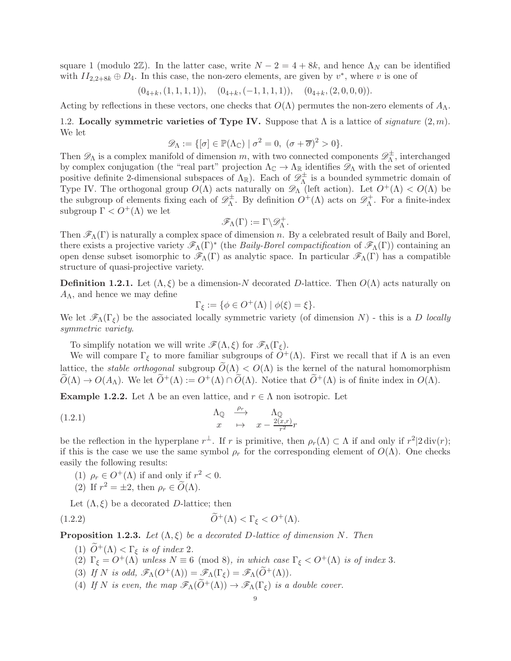square 1 (modulo 2 $\mathbb{Z}$ ). In the latter case, write  $N - 2 = 4 + 8k$ , and hence  $\Lambda_N$  can be identified with  $II_{2,2+8k} \oplus D_4$ . In this case, the non-zero elements, are given by  $v^*$ , where v is one of

$$
(0_{4+k}, (1,1,1,1)), \quad (0_{4+k}, (-1,1,1,1)), \quad (0_{4+k}, (2,0,0,0)).
$$

<span id="page-8-4"></span>Acting by reflections in these vectors, one checks that  $O(\Lambda)$  permutes the non-zero elements of  $A_{\Lambda}$ .

1.2. Locally symmetric varieties of Type IV. Suppose that  $\Lambda$  is a lattice of *signature*  $(2, m)$ . We let

$$
\mathscr{D}_{\Lambda} := \{ [\sigma] \in \mathbb{P}(\Lambda_{\mathbb{C}}) \mid \sigma^2 = 0, \ (\sigma + \overline{\sigma})^2 > 0 \}.
$$

Then  $\mathscr{D}_{\Lambda}$  is a complex manifold of dimension m, with two connected components  $\mathscr{D}_{\Lambda}^{\pm}$  $\overline{\Lambda}^{\pm}$ , interchanged by complex conjugation (the "real part" projection  $\Lambda_{\mathbb{C}} \to \Lambda_{\mathbb{R}}$  identifies  $\mathscr{D}_{\Lambda}$  with the set of oriented positive definite 2-dimensional subspaces of  $\Lambda_{\mathbb{R}}$ ). Each of  $\mathscr{D}^{\pm}_{\Lambda}$  $\Lambda$ <sup>t</sup> is a bounded symmetric domain of Type IV. The orthogonal group  $O(\Lambda)$  acts naturally on  $\mathscr{D}_{\Lambda}$  (left action). Let  $O^+(\Lambda) < O(\Lambda)$  be the subgroup of elements fixing each of  $\mathscr{D}_{\Lambda}^{\pm}$  $\mathcal{D}_{\Lambda}^{\pm}$ . By definition  $O^{+}(\Lambda)$  acts on  $\mathscr{D}_{\Lambda}^{+}$  $\Lambda^+$ . For a finite-index subgroup  $\Gamma < O^+(\Lambda)$  we let

$$
\mathscr{F}_\Lambda(\Gamma):=\Gamma\backslash \mathscr{D}_\Lambda^+.
$$

Then  $\mathscr{F}_{\Lambda}(\Gamma)$  is naturally a complex space of dimension n. By a celebrated result of Baily and Borel, there exists a projective variety  $\mathscr{F}_{\Lambda}(\Gamma)^*$  (the *Baily-Borel compactification* of  $\mathscr{F}_{\Lambda}(\Gamma)$ ) containing an open dense subset isomorphic to  $\mathscr{F}_{\Lambda}(\Gamma)$  as analytic space. In particular  $\mathscr{F}_{\Lambda}(\Gamma)$  has a compatible structure of quasi-projective variety.

<span id="page-8-0"></span>**Definition 1.2.1.** Let  $(\Lambda, \xi)$  be a dimension-N decorated D-lattice. Then  $O(\Lambda)$  acts naturally on  $A_{\Lambda}$ , and hence we may define

<span id="page-8-2"></span>
$$
\Gamma_{\xi} := \{ \phi \in O^+(\Lambda) \mid \phi(\xi) = \xi \}.
$$

We let  $\mathscr{F}_{\Lambda}(\Gamma_{\xi})$  be the associated locally symmetric variety (of dimension N) - this is a D locally symmetric variety.

To simplify notation we will write  $\mathscr{F}(\Lambda, \xi)$  for  $\mathscr{F}_{\Lambda}(\Gamma_{\xi})$ .

We will compare  $\Gamma_{\xi}$  to more familiar subgroups of  $\tilde{O}^{+}(\Lambda)$ . First we recall that if  $\Lambda$  is an even lattice, the *stable orthogonal* subgroup  $\tilde{O}(\Lambda) < O(\Lambda)$  is the kernel of the natural homomorphism  $\widetilde{O}(\Lambda) \to O(A_{\Lambda})$ . We let  $\widetilde{O}^+(\Lambda) := O^+(\Lambda) \cap \widetilde{O}(\Lambda)$ . Notice that  $\widetilde{O}^+(\Lambda)$  is of finite index in  $O(\Lambda)$ .

<span id="page-8-1"></span>**Example 1.2.2.** Let  $\Lambda$  be an even lattice, and  $r \in \Lambda$  non isotropic. Let

(1.2.1) 
$$
\begin{array}{ccc}\n\Lambda_{\mathbb{Q}} & \xrightarrow{\rho_r} & \Lambda_{\mathbb{Q}} \\
x & \mapsto & x - \frac{2(x,r)}{r^2}r\n\end{array}
$$

be the reflection in the hyperplane  $r^{\perp}$ . If r is primitive, then  $\rho_r(\Lambda) \subset \Lambda$  if and only if  $r^2|2 \operatorname{div}(r)$ ; if this is the case we use the same symbol  $\rho_r$  for the corresponding element of  $O(\Lambda)$ . One checks easily the following results:

(1)  $\rho_r \in O^+(\Lambda)$  if and only if  $r^2 < 0$ .

(2) If 
$$
r^2 = \pm 2
$$
, then  $\rho_r \in \widetilde{O}(\Lambda)$ .

Let  $(\Lambda, \xi)$  be a decorated D-lattice; then

(1.2.2) 
$$
\widetilde{O}^+(\Lambda) < \Gamma_\xi < O^+(\Lambda).
$$

<span id="page-8-3"></span>**Proposition 1.2.3.** Let  $(\Lambda, \xi)$  be a decorated D-lattice of dimension N. Then

- (1)  $\tilde{O}^+(\Lambda) < \Gamma_{\xi}$  is of index 2.
- (2)  $\Gamma_{\xi} = O^+(\Lambda)$  unless  $N \equiv 6 \pmod{8}$ , in which case  $\Gamma_{\xi} < O^+(\Lambda)$  is of index 3.
- (3) If N is odd,  $\mathscr{F}_{\Lambda}(\overline{O}^+(\Lambda)) = \mathscr{F}_{\Lambda}(\Gamma_{\xi}) = \mathscr{F}_{\Lambda}(\widetilde{O}^+(\Lambda)).$
- (4) If N is even, the map  $\mathscr{F}_{\Lambda}(\tilde{O}^{+}(\Lambda)) \to \mathscr{F}_{\Lambda}(\Gamma_{\xi})$  is a double cover.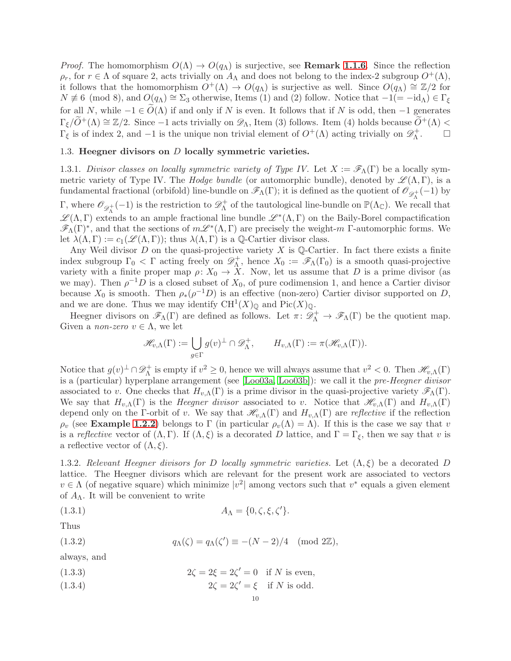*Proof.* The homomorphism  $O(\Lambda) \to O(q_{\Lambda})$  is surjective, see **Remark [1.1.6](#page-7-5)**. Since the reflection  $\rho_r$ , for  $r \in \Lambda$  of square 2, acts trivially on  $A_\Lambda$  and does not belong to the index-2 subgroup  $O^+(\Lambda)$ , it follows that the homomorphism  $O^+(\Lambda) \to O(q_\Lambda)$  is surjective as well. Since  $O(q_\Lambda) \cong \mathbb{Z}/2$  for  $N \not\equiv 6 \pmod{8}$ , and  $O(q_{\Lambda}) \cong \Sigma_3$  otherwise, Items (1) and (2) follow. Notice that  $-1(=-\mathrm{id}_{\Lambda}) \in \Gamma_{\xi}$ for all N, while  $-1 \in \widetilde{O}(\Lambda)$  if and only if N is even. It follows that if N is odd, then  $-1$  generates  $\Gamma_{\xi}/\widetilde{O}^+(\Lambda) \cong \mathbb{Z}/2$ . Since  $-1$  acts trivially on  $\mathscr{D}_{\Lambda}$ , Item (3) follows. Item (4) holds because  $\widetilde{O}^+(\Lambda) <$  $\Gamma_{\xi}$  is of index 2, and  $-1$  is the unique non trivial element of  $O^{+}(\Lambda)$  acting trivially on  $\mathscr{D}_{\Lambda}^{+}$ Λ . □

## <span id="page-9-0"></span>1.3. Heegner divisors on  $D$  locally symmetric varieties.

1.3.1. Divisor classes on locally symmetric variety of Type IV. Let  $X := \mathscr{F}_{\Lambda}(\Gamma)$  be a locally symmetric variety of Type IV. The Hodge bundle (or automorphic bundle), denoted by  $\mathscr{L}(\Lambda,\Gamma)$ , is a fundamental fractional (orbifold) line-bundle on  $\mathscr{F}_{\Lambda}(\Gamma)$ ; it is defined as the quotient of  $\mathscr{O}_{\mathscr{D}^+}(-1)$  by Γ, where  $\mathscr{O}_{\mathscr{D}_{\Lambda}^{+}}(-1)$  is the restriction to  $\mathscr{D}_{\Lambda}^{+}$  of the tautological line-bundle on  $\mathbb{P}(\Lambda_{\mathbb{C}})$ . We re  $\Lambda^+$  of the tautological line-bundle on  $\mathbb{P}(\Lambda_{\mathbb{C}})$ . We recall that  $\mathscr{L}(\Lambda,\Gamma)$  extends to an ample fractional line bundle  $\mathscr{L}^*(\Lambda,\Gamma)$  on the Baily-Borel compactification  $\mathscr{F}_{\Lambda}(\Gamma)^*$ , and that the sections of  $m\mathscr{L}^*(\Lambda,\Gamma)$  are precisely the weight-m  $\Gamma$ -automorphic forms. We let  $\lambda(\Lambda, \Gamma) := c_1(\mathscr{L}(\Lambda, \Gamma))$ ; thus  $\lambda(\Lambda, \Gamma)$  is a Q-Cartier divisor class.

Any Weil divisor D on the quasi-projective variety X is  $\mathbb{Q}$ -Cartier. In fact there exists a finite index subgroup  $\Gamma_0 < \Gamma$  acting freely on  $\mathscr{D}_{\Lambda}^+$ <sup>+</sup>, hence  $X_0 := \mathscr{F}_{\Lambda}(\Gamma_0)$  is a smooth quasi-projective variety with a finite proper map  $\rho: X_0 \to \tilde{X}$ . Now, let us assume that D is a prime divisor (as we may). Then  $\rho^{-1}D$  is a closed subset of  $X_0$ , of pure codimension 1, and hence a Cartier divisor because  $X_0$  is smooth. Then  $\rho_*(\rho^{-1}D)$  is an effective (non-zero) Cartier divisor supported on D, and we are done. Thus we may identify  $\mathrm{CH}^1(X)_{\mathbb{Q}}$  and  $\mathrm{Pic}(X)_{\mathbb{Q}}$ .

Heegner divisors on  $\mathscr{F}_{\Lambda}(\Gamma)$  are defined as follows. Let  $\pi: \mathscr{D}_{\Lambda}^+ \to \mathscr{F}_{\Lambda}(\Gamma)$  be the quotient map. Given a *non-zero*  $v \in \Lambda$ , we let

$$
\mathscr{H}_{v,\Lambda}(\Gamma) := \bigcup_{g \in \Gamma} g(v)^{\perp} \cap \mathscr{D}_{\Lambda}^+, \qquad H_{v,\Lambda}(\Gamma) := \pi(\mathscr{H}_{v,\Lambda}(\Gamma)).
$$

Notice that  $g(v)^\perp \cap \mathscr{D}_{\Lambda}^+$ <sup>+</sup> is empty if  $v^2 \ge 0$ , hence we will always assume that  $v^2 < 0$ . Then  $\mathscr{H}_{v,\Lambda}(\Gamma)$ is a (particular) hyperplane arrangement (see [\[Loo03a,](#page-61-2) [Loo03b\]](#page-61-3)): we call it the pre-Heegner divisor associated to v. One checks that  $H_{v,\Lambda}(\Gamma)$  is a prime divisor in the quasi-projective variety  $\mathscr{F}_{\Lambda}(\Gamma)$ . We say that  $H_{v,\Lambda}(\Gamma)$  is the *Heegner divisor* associated to v. Notice that  $\mathscr{H}_{v,\Lambda}(\Gamma)$  and  $H_{v,\Lambda}(\Gamma)$ depend only on the Γ-orbit of v. We say that  $\mathscr{H}_{v,\Lambda}(\Gamma)$  and  $H_{v,\Lambda}(\Gamma)$  are reflective if the reflection  $\rho_v$  (see Example [1.2.2](#page-8-1)) belongs to Γ (in particular  $\rho_v(\Lambda) = \Lambda$ ). If this is the case we say that v is a reflective vector of  $(\Lambda, \Gamma)$ . If  $(\Lambda, \xi)$  is a decorated D lattice, and  $\Gamma = \Gamma_{\xi}$ , then we say that v is a reflective vector of  $(\Lambda, \xi)$ .

1.3.2. Relevant Heegner divisors for D locally symmetric varieties. Let  $(\Lambda,\xi)$  be a decorated D lattice. The Heegner divisors which are relevant for the present work are associated to vectors  $v \in \Lambda$  (of negative square) which minimize  $|v^2|$  among vectors such that  $v^*$  equals a given element of  $A_{\Lambda}$ . It will be convenient to write

$$
(1.3.1) \t\t A\Lambda = \{0, \zeta, \xi, \zeta'\}.
$$

Thus

(1.3.2) 
$$
q_{\Lambda}(\zeta) = q_{\Lambda}(\zeta') \equiv -(N-2)/4 \pmod{2\mathbb{Z}},
$$

always, and

(1.3.3) 
$$
2\zeta = 2\xi = 2\zeta' = 0 \text{ if } N \text{ is even,}
$$

(1.3.4) 
$$
2\zeta = 2\zeta' = \xi \quad \text{if } N \text{ is odd.}
$$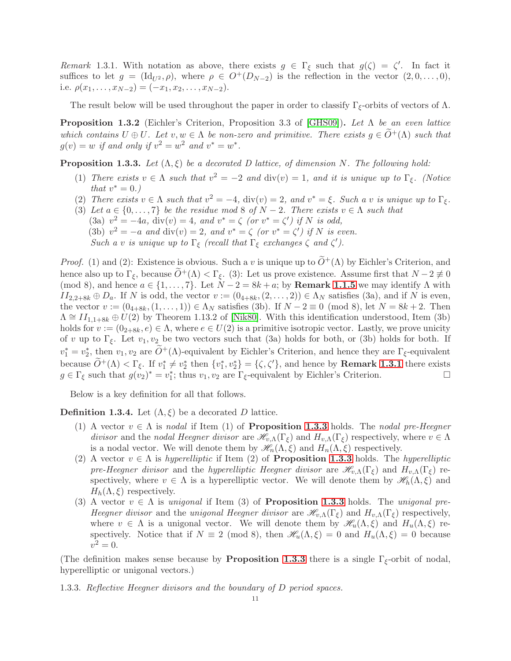<span id="page-10-0"></span>Remark 1.3.1. With notation as above, there exists  $g \in \Gamma_{\xi}$  such that  $g(\zeta) = \zeta'$ . In fact it suffices to let  $g = (\mathrm{Id}_{U^2}, \rho)$ , where  $\rho \in O^+(D_{N-2})$  is the reflection in the vector  $(2, 0, \ldots, 0)$ , i.e.  $\rho(x_1, \ldots, x_{N-2}) = (-x_1, x_2, \ldots, x_{N-2}).$ 

The result below will be used throughout the paper in order to classify  $\Gamma_{\xi}$ -orbits of vectors of  $\Lambda$ .

<span id="page-10-2"></span>**Proposition 1.3.2** (Eichler's Criterion, Proposition 3.3 of [\[GHS09\]](#page-60-16)). Let  $\Lambda$  be an even lattice which contains  $U \oplus U$ . Let  $v, w \in \Lambda$  be non-zero and primitive. There exists  $g \in \widetilde{O}^+(\Lambda)$  such that  $g(v) = w$  if and only if  $v^2 = w^2$  and  $v^* = w^*$ .

<span id="page-10-1"></span>**Proposition 1.3.3.** Let  $(\Lambda, \xi)$  be a decorated D lattice, of dimension N. The following hold:

- (1) There exists  $v \in \Lambda$  such that  $v^2 = -2$  and  $\text{div}(v) = 1$ , and it is unique up to  $\Gamma_{\xi}$ . (Notice that  $v^* = 0.$ )
- (2) There exists  $v \in \Lambda$  such that  $v^2 = -4$ ,  $\text{div}(v) = 2$ , and  $v^* = \xi$ . Such a v is unique up to  $\Gamma_{\xi}$ .
- (3) Let  $a \in \{0, \ldots, 7\}$  be the residue mod 8 of  $N 2$ . There exists  $v \in \Lambda$  such that (3a)  $v^2 = -4a$ , div(v) = 4, and  $v^* = \zeta$  (or  $v^* = \zeta'$ ) if N is odd, (3b)  $v^2 = -a$  and div(v) = 2, and  $v^* = \zeta$  (or  $v^* = \zeta'$ ) if N is even. Such a v is unique up to  $\Gamma_{\xi}$  (recall that  $\Gamma_{\xi}$  exchanges  $\zeta$  and  $\zeta'$ ).

*Proof.* (1) and (2): Existence is obvious. Such a v is unique up to  $\widetilde{O}^+(\Lambda)$  by Eichler's Criterion, and hence also up to  $\Gamma_{\xi}$ , because  $\overline{O}^+(\Lambda) < \Gamma_{\xi}$ . (3): Let us prove existence. Assume first that  $N-2 \not\equiv 0$ (mod 8), and hence  $a \in \{1, ..., 7\}$ . Let  $N - 2 = 8k + a$ ; by **Remark [1.1.5](#page-7-6)** we may identify  $\Lambda$  with  $II_{2,2+8k} \oplus D_a$ . If N is odd, the vector  $v := (0_{4+8k}, (2, \ldots, 2)) \in \Lambda_N$  satisfies (3a), and if N is even, the vector  $v := (0_{4+8k}, (1, \ldots, 1)) \in \Lambda_N$  satisfies (3b). If  $N - 2 \equiv 0 \pmod{8}$ , let  $N = 8k + 2$ . Then  $\Lambda \cong II_{1,1+8k} \oplus U(2)$  by Theorem 1.13.2 of [\[Nik80\]](#page-61-19). With this identification understood, Item (3b) holds for  $v := (0_{2+8k}, e) \in \Lambda$ , where  $e \in U(2)$  is a primitive isotropic vector. Lastly, we prove unicity of v up to Γ<sub>ξ</sub>. Let  $v_1, v_2$  be two vectors such that (3a) holds for both, or (3b) holds for both. If  $v_1^* = v_2^*$ , then  $v_1, v_2$  are  $\widetilde{O}^+(\Lambda)$ -equivalent by Eichler's Criterion, and hence they are  $\Gamma_{\xi}$ -equivalent because  $\widetilde{O}^+(\Lambda) < \Gamma_{\xi}$ . If  $v_1^* \neq v_2^*$  then  $\{v_1^*, v_2^*\} = \{\zeta, \zeta'\}$ , and hence by **Remark [1.3.1](#page-10-0)** there exists  $g \in \Gamma_{\xi}$  such that  $g(v_2)^* = v_1^*$ ; thus  $v_1, v_2$  are  $\Gamma_{\xi}$ -equivalent by Eichler's Criterion.

Below is a key definition for all that follows.

<span id="page-10-3"></span>**Definition 1.3.4.** Let  $(\Lambda, \xi)$  be a decorated D lattice.

- (1) A vector  $v \in \Lambda$  is nodal if Item (1) of **Proposition [1.3.3](#page-10-1)** holds. The nodal pre-Heegner divisor and the nodal Heegner divisor are  $\mathscr{H}_{v,\Lambda}(\Gamma_{\xi})$  and  $H_{v,\Lambda}(\Gamma_{\xi})$  respectively, where  $v \in \Lambda$ is a nodal vector. We will denote them by  $\mathscr{H}_n(\Lambda,\xi)$  and  $H_n(\Lambda,\xi)$  respectively.
- (2) A vector  $v \in \Lambda$  is hyperelliptic if Item (2) of **Proposition [1.3.3](#page-10-1)** holds. The hyperelliptic pre-Heegner divisor and the hyperelliptic Heegner divisor are  $\mathscr{H}_{v,\Lambda}(\Gamma_{\xi})$  and  $H_{v,\Lambda}(\Gamma_{\xi})$  respectively, where  $v \in \Lambda$  is a hyperelliptic vector. We will denote them by  $\mathscr{H}_{h}(\Lambda,\xi)$  and  $H_h(\Lambda, \xi)$  respectively.
- (3) A vector  $v \in \Lambda$  is unigonal if Item (3) of **Proposition [1.3.3](#page-10-1)** holds. The unigonal pre-Heegner divisor and the unigonal Heegner divisor are  $\mathcal{H}_{v,\Lambda}(\Gamma_{\xi})$  and  $H_{v,\Lambda}(\Gamma_{\xi})$  respectively, where  $v \in \Lambda$  is a unigonal vector. We will denote them by  $\mathscr{H}_u(\Lambda,\xi)$  and  $H_u(\Lambda,\xi)$  respectively. Notice that if  $N \equiv 2 \pmod{8}$ , then  $\mathcal{H}_u(\Lambda, \xi) = 0$  and  $H_u(\Lambda, \xi) = 0$  because  $v^2 = 0.$

(The definition makes sense because by **Proposition [1.3.3](#page-10-1)** there is a single  $\Gamma_{\xi}$ -orbit of nodal, hyperelliptic or unigonal vectors.)

1.3.3. Reflective Heegner divisors and the boundary of D period spaces.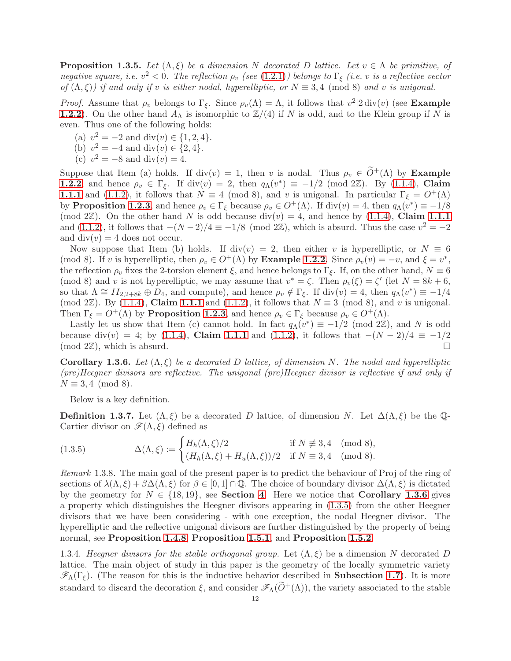**Proposition 1.3.5.** Let  $(\Lambda, \xi)$  be a dimension N decorated D lattice. Let  $v \in \Lambda$  be primitive, of negative square, i.e.  $v^2 < 0$ . The reflection  $\rho_v$  (see [\(1.2.1\)](#page-8-2)) belongs to  $\Gamma_{\xi}$  (i.e. v is a reflective vector of  $(\Lambda, \xi)$ ) if and only if v is either nodal, hyperelliptic, or  $N \equiv 3, 4 \pmod{8}$  and v is unigonal.

*Proof.* Assume that  $\rho_v$  belongs to  $\Gamma_{\xi}$ . Since  $\rho_v(\Lambda) = \Lambda$ , it follows that  $v^2/2 \operatorname{div}(v)$  (see **Example [1.2.2](#page-8-1)**). On the other hand  $A_{\Lambda}$  is isomorphic to  $\mathbb{Z}/(4)$  if N is odd, and to the Klein group if N is even. Thus one of the following holds:

- (a)  $v^2 = -2$  and div(v)  $\in \{1, 2, 4\}.$
- (b)  $v^2 = -4$  and div(v)  $\in \{2, 4\}.$
- (c)  $v^2 = -8$  and div(v) = 4.

Suppose that Item (a) holds. If div(v) = 1, then v is nodal. Thus  $\rho_v \in \tilde{O}^+(\Lambda)$  by Example **[1.2.2](#page-8-1)**, and hence  $\rho_v \in \Gamma_{\xi}$ . If div(v) = 2, then  $q_{\Lambda}(v^*) \equiv -1/2 \pmod{2\mathbb{Z}}$ . By [\(1.1.4\)](#page-7-0), Claim **[1.1.1](#page-7-7)** and [\(1.1.2\)](#page-7-1), it follows that  $N \equiv 4 \pmod{8}$ , and v is unigonal. In particular  $\Gamma_{\xi} = O^{+}(\Lambda)$ by **Proposition [1.2.3](#page-8-3)**, and hence  $\rho_v \in \Gamma_{\xi}$  because  $\rho_v \in O^+(\Lambda)$ . If div $(v) = 4$ , then  $q_{\Lambda}(v^*) \equiv -1/8$ (mod  $2\mathbb{Z}$ ). On the other hand N is odd because div(v) = 4, and hence by [\(1.1.4\)](#page-7-0), Claim [1.1.1](#page-7-7) and [\(1.1.2\)](#page-7-1), it follows that  $-(N-2)/4 \equiv -1/8 \pmod{2\mathbb{Z}}$ , which is absurd. Thus the case  $v^2 = -2$ and  $div(v) = 4$  does not occur.

Now suppose that Item (b) holds. If  $div(v) = 2$ , then either v is hyperelliptic, or  $N \equiv 6$ (mod 8). If v is hyperelliptic, then  $\rho_v \in O^+(\Lambda)$  by **Example [1.2.2](#page-8-1)**. Since  $\rho_v(v) = -v$ , and  $\xi = v^*$ , the reflection  $\rho_v$  fixes the 2-torsion element  $\xi$ , and hence belongs to  $\Gamma_{\xi}$ . If, on the other hand,  $N \equiv 6$ (mod 8) and v is not hyperelliptic, we may assume that  $v^* = \zeta$ . Then  $\rho_v(\xi) = \zeta'$  (let  $N = 8k + 6$ , so that  $\Lambda \cong II_{2,2+8k} \oplus D_4$ , and compute), and hence  $\rho_v \notin \Gamma_{\xi}$ . If div $(v) = 4$ , then  $q_{\Lambda}(v^*) \equiv -1/4$ (mod 2 $\mathbb{Z}$ ). By [\(1.1.4\)](#page-7-0), Claim [1.1.1](#page-7-7) and [\(1.1.2\)](#page-7-1), it follows that  $N \equiv 3 \pmod{8}$ , and v is unigonal. Then  $\Gamma_{\xi} = O^+(\Lambda)$  by **Proposition [1.2.3](#page-8-3)**, and hence  $\rho_v \in \Gamma_{\xi}$  because  $\rho_v \in O^+(\Lambda)$ .

Lastly let us show that Item (c) cannot hold. In fact  $q_{\Lambda}(v^*) \equiv -1/2 \pmod{2\mathbb{Z}}$ , and N is odd because div(v) = 4; by [\(1.1.4\)](#page-7-0), Claim [1.1.1](#page-7-7) and [\(1.1.2\)](#page-7-1), it follows that  $-(N-2)/4 \equiv -1/2$  $(\text{mod } 2\mathbb{Z})$ , which is absurd.

<span id="page-11-0"></span>Corollary 1.3.6. Let  $(\Lambda, \xi)$  be a decorated D lattice, of dimension N. The nodal and hyperelliptic (pre)Heegner divisors are reflective. The unigonal (pre)Heegner divisor is reflective if and only if  $N \equiv 3,4 \pmod{8}$ .

Below is a key definition.

**Definition 1.3.7.** Let  $(\Lambda, \xi)$  be a decorated D lattice, of dimension N. Let  $\Delta(\Lambda, \xi)$  be the Q-Cartier divisor on  $\mathscr{F}(\Lambda,\xi)$  defined as

<span id="page-11-1"></span>(1.3.5) 
$$
\Delta(\Lambda,\xi) := \begin{cases} H_h(\Lambda,\xi)/2 & \text{if } N \not\equiv 3,4 \pmod{8}, \\ (H_h(\Lambda,\xi) + H_u(\Lambda,\xi))/2 & \text{if } N \equiv 3,4 \pmod{8}. \end{cases}
$$

Remark 1.3.8. The main goal of the present paper is to predict the behaviour of Proj of the ring of sections of  $\lambda(\Lambda,\xi) + \beta \Delta(\Lambda,\xi)$  for  $\beta \in [0,1] \cap \mathbb{Q}$ . The choice of boundary divisor  $\Delta(\Lambda,\xi)$  is dictated by the geometry for  $N \in \{18, 19\}$ , see **Section [4](#page-40-0)**. Here we notice that **Corollary [1.3.6](#page-11-0)** gives a property which distinguishes the Heegner divisors appearing in [\(1.3.5\)](#page-11-1) from the other Heegner divisors that we have been considering - with one exception, the nodal Heegner divisor. The hyperelliptic and the reflective unigonal divisors are further distinguished by the property of being normal, see Proposition [1.4.8](#page-15-0), Proposition [1.5.1](#page-17-0), and Proposition [1.5.2](#page-18-0).

<span id="page-11-2"></span>1.3.4. Heegner divisors for the stable orthogonal group. Let  $(\Lambda,\xi)$  be a dimension N decorated D lattice. The main object of study in this paper is the geometry of the locally symmetric variety  $\mathscr{F}_{\Lambda}(\Gamma_{\xi})$ . (The reason for this is the inductive behavior described in **Subsection [1.7](#page-21-0)**). It is more standard to discard the decoration  $\xi$ , and consider  $\mathscr{F}_{\Lambda}(\tilde{O}^{+}(\Lambda))$ , the variety associated to the stable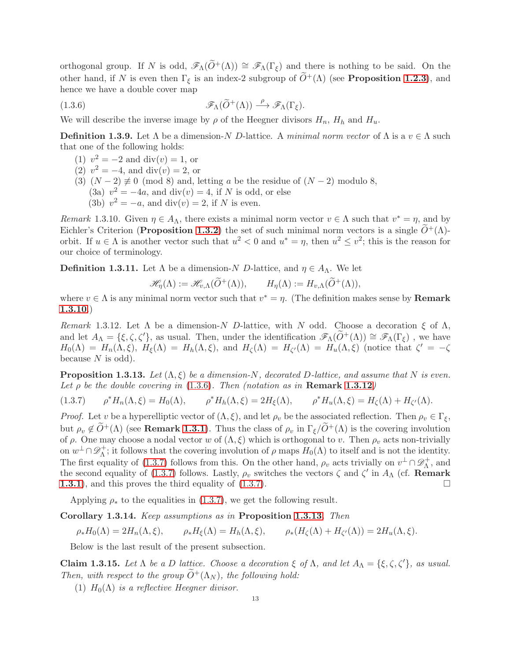orthogonal group. If N is odd,  $\mathscr{F}_{\Lambda}(\tilde{O}^+(\Lambda)) \cong \mathscr{F}_{\Lambda}(\Gamma_{\xi})$  and there is nothing to be said. On the other hand, if N is even then  $\Gamma_{\xi}$  is an index-2 subgroup of  $\widetilde{O}^{+}(\Lambda)$  (see **Proposition [1.2.3](#page-8-3)**), and hence we have a double cover map

(1.3.6) 
$$
\mathscr{F}_{\Lambda}(\widetilde{O}^{+}(\Lambda)) \xrightarrow{\rho} \mathscr{F}_{\Lambda}(\Gamma_{\xi}).
$$

We will describe the inverse image by  $\rho$  of the Heegner divisors  $H_n$ ,  $H_h$  and  $H_u$ .

<span id="page-12-7"></span>**Definition 1.3.9.** Let  $\Lambda$  be a dimension-N D-lattice. A minimal norm vector of  $\Lambda$  is a  $v \in \Lambda$  such that one of the following holds:

- <span id="page-12-1"></span>(1)  $v^2 = -2$  and div(v) = 1, or
- (2)  $v^2 = -4$ , and div(v) = 2, or
- (3)  $(N-2) \not\equiv 0 \pmod{8}$  and, letting a be the residue of  $(N-2)$  modulo 8,
	- (3a)  $v^2 = -4a$ , and div(v) = 4, if N is odd, or else
	- (3b)  $v^2 = -a$ , and div(v) = 2, if N is even.

<span id="page-12-0"></span>Remark 1.3.10. Given  $\eta \in A_\Lambda$ , there exists a minimal norm vector  $v \in \Lambda$  such that  $v^* = \eta$ , and by Eichler's Criterion (**Proposition [1.3.2](#page-10-2)**) the set of such minimal norm vectors is a single  $\tilde{O}^+(\Lambda)$ orbit. If  $u \in \Lambda$  is another vector such that  $u^2 < 0$  and  $u^* = \eta$ , then  $u^2 \le v^2$ ; this is the reason for our choice of terminology.

<span id="page-12-6"></span>**Definition 1.3.11.** Let  $\Lambda$  be a dimension-N D-lattice, and  $\eta \in A_{\Lambda}$ . We let

$$
\mathscr{H}_{\eta}(\Lambda) := \mathscr{H}_{v,\Lambda}(\widetilde{O}^+(\Lambda)), \qquad H_{\eta}(\Lambda) := H_{v,\Lambda}(\widetilde{O}^+(\Lambda)),
$$

where  $v \in \Lambda$  is any minimal norm vector such that  $v^* = \eta$ . (The definition makes sense by **Remark** [1.3.10](#page-12-0).)

<span id="page-12-2"></span>Remark 1.3.12. Let  $\Lambda$  be a dimension-N D-lattice, with N odd. Choose a decoration  $\xi$  of  $\Lambda$ , and let  $A_\Lambda = \{\xi, \zeta, \zeta'\}$ , as usual. Then, under the identification  $\mathscr{F}_\Lambda(O^+(\Lambda)) \cong \mathscr{F}_\Lambda(\Gamma_\xi)$ , we have  $H_0(\Lambda) = H_n(\Lambda, \xi)$ ,  $H_\xi(\Lambda) = H_h(\Lambda, \xi)$ , and  $H_\zeta(\Lambda) = H_{\zeta'}(\Lambda) = H_u(\Lambda, \xi)$  (notice that  $\zeta' = -\zeta$ because  $N$  is odd).

<span id="page-12-4"></span>**Proposition 1.3.13.** Let  $(\Lambda, \xi)$  be a dimension-N, decorated D-lattice, and assume that N is even. Let  $\rho$  be the double covering in [\(1.3.6\)](#page-12-1). Then (notation as in **Remark [1.3.12](#page-12-2)**)

<span id="page-12-3"></span>
$$
(1.3.7) \qquad \rho^* H_n(\Lambda, \xi) = H_0(\Lambda), \qquad \rho^* H_n(\Lambda, \xi) = 2H_{\xi}(\Lambda), \qquad \rho^* H_u(\Lambda, \xi) = H_{\zeta}(\Lambda) + H_{\zeta'}(\Lambda).
$$

*Proof.* Let v be a hyperelliptic vector of  $(\Lambda, \xi)$ , and let  $\rho_v$  be the associated reflection. Then  $\rho_v \in \Gamma_{\xi}$ , but  $\rho_v \notin \widetilde{O}^+(\Lambda)$  (see **Remark [1.3.1](#page-10-0)**). Thus the class of  $\rho_v$  in  $\Gamma_{\xi}/\widetilde{O}^+(\Lambda)$  is the covering involution of  $\rho$ . One may choose a nodal vector w of  $(\Lambda, \xi)$  which is orthogonal to v. Then  $\rho_v$  acts non-trivially on  $w^{\perp} \cap \mathscr{D}_{\Lambda}^{+}$  $\Lambda^+$ ; it follows that the covering involution of  $\rho$  maps  $H_0(\Lambda)$  to itself and is not the identity. The first equality of [\(1.3.7\)](#page-12-3) follows from this. On the other hand,  $\rho_v$  acts trivially on  $v^{\perp} \cap \mathscr{D}_{\Lambda}^{+}$  $\Lambda^+$ , and the second equality of [\(1.3.7\)](#page-12-3) follows. Lastly,  $\rho_v$  switches the vectors  $\zeta$  and  $\zeta'$  in  $A_\Lambda$  (cf. **Remark** [1.3.1](#page-10-0)), and this proves the third equality of [\(1.3.7\)](#page-12-3).

Applying  $\rho_*$  to the equalities in [\(1.3.7\)](#page-12-3), we get the following result.

<span id="page-12-5"></span>Corollary 1.3.14. Keep assumptions as in Proposition [1.3.13](#page-12-4). Then

 $\rho_* H_0(\Lambda) = 2H_n(\Lambda, \xi), \qquad \rho_* H_{\xi}(\Lambda) = H_h(\Lambda, \xi), \qquad \rho_* (H_{\zeta}(\Lambda) + H_{\zeta'}(\Lambda)) = 2H_u(\Lambda, \xi).$ 

Below is the last result of the present subsection.

<span id="page-12-8"></span>Claim 1.3.15. Let  $\Lambda$  be a D lattice. Choose a decoration  $\xi$  of  $\Lambda$ , and let  $A_{\Lambda} = {\xi, \zeta, \zeta'}$ , as usual. Then, with respect to the group  $\widetilde{O}^+(\Lambda_N)$ , the following hold:

(1)  $H_0(\Lambda)$  is a reflective Heegner divisor.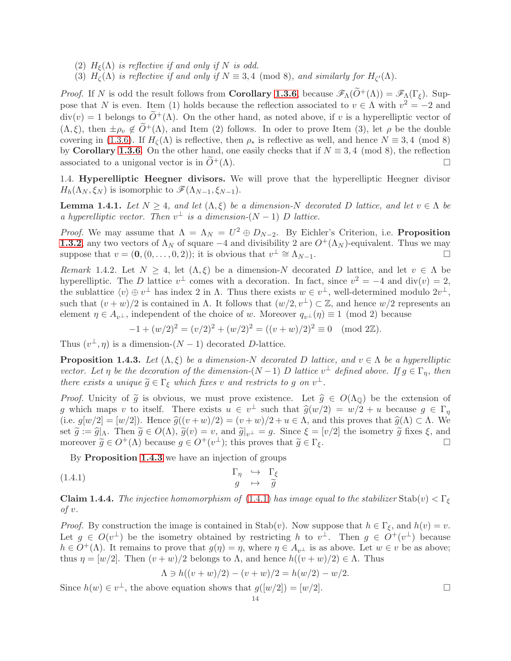- (2)  $H_{\xi}(\Lambda)$  is reflective if and only if N is odd.
- (3)  $H_{\zeta}(\Lambda)$  is reflective if and only if  $N \equiv 3,4 \pmod{8}$ , and similarly for  $H_{\zeta'}(\Lambda)$ .

*Proof.* If N is odd the result follows from **Corollary [1.3.6](#page-11-0)**, because  $\mathscr{F}_{\Lambda}(\tilde{O}^+(\Lambda)) = \mathscr{F}_{\Lambda}(\Gamma_{\xi})$ . Suppose that N is even. Item (1) holds because the reflection associated to  $v \in \Lambda$  with  $v^2 = -2$  and  $div(v) = 1$  belongs to  $\tilde{O}^+(\Lambda)$ . On the other hand, as noted above, if v is a hyperelliptic vector of  $(\Lambda, \xi)$ , then  $\pm \rho_v \notin \tilde{O}^+(\Lambda)$ , and Item (2) follows. In oder to prove Item (3), let  $\rho$  be the double covering in [\(1.3.6\)](#page-12-1). If  $H_{\zeta}(\Lambda)$  is reflective, then  $\rho_*$  is reflective as well, and hence  $N \equiv 3, 4 \pmod{8}$ by Corollary [1.3.6](#page-11-0). On the other hand, one easily checks that if  $N \equiv 3, 4 \pmod{8}$ , the reflection associated to a unigonal vector is in  $\widetilde{O}^+(\Lambda)$ .

<span id="page-13-5"></span>1.4. Hyperelliptic Heegner divisors. We will prove that the hyperelliptic Heegner divisor  $H_h(\Lambda_N, \xi_N)$  is isomorphic to  $\mathscr{F}(\Lambda_{N-1}, \xi_{N-1}).$ 

<span id="page-13-4"></span>**Lemma 1.4.1.** Let  $N \geq 4$ , and let  $(\Lambda, \xi)$  be a dimension-N decorated D lattice, and let  $v \in \Lambda$  be a hyperelliptic vector. Then  $v^{\perp}$  is a dimension- $(N-1)$  D lattice.

*Proof.* We may assume that  $\Lambda = \Lambda_N = U^2 \oplus D_{N-2}$ . By Eichler's Criterion, i.e. **Proposition [1.3.2](#page-10-2)**, any two vectors of  $\Lambda_N$  of square  $-4$  and divisibility 2 are  $O^+(\Lambda_N)$ -equivalent. Thus we may suppose that  $v = (0, (0, \ldots, 0, 2))$ ; it is obvious that  $v^{\perp} \cong \Lambda_{N-1}$ .

<span id="page-13-3"></span>Remark 1.4.2. Let  $N \geq 4$ , let  $(\Lambda, \xi)$  be a dimension-N decorated D lattice, and let  $v \in \Lambda$  be hyperelliptic. The D lattice  $v^{\perp}$  comes with a decoration. In fact, since  $v^2 = -4$  and  $\text{div}(v) = 2$ , the sublattice  $\langle v \rangle \oplus v^{\perp}$  has index 2 in  $\Lambda$ . Thus there exists  $w \in v^{\perp}$ , well-determined modulo  $2v^{\perp}$ , such that  $(v + w)/2$  is contained in  $\Lambda$ . It follows that  $(w/2, v^{\perp}) \subset \mathbb{Z}$ , and hence  $w/2$  represents an element  $\eta \in A_{v^{\perp}}$ , independent of the choice of w. Moreover  $q_{v^{\perp}}(\eta) \equiv 1 \pmod{2}$  because

$$
-1 + (w/2)^2 = (v/2)^2 + (w/2)^2 = ((v+w)/2)^2 \equiv 0 \pmod{2\mathbb{Z}}.
$$

Thus  $(v^{\perp}, \eta)$  is a dimension- $(N-1)$  decorated D-lattice.

<span id="page-13-0"></span>**Proposition 1.4.3.** Let  $(\Lambda, \xi)$  be a dimension-N decorated D lattice, and  $v \in \Lambda$  be a hyperelliptic vector. Let  $\eta$  be the decoration of the dimension- $(N-1)$  D lattice  $v^{\perp}$  defined above. If  $g \in \Gamma_{\eta}$ , then there exists a unique  $\widetilde{g} \in \Gamma_{\xi}$  which fixes v and restricts to g on  $v^{\perp}$ .

*Proof.* Unicity of  $\tilde{g}$  is obvious, we must prove existence. Let  $\hat{g} \in O(\Lambda_0)$  be the extension of g which maps v to itself. There exists  $u \in v^{\perp}$  such that  $\hat{g}(w/2) = w/2 + u$  because  $g \in \Gamma_{\eta}$ <br>(i.e.  $\epsilon[w/2] = [w/2]$ . Hence  $\hat{\epsilon}'(w+w)/2$ .  $(w+w)/2+w \in \Lambda$  and this present bet  $\hat{\epsilon}'(A) \subset \Lambda$ . We (i.e.  $g[w/2] = [w/2]$ ). Hence  $\hat{g}((v + w)/2) = (v + w)/2 + u \in \Lambda$ , and this proves that  $\hat{g}(\Lambda) \subset \Lambda$ . We set  $\tilde{g} := \hat{g}|_{\Lambda}$ . Then  $\tilde{g} \in O(\Lambda)$ ,  $\tilde{g}(v) = v$ , and  $\tilde{g}|_{v^{\perp}} = g$ . Since  $\xi = [v/2]$  the isometry  $\tilde{g}$  fixes  $\xi$ , and moreover  $\tilde{g} \in O^+(\Lambda)$  because  $g \in O^+(v^{\perp})$ ; this proves that  $\tilde{g} \in \Gamma_{\epsilon}$ . moreover  $\widetilde{g} \in O^+(\Lambda)$  because  $g \in O^+(v^{\perp})$ ; this proves that  $\widetilde{g} \in \Gamma_{\xi}$ .

By Proposition [1.4.3](#page-13-0) we have an injection of groups

(1.4.1) 
$$
\Gamma_{\eta} \rightarrow \Gamma_{\xi} \qquad g \rightarrow \tilde{g}
$$

<span id="page-13-2"></span>**Claim 1.4.4.** The injective homomorphism of [\(1.4.1\)](#page-13-1) has image equal to the stabilizer Stab(v)  $\langle \Gamma_{\xi} \rangle$ of v.

*Proof.* By construction the image is contained in  $\text{Stab}(v)$ . Now suppose that  $h \in \Gamma_{\xi}$ , and  $h(v) = v$ . Let  $g \in O(v^{\perp})$  be the isometry obtained by restricting h to  $v^{\perp}$ . Then  $g \in O^{\perp}(v^{\perp})$  because  $h \in O^+(\Lambda)$ . It remains to prove that  $g(\eta) = \eta$ , where  $\eta \in A_{\eta}$  is as above. Let  $w \in v$  be as above; thus  $\eta = [w/2]$ . Then  $(v + w)/2$  belongs to  $\Lambda$ , and hence  $h((v + w)/2) \in \Lambda$ . Thus

<span id="page-13-1"></span>
$$
\Lambda \ni h((v+w)/2) - (v+w)/2 = h(w/2) - w/2.
$$

Since  $h(w) \in v^{\perp}$ , the above equation shows that  $g([w/2]) = [w/2]$ .

$$
14\quad
$$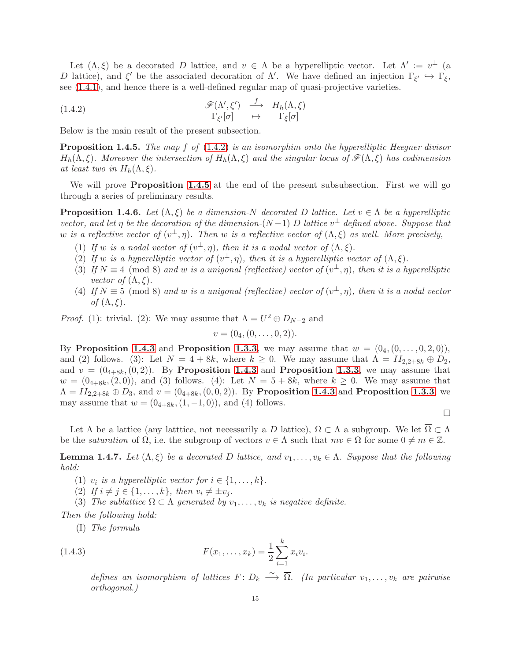Let  $(\Lambda, \xi)$  be a decorated D lattice, and  $v \in \Lambda$  be a hyperelliptic vector. Let  $\Lambda' := v^{\perp}$  (a D lattice), and  $\xi'$  be the associated decoration of  $\Lambda'$ . We have defined an injection  $\Gamma_{\xi'} \hookrightarrow \Gamma_{\xi}$ , see [\(1.4.1\)](#page-13-1), and hence there is a well-defined regular map of quasi-projective varieties.

<span id="page-14-0"></span>(1.4.2) 
$$
\begin{array}{cccc} \mathscr{F}(\Lambda',\xi') & \xrightarrow{f} & H_h(\Lambda,\xi) \\ \Gamma_{\xi'}[\sigma] & \mapsto & \Gamma_{\xi}[\sigma] \end{array}
$$

Below is the main result of the present subsection.

<span id="page-14-1"></span>**Proposition 1.4.5.** The map f of  $(1.4.2)$  is an isomorphim onto the hyperelliptic Heegner divisor  $H_h(\Lambda,\xi)$ . Moreover the intersection of  $H_h(\Lambda,\xi)$  and the singular locus of  $\mathscr{F}(\Lambda,\xi)$  has codimension at least two in  $H_h(\Lambda,\xi)$ .

We will prove **Proposition [1.4.5](#page-14-1)** at the end of the present subsubsection. First we will go through a series of preliminary results.

<span id="page-14-4"></span>**Proposition 1.4.6.** Let  $(\Lambda, \xi)$  be a dimension-N decorated D lattice. Let  $v \in \Lambda$  be a hyperelliptic vector, and let  $\eta$  be the decoration of the dimension-(N-1) D lattice  $v^{\perp}$  defined above. Suppose that w is a reflective vector of  $(v^{\perp}, \eta)$ . Then w is a reflective vector of  $(\Lambda, \xi)$  as well. More precisely,

- (1) If w is a nodal vector of  $(v^{\perp}, \eta)$ , then it is a nodal vector of  $(\Lambda, \xi)$ .
- (2) If w is a hyperelliptic vector of  $(v^{\perp}, \eta)$ , then it is a hyperelliptic vector of  $(\Lambda, \xi)$ .
- (3) If  $N \equiv 4 \pmod{8}$  and w is a unigonal (reflective) vector of  $(v^{\perp}, \eta)$ , then it is a hyperelliptic vector of  $(\Lambda, \xi)$ .
- (4) If  $N \equiv 5 \pmod{8}$  and w is a unigonal (reflective) vector of  $(v^{\perp}, \eta)$ , then it is a nodal vector of  $(\Lambda,\xi)$ .

*Proof.* (1): trivial. (2): We may assume that  $\Lambda = U^2 \oplus D_{N-2}$  and

$$
v=(0_4,(0,\ldots,0,2)).
$$

By Proposition [1.4.3](#page-13-0) and Proposition [1.3.3](#page-10-1), we may assume that  $w = (0_4, (0, \ldots, 0, 2, 0)),$ and (2) follows. (3): Let  $N = 4 + 8k$ , where  $k \geq 0$ . We may assume that  $\Lambda = II_{2,2+8k} \oplus D_2$ , and  $v = (0_{4+8k}, (0, 2))$ . By Proposition [1.4.3](#page-13-0) and Proposition [1.3.3](#page-10-1), we may assume that  $w = (0_{4+8k}, (2, 0))$ , and (3) follows. (4): Let  $N = 5 + 8k$ , where  $k \ge 0$ . We may assume that  $\Lambda = II_{2,2+8k} \oplus D_3$ , and  $v = (0_{4+8k}, (0,0,2))$ . By Proposition [1.4.3](#page-13-0) and Proposition [1.3.3](#page-10-1), we may assume that  $w = (0_{4+8k}, (1, -1, 0))$ , and (4) follows.

$$
\Box
$$

Let  $\Lambda$  be a lattice (any lattice, not necessarily a D lattice),  $\Omega \subset \Lambda$  a subgroup. We let  $\overline{\Omega} \subset \Lambda$ be the *saturation* of  $\Omega$ , i.e. the subgroup of vectors  $v \in \Lambda$  such that  $mv \in \Omega$  for some  $0 \neq m \in \mathbb{Z}$ .

<span id="page-14-3"></span>**Lemma 1.4.7.** Let  $(\Lambda, \xi)$  be a decorated D lattice, and  $v_1, \ldots, v_k \in \Lambda$ . Suppose that the following hold:

- (1)  $v_i$  is a hyperelliptic vector for  $i \in \{1, \ldots, k\}$ .
- (2) If  $i \neq j \in \{1, ..., k\}$ , then  $v_i \neq \pm v_j$ .
- (3) The sublattice  $\Omega \subset \Lambda$  generated by  $v_1, \ldots, v_k$  is negative definite.

Then the following hold:

(I) The formula

(1.4.3) 
$$
F(x_1, ..., x_k) = \frac{1}{2} \sum_{i=1}^k x_i v_i
$$

defines an isomorphism of lattices  $F: D_k \longrightarrow \overline{\Omega}$ . (In particular  $v_1, \ldots, v_k$  are pairwise orthogonal.)

<span id="page-14-2"></span>.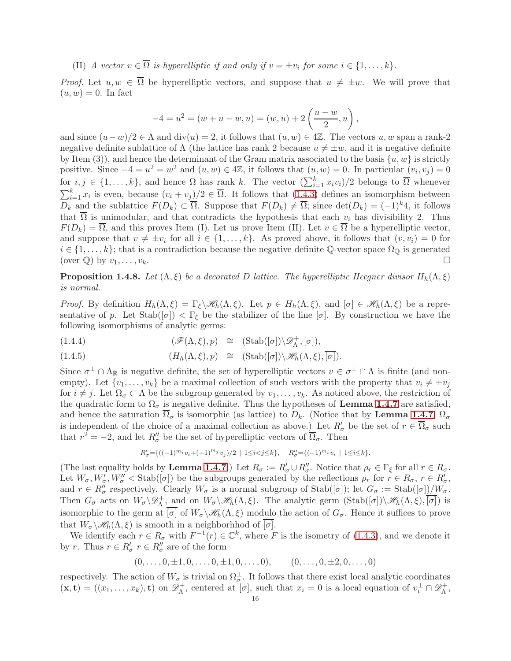(II) A vector  $v \in \Omega$  is hyperelliptic if and only if  $v = \pm v_i$  for some  $i \in \{1, ..., k\}$ .

*Proof.* Let  $u, w \in \overline{\Omega}$  be hyperelliptic vectors, and suppose that  $u \neq \pm w$ . We will prove that  $(u, w) = 0$ . In fact

$$
-4 = u2 = (w + u - w, u) = (w, u) + 2\left(\frac{u - w}{2}, u\right),
$$

and since  $(u-w)/2 \in \Lambda$  and  $\text{div}(u) = 2$ , it follows that  $(u, w) \in 4\mathbb{Z}$ . The vectors  $u, w$  span a rank-2 negative definite sublattice of  $\Lambda$  (the lattice has rank 2 because  $u \neq \pm w$ , and it is negative definite by Item (3)), and hence the determinant of the Gram matrix associated to the basis  $\{u, w\}$  is strictly positive. Since  $-4 = u^2 = w^2$  and  $(u, w) \in 4\mathbb{Z}$ , it follows that  $(u, w) = 0$ . In particular  $(v_i, v_j) = 0$ for  $i, j \in \{1, ..., k\}$ , and hence  $\Omega$  has rank k. The vector  $(\sum_{i=1}^{k} x_i v_i)/2$  belongs to  $\overline{\Omega}$  whenever  $\sum_{i=1}^{k} x_i$  is even, because  $(v_i + v_j)/2 \in \overline{\Omega}$ . It follows that  $(1.4.3)$  defines an isomorphism between  $D_k$  and the sublattice  $F(D_k) \subset \overline{\Omega}$ . Suppose that  $F(D_k) \neq \overline{\Omega}$ ; since  $\det(D_k) = (-1)^k 4$ , it follows that  $\overline{\Omega}$  is unimodular, and that contradicts the hypothesis that each  $v_i$  has divisibility 2. Thus  $F(D_k) = \overline{\Omega}$ , and this proves Item (I). Let us prove Item (II). Let  $v \in \overline{\Omega}$  be a hyperelliptic vector, and suppose that  $v \neq \pm v_i$  for all  $i \in \{1, ..., k\}$ . As proved above, it follows that  $(v, v_i) = 0$  for  $i \in \{1, \ldots, k\}$ ; that is a contradiction because the negative definite Q-vector space  $\Omega_{\mathbb{Q}}$  is generated (over  $\mathbb{Q}$ ) by  $v_1, \ldots, v_k$ .

<span id="page-15-0"></span>**Proposition 1.4.8.** Let  $(\Lambda, \xi)$  be a decorated D lattice. The hyperelliptic Heegner divisor  $H_h(\Lambda, \xi)$ is normal.

*Proof.* By definition  $H_h(\Lambda, \xi) = \Gamma_{\xi} \setminus \mathscr{H}_h(\Lambda, \xi)$ . Let  $p \in H_h(\Lambda, \xi)$ , and  $[\sigma] \in \mathscr{H}_h(\Lambda, \xi)$  be a representative of p. Let  $\text{Stab}([\sigma]) < \Gamma_{\xi}$  be the stabilizer of the line  $[\sigma]$ . By construction we have the following isomorphisms of analytic germs:

(1.4.4) 
$$
(\mathscr{F}(\Lambda,\xi),p) \cong (\text{Stab}([\sigma])\backslash \mathscr{D}_{\Lambda}^+, \overline{[\sigma]}),
$$

(1.4.5) 
$$
(H_h(\Lambda,\xi),p) \cong (\mathrm{Stab}([\sigma])\backslash \mathscr{H}_h(\Lambda,\xi),\overline{[\sigma]}).
$$

Since  $\sigma^{\perp} \cap \Lambda_{\mathbb{R}}$  is negative definite, the set of hyperelliptic vectors  $v \in \sigma^{\perp} \cap \Lambda$  is finite (and nonempty). Let  $\{v_1, \ldots, v_k\}$  be a maximal collection of such vectors with the property that  $v_i \neq \pm v_j$ for  $i \neq j$ . Let  $\Omega_{\sigma} \subset \Lambda$  be the subgroup generated by  $v_1, \ldots, v_k$ . As noticed above, the restriction of the quadratic form to  $\Omega_{\sigma}$  is negative definite. Thus the hypotheses of **Lemma [1.4.7](#page-14-3)** are satisfied, and hence the saturation  $\overline{\Omega}_{\sigma}$  is isomorphic (as lattice) to  $D_k$ . (Notice that by **Lemma [1.4.7](#page-14-3)**,  $\Omega_{\sigma}$ is independent of the choice of a maximal collection as above.) Let  $R'_{\sigma}$  be the set of  $r \in \overline{\Omega}_{\sigma}$  such that  $r^2 = -2$ , and let  $R''_{\sigma}$  be the set of hyperelliptic vectors of  $\overline{\Omega}_{\sigma}$ . Then

$$
R'_{\sigma} = \{ ((-1)^{m_i} v_i + (-1)^{m_j} v_j)/2 \mid 1 \le i < j \le k \}, \quad R''_{\sigma} = \{ (-1)^{m_i} v_i \mid 1 \le i \le k \}.
$$

(The last equality holds by **Lemma [1.4.7](#page-14-3)**.) Let  $R_{\sigma} := R'_{\sigma} \cup R''_{\sigma}$ . Notice that  $\rho_r \in \Gamma_{\xi}$  for all  $r \in R_{\sigma}$ . Let  $W_{\sigma}, W'_{\sigma}, W''_{\sigma} < \text{Stab}([\sigma])$  be the subgroups generated by the reflections  $\rho_r$  for  $r \in R_{\sigma}, r \in R'_{\sigma}$ , and  $r \in R''_{\sigma}$  respectively. Clearly  $W_{\sigma}$  is a normal subgroup of  $\text{Stab}([\sigma])$ ; let  $G_{\sigma} := \text{Stab}([\sigma])/W_{\sigma}$ . Then  $G_{\sigma}$  acts on  $W_{\sigma} \backslash \mathscr{D}_{\Lambda}^+$  $\mathcal{M}_{\Lambda}^+$ , and on  $W_{\sigma}\backslash\mathscr{H}_{h}(\Lambda,\xi)$ . The analytic germ  $(Stab([\sigma])\backslash\mathscr{H}_{h}(\Lambda,\xi),\overline{[\sigma]})$  is isomorphic to the germ at  $[\sigma]$  of  $W_{\sigma}\setminus\mathscr{H}_h(\Lambda, \xi)$  modulo the action of  $G_{\sigma}$ . Hence it suffices to prove that  $W_{\sigma} \backslash \mathscr{H}_h(\Lambda, \xi)$  is smooth in a neighborhhod of  $\overline{[\sigma]}$ .

We identify each  $r \in R_{\sigma}$  with  $F^{-1}(r) \in \mathbb{C}^k$ , where F is the isometry of [\(1.4.3\)](#page-14-2), and we denote it by r. Thus  $r \in R'_{\sigma}$   $r \in R''_{\sigma}$  are of the form

$$
(0, \ldots, 0, \pm 1, 0, \ldots, 0, \pm 1, 0, \ldots, 0), \qquad (0, \ldots, 0, \pm 2, 0, \ldots, 0)
$$

respectively. The action of  $W_{\sigma}$  is trivial on  $\Omega_{\sigma}^{\perp}$ . It follows that there exist local analytic coordinates  $(\mathbf{x}, \mathbf{t}) = ((x_1, \dots, x_k), \mathbf{t})$  on  $\mathscr{D}_{\Lambda}^+$ <sup>+</sup>, centered at  $[\sigma]$ , such that  $x_i = 0$  is a local equation of  $v_i^{\perp} \cap \mathscr{D}_{\Lambda}^+$ Λ ,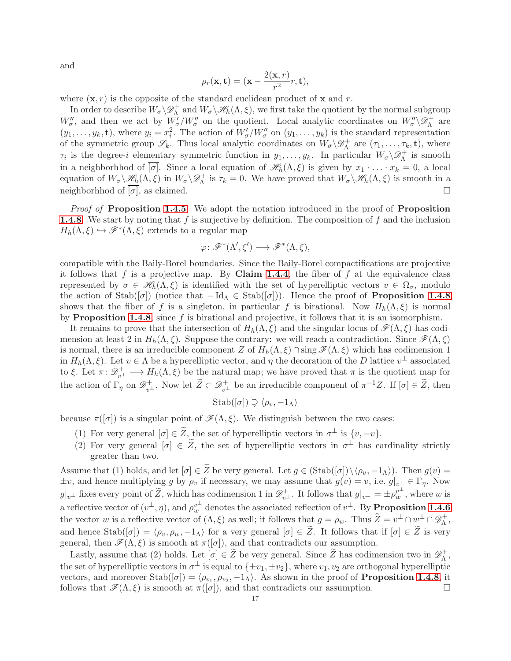and

$$
\rho_r(\mathbf{x}, \mathbf{t}) = (\mathbf{x} - \frac{2(\mathbf{x}, r)}{r^2}r, \mathbf{t}),
$$

where  $(x, r)$  is the opposite of the standard euclidean product of x and r.

In order to describe  $W_{\sigma}\backslash\mathscr{D}^+_{\Lambda}$  and  $W_{\sigma}\backslash\mathscr{H}_h(\Lambda,\xi)$ , we first take the quotient by the normal subgroup  $W''_{\sigma}$ , and then we act by  $\overline{W'_{\sigma}}/W''_{\sigma}$  on the quotient. Local analytic coordinates on  $W''_{\sigma}\setminus \mathscr{D}^+_{\Lambda}$  $\Lambda^+$  are  $(y_1,\ldots,y_k,\mathbf{t})$ , where  $y_i=x_i^2$ . The action of  $W'_{\sigma}/W''_{\sigma}$  on  $(y_1,\ldots,y_k)$  is the standard representation of the symmetric group  $\mathscr{S}_k$ . Thus local analytic coordinates on  $W_{\sigma}\backslash \mathscr{D}_{\Lambda}^+$  $\mathcal{L}_{\Lambda}^+$  are  $(\tau_1, \ldots, \tau_k, \mathbf{t})$ , where  $\tau_i$  is the degree-i elementary symmetric function in  $y_1, \ldots, y_k$ . In particular  $W_{\sigma} \backslash \mathscr{D}_{\Lambda}^+$  $\Lambda$ <sup>+</sup> is smooth in a neighborhhod of  $\overline{\sigma}$ . Since a local equation of  $\mathscr{H}_h(\Lambda,\xi)$  is given by  $x_1 \cdot \ldots \cdot x_k = 0$ , a local equation of  $W_{\sigma}\setminus\mathscr{H}_{h}(\Lambda,\xi)$  in  $W_{\sigma}\setminus\mathscr{D}_{\Lambda}^{+}$  is  $\tau_{k}=0$ . We have proved that  $W_{\sigma}\setminus\mathscr{H}_{h}(\Lambda,\xi)$  is smooth in a neighborhhod of  $[\sigma]$ , as claimed.

*Proof of Proposition [1.4.5](#page-14-1).* We adopt the notation introduced in the proof of Proposition **[1.4.8](#page-15-0)**. We start by noting that f is surjective by definition. The composition of f and the inclusion  $H_h(\Lambda,\xi) \hookrightarrow \mathscr{F}^*(\Lambda,\xi)$  extends to a regular map

$$
\varphi \colon \mathscr{F}^*(\Lambda', \xi') \longrightarrow \mathscr{F}^*(\Lambda, \xi),
$$

compatible with the Baily-Borel boundaries. Since the Baily-Borel compactifications are projective it follows that f is a projective map. By Claim [1.4.4](#page-13-2), the fiber of f at the equivalence class represented by  $\sigma \in \mathscr{H}_h(\Lambda, \xi)$  is identified with the set of hyperelliptic vectors  $v \in \Omega_{\sigma}$ , modulo the action of Stab( $[\sigma]$ ) (notice that  $-\text{Id}_{\Lambda} \in \text{Stab}([\sigma])$ ). Hence the proof of **Proposition [1.4.8](#page-15-0)** shows that the fiber of f is a singleton, in particular f is birational. Now  $H_h(\Lambda,\xi)$  is normal by **Proposition [1.4.8](#page-15-0)**; since  $f$  is birational and projective, it follows that it is an isomorphism.

It remains to prove that the intersection of  $H_h(\Lambda,\xi)$  and the singular locus of  $\mathscr{F}(\Lambda,\xi)$  has codimension at least 2 in  $H_h(\Lambda, \xi)$ . Suppose the contrary: we will reach a contradiction. Since  $\mathscr{F}(\Lambda, \xi)$ is normal, there is an irreducible component Z of  $H_h(\Lambda,\xi) \cap \text{sing } \mathscr{F}(\Lambda,\xi)$  which has codimension 1 in  $H_h(\Lambda,\xi)$ . Let  $v \in \Lambda$  be a hyperelliptic vector, and  $\eta$  the decoration of the D lattice  $v^{\perp}$  associated to ξ. Let  $\pi: \mathcal{D}_{v^{\perp}}^+ \longrightarrow H_h(\Lambda, \xi)$  be the natural map; we have proved that  $\pi$  is the quotient map for the action of  $\Gamma_{\eta}$  on  $\mathscr{D}_{v^{\perp}}^{+}$ . Now let  $\widetilde{Z} \subset \mathscr{D}_{v^{\perp}}^{+}$  be an irreducible component of  $\pi^{-1}Z$ . If  $[\sigma] \in \widetilde{Z}$ , then

$$
Stab([\sigma]) \supsetneq \langle \rho_v, -1_\Lambda \rangle
$$

because  $\pi([\sigma])$  is a singular point of  $\mathscr{F}(\Lambda, \xi)$ . We distinguish between the two cases:

- (1) For very general  $[\sigma] \in \tilde{Z}$ , the set of hyperelliptic vectors in  $\sigma^{\perp}$  is  $\{v, -v\}$ .
- (2) For very general  $[\sigma] \in \tilde{Z}$ , the set of hyperelliptic vectors in  $\sigma^{\perp}$  has cardinality strictly greater than two.

Assume that (1) holds, and let  $[\sigma] \in \widetilde{Z}$  be very general. Let  $g \in (\text{Stab}([\sigma]) \setminus \langle \rho_v , -1_A \rangle)$ . Then  $g(v) =$  $\pm v$ , and hence multiplying g by  $\rho_v$  if necessary, we may assume that  $g(v) = v$ , i.e.  $g|_{v^\perp} \in \Gamma_\eta$ . Now  $g|_{v^{\perp}}$  fixes every point of  $\widetilde{Z}$ , which has codimension 1 in  $\mathscr{D}_{v^{\perp}}^{+}$ . It follows that  $g|_{v^{\perp}} = \pm \rho_{w}^{v^{\perp}}$ , where w is a reflective vector of  $(v^{\perp}, \eta)$ , and  $\rho_w^{v^{\perp}}$  denotes the associated reflection of  $v^{\perp}$ . By **Proposition [1.4.6](#page-14-4)** the vector w is a reflective vector of  $(\Lambda, \xi)$  as well; it follows that  $g = \rho_w$ . Thus  $\widetilde{Z} = v^{\perp} \cap w^{\perp} \cap \mathscr{D}_{\Lambda}^{+}$ Λ , and hence  $\text{Stab}([\sigma]) = \langle \rho_v, \rho_w, -1_\Lambda \rangle$  for a very general  $[\sigma] \in \tilde{Z}$ . It follows that if  $[\sigma] \in \tilde{Z}$  is very general, then  $\mathscr{F}(\Lambda,\xi)$  is smooth at  $\pi([\sigma])$ , and that contradicts our assumption.

Lastly, assume that (2) holds. Let  $[\sigma] \in \widetilde{Z}$  be very general. Since  $\widetilde{Z}$  has codimension two in  $\mathscr{D}^+_{\Lambda}$ , Λ the set of hyperelliptic vectors in  $\sigma^{\perp}$  is equal to  $\{\pm v_1, \pm v_2\}$ , where  $v_1, v_2$  are orthogonal hyperelliptic vectors, and moreover  $\text{Stab}([\sigma]) = \langle \rho_{v_1}, \rho_{v_2}, -1_\Lambda \rangle$ . As shown in the proof of **Proposition [1.4.8](#page-15-0)**, it follows that  $\mathscr{F}(\Lambda,\xi)$  is smooth at  $\pi([\sigma])$ , and that contradicts our assumption.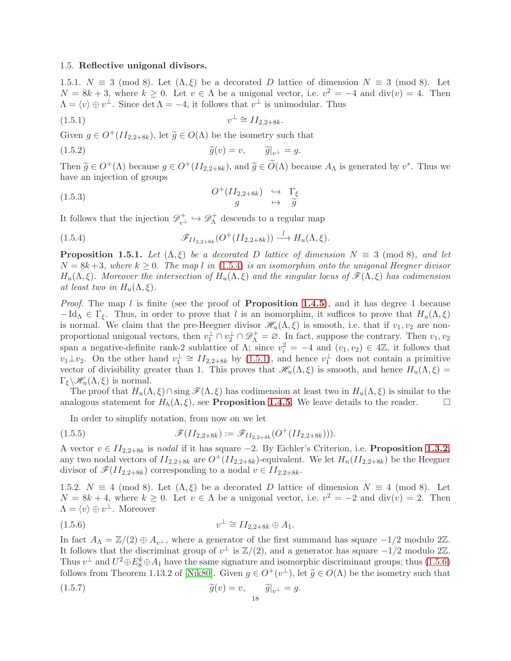### <span id="page-17-4"></span>1.5. Reflective unigonal divisors.

1.5.1.  $N \equiv 3 \pmod{8}$ . Let  $(\Lambda, \xi)$  be a decorated D lattice of dimension  $N \equiv 3 \pmod{8}$ . Let  $N = 8k + 3$ , where  $k \geq 0$ . Let  $v \in \Lambda$  be a unigonal vector, i.e.  $v^2 = -4$  and  $\text{div}(v) = 4$ . Then  $\Lambda = \langle v \rangle \oplus v^{\perp}$ . Since det  $\Lambda = -4$ , it follows that  $v^{\perp}$  is unimodular. Thus

<span id="page-17-2"></span>
$$
(1.5.1) \t\t v^{\perp} \cong II_{2,2+8k}.
$$

Given  $g \in O^+(II_{2,2+8k})$ , let  $\tilde{g} \in O(\Lambda)$  be the isometry such that

(1.5.2) 
$$
\widetilde{g}(v) = v, \qquad \widetilde{g}|_{v^{\perp}} = g.
$$

Then  $\widetilde{g} \in O^+(\Lambda)$  because  $g \in O^+(II_{2,2+8k})$ , and  $\widetilde{g} \in O(\Lambda)$  because  $A_\Lambda$  is generated by  $v^*$ . Thus we have an injection of groups

(1.5.3) 
$$
O^+(II_{2,2+8k}) \rightarrow \Gamma_{\xi}
$$

$$
g \rightarrow \tilde{g}
$$

It follows that the injection  $\mathscr{D}_{v^{\perp}}^{+} \hookrightarrow \mathscr{D}_{\Lambda}^{+}$  $\Lambda$ <sup>+</sup> descends to a regular map

<span id="page-17-1"></span>(1.5.4) 
$$
\mathscr{F}_{II_{2,2+8k}}(O^+(II_{2,2+8k})) \stackrel{l}{\longrightarrow} H_u(\Lambda,\xi).
$$

<span id="page-17-0"></span>**Proposition 1.5.1.** Let  $(\Lambda, \xi)$  be a decorated D lattice of dimension  $N \equiv 3 \pmod{8}$ , and let  $N = 8k+3$ , where  $k \geq 0$ . The map l in [\(1.5.4\)](#page-17-1) is an isomorphim onto the unigonal Heegner divisor  $H_u(\Lambda,\xi)$ . Moreover the intersection of  $H_u(\Lambda,\xi)$  and the singular locus of  $\mathscr{F}(\Lambda,\xi)$  has codimension at least two in  $H_u(\Lambda,\xi)$ .

*Proof.* The map l is finite (see the proof of **Proposition [1.4.5](#page-14-1)**), and it has degree 1 because  $-\text{Id}_{\Lambda} \in \Gamma_{\xi}$ . Thus, in order to prove that l is an isomorphim, it suffices to prove that  $H_u(\Lambda, \xi)$ is normal. We claim that the pre-Heegner divisor  $\mathcal{H}_u(\Lambda, \xi)$  is smooth, i.e. that if  $v_1, v_2$  are nonproportional unigonal vectors, then  $v_1^{\perp} \cap v_2^{\perp} \cap \mathscr{D}_{\Lambda}^+ = \emptyset$ . In fact, suppose the contrary. Then  $v_1, v_2$ span a negative-definite rank-2 sublattice of  $\Lambda$ ; since  $v_i^2 = -4$  and  $(v_1, v_2) \in 4\mathbb{Z}$ , it follows that  $v_1 \perp v_2$ . On the other hand  $v_1^{\perp} \cong H_{2,2+8k}$  by [\(1.5.1\)](#page-17-2), and hence  $v_1^{\perp}$  does not contain a primitive vector of divisibility greater than 1. This proves that  $\mathcal{H}_u(\Lambda, \xi)$  is smooth, and hence  $H_u(\Lambda, \xi)$  =  $\Gamma_{\xi} \backslash \mathscr{H}_u(\Lambda, \xi)$  is normal.

The proof that  $H_u(\Lambda, \xi) \cap \text{sing }\mathscr{F}(\Lambda, \xi)$  has codimension at least two in  $H_u(\Lambda, \xi)$  is similar to the analogous statement for  $H_h(\Lambda, \xi)$ , see **Proposition [1.4.5](#page-14-1)**. We leave details to the reader.

In order to simplify notation, from now on we let

(1.5.5) 
$$
\mathscr{F}(II_{2,2+8k}) := \mathscr{F}_{II_{2,2+8k}}(O^+(II_{2,2+8k}))).
$$

A vector  $v \in H_{2,2+8k}$  is nodal if it has square  $-2$ . By Eichler's Criterion, i.e. **Proposition [1.3.2](#page-10-2)**, any two nodal vectors of  $II_{2,2+8k}$  are  $O^+(II_{2,2+8k})$ -equivalent. We let  $H_n(II_{2,2+8k})$  be the Heegner divisor of  $\mathscr{F}(II_{2,2+8k})$  corresponding to a nodal  $v \in II_{2,2+8k}$ .

<span id="page-17-5"></span>1.5.2.  $N \equiv 4 \pmod{8}$ . Let  $(\Lambda, \xi)$  be a decorated D lattice of dimension  $N \equiv 4 \pmod{8}$ . Let  $N = 8k + 4$ , where  $k \geq 0$ . Let  $v \in \Lambda$  be a unigonal vector, i.e.  $v^2 = -2$  and  $\text{div}(v) = 2$ . Then  $\Lambda = \langle v \rangle \oplus v^{\perp}$ . Moreover

<span id="page-17-3"></span>
$$
(1.5.6) \t\t v^{\perp} \cong II_{2,2+8k} \oplus A_1.
$$

In fact  $A_{\Lambda} = \mathbb{Z}/(2) \oplus A_{v^{\perp}}$ , where a generator of the first summand has square  $-1/2$  modulo 2 $\mathbb{Z}$ . It follows that the discriminat group of  $v^{\perp}$  is  $\mathbb{Z}/(2)$ , and a generator has square  $-1/2$  modulo  $2\mathbb{Z}$ . Thus  $v^{\perp}$  and  $U^2 \oplus E_8^k \oplus A_1$  have the same signature and isomorphic discriminant groups; thus  $(1.5.6)$ follows from Theorem 1.13.2 of [\[Nik80\]](#page-61-19). Given  $g \in O^+(v^{\perp})$ , let  $\tilde{g} \in O(\Lambda)$  be the isometry such that

(1.5.7) 
$$
\widetilde{g}(v) = v, \quad \widetilde{g}|_{v^{\perp}} = g.
$$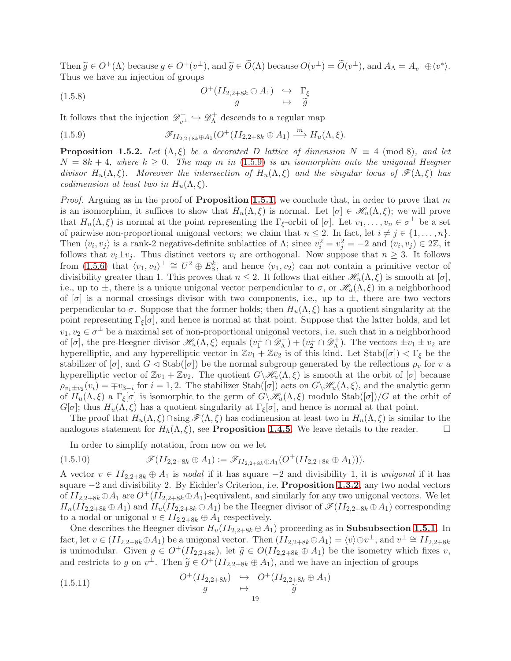Then  $\widetilde{g} \in O^+(\Lambda)$  because  $g \in O^+(v^{\perp})$ , and  $\widetilde{g} \in \widetilde{O}(\Lambda)$  because  $O(v^{\perp}) = \widetilde{O}(v^{\perp})$ , and  $A_{\Lambda} = A_{v^{\perp}} \oplus \langle v^* \rangle$ . Thus we have an injection of groups

(1.5.8) 
$$
O^+(II_{2,2+8k} \oplus A_1) \rightarrow \Gamma_{\xi}
$$

$$
g \rightarrow \tilde{g}
$$

It follows that the injection  $\mathscr{D}_{v^{\perp}}^+ \hookrightarrow \mathscr{D}_{\Lambda}^+$  $\Lambda$ <sup>+</sup> descends to a regular map

<span id="page-18-1"></span>(1.5.9) 
$$
\mathscr{F}_{II_{2,2+8k}\oplus A_1}(O^+(II_{2,2+8k}\oplus A_1)\xrightarrow{m} H_u(\Lambda,\xi).
$$

<span id="page-18-0"></span>**Proposition 1.5.2.** Let  $(\Lambda, \xi)$  be a decorated D lattice of dimension  $N \equiv 4 \pmod{8}$ , and let  $N = 8k + 4$ , where  $k \geq 0$ . The map m in [\(1.5.9\)](#page-18-1) is an isomorphim onto the unigonal Heegner divisor  $H_u(\Lambda,\xi)$ . Moreover the intersection of  $H_u(\Lambda,\xi)$  and the singular locus of  $\mathscr{F}(\Lambda,\xi)$  has codimension at least two in  $H_u(\Lambda,\xi)$ .

*Proof.* Arguing as in the proof of **Proposition [1.5.1](#page-17-0)**, we conclude that, in order to prove that m is an isomorphim, it suffices to show that  $H_u(\Lambda, \xi)$  is normal. Let  $[\sigma] \in \mathscr{H}_u(\Lambda, \xi)$ ; we will prove that  $H_u(\Lambda,\xi)$  is normal at the point representing the  $\Gamma_{\xi}$ -orbit of  $[\sigma]$ . Let  $v_1,\ldots,v_n \in \sigma^{\perp}$  be a set of pairwise non-proportional unigonal vectors; we claim that  $n \leq 2$ . In fact, let  $i \neq j \in \{1, \ldots, n\}$ . Then  $\langle v_i, v_j \rangle$  is a rank-2 negative-definite sublattice of  $\Lambda$ ; since  $v_i^2 = v_j^2 = -2$  and  $(v_i, v_j) \in 2\mathbb{Z}$ , it follows that  $v_i \perp v_j$ . Thus distinct vectors  $v_i$  are orthogonal. Now suppose that  $n \geq 3$ . It follows from [\(1.5.6\)](#page-17-3) that  $\langle v_1, v_2 \rangle^{\perp} \cong U^2 \oplus E_8^k$ , and hence  $\langle v_1, v_2 \rangle$  can not contain a primitive vector of divisibility greater than 1. This proves that  $n \leq 2$ . It follows that either  $\mathcal{H}_u(\Lambda, \xi)$  is smooth at  $[\sigma]$ , i.e., up to  $\pm$ , there is a unique unigonal vector perpendicular to  $\sigma$ , or  $\mathscr{H}_u(\Lambda,\xi)$  in a neighborhood of  $[\sigma]$  is a normal crossings divisor with two components, i.e., up to  $\pm$ , there are two vectors perpendicular to  $\sigma$ . Suppose that the former holds; then  $H_u(\Lambda,\xi)$  has a quotient singularity at the point representing  $\Gamma_{\xi}[\sigma]$ , and hence is normal at that point. Suppose that the latter holds, and let  $v_1, v_2 \in \sigma^{\perp}$  be a maximal set of non-proportional unigonal vectors, i.e. such that in a neighborhood of  $[\sigma]$ , the pre-Heegner divisor  $\mathscr{H}_u(\Lambda, \xi)$  equals  $(v_1^{\perp} \cap \mathscr{D}_{\Lambda}^+$  $(v_1^+) + (v_2^{\perp} \cap \mathscr{D}_{\Lambda}^+)$  $\chi_{\Lambda}^{+}$ ). The vectors  $\pm v_1 \pm v_2$  are hyperelliptic, and any hyperelliptic vector in  $\mathbb{Z}v_1 + \mathbb{Z}v_2$  is of this kind. Let  $\text{Stab}([\sigma]) < \Gamma_{\xi}$  be the stabilizer of  $[\sigma]$ , and  $G \triangleleft \text{Stab}([\sigma])$  be the normal subgroup generated by the reflections  $\rho_v$  for v a hyperelliptic vector of  $\mathbb{Z}v_1 + \mathbb{Z}v_2$ . The quotient  $G\setminus\mathscr{H}_u(\Lambda,\xi)$  is smooth at the orbit of  $[\sigma]$  because  $\rho_{v_1\pm v_2}(v_i) = \mp v_{3-i}$  for  $i = 1, 2$ . The stabilizer Stab([ $\sigma$ ]) acts on  $G\setminus\mathscr{H}_u(\Lambda, \xi)$ , and the analytic germ of  $H_u(\Lambda, \xi)$  a  $\Gamma_{\xi}[\sigma]$  is isomorphic to the germ of  $G\setminus\mathscr{H}_u(\Lambda, \xi)$  modulo Stab $([\sigma])/G$  at the orbit of  $G[\sigma]$ ; thus  $H_u(\Lambda, \xi)$  has a quotient singularity at  $\Gamma_{\xi}[\sigma]$ , and hence is normal at that point.

The proof that  $H_u(\Lambda, \xi) \cap \text{sing }\mathscr{F}(\Lambda, \xi)$  has codimension at least two in  $H_u(\Lambda, \xi)$  is similar to the analogous statement for  $H_h(\Lambda, \xi)$ , see **Proposition [1.4.5](#page-14-1)**. We leave details to the reader.  $\Box$ 

In order to simplify notation, from now on we let

$$
(1.5.10) \t\t \mathscr{F}(II_{2,2+8k} \oplus A_1) := \mathscr{F}_{II_{2,2+8k} \oplus A_1}(O^+(II_{2,2+8k} \oplus A_1))).
$$

A vector  $v \text{ } \in II_{2,2+8k} \oplus A_1$  is nodal if it has square  $-2$  and divisibility 1, it is unigonal if it has square −2 and divisibility 2. By Eichler's Criterion, i.e. **Proposition [1.3.2](#page-10-2)**, any two nodal vectors of  $II_{2,2+8k} \oplus A_1$  are  $O^+(II_{2,2+8k} \oplus A_1)$ -equivalent, and similarly for any two unigonal vectors. We let  $H_n(II_{2,2+8k} \oplus A_1)$  and  $H_u(II_{2,2+8k} \oplus A_1)$  be the Heegner divisor of  $\mathscr{F}(II_{2,2+8k} \oplus A_1)$  corresponding to a nodal or unigonal  $v \in II_{2,2+8k} \oplus A_1$  respectively.

One describes the Heegner divisor  $H_u(II_{2,2+8k} \oplus A_1)$  proceeding as in **Subsubsection [1.5.1](#page-17-4)**. In fact, let  $v \in (II_{2,2+8k} \oplus A_1)$  be a unigonal vector. Then  $(II_{2,2+8k} \oplus A_1) = \langle v \rangle \oplus v^{\perp}$ , and  $v^{\perp} \cong II_{2,2+8k}$ is unimodular. Given  $g \in O^+(II_{2,2+8k})$ , let  $\tilde{g} \in O(II_{2,2+8k} \oplus A_1)$  be the isometry which fixes v, and restricts to g on  $v^{\perp}$ . Then  $\tilde{g} \in O^+(II_{2,2+8k} \oplus A_1)$ , and we have an injection of groups

(1.5.11) 
$$
O^+(II_{2,2+8k}) \underset{g}{\hookrightarrow} O^+(II_{2,2+8k} \oplus A_1)
$$

$$
\xrightarrow[19]{ } O^+(II_{2,2+8k})
$$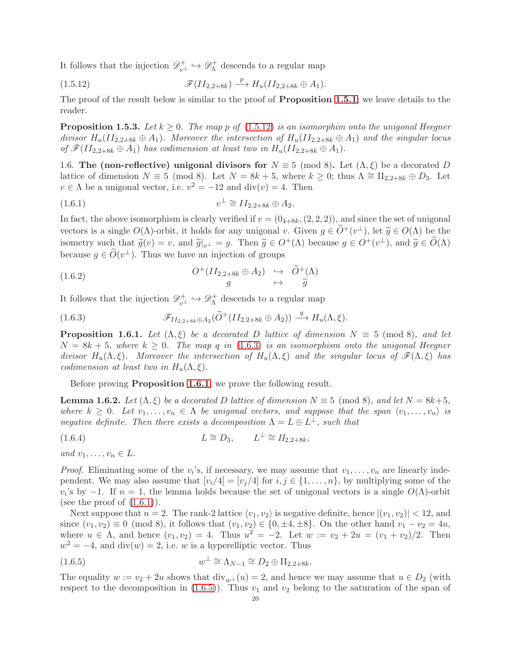It follows that the injection  $\mathscr{D}_{v^{\perp}}^+ \hookrightarrow \mathscr{D}_{\Lambda}^+$  $\Lambda$ <sup>+</sup> descends to a regular map

<span id="page-19-0"></span>
$$
\mathscr{F}(II_{2,2+8k}) \stackrel{p}{\longrightarrow} H_u(II_{2,2+8k} \oplus A_1).
$$

The proof of the result below is similar to the proof of **Proposition [1.5.1](#page-17-0)**; we leave details to the reader.

**Proposition 1.5.3.** Let  $k \geq 0$ . The map p of [\(1.5.12\)](#page-19-0) is an isomorphim onto the unigonal Heegner divisor  $H_u(II_{2,2+8k} \oplus A_1)$ . Moreover the intersection of  $H_u(II_{2,2+8k} \oplus A_1)$  and the singular locus of  $\mathscr{F}(II_{2,2+8k} \oplus A_1)$  has codimension at least two in  $H_u(II_{2,2+8k} \oplus A_1)$ .

1.6. The (non-reflective) unigonal divisors for  $N \equiv 5 \pmod{8}$ . Let  $(\Lambda, \xi)$  be a decorated D lattice of dimension  $N \equiv 5 \pmod{8}$ . Let  $N = 8k + 5$ , where  $k \geq 0$ ; thus  $\Lambda \cong \Pi_{2,2+8k} \oplus D_3$ . Let  $v \in \Lambda$  be a unigonal vector, i.e.  $v^2 = -12$  and  $\text{div}(v) = 4$ . Then

<span id="page-19-3"></span>
$$
(1.6.1) \t\t v^{\perp} \cong II_{2,2+8k} \oplus A_2.
$$

In fact, the above isomorphism is clearly verified if  $v = (0_{4+8k}, (2, 2, 2))$ , and since the set of unigonal vectors is a single  $O(\Lambda)$ -orbit, it holds for any unigonal v. Given  $g \in \widetilde{O}^+(\nu^{\perp})$ , let  $\widetilde{g} \in O(\Lambda)$  be the isometry such that  $\widetilde{g}(v) = v$ , and  $\widetilde{g}|_{v^\perp} = g$ . Then  $\widetilde{g} \in O^+(\Lambda)$  because  $g \in O^+(v^\perp)$ , and  $\widetilde{g} \in \widetilde{O}(\Lambda)$ because  $g \in \tilde{O}(v^{\perp})$ . Thus we have an injection of groups

(1.6.2) 
$$
O^+(II_{2,2+8k} \oplus A_2) \rightarrow \widetilde{O}^+(\Lambda) g \mapsto \widetilde{g}
$$

It follows that the injection  $\mathscr{D}_{v^{\perp}}^+ \hookrightarrow \mathscr{D}_{\Lambda}^+$  $\Lambda$ <sup>+</sup> descends to a regular map

<span id="page-19-1"></span>(1.6.3) 
$$
\mathscr{F}_{II_{2,2+8k}\oplus A_2}(\widetilde{O}^+(II_{2,2+8k}\oplus A_2))\xrightarrow{q} H_u(\Lambda,\xi).
$$

<span id="page-19-2"></span>**Proposition 1.6.1.** Let  $(\Lambda, \xi)$  be a decorated D lattice of dimension  $N \equiv 5 \pmod{8}$ , and let  $N = 8k + 5$ , where  $k \geq 0$ . The map q in [\(1.6.3\)](#page-19-1) is an isomorphism onto the unigonal Heegner divisor  $H_u(\Lambda, \xi)$ . Moreover the intersection of  $H_u(\Lambda, \xi)$  and the singular locus of  $\mathscr{F}(\Lambda, \xi)$  has codimension at least two in  $H_u(\Lambda,\xi)$ .

Before proving **Proposition [1.6.1](#page-19-2)**, we prove the following result.

<span id="page-19-5"></span>**Lemma 1.6.2.** Let  $(\Lambda, \xi)$  be a decorated D lattice of dimension  $N \equiv 5 \pmod{8}$ , and let  $N = 8k+5$ , where  $k \geq 0$ . Let  $v_1, \ldots, v_n \in \Lambda$  be unigonal vectors, and suppose that the span  $\langle v_1, \ldots, v_n \rangle$  is negative definite. Then there exists a decomposition  $\Lambda = L \oplus L^{\perp}$ , such that

(1.6.4) 
$$
L \cong D_3, \qquad L^{\perp} \cong H_{2,2+8k},
$$

and  $v_1, \ldots, v_n \in L$ .

*Proof.* Eliminating some of the  $v_i$ 's, if necessary, we may assume that  $v_1, \ldots, v_n$  are linearly independent. We may also assume that  $[v_i/4] = [v_j/4]$  for  $i, j \in \{1, ..., n\}$ , by multiplying some of the  $v_i$ 's by -1. If  $n = 1$ , the lemma holds because the set of unigonal vectors is a single  $O(\Lambda)$ -orbit (see the proof of  $(1.6.1)$ ).

Next suppose that  $n = 2$ . The rank-2 lattice  $\langle v_1, v_2 \rangle$  is negative definite, hence  $|(v_1, v_2)| < 12$ , and since  $(v_1, v_2) \equiv 0 \pmod{8}$ , it follows that  $(v_1, v_2) \in \{0, \pm 4, \pm 8\}$ . On the other hand  $v_1 - v_2 = 4u$ , where  $u \in \Lambda$ , and hence  $(v_1, v_2) = 4$ . Thus  $u^2 = -2$ . Let  $w := v_2 + 2u = (v_1 + v_2)/2$ . Then  $w^2 = -4$ , and div(w) = 2, i.e. w is a hyperelliptic vector. Thus

<span id="page-19-4"></span>(1.6.5) 
$$
w^{\perp} \cong \Lambda_{N-1} \cong D_2 \oplus \Pi_{2,2+8k}.
$$

The equality  $w := v_2 + 2u$  shows that  $\text{div}_{w\perp}(u) = 2$ , and hence we may assume that  $u \in D_2$  (with respect to the decomposition in  $(1.6.5)$ . Thus  $v_1$  and  $v_2$  belong to the saturation of the span of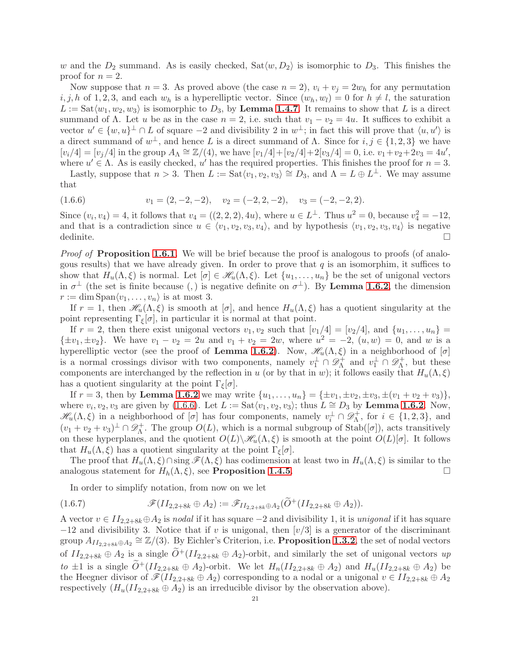w and the  $D_2$  summand. As is easily checked,  $\text{Sat}\langle w, D_2 \rangle$  is isomorphic to  $D_3$ . This finishes the proof for  $n = 2$ .

Now suppose that  $n = 3$ . As proved above (the case  $n = 2$ ),  $v_i + v_j = 2w_h$  for any permutation  $i, j, h$  of 1, 2, 3, and each  $w_h$  is a hyperelliptic vector. Since  $(w_h, w_l) = 0$  for  $h \neq l$ , the saturation  $L := \text{Sat}\langle w_1, w_2, w_3 \rangle$  is isomorphic to  $D_3$ , by **Lemma [1.4.7](#page-14-3)**. It remains to show that L is a direct summand of  $\Lambda$ . Let u be as in the case  $n = 2$ , i.e. such that  $v_1 - v_2 = 4u$ . It suffices to exhibit a vector  $u' \in \{w, u\}^{\perp} \cap L$  of square  $-2$  and divisibility 2 in  $w^{\perp}$ ; in fact this will prove that  $\langle u, u' \rangle$  is a direct summand of  $w^{\perp}$ , and hence L is a direct summand of  $\Lambda$ . Since for  $i, j \in \{1, 2, 3\}$  we have  $[v_i/4] = [v_j/4]$  in the group  $A_\Lambda \cong \mathbb{Z}/(4)$ , we have  $[v_1/4] + [v_2/4] + 2[v_3/4] = 0$ , i.e.  $v_1 + v_2 + 2v_3 = 4u'$ , where  $u' \in \Lambda$ . As is easily checked, u' has the required properties. This finishes the proof for  $n = 3$ .

Lastly, suppose that  $n > 3$ . Then  $L := \text{Sat}\langle v_1, v_2, v_3 \rangle \cong D_3$ , and  $\Lambda = L \oplus L^{\perp}$ . We may assume that

<span id="page-20-0"></span>
$$
(1.6.6) \t v1 = (2, -2, -2), \t v2 = (-2, 2, -2), \t v3 = (-2, -2, 2).
$$

Since  $(v_i, v_4) = 4$ , it follows that  $v_4 = ((2, 2, 2), 4u)$ , where  $u \in L^{\perp}$ . Thus  $u^2 = 0$ , because  $v_4^2 = -12$ , and that is a contradiction since  $u \in \langle v_1, v_2, v_3, v_4 \rangle$ , and by hypothesis  $\langle v_1, v_2, v_3, v_4 \rangle$  is negative dedinite.  $\Box$ 

*Proof of Proposition [1.6.1](#page-19-2).* We will be brief because the proof is analogous to proofs (of analogous results) that we have already given. In order to prove that  $q$  is an isomorphim, it suffices to show that  $H_u(\Lambda,\xi)$  is normal. Let  $[\sigma] \in \mathscr{H}_u(\Lambda,\xi)$ . Let  $\{u_1,\ldots,u_n\}$  be the set of unigonal vectors in  $\sigma^{\perp}$  (the set is finite because (,) is negative definite on  $\sigma^{\perp}$ ). By **Lemma [1.6.2](#page-19-5)**, the dimension  $r := \dim \mathrm{Span}\langle v_1, \ldots, v_n \rangle$  is at most 3.

If  $r = 1$ , then  $\mathcal{H}_u(\Lambda, \xi)$  is smooth at  $[\sigma]$ , and hence  $H_u(\Lambda, \xi)$  has a quotient singularity at the point representing  $\Gamma_{\xi}[\sigma]$ , in particular it is normal at that point.

If  $r = 2$ , then there exist unigonal vectors  $v_1, v_2$  such that  $[v_1/4] = [v_2/4]$ , and  $\{u_1, \ldots, u_n\}$  $\{\pm v_1, \pm v_2\}$ . We have  $v_1 - v_2 = 2u$  and  $v_1 + v_2 = 2w$ , where  $u^2 = -2$ ,  $(u, w) = 0$ , and w is a hyperelliptic vector (see the proof of Lemma [1.6.2](#page-19-5)). Now,  $\mathcal{H}_u(\Lambda,\xi)$  in a neighborhood of  $[\sigma]$ is a normal crossings divisor with two components, namely  $v_1^{\perp} \cap \mathscr{D}_{\Lambda}^+$  and  $v_1^{\perp} \cap \mathscr{D}_{\Lambda}^+$ , but these components are interchanged by the reflection in u (or by that in w); it follows easily that  $H_u(\Lambda,\xi)$ has a quotient singularity at the point  $\Gamma_{\xi}[\sigma]$ .

If  $r = 3$ , then by Lemma [1.6.2](#page-19-5) we may write  $\{u_1, \ldots, u_n\} = {\pm v_1, \pm v_2, \pm v_3, \pm (v_1 + v_2 + v_3)}$ , where  $v_i, v_2, v_3$  are given by [\(1.6.6\)](#page-20-0). Let  $L := \text{Sat}\langle v_1, v_2, v_3 \rangle$ ; thus  $L \cong D_3$  by **Lemma [1.6.2](#page-19-5)**. Now,  $\mathscr{H}_u(\Lambda,\xi)$  in a neighborhood of  $[\sigma]$  has four components, namely  $v_i^{\perp} \cap \mathscr{D}_{\Lambda}^+$  $n_{\Lambda}^{+}$ , for  $i \in \{1, 2, 3\}$ , and  $(v_1 + v_2 + v_3)^{\perp} \cap \mathscr{D}_{\Lambda}^+$  $\Lambda^+$ . The group  $O(L)$ , which is a normal subgroup of Stab $([\sigma])$ , acts transitively on these hyperplanes, and the quotient  $O(L)\mathcal{H}_u(\Lambda, \xi)$  is smooth at the point  $O(L)[\sigma]$ . It follows that  $H_u(\Lambda, \xi)$  has a quotient singularity at the point  $\Gamma_{\xi}[\sigma]$ .

The proof that  $H_u(\Lambda, \xi) \cap \text{sing }\mathscr{F}(\Lambda, \xi)$  has codimension at least two in  $H_u(\Lambda, \xi)$  is similar to the analogous statement for  $H_h(\Lambda, \xi)$ , see **Proposition [1.4.5](#page-14-1)**.

In order to simplify notation, from now on we let

$$
(1.6.7) \t\mathscr{F}(II_{2,2+8k} \oplus A_2) := \mathscr{F}_{II_{2,2+8k} \oplus A_2}(\widetilde{O}^+(II_{2,2+8k} \oplus A_2)).
$$

A vector  $v \in II_{2,2+8k} \oplus A_2$  is nodal if it has square  $-2$  and divisibility 1, it is unigonal if it has square  $-12$  and divisibility 3. Notice that if v is unigonal, then  $[v/3]$  is a generator of the discriminant group  $A_{II_{2,2+8k}\oplus A_2} \cong \mathbb{Z}/(3)$ . By Eichler's Criterion, i.e. **Proposition [1.3.2](#page-10-2)**, the set of nodal vectors of  $II_{2,2+8k} \oplus A_2$  is a single  $\widetilde{O}^+(II_{2,2+8k} \oplus A_2)$ -orbit, and similarly the set of unigonal vectors up to  $\pm 1$  is a single  $\widetilde{O}^+(II_{2,2+8k} \oplus A_2)$ -orbit. We let  $H_n(II_{2,2+8k} \oplus A_2)$  and  $H_n(II_{2,2+8k} \oplus A_2)$  be the Heegner divisor of  $\mathscr{F}(II_{2,2+8k} \oplus A_2)$  corresponding to a nodal or a unigonal  $v \in II_{2,2+8k} \oplus A_2$ respectively  $(H_u(II_{2,2+8k} \oplus A_2))$  is an irreducible divisor by the observation above).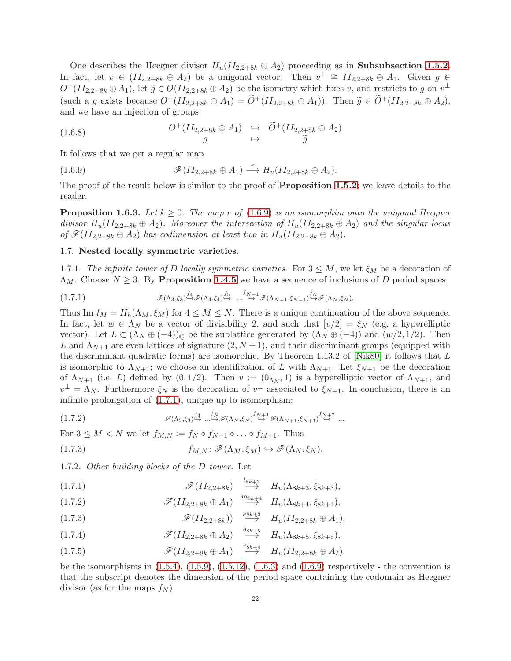One describes the Heegner divisor  $H_u(II_{2,2+8k} \oplus A_2)$  proceeding as in **Subsubsection [1.5.2](#page-17-5).** In fact, let  $v \in (II_{2,2+8k} \oplus A_2)$  be a unigonal vector. Then  $v^{\perp} \cong II_{2,2+8k} \oplus A_1$ . Given  $g \in$  $O^+(II_{2,2+8k} \oplus A_1)$ , let  $\widetilde{g} \in O(II_{2,2+8k} \oplus A_2)$  be the isometry which fixes v, and restricts to g on  $v^{\perp}$ (such a g exists because  $O^+(II_{2,2+8k} \oplus A_1) = \widetilde{O}^+(II_{2,2+8k} \oplus A_1)$ ). Then  $\widetilde{g} \in \widetilde{O}^+(II_{2,2+8k} \oplus A_2)$ , and we have an injection of groups

(1.6.8) 
$$
O^+(II_{2,2+8k} \oplus A_1) \rightarrow \widetilde{O}^+(II_{2,2+8k} \oplus A_2)
$$
  
  $g \rightarrow \widetilde{O}^+(II_{2,2+8k} \oplus A_2)$ 

It follows that we get a regular map

<span id="page-21-1"></span>(1.6.9) 
$$
\mathscr{F}(II_{2,2+8k} \oplus A_1) \stackrel{r}{\longrightarrow} H_u(II_{2,2+8k} \oplus A_2).
$$

The proof of the result below is similar to the proof of **Proposition [1.5.2](#page-18-0)**; we leave details to the reader.

**Proposition 1.6.3.** Let  $k \geq 0$ . The map r of [\(1.6.9\)](#page-21-1) is an isomorphim onto the unigonal Heegner divisor  $H_u(II_{2,2+8k} \oplus A_2)$ . Moreover the intersection of  $H_u(II_{2,2+8k} \oplus A_2)$  and the singular locus of  $\mathscr{F}(II_{2,2+8k} \oplus A_2)$  has codimension at least two in  $H_u(II_{2,2+8k} \oplus A_2)$ .

## <span id="page-21-0"></span>1.7. Nested locally symmetric varieties.

1.7.1. The infinite tower of D locally symmetric varieties. For  $3 \leq M$ , we let  $\xi_M$  be a decoration of  $\Lambda_M$ . Choose  $N \geq 3$ . By **Proposition [1.4.5](#page-14-1)** we have a sequence of inclusions of D period spaces:

$$
(1.7.1) \qquad \qquad \mathscr{F}(\Lambda_3,\xi_3) \stackrel{f_4}{\hookrightarrow} \mathscr{F}(\Lambda_4,\xi_4) \stackrel{f_5}{\hookrightarrow} \dots \stackrel{f_{N-1}}{\hookrightarrow} \mathscr{F}(\Lambda_{N-1},\xi_{N-1}) \stackrel{f_N}{\hookrightarrow} \mathscr{F}(\Lambda_N,\xi_N).
$$

Thus Im  $f_M = H_h(\Lambda_M, \xi_M)$  for  $4 \leq M \leq N$ . There is a unique continuation of the above sequence. In fact, let  $w \in \Lambda_N$  be a vector of divisibility 2, and such that  $[v/2] = \xi_N$  (e.g. a hyperelliptic vector). Let  $L \subset (\Lambda_N \oplus (-4))_0$  be the sublattice generated by  $(\Lambda_N \oplus (-4))$  and  $(w/2, 1/2)$ . Then L and  $\Lambda_{N+1}$  are even lattices of signature  $(2, N+1)$ , and their discriminant groups (equipped with the discriminant quadratic forms) are isomorphic. By Theorem 1.13.2 of [\[Nik80\]](#page-61-19) it follows that L is isomorphic to  $\Lambda_{N+1}$ ; we choose an identification of L with  $\Lambda_{N+1}$ . Let  $\xi_{N+1}$  be the decoration of  $\Lambda_{N+1}$  (i.e. L) defined by  $(0,1/2)$ . Then  $v := (0_{\Lambda_N}, 1)$  is a hyperelliptic vector of  $\Lambda_{N+1}$ , and  $v^{\perp} = \Lambda_N$ . Furthermore  $\xi_N$  is the decoration of  $v^{\perp}$  associated to  $\xi_{N+1}$ . In conclusion, there is an infinite prolongation of [\(1.7.1\)](#page-21-2), unique up to isomorphism:

$$
\mathcal{F}(\Lambda_3,\xi_3) \stackrel{f_4}{\hookrightarrow} \dots \stackrel{f_N}{\hookrightarrow} \mathcal{F}(\Lambda_N,\xi_N) \stackrel{f_{N+1}}{\hookrightarrow} \mathcal{F}(\Lambda_{N+1},\xi_{N+1}) \stackrel{f_{N+2}}{\hookrightarrow} \dots
$$

For  $3 \leq M \leq N$  we let  $f_{M,N} := f_N \circ f_{N-1} \circ \dots \circ f_{M+1}$ . Thus

(1.7.3) 
$$
f_{M,N} : \mathscr{F}(\Lambda_M, \xi_M) \hookrightarrow \mathscr{F}(\Lambda_N, \xi_N).
$$

<span id="page-21-3"></span>1.7.2. Other building blocks of the D tower. Let

<span id="page-21-2"></span>(1.7.1)  $\mathscr{F}(II_{2,2+8k}) \stackrel{l_{8k+3}}{\longrightarrow} H_u(\Lambda_{8k+3}, \xi_{8k+3}),$ 

(1.7.2) 
$$
\mathscr{F}(II_{2,2+8k} \oplus A_1) \stackrel{m_{8k+4}}{\longrightarrow} H_u(\Lambda_{8k+4}, \xi_{8k+4}),
$$

(1.7.3) 
$$
\mathscr{F}(II_{2,2+8k})) \quad \overset{p_{8k+3}}{\longrightarrow} \quad H_u(II_{2,2+8k} \oplus A_1),
$$

(1.7.4)  $\mathscr{F}(II_{2,2+8k} \oplus A_2) \stackrel{q_{8k+5}}{\longrightarrow} H_u(\Lambda_{8k+5}, \xi_{8k+5}),$ 

(1.7.5) 
$$
\mathscr{F}(II_{2,2+8k} \oplus A_1) \xrightarrow{r_{8k+4}} H_u(II_{2,2+8k} \oplus A_2),
$$

be the isomorphisms in  $(1.5.4)$ ,  $(1.5.9)$ ,  $(1.5.12)$ ,  $(1.6.3)$  and  $(1.6.9)$  respectively - the convention is that the subscript denotes the dimension of the period space containing the codomain as Heegner divisor (as for the maps  $f_N$ ).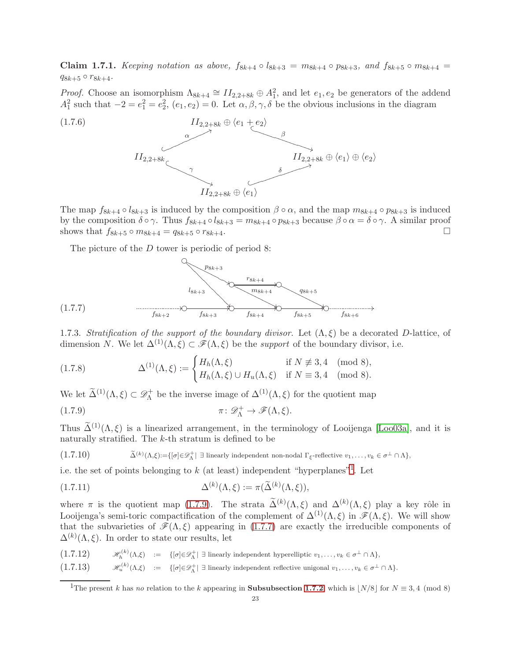<span id="page-22-4"></span>Claim 1.7.1. Keeping notation as above,  $f_{8k+4} \circ l_{8k+3} = m_{8k+4} \circ p_{8k+3}$ , and  $f_{8k+5} \circ m_{8k+4} =$  $q_{8k+5} \circ r_{8k+4}.$ 

*Proof.* Choose an isomorphism  $\Lambda_{8k+4} \cong II_{2,2+8k} \oplus A_1^2$ , and let  $e_1, e_2$  be generators of the addend  $A_1^2$  such that  $-2 = e_1^2 = e_2^2$ ,  $(e_1, e_2) = 0$ . Let  $\alpha, \beta, \gamma, \delta$  be the obvious inclusions in the diagram



The map  $f_{8k+4} \circ l_{8k+3}$  is induced by the composition  $\beta \circ \alpha$ , and the map  $m_{8k+4} \circ p_{8k+3}$  is induced by the composition  $\delta \circ \gamma$ . Thus  $f_{8k+4} \circ l_{8k+3} = m_{8k+4} \circ p_{8k+3}$  because  $\beta \circ \alpha = \delta \circ \gamma$ . A similar proof shows that  $f_{8k+5} \circ m_{8k+4} = q_{8k+5} \circ r_{8k+4}$ .

The picture of the D tower is periodic of period 8:



<span id="page-22-3"></span><span id="page-22-2"></span>1.7.3. Stratification of the support of the boundary divisor. Let  $(\Lambda, \xi)$  be a decorated D-lattice, of dimension N. We let  $\Delta^{(1)}(\Lambda,\xi) \subset \mathscr{F}(\Lambda,\xi)$  be the support of the boundary divisor, i.e.

(1.7.8) 
$$
\Delta^{(1)}(\Lambda,\xi) := \begin{cases} H_h(\Lambda,\xi) & \text{if } N \not\equiv 3,4 \pmod{8}, \\ H_h(\Lambda,\xi) \cup H_u(\Lambda,\xi) & \text{if } N \equiv 3,4 \pmod{8}. \end{cases}
$$

We let  $\widetilde{\Delta}^{(1)}(\Lambda,\xi) \subset \mathscr{D}_{\Lambda}^+$ <sup>+</sup> be the inverse image of  $\Delta^{(1)}(\Lambda,\xi)$  for the quotient map

<span id="page-22-1"></span>(1.7.9) 
$$
\pi \colon \mathscr{D}_{\Lambda}^+ \to \mathscr{F}(\Lambda, \xi).
$$

Thus  $\tilde{\Delta}^{(1)}(\Lambda, \xi)$  is a linearized arrangement, in the terminology of Looijenga [\[Loo03a\]](#page-61-2), and it is naturally stratified. The k-th stratum is defined to be

 $(1.7.10)$  $(\Lambda,\xi)\!:=\!\{[\sigma]\!\in\!\mathscr{D}^+_\Lambda|\; \exists\text{ linearly independent non-nodal }\Gamma_\xi\text{-reflective }v_1,\ldots,v_k\in\sigma^\perp\cap\Lambda\},$ 

i.e. the set of points belonging to  $k$  (at least) independent "hyperplanes"<sup>[1](#page-22-0)</sup>. Let

(1.7.11) 
$$
\Delta^{(k)}(\Lambda,\xi) := \pi(\widetilde{\Delta}^{(k)}(\Lambda,\xi)),
$$

where  $\pi$  is the quotient map [\(1.7.9\)](#page-22-1). The strata  $\tilde{\Delta}^{(k)}(\Lambda,\xi)$  and  $\Delta^{(k)}(\Lambda,\xi)$  play a key rôle in Looijenga's semi-toric compactification of the complement of  $\Delta^{(1)}(\Lambda,\xi)$  in  $\mathscr{F}(\Lambda,\xi)$ . We will show that the subvarieties of  $\mathcal{F}(\Lambda,\xi)$  appearing in [\(1.7.7\)](#page-22-2) are exactly the irreducible components of  $\Delta^{(k)}(\Lambda,\xi)$ . In order to state our results, let

- $(1.7.12)$   $\mathscr{H}_{h}^{(k)}(\Lambda,\xi) := \{ [\sigma] \in \mathscr{D}_{\Lambda}^{+} | \exists \text{ linearly independent hyperelliptic } v_1,\ldots,v_k \in \sigma^{\perp} \cap \Lambda \},$
- $(1.7.13)$   $\mathscr{H}_u^{(k)}(\Lambda,\xi) := \{ [\sigma] \in \mathscr{D}_\Lambda^+ | \exists \text{ linearly independent reflective unigonal } v_1,\ldots,v_k \in \sigma^\perp \cap \Lambda \}.$

<span id="page-22-0"></span><sup>&</sup>lt;sup>1</sup>The present k has no relation to the k appearing in **Subsubsection [1.7.2](#page-21-3)**, which is  $\lfloor N/8 \rfloor$  for  $N \equiv 3, 4 \pmod{8}$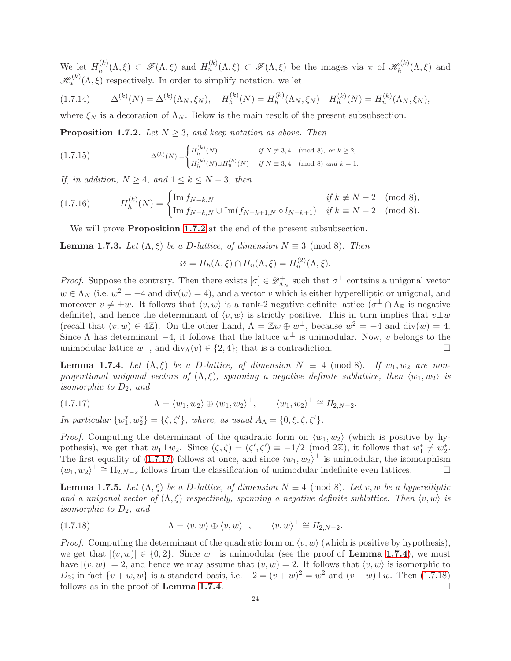We let  $H_h^{(k)}$  $H_h^{(k)}(\Lambda,\xi) \subset \mathscr{F}(\Lambda,\xi)$  and  $H_u^{(k)}(\Lambda,\xi) \subset \mathscr{F}(\Lambda,\xi)$  be the images via  $\pi$  of  $\mathscr{H}_h^{(k)}$  $h^{\rho(\kappa)}(\Lambda,\xi)$  and  $\mathscr{H}_{u}^{(k)}(\Lambda,\xi)$  respectively. In order to simplify notation, we let

$$
(1.7.14) \qquad \Delta^{(k)}(N) = \Delta^{(k)}(\Lambda_N, \xi_N), \quad H_h^{(k)}(N) = H_h^{(k)}(\Lambda_N, \xi_N) \quad H_u^{(k)}(N) = H_u^{(k)}(\Lambda_N, \xi_N),
$$

where  $\xi_N$  is a decoration of  $\Lambda_N$ . Below is the main result of the present subsubsection.

<span id="page-23-0"></span>**Proposition 1.7.2.** Let  $N \geq 3$ , and keep notation as above. Then

<span id="page-23-4"></span>
$$
(1.7.15) \t\t \Delta^{(k)}(N) := \begin{cases} H_h^{(k)}(N) & \text{if } N \not\equiv 3,4 \pmod{8}, \text{ or } k \ge 2, \\ H_h^{(k)}(N) \cup H_u^{(k)}(N) & \text{if } N \equiv 3,4 \pmod{8} \text{ and } k = 1. \end{cases}
$$

If, in addition,  $N \geq 4$ , and  $1 \leq k \leq N-3$ , then

$$
(1.7.16) \tHh(k)(N) = \begin{cases} \text{Im } f_{N-k,N} & \text{if } k \not\equiv N-2 \pmod{8}, \\ \text{Im } f_{N-k,N} \cup \text{Im}(f_{N-k+1,N} \circ l_{N-k+1}) & \text{if } k \equiv N-2 \pmod{8}. \end{cases}
$$

<span id="page-23-6"></span>We will prove **Proposition [1.7.2](#page-23-0)** at the end of the present subsubsection.

<span id="page-23-5"></span>**Lemma 1.7.3.** Let  $(\Lambda, \xi)$  be a D-lattice, of dimension  $N \equiv 3 \pmod{8}$ . Then

$$
\varnothing = H_h(\Lambda, \xi) \cap H_u(\Lambda, \xi) = H_u^{(2)}(\Lambda, \xi).
$$

*Proof.* Suppose the contrary. Then there exists  $[\sigma] \in \mathscr{D}_{\Lambda}^+$  $\Lambda_N^+$  such that  $\sigma^{\perp}$  contains a unigonal vector  $w \in \Lambda_N$  (i.e.  $w^2 = -4$  and  $\text{div}(w) = 4$ ), and a vector v which is either hyperelliptic or unigonal, and moreover  $v \neq \pm w$ . It follows that  $\langle v, w \rangle$  is a rank-2 negative definite lattice  $(\sigma^{\perp} \cap \Lambda_{\mathbb{R}})$  is negative definite), and hence the determinant of  $\langle v, w \rangle$  is strictly positive. This in turn implies that  $v\perp w$ (recall that  $(v, w) \in 4\mathbb{Z}$ ). On the other hand,  $\Lambda = \mathbb{Z}w \oplus w^{\perp}$ , because  $w^2 = -4$  and  $\text{div}(w) = 4$ . Since  $\Lambda$  has determinant  $-4$ , it follows that the lattice  $w^{\perp}$  is unimodular. Now, v belongs to the unimodular lattice  $w^{\perp}$ , and  $\text{div}_{\Lambda}(v) \in \{2, 4\}$ ; that is a contradiction.

<span id="page-23-2"></span>**Lemma 1.7.4.** Let  $(\Lambda, \xi)$  be a D-lattice, of dimension  $N \equiv 4 \pmod{8}$ . If  $w_1, w_2$  are nonproportional unigonal vectors of  $(\Lambda, \xi)$ , spanning a negative definite sublattice, then  $\langle w_1, w_2 \rangle$  is isomorphic to  $D_2$ , and

<span id="page-23-1"></span>
$$
(1.7.17) \qquad \qquad \Lambda = \langle w_1, w_2 \rangle \oplus \langle w_1, w_2 \rangle^{\perp}, \qquad \langle w_1, w_2 \rangle^{\perp} \cong H_{2,N-2}.
$$

In particular  $\{w_1^*, w_2^*\} = \{\zeta, \zeta'\}$ , where, as usual  $A_\Lambda = \{0, \xi, \zeta, \zeta'\}$ .

*Proof.* Computing the determinant of the quadratic form on  $\langle w_1, w_2 \rangle$  (which is positive by hypothesis), we get that  $w_1 \perp w_2$ . Since  $(\zeta, \zeta) = (\zeta', \zeta') \equiv -1/2 \pmod{2\mathbb{Z}}$ , it follows that  $w_1^* \neq w_2^*$ . The first equality of [\(1.7.17\)](#page-23-1) follows at once, and since  $\langle w_1, w_2 \rangle^{\perp}$  is unimodular, the isomorphism  $\langle w_1, w_2 \rangle^{\perp} \cong \Pi_{2,N-2}$  follows from the classification of unimodular indefinite even lattices.

**Lemma 1.7.5.** Let  $(\Lambda, \xi)$  be a D-lattice, of dimension  $N \equiv 4 \pmod{8}$ . Let v, w be a hyperelliptic and a unigonal vector of  $(\Lambda, \xi)$  respectively, spanning a negative definite sublattice. Then  $\langle v, w \rangle$  is isomorphic to  $D_2$ , and

<span id="page-23-3"></span>(1.7.18) 
$$
\Lambda = \langle v, w \rangle \oplus \langle v, w \rangle^{\perp}, \qquad \langle v, w \rangle^{\perp} \cong H_{2,N-2}.
$$

*Proof.* Computing the determinant of the quadratic form on  $\langle v, w \rangle$  (which is positive by hypothesis), we get that  $|(v, w)| \in \{0, 2\}$ . Since  $w^{\perp}$  is unimodular (see the proof of **Lemma [1.7.4](#page-23-2)**), we must have  $|(v, w)| = 2$ , and hence we may assume that  $(v, w) = 2$ . It follows that  $\langle v, w \rangle$  is isomorphic to D<sub>2</sub>; in fact  $\{v + w, w\}$  is a standard basis, i.e.  $-2 = (v + w)^2 = w^2$  and  $(v + w) \perp w$ . Then [\(1.7.18\)](#page-23-3) follows as in the proof of Lemma [1.7.4](#page-23-2).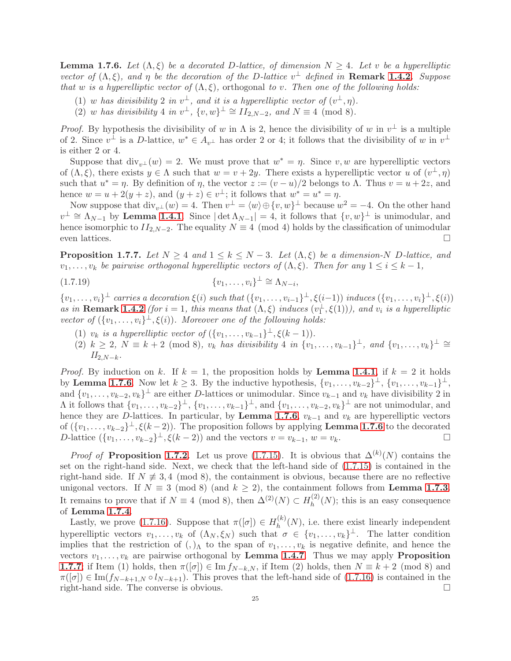<span id="page-24-0"></span>**Lemma 1.7.6.** Let  $(\Lambda, \xi)$  be a decorated D-lattice, of dimension  $N \geq 4$ . Let v be a hyperelliptic vector of  $(\Lambda, \xi)$ , and  $\eta$  be the decoration of the D-lattice  $v^{\perp}$  defined in **Remark [1.4.2](#page-13-3)**. Suppose that w is a hyperelliptic vector of  $(\Lambda, \xi)$ , orthogonal to v. Then one of the following holds:

- (1) w has divisibility 2 in  $v^{\perp}$ , and it is a hyperelliptic vector of  $(v^{\perp}, \eta)$ .
- (2) w has divisibility 4 in  $v^{\perp}$ ,  $\{v, w\}^{\perp} \cong H_{2,N-2}$ , and  $N \equiv 4 \pmod{8}$ .

*Proof.* By hypothesis the divisibility of w in  $\Lambda$  is 2, hence the divisibility of w in  $v^{\perp}$  is a multiple of 2. Since  $v^{\perp}$  is a D-lattice,  $w^* \in A_{v^{\perp}}$  has order 2 or 4; it follows that the divisibility of w in  $v^{\perp}$ is either 2 or 4.

Suppose that  $\text{div}_{v^{\perp}}(w) = 2$ . We must prove that  $w^* = \eta$ . Since v, w are hyperelliptic vectors of  $(\Lambda, \xi)$ , there exists  $y \in \Lambda$  such that  $w = v + 2y$ . There exists a hyperelliptic vector u of  $(v^{\perp}, \eta)$ such that  $u^* = \eta$ . By definition of  $\eta$ , the vector  $z := (v - u)/2$  belongs to  $\Lambda$ . Thus  $v = u + 2z$ , and hence  $w = u + 2(y + z)$ , and  $(y + z) \in v^{\perp}$ ; it follows that  $w^* = u^* = \eta$ .

Now suppose that  $\text{div}_{v^{\perp}}(w) = 4$ . Then  $v^{\perp} = \langle w \rangle \oplus \{v, w\}^{\perp}$  because  $w^2 = -4$ . On the other hand  $v^{\perp} \cong \Lambda_{N-1}$  by Lemma [1.4.1](#page-13-4). Since  $|\det \Lambda_{N-1}| = 4$ , it follows that  $\{v, w\}^{\perp}$  is unimodular, and hence isomorphic to  $II_{2,N-2}$ . The equality  $N \equiv 4 \pmod{4}$  holds by the classification of unimodular even lattices.  $\Box$ 

<span id="page-24-1"></span>**Proposition 1.7.7.** Let  $N \geq 4$  and  $1 \leq k \leq N-3$ . Let  $(\Lambda, \xi)$  be a dimension-N D-lattice, and  $v_1, \ldots, v_k$  be pairwise orthogonal hyperelliptic vectors of  $(\Lambda, \xi)$ . Then for any  $1 \le i \le k - 1$ ,

$$
(1.7.19) \t\t\t \{v_1,\ldots,v_i\}^{\perp} \cong \Lambda_{N-i},
$$

 $\{v_1,\ldots,v_i\}^{\perp}$  carries a decoration  $\xi(i)$  such that  $(\{v_1,\ldots,v_{i-1}\}^{\perp},\xi(i-1))$  induces  $(\{v_1,\ldots,v_i\}^{\perp},\xi(i))$ as in **Remark [1.4.2](#page-13-3)** (for  $i = 1$ , this means that  $(\Lambda, \xi)$  induces  $(v_1^{\perp}, \xi(1))$ ), and  $v_i$  is a hyperelliptic vector of  $({v_1, \ldots, v_i})^{\perp}, \xi(i)$ ). Moreover one of the following holds:

- (1)  $v_k$  is a hyperelliptic vector of  $({v_1, \ldots, v_{k-1}})^{\perp}, \xi(k-1)).$
- $(2)$   $k \geq 2$ ,  $N \equiv k+2 \pmod{8}$ ,  $v_k$  has divisibility 4 in  $\{v_1, \ldots, v_{k-1}\}^{\perp}$ , and  $\{v_1, \ldots, v_k\}^{\perp} \cong$  $II_{2,N-k}$ .

*Proof.* By induction on k. If  $k = 1$ , the proposition holds by **Lemma [1.4.1](#page-13-4)**, if  $k = 2$  it holds by Lemma [1.7.6](#page-24-0). Now let  $k \geq 3$ . By the inductive hypothesis,  $\{v_1, \ldots, v_{k-2}\}^{\perp}$ ,  $\{v_1, \ldots, v_{k-1}\}^{\perp}$ , and  $\{v_1,\ldots,v_{k-2},v_k\}^{\perp}$  are either D-lattices or unimodular. Since  $v_{k-1}$  and  $v_k$  have divisibility 2 in  $\Lambda$  it follows that  $\{v_1,\ldots,v_{k-2}\}^{\perp}$ ,  $\{v_1,\ldots,v_{k-1}\}^{\perp}$ , and  $\{v_1,\ldots,v_{k-2},v_k\}^{\perp}$  are not unimodular, and hence they are D-lattices. In particular, by Lemma [1.7.6](#page-24-0),  $v_{k-1}$  and  $v_k$  are hyperelliptic vectors of  $(\{v_1, \ldots, v_{k-2}\}^{\perp}, \xi(k-2))$ . The proposition follows by applying **Lemma [1.7.6](#page-24-0)** to the decorated D-lattice  $({v_1, ..., v_{k-2}}^{\perp}, \xi(k-2))$  and the vectors  $v = v_{k-1}, w = v_k$ . □

*Proof of* Proposition [1.7.2](#page-23-0). Let us prove [\(1.7.15\)](#page-23-4). It is obvious that  $\Delta^{(k)}(N)$  contains the set on the right-hand side. Next, we check that the left-hand side of [\(1.7.15\)](#page-23-4) is contained in the right-hand side. If  $N \neq 3, 4 \pmod{8}$ , the containment is obvious, because there are no reflective unigonal vectors. If  $N \equiv 3 \pmod{8}$  (and  $k \ge 2$ ), the containment follows from **Lemma [1.7.3](#page-23-5)**. It remains to prove that if  $N \equiv 4 \pmod{8}$ , then  $\Delta^{(2)}(N) \subset H_h^{(2)}$  $h^{(2)}(N)$ ; this is an easy consequence of Lemma [1.7.4](#page-23-2).

Lastly, we prove [\(1.7.16\)](#page-23-6). Suppose that  $\pi([\sigma]) \in H_h^{(k)}$  $h^{(k)}(N)$ , i.e. there exist linearly independent hyperelliptic vectors  $v_1, \ldots, v_k$  of  $(\Lambda_N, \xi_N)$  such that  $\sigma \in \{v_1, \ldots, v_k\}^{\perp}$ . The latter condition implies that the restriction of  $(,)_{\Lambda}$  to the span of  $v_1, \ldots, v_k$  is negative definite, and hence the vectors  $v_1, \ldots, v_k$  are pairwise orthogonal by Lemma [1.4.7](#page-14-3). Thus we may apply Proposition **[1.7.7](#page-24-1)**; if Item (1) holds, then  $\pi([\sigma]) \in \text{Im} f_{N-k,N}$ , if Item (2) holds, then  $N \equiv k+2 \pmod{8}$  and  $\pi([\sigma]) \in \text{Im}(f_{N-k+1,N} \circ l_{N-k+1})$ . This proves that the left-hand side of  $(1.7.16)$  is contained in the right-hand side. The converse is obvious.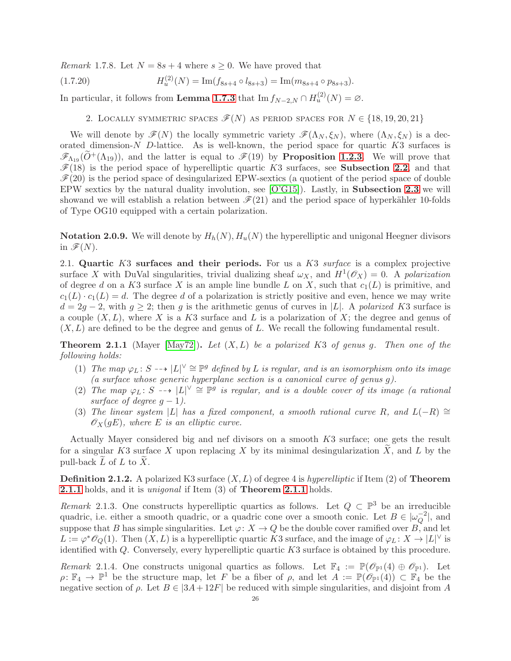*Remark* 1.7.8. Let  $N = 8s + 4$  where  $s \geq 0$ . We have proved that

(1.7.20) 
$$
H_u^{(2)}(N) = \text{Im}(f_{8s+4} \circ l_{8s+3}) = \text{Im}(m_{8s+4} \circ p_{8s+3}).
$$

<span id="page-25-0"></span>In particular, it follows from Lemma [1.7.3](#page-23-5) that  $\text{Im } f_{N-2,N} \cap H_u^{(2)}(N) = \varnothing$ .

2. LOCALLY SYMMETRIC SPACES  $\mathscr{F}(N)$  as period spaces for  $N \in \{18, 19, 20, 21\}$ 

We will denote by  $\mathscr{F}(N)$  the locally symmetric variety  $\mathscr{F}(\Lambda_N, \xi_N)$ , where  $(\Lambda_N, \xi_N)$  is a decorated dimension- $N$  D-lattice. As is well-known, the period space for quartic  $K3$  surfaces is  $\mathscr{F}_{\Lambda_{19}}(\tilde{O}^+(\Lambda_{19}))$ , and the latter is equal to  $\mathscr{F}(19)$  by **Proposition [1.2.3](#page-8-3)**. We will prove that  $\mathscr{F}(18)$  is the period space of hyperelliptic quartic K3 surfaces, see **Subsection [2.2](#page-26-0)**, and that  $\mathcal{F}(20)$  is the period space of desingularized EPW-sextics (a quotient of the period space of double EPW sextics by the natural duality involution, see  $[O'G15]$ ). Lastly, in **Subsection [2.3](#page-28-0)** we will showand we will establish a relation between  $\mathcal{F}(21)$  and the period space of hyperkähler 10-folds of Type OG10 equipped with a certain polarization.

**Notation 2.0.9.** We will denote by  $H_h(N)$ ,  $H_u(N)$  the hyperelliptic and unigonal Heegner divisors in  $\mathscr{F}(N)$ .

2.1. Quartic  $K3$  surfaces and their periods. For us a  $K3$  surface is a complex projective surface X with DuVal singularities, trivial dualizing sheaf  $\omega_X$ , and  $H^1(\mathscr{O}_X) = 0$ . A polarization of degree d on a K3 surface X is an ample line bundle L on X, such that  $c_1(L)$  is primitive, and  $c_1(L) \cdot c_1(L) = d$ . The degree d of a polarization is strictly positive and even, hence we may write  $d = 2g - 2$ , with  $g \geq 2$ ; then g is the arithmetic genus of curves in |L|. A polarized K3 surface is a couple  $(X, L)$ , where X is a K3 surface and L is a polarization of X; the degree and genus of  $(X, L)$  are defined to be the degree and genus of L. We recall the following fundamental result.

<span id="page-25-1"></span>**Theorem 2.1.1** (Mayer [\[May72\]](#page-61-20)). Let  $(X, L)$  be a polarized K3 of genus g. Then one of the following holds:

- (1) The map  $\varphi_L: S \dashrightarrow |L|^\vee \cong \mathbb{P}^g$  defined by L is regular, and is an isomorphism onto its image (a surface whose generic hyperplane section is a canonical curve of genus  $g$ ).
- (2) The map  $\varphi_L: S \dashrightarrow |L|^\vee \cong \mathbb{P}^g$  is regular, and is a double cover of its image (a rational surface of degree  $q-1$ ).
- (3) The linear system |L| has a fixed component, a smooth rational curve R, and  $L(-R) \cong$  $\mathscr{O}_X(gE)$ , where E is an elliptic curve.

Actually Mayer considered big and nef divisors on a smooth K3 surface; one gets the result for a singular K3 surface X upon replacing X by its minimal desingularization X, and L by the pull-back  $\widetilde{L}$  of  $L$  to  $\widetilde{X}$ .

**Definition 2.1.2.** A polarized K3 surface  $(X, L)$  of degree 4 is hyperelliptic if Item (2) of **Theorem [2.1.1](#page-25-1)** holds, and it is *unigonal* if Item (3) of **Theorem [2.1.1](#page-25-1)** holds.

<span id="page-25-3"></span>Remark 2.1.3. One constructs hyperelliptic quartics as follows. Let  $Q \subset \mathbb{P}^3$  be an irreducible quadric, i.e. either a smooth quadric, or a quadric cone over a smooth conic. Let  $B \in |\omega_0^{-2}|$  $\overline{Q}^2$ , and suppose that B has simple singularities. Let  $\varphi: X \to Q$  be the double cover ramified over B, and let  $L := \varphi^* \mathscr{O}_Q(1)$ . Then  $(X, L)$  is a hyperelliptic quartic K3 surface, and the image of  $\varphi_L : X \to |L|^{\vee}$  is identified with Q. Conversely, every hyperelliptic quartic K3 surface is obtained by this procedure.

<span id="page-25-2"></span>Remark 2.1.4. One constructs unigonal quartics as follows. Let  $\mathbb{F}_4 := \mathbb{P}(\mathscr{O}_{\mathbb{P}^1}(4) \oplus \mathscr{O}_{\mathbb{P}^1})$ . Let  $\rho: \mathbb{F}_4 \to \mathbb{P}^1$  be the structure map, let F be a fiber of  $\rho$ , and let  $A := \mathbb{P}(\mathscr{O}_{\mathbb{P}^1}(4)) \subset \mathbb{F}_4$  be the negative section of  $\rho$ . Let  $B \in |3A+12F|$  be reduced with simple singularities, and disjoint from A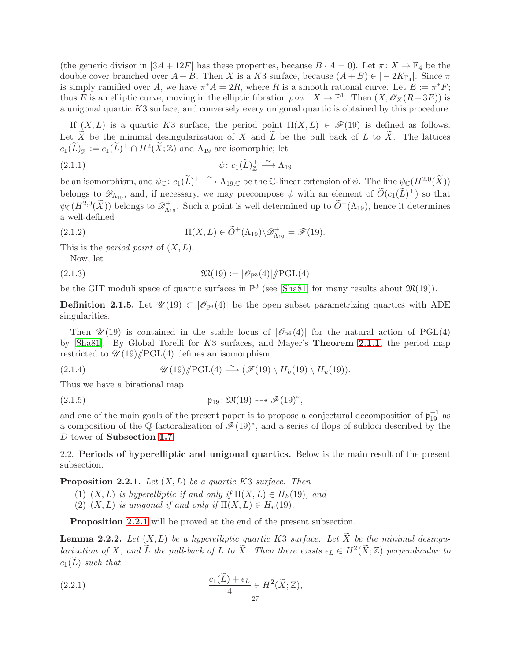(the generic divisor in  $|3A + 12F|$  has these properties, because  $B \cdot A = 0$ ). Let  $\pi \colon X \to \mathbb{F}_4$  be the double cover branched over  $A + B$ . Then X is a K3 surface, because  $(A + B) \in |-2K_{\mathbb{F}_4}|$ . Since  $\pi$ is simply ramified over A, we have  $\pi^* A = 2R$ , where R is a smooth rational curve. Let  $E := \pi^* F$ ; thus E is an elliptic curve, moving in the elliptic fibration  $\rho \circ \pi \colon X \to \mathbb{P}^1$ . Then  $(X, \mathscr{O}_X(R+3E))$  is a unigonal quartic K3 surface, and conversely every unigonal quartic is obtained by this procedure.

If  $(X, L)$  is a quartic K3 surface, the period point  $\Pi(X, L) \in \mathscr{F}(19)$  is defined as follows. Let  $\widetilde{X}$  be the minimal desingularization of X and  $\widetilde{L}$  be the pull back of L to  $\widetilde{X}$ . The lattices  $c_1(\widetilde{L})^{\perp}_{\mathbb{Z}} := c_1(\widetilde{L})^{\perp} \cap H^2(\widetilde{X};\mathbb{Z})$  and  $\Lambda_{19}$  are isomorphic; let

(2.1.1) 
$$
\psi: c_1(\widetilde{L})^{\perp}_{\mathbb{Z}} \xrightarrow{\sim} \Lambda_{19}
$$

be an isomorphism, and  $\psi_{\mathbb{C}}: c_1(\widetilde{L})^{\perp} \stackrel{\sim}{\longrightarrow} \Lambda_{19,\mathbb{C}}$  be the C-linear extension of  $\psi$ . The line  $\psi_{\mathbb{C}}(H^{2,0}(\widetilde{X}))$ belongs to  $\mathscr{D}_{\Lambda_{19}}$ , and, if necessary, we may precompose  $\psi$  with an element of  $\widetilde{O}(c_1(\widetilde{L})^{\perp})$  so that  $\psi_{\mathbb{C}}(H^{2,0}(\widetilde{X}))$  belongs to  $\mathscr{D}_{\Lambda_1}^+$  $\Lambda_{19}^+$ . Such a point is well determined up to  $\tilde{O}^+(\Lambda_{19})$ , hence it determines a well-defined

(2.1.2) 
$$
\Pi(X, L) \in \widetilde{O}^+(\Lambda_{19}) \backslash \mathscr{D}_{\Lambda_{19}}^+ = \mathscr{F}(19).
$$

This is the *period point* of  $(X, L)$ .

Now, let

$$
\mathfrak{M}(19) := |\mathscr{O}_{\mathbb{P}^3}(4)| / \mathrm{PGL}(4)
$$

be the GIT moduli space of quartic surfaces in  $\mathbb{P}^3$  (see [\[Sha81\]](#page-61-7) for many results about  $\mathfrak{M}(19)$ ).

<span id="page-26-4"></span>**Definition 2.1.5.** Let  $\mathscr{U}(19) \subset |\mathscr{O}_{\mathbb{P}^3}(4)|$  be the open subset parametrizing quartics with ADE singularities.

Then  $\mathscr{U}(19)$  is contained in the stable locus of  $|\mathscr{O}_{\mathbb{P}^3}(4)|$  for the natural action of PGL(4) by [\[Sha81\]](#page-61-7). By Global Torelli for K3 surfaces, and Mayer's Theorem [2.1.1](#page-25-1), the period map restricted to  $\mathcal{U}(19)/\mathrm{PGL}(4)$  defines an isomorphism

<span id="page-26-5"></span>(2.1.4) 
$$
\mathscr{U}(19)/\!\!/ \mathrm{PGL}(4) \stackrel{\sim}{\longrightarrow} (\mathscr{F}(19)\setminus H_h(19)\setminus H_u(19)).
$$

Thus we have a birational map

$$
\mathfrak{p}_{19} \colon \mathfrak{M}(19) \dashrightarrow \mathscr{F}(19)^*,
$$

and one of the main goals of the present paper is to propose a conjectural decomposition of  $\mathfrak{p}_{19}^{-1}$  as a composition of the Q-factoralization of  $\mathscr{F}(19)^*$ , and a series of flops of subloci described by the D tower of Subsection [1.7](#page-21-0).

<span id="page-26-0"></span>2.2. Periods of hyperelliptic and unigonal quartics. Below is the main result of the present subsection.

<span id="page-26-1"></span>**Proposition 2.2.1.** Let  $(X, L)$  be a quartic K3 surface. Then

(1)  $(X, L)$  is hyperelliptic if and only if  $\Pi(X, L) \in H_h(19)$ , and

(2)  $(X, L)$  is unigonal if and only if  $\Pi(X, L) \in H_u(19)$ .

Proposition [2.2.1](#page-26-1) will be proved at the end of the present subsection.

<span id="page-26-3"></span>**Lemma 2.2.2.** Let  $(X, L)$  be a hyperelliptic quartic K3 surface. Let  $\widetilde{X}$  be the minimal desingularization of X, and  $\tilde{L}$  the pull-back of L to  $\tilde{X}$ . Then there exists  $\epsilon_L \in H^2(\tilde{X}; \mathbb{Z})$  perpendicular to  $c_1(\tilde{L})$  such that

<span id="page-26-2"></span>(2.2.1) 
$$
\frac{c_1(L) + \epsilon_L}{4} \in H^2(\widetilde{X}; \mathbb{Z}),
$$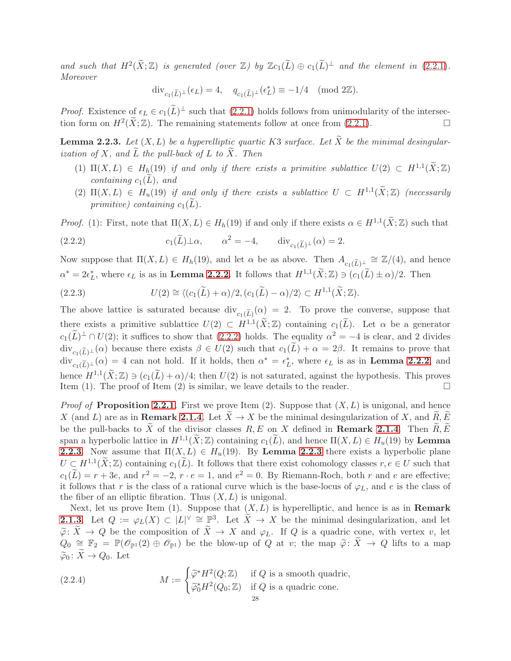and such that  $H^2(\tilde{X};\mathbb{Z})$  is generated (over  $\mathbb{Z}$ ) by  $\mathbb{Z}c_1(\tilde{L}) \oplus c_1(\tilde{L})^{\perp}$  and the element in [\(2.2.1\)](#page-26-2). **Moreover** 

$$
\operatorname{div}_{c_1(\widetilde{L})^{\perp}}(\epsilon_L) = 4, \quad q_{c_1(\widetilde{L})^{\perp}}(\epsilon_L^*) \equiv -1/4 \pmod{2\mathbb{Z}}.
$$

*Proof.* Existence of  $\epsilon_L \in c_1(L)^{\perp}$  such that  $(2.2.1)$  holds follows from unimodularity of the intersection form on  $H^2(\tilde{X}; \mathbb{Z})$ . The remaining statements follow at once from [\(2.2.1\)](#page-26-2).

<span id="page-27-1"></span>**Lemma 2.2.3.** Let  $(X, L)$  be a hyperelliptic quartic K3 surface. Let X be the minimal desingularization of  $X$ , and  $\overline{L}$  the pull-back of  $L$  to  $\overline{X}$ . Then

- (1)  $\Pi(X, L) \in H_h(19)$  if and only if there exists a primitive sublattice  $U(2) \subset H^{1,1}(\tilde{X}; \mathbb{Z})$ containing  $c_1(L)$ , and
- <span id="page-27-0"></span>(2)  $\Pi(X, L) \in H_u(19)$  if and only if there exists a sublattice  $U \subset H^{1,1}(\tilde{X}; \mathbb{Z})$  (necessarily primitive) containing  $c_1(\tilde{L})$ .

*Proof.* (1): First, note that  $\Pi(X, L) \in H_h(19)$  if and only if there exists  $\alpha \in H^{1,1}(\tilde{X}; \mathbb{Z})$  such that

(2.2.2) 
$$
c_1(\widetilde{L})\perp\alpha
$$
,  $\alpha^2 = -4$ ,  $\operatorname{div}_{c_1(\widetilde{L})}\perp(\alpha) = 2$ .

Now suppose that  $\Pi(X, L) \in H_h(19)$ , and let  $\alpha$  be as above. Then  $A_{c_1(\widetilde{L})^{\perp}} \cong \mathbb{Z}/(4)$ , and hence  $\alpha^* = 2\epsilon_L^*$ , where  $\epsilon_L$  is as in **Lemma [2.2.2](#page-26-3)**. It follows that  $H^{1,1}(\tilde{X};\mathbb{Z}) \ni (c_1(\tilde{L}) \pm \alpha)/2$ . Then

(2.2.3) 
$$
U(2) \cong \langle (c_1(\widetilde{L}) + \alpha)/2, (c_1(\widetilde{L}) - \alpha)/2 \rangle \subset H^{1,1}(\widetilde{X}; \mathbb{Z}).
$$

The above lattice is saturated because  $\text{div}_{c_1(\widetilde{L})}(\alpha) = 2$ . To prove the converse, suppose that there exists a primitive sublattice  $U(2) \subset H^{1,1}(\tilde{X};\mathbb{Z})$  containing  $c_1(\tilde{L})$ . Let  $\alpha$  be a generator  $c_1(\tilde{L})^{\perp} \cap U(2)$ ; it suffices to show that  $(2.2.2)$  holds. The equality  $\alpha^2 = -4$  is clear, and 2 divides  $\operatorname{div}_{c_1(\widetilde{L})^{\perp}}(\alpha)$  because there exists  $\beta \in U(2)$  such that  $c_1(\widetilde{L}) + \alpha = 2\beta$ . It remains to prove that  $\text{div}_{c_1(\widetilde{L})^{\perp}}(\alpha) = 4$  can not hold. If it holds, then  $\alpha^* = \epsilon_L^*$ , where  $\epsilon_L$  is as in **Lemma [2.2.2](#page-26-3)**, and hence  $H^{1,1}(\tilde{X};\mathbb{Z}) \ni (c_1(\tilde{L}) + \alpha)/4$ ; then  $U(2)$  is not saturated, against the hypothesis. This proves Item (1). The proof of Item (2) is similar, we leave details to the reader.

*Proof of Proposition [2.2.1](#page-26-1).* First we prove Item (2). Suppose that  $(X, L)$  is unigonal, and hence X (and L) are as in **Remark [2.1.4](#page-25-2)**. Let  $\overline{X} \to X$  be the minimal desingularization of X, and  $\overline{R}, \overline{E}$ be the pull-backs to  $\widetilde{X}$  of the divisor classes  $R, E$  on X defined in **Remark [2.1.4](#page-25-2)**. Then  $\widetilde{R}, \widetilde{E}$ span a hyperbolic lattice in  $H^{1,1}(X;\mathbb{Z})$  containing  $c_1(L)$ , and hence  $\Pi(X, L) \in H_u(19)$  by **Lemma [2.2.3](#page-27-1)**. Now assume that  $\Pi(X, L) \in H_u(19)$ . By **Lemma [2.2.3](#page-27-1)** there exists a hyperbolic plane  $U \subsetneq H^{1,1}(\tilde{X};\mathbb{Z})$  containing  $c_1(\tilde{L})$ . It follows that there exist cohomology classes  $r, e \in U$  such that  $c_1(L) = r + 3e$ , and  $r^2 = -2$ ,  $r \cdot e = 1$ , and  $e^2 = 0$ . By Riemann-Roch, both r and e are effective; it follows that r is the class of a rational curve which is the base-locus of  $\varphi_L$ , and e is the class of the fiber of an elliptic fibration. Thus  $(X, L)$  is unigonal.

Next, let us prove Item (1). Suppose that  $(X, L)$  is hyperelliptic, and hence is as in **Remark [2.1.3](#page-25-3).** Let  $Q := \varphi_L(X) \subset |L|^\vee \cong \mathbb{P}^3$ . Let  $\widetilde{X} \to X$  be the minimal desingularization, and let  $\widetilde{\varphi}$ :  $\widetilde{X} \to Q$  be the composition of  $\widetilde{X} \to X$  and  $\varphi_L$ . If Q is a quadric cone, with vertex v, let  $Q_0 \cong F_2 = \mathbb{P}(\mathcal{O}_{\mathbb{P}^1}(2) \oplus \mathcal{O}_{\mathbb{P}^1})$  be the blow-up of Q at v; the map  $\widetilde{\varphi} \colon \widetilde{X} \to Q$  lifts to a map  $\widetilde{\varphi}_0 \colon \widetilde{X} \to Q_0$ . Let

(2.2.4) 
$$
M := \begin{cases} \widetilde{\varphi}^* H^2(Q; \mathbb{Z}) & \text{if } Q \text{ is a smooth quadric,} \\ \widetilde{\varphi}_0^* H^2(Q_0; \mathbb{Z}) & \text{if } Q \text{ is a quadric cone.} \end{cases}
$$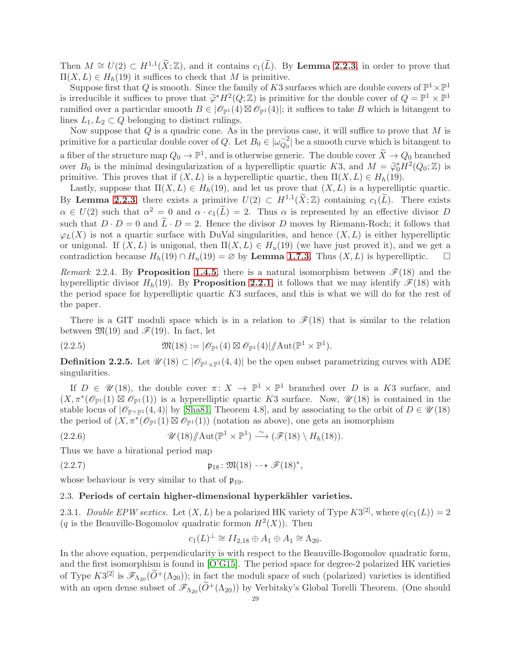Then  $M \cong U(2) \subset H^{1,1}(\widetilde{X}; \mathbb{Z})$ , and it contains  $c_1(\widetilde{L})$ . By **Lemma [2.2.3](#page-27-1)**, in order to prove that  $\Pi(X, L) \in H_h(19)$  it suffices to check that M is primitive.

Suppose first that Q is smooth. Since the family of K3 surfaces which are double covers of  $\mathbb{P}^1\times\mathbb{P}^1$ is irreducible it suffices to prove that  $\widetilde{\varphi}^*H^2(Q;\mathbb{Z})$  is primitive for the double cover of  $Q = \mathbb{P}^1 \times \mathbb{P}^1$ <br>nomified cum a porticular smappy  $B \subset \mathbb{R}^d$  (4)  $\mathbb{Z} \times \mathbb{R}^d$  (4) it suffices to take B w ramified over a particular smooth  $B \in |\mathscr{O}_{\mathbb{P}^1}(4) \boxtimes \mathscr{O}_{\mathbb{P}^1}(4)|$ ; it suffices to take B which is bitangent to lines  $L_1, L_2 \subset Q$  belonging to distinct rulings.

Now suppose that  $Q$  is a quadric cone. As in the previous case, it will suffice to prove that  $M$  is primitive for a particular double cover of Q. Let  $B_0 \in |\omega_{O_0}^{-2}|$  $\begin{bmatrix} -2 \\ Q_0 \end{bmatrix}$  be a smooth curve which is bitangent to a fiber of the structure map  $Q_0 \to \mathbb{P}^1$ , and is otherwise generic. The double cover  $X \to Q_0$  branched over  $B_0$  is the minimal desingularization of a hyperelliptic quartic K3, and  $M = \tilde{\varphi}_0^* H^2(Q_0; \mathbb{Z})$  is nimilarly This proves that if  $(Y, I)$  is a hyperelliptic quartic then  $\Pi(Y, I) \subset H(10)$ primitive. This proves that if  $(X, L)$  is a hyperelliptic quartic, then  $\Pi(X, L) \in H_h(19)$ .

Lastly, suppose that  $\Pi(X, L) \in H_h(19)$ , and let us prove that  $(X, L)$  is a hyperelliptic quartic. By Lemma [2.2.3](#page-27-1), there exists a primitive  $U(2) \subset H^{1,1}(\tilde{X};\mathbb{Z})$  containing  $c_1(\tilde{L})$ . There exists  $\alpha \in U(2)$  such that  $\alpha^2 = 0$  and  $\alpha \cdot c_1(L) = 2$ . Thus  $\alpha$  is represented by an effective divisor D such that  $D \cdot D = 0$  and  $\tilde{L} \cdot D = 2$ . Hence the divisor D moves by Riemann-Roch; it follows that  $\varphi_L(X)$  is not a quartic surface with DuVal singularities, and hence  $(X, L)$  is either hyperelliptic or unigonal. If  $(X, L)$  is unigonal, then  $\Pi(X, L) \in H_u(19)$  (we have just proved it), and we get a contradiction because  $H_h(19) \cap H_u(19) = \emptyset$  by **Lemma [1.7.3](#page-23-5)**. Thus  $(X, L)$  is hyperelliptic.  $\square$ 

Remark 2.2.4. By Proposition [1.4.5](#page-14-1), there is a natural isomorphism between  $\mathscr{F}(18)$  and the hyperelliptic divisor  $H_h(19)$ . By **Proposition [2.2.1](#page-26-1)**, it follows that we may identify  $\mathcal{F}(18)$  with the period space for hyperelliptic quartic K3 surfaces, and this is what we will do for the rest of the paper.

There is a GIT moduli space which is in a relation to  $\mathcal{F}(18)$  that is similar to the relation between  $\mathfrak{M}(19)$  and  $\mathscr{F}(19)$ . In fact, let

(2.2.5) 
$$
\mathfrak{M}(18) := |\mathscr{O}_{\mathbb{P}^1}(4) \boxtimes \mathscr{O}_{\mathbb{P}^1}(4)| / \mathrm{Aut}(\mathbb{P}^1 \times \mathbb{P}^1).
$$

<span id="page-28-1"></span>**Definition 2.2.5.** Let  $\mathscr{U}(18) \subset |\mathscr{O}_{\mathbb{P}^1 \times \mathbb{P}^1}(4,4)|$  be the open subset parametrizing curves with ADE singularities.

If  $D \in \mathcal{U}(18)$ , the double cover  $\pi \colon X \to \mathbb{P}^1 \times \mathbb{P}^1$  branched over D is a K3 surface, and  $(X,\pi^*(\mathscr{O}_{\mathbb{P}^1}(1) \boxtimes \mathscr{O}_{\mathbb{P}^1}(1))$  is a hyperelliptic quartic K3 surface. Now,  $\mathscr{U}(18)$  is contained in the stable locus of  $|\mathcal{O}_{\mathbb{P}^{\times}\mathbb{P}^1}(4,4)|$  by [\[Sha81,](#page-61-7) Theorem 4.8], and by associating to the orbit of  $D \in \mathcal{U}(18)$ the period of  $(X, \pi^*(\mathscr{O}_{\mathbb{P}^1}(1) \boxtimes \mathscr{O}_{\mathbb{P}^1}(1))$  (notation as above), one gets an isomorphism

(2.2.6) 
$$
\mathscr{U}(18)/\mathrm{Aut}(\mathbb{P}^1 \times \mathbb{P}^1) \stackrel{\sim}{\longrightarrow} (\mathscr{F}(18) \setminus H_h(18)).
$$

Thus we have a birational period map

$$
\mathfrak{p}_{18} \colon \mathfrak{M}(18) \dashrightarrow \mathscr{F}(18)^*,
$$

<span id="page-28-0"></span>whose behaviour is very similar to that of  $\mathfrak{p}_{19}$ .

## 2.3. Periods of certain higher-dimensional hyperkähler varieties.

2.3.1. Double EPW sextics. Let  $(X, L)$  be a polarized HK variety of Type  $K3^{[2]}$ , where  $q(c_1(L)) = 2$ (q is the Beauville-Bogomolov quadratic formon  $H^2(X)$ ). Then

<span id="page-28-2"></span>
$$
c_1(L)^{\perp} \cong II_{2,18} \oplus A_1 \oplus A_1 \cong \Lambda_{20}.
$$

In the above equation, perpendicularity is with respect to the Beauville-Bogomolov quadratic form, and the first isomorphism is found in [\[O'G15\]](#page-61-8). The period space for degree-2 polarized HK varieties of Type  $K3^{[2]}$  is  $\mathscr{F}_{\Lambda_{20}}(\widetilde{O}^+(\Lambda_{20}))$ ; in fact the moduli space of such (polarized) varieties is identified with an open dense subset of  $\mathscr{F}_{\Lambda_{20}}(\widetilde{O}^+(\Lambda_{20}))$  by Verbitsky's Global Torelli Theorem. (One should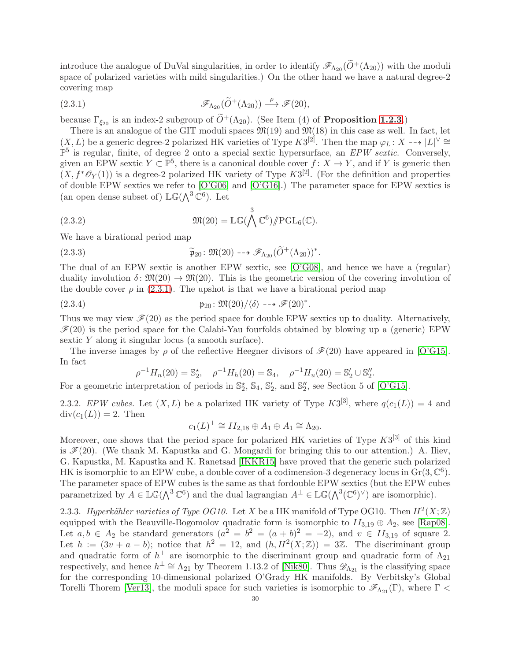introduce the analogue of DuVal singularities, in order to identify  $\mathscr{F}_{\Lambda_{20}}(\widetilde{O}^+(\Lambda_{20}))$  with the moduli space of polarized varieties with mild singularities.) On the other hand we have a natural degree-2 covering map

<span id="page-29-1"></span>(2.3.1) 
$$
\mathscr{F}_{\Lambda_{20}}(\widetilde{O}^+(\Lambda_{20})) \stackrel{\rho}{\longrightarrow} \mathscr{F}(20),
$$

because  $\Gamma_{\xi_{20}}$  is an index-2 subgroup of  $\widetilde{O}^+(\Lambda_{20})$ . (See Item (4) of **Proposition [1.2.3](#page-8-3)**.)

There is an analogue of the GIT moduli spaces  $\mathfrak{M}(19)$  and  $\mathfrak{M}(18)$  in this case as well. In fact, let  $(X, L)$  be a generic degree-2 polarized HK varieties of Type  $K3^{[2]}$ . Then the map  $\varphi_L \colon X \dashrightarrow |L|^\vee \cong$  $\mathbb{P}^5$  is regular, finite, of degree 2 onto a special sextic hypersurface, an EPW sextic. Conversely, given an EPW sextic  $Y \subset \mathbb{P}^5$ , there is a canonical double cover  $f: X \to Y$ , and if Y is generic then  $(X, f^*\mathscr{O}_Y(1))$  is a degree-2 polarized HK variety of Type  $K3^{[2]}$ . (For the definition and properties of double EPW sextics we refer to [\[O'G06\]](#page-61-21) and [\[O'G16\]](#page-61-9).) The parameter space for EPW sextics is (an open dense subset of)  $\mathbb{LG}(\Lambda^3 \mathbb{C}^6)$ . Let

(2.3.2) 
$$
\mathfrak{M}(20) = \mathbb{LG}(\bigwedge^3 \mathbb{C}^6) / \mathbb{P} GL_6(\mathbb{C}).
$$

We have a birational period map

(2.3.3) 
$$
\widetilde{\mathfrak{p}}_{20} : \mathfrak{M}(20) \dashrightarrow \mathscr{F}_{\Lambda_{20}}(\widetilde{O}^+(\Lambda_{20}))^*.
$$

The dual of an EPW sextic is another EPW sextic, see [\[O'G08\]](#page-61-22), and hence we have a (regular) duality involution  $\delta: \mathfrak{M}(20) \to \mathfrak{M}(20)$ . This is the geometric version of the covering involution of the double cover  $\rho$  in [\(2.3.1\)](#page-29-1). The upshot is that we have a birational period map

(2.3.4) 
$$
\mathfrak{p}_{20} : \mathfrak{M}(20) / \langle \delta \rangle \dashrightarrow \mathscr{F}(20)^*.
$$

Thus we may view  $\mathcal{F}(20)$  as the period space for double EPW sextics up to duality. Alternatively,  $\mathcal{F}(20)$  is the period space for the Calabi-Yau fourfolds obtained by blowing up a (generic) EPW sextic Y along it singular locus (a smooth surface).

The inverse images by  $\rho$  of the reflective Heegner divisors of  $\mathcal{F}(20)$  have appeared in [\[O'G15\]](#page-61-8). In fact

<span id="page-29-0"></span>
$$
\rho^{-1}H_n(20) = \mathbb{S}_2^*, \quad \rho^{-1}H_h(20) = \mathbb{S}_4, \quad \rho^{-1}H_n(20) = \mathbb{S}_2' \cup \mathbb{S}_2''.
$$

For a geometric interpretation of periods in  $\mathbb{S}_2^{\star}$ ,  $\mathbb{S}_4$ ,  $\mathbb{S}_2'$ , and  $\mathbb{S}_2''$ , see Section 5 of [\[O'G15\]](#page-61-8).

2.3.2. EPW cubes. Let  $(X, L)$  be a polarized HK variety of Type  $K3^{[3]}$ , where  $q(c_1(L)) = 4$  and  $div(c_1(L)) = 2$ . Then

$$
c_1(L)^{\perp} \cong II_{2,18} \oplus A_1 \oplus A_1 \cong \Lambda_{20}.
$$

Moreover, one shows that the period space for polarized HK varieties of Type  $K3^{[3]}$  of this kind is  $\mathcal{F}(20)$ . (We thank M. Kapustka and G. Mongardi for bringing this to our attention.) A. Iliev, G. Kapustka, M. Kapustka and K. Ranetsad [\[IKKR15\]](#page-60-17) have proved that the generic such polarized HK is isomorphic to an EPW cube, a double cover of a codimension-3 degeneracy locus in  $Gr(3, \mathbb{C}^6)$ . The parameter space of EPW cubes is the same as that fordouble EPW sextics (but the EPW cubes parametrized by  $A \in \mathbb{LG}(\bigwedge^3 \mathbb{C}^6)$  and the dual lagrangian  $A^{\perp} \in \mathbb{LG}(\bigwedge^3 (\mathbb{C}^6)^{\vee})$  are isomorphic).

2.3.3. Hyperkähler varieties of Type OG10. Let X be a HK manifold of Type OG10. Then  $H^2(X;\mathbb{Z})$ equipped with the Beauville-Bogomolov quadratic form is isomorphic to  $II_{3,19} \oplus A_2$ , see [\[Rap08\]](#page-61-23). Let  $a, b \in A_2$  be standard generators  $(a^2 = b^2 = (a + b)^2 = -2)$ , and  $v \in II_{3,19}$  of square 2. Let  $h := (3v + a - b)$ ; notice that  $h^2 = 12$ , and  $(h, H^2(X; \mathbb{Z})) = 3\mathbb{Z}$ . The discriminant group and quadratic form of  $h^{\perp}$  are isomorphic to the discriminant group and quadratic form of  $\Lambda_{21}$ respectively, and hence  $h^{\perp} \cong \Lambda_{21}$  by Theorem 1.13.2 of [\[Nik80\]](#page-61-19). Thus  $\mathscr{D}_{\Lambda_{21}}$  is the classifying space for the corresponding 10-dimensional polarized O'Grady HK manifolds. By Verbitsky's Global Torelli Thorem [\[Ver13\]](#page-61-24), the moduli space for such varieties is isomorphic to  $\mathscr{F}_{\Lambda_{21}}(\Gamma)$ , where  $\Gamma$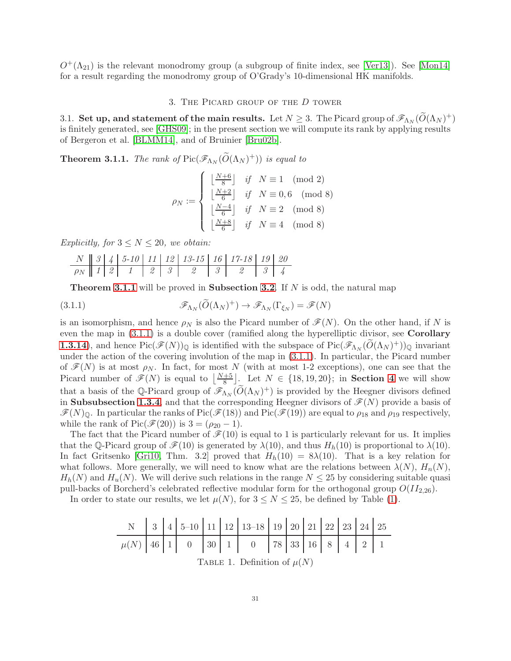<span id="page-30-0"></span> $O^+(\Lambda_{21})$  is the relevant monodromy group (a subgroup of finite index, see [\[Ver13\]](#page-61-24)). See [\[Mon14\]](#page-61-25) for a result regarding the monodromy group of O'Grady's 10-dimensional HK manifolds.

## 3. The Picard group of the D tower

3.1. Set up, and statement of the main results. Let  $N \geq 3$ . The Picard group of  $\mathscr{F}_{\Lambda_N}(\widetilde{O}(\Lambda_N)^+)$ is finitely generated, see [\[GHS09\]](#page-60-16); in the present section we will compute its rank by applying results of Bergeron et al. [\[BLMM14\]](#page-60-10), and of Bruinier [\[Bru02b\]](#page-60-18).

<span id="page-30-1"></span>**Theorem 3.1.1.** The rank of Pic( $\mathscr{F}_{\Lambda_N}(\widetilde{O}(\Lambda_N)^+)$ ) is equal to

$$
\rho_N := \begin{cases}\n\left\lfloor \frac{N+6}{8} \right\rfloor & \text{if} \quad N \equiv 1 \pmod{2} \\
\left\lfloor \frac{N+2}{6} \right\rfloor & \text{if} \quad N \equiv 0,6 \pmod{8} \\
\left\lfloor \frac{N-4}{6} \right\rfloor & \text{if} \quad N \equiv 2 \pmod{8} \\
\left\lfloor \frac{N+8}{6} \right\rfloor & \text{if} \quad N \equiv 4 \pmod{8}\n\end{cases}
$$

Explicitly, for  $3 \leq N \leq 20$ , we obtain:

N 3 4 5-10 11 12 13-15 16 17-18 19 20 ρ<sup>N</sup> 1 2 1 2 3 2 3 2 3 4

<span id="page-30-2"></span>**Theorem [3.1.1](#page-30-1)** will be proved in **Subsection [3.2](#page-31-0)**. If N is odd, the natural map

(3.1.1) 
$$
\mathscr{F}_{\Lambda_N}(\widetilde{O}(\Lambda_N)^+) \to \mathscr{F}_{\Lambda_N}(\Gamma_{\xi_N}) = \mathscr{F}(N)
$$

is an isomorphism, and hence  $\rho_N$  is also the Picard number of  $\mathcal{F}(N)$ . On the other hand, if N is even the map in  $(3.1.1)$  is a double cover (ramified along the hyperelliptic divisor, see Corollary **[1.3.14](#page-12-5)**), and hence  $\text{Pic}(\mathscr{F}(N))_{\mathbb{Q}}$  is identified with the subspace of  $\text{Pic}(\mathscr{F}_{\Lambda_N}(\tilde{O}(\Lambda_N)^+))_{\mathbb{Q}}$  invariant under the action of the covering involution of the map in [\(3.1.1\)](#page-30-2). In particular, the Picard number of  $\mathscr{F}(N)$  is at most  $\rho_N$ . In fact, for most N (with at most 1-2 exceptions), one can see that the Picard number of  $\mathscr{F}(N)$  is equal to  $\left\lfloor \frac{N+5}{8} \right\rfloor$ . Let  $N \in \{18, 19, 20\}$ ; in **Section [4](#page-40-0)** we will show that a basis of the Q-Picard group of  $\mathscr{F}_{\Lambda_N}(\widetilde{O}(\Lambda_N)^+)$  is provided by the Heegner divisors defined in Subsubsection [1.3.4](#page-11-2), and that the corresponding Heegner divisors of  $\mathscr{F}(N)$  provide a basis of  $\mathscr{F}(N)_{\mathbb{Q}}$ . In particular the ranks of Pic( $\mathscr{F}(18)$ ) and Pic( $\mathscr{F}(19)$ ) are equal to  $\rho_{18}$  and  $\rho_{19}$  respectively, while the rank of Pic( $\mathcal{F}(20)$ ) is  $3 = (\rho_{20} - 1)$ .

The fact that the Picard number of  $\mathcal{F}(10)$  is equal to 1 is particularly relevant for us. It implies that the Q-Picard group of  $\mathcal{F}(10)$  is generated by  $\lambda(10)$ , and thus  $H_h(10)$  is proportional to  $\lambda(10)$ . In fact Gritsenko [\[Gri10,](#page-60-12) Thm. 3.2] proved that  $H_h(10) = 8\lambda(10)$ . That is a key relation for what follows. More generally, we will need to know what are the relations between  $\lambda(N)$ ,  $H_n(N)$ ,  $H_h(N)$  and  $H_u(N)$ . We will derive such relations in the range  $N \leq 25$  by considering suitable quasi pull-backs of Borcherd's celebrated reflective modular form for the orthogonal group  $O(I_{2,26})$ .

In order to state our results, we let  $\mu(N)$ , for  $3 \leq N \leq 25$ , be defined by Table [\(1\)](#page-30-3).

<span id="page-30-3"></span>

|                                 |  |  |  |  |  | N   3   4   5-10   11   12   13-18   19   20   21   22   23   24   25 |                                         |  |  |  |  |  |  |
|---------------------------------|--|--|--|--|--|-----------------------------------------------------------------------|-----------------------------------------|--|--|--|--|--|--|
|                                 |  |  |  |  |  |                                                                       | $\mu(N)$ 46 1 0 30 1 0 78 33 16 8 4 2 1 |  |  |  |  |  |  |
| TABLE 1. Definition of $\mu(N)$ |  |  |  |  |  |                                                                       |                                         |  |  |  |  |  |  |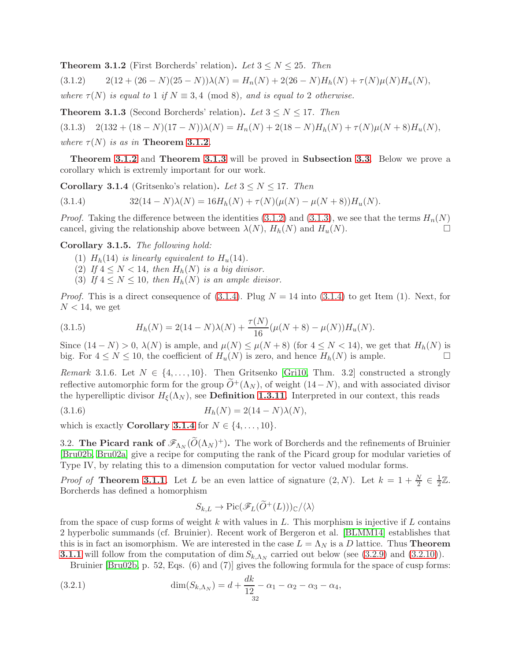<span id="page-31-1"></span>**Theorem 3.1.2** (First Borcherds' relation). Let  $3 \leq N \leq 25$ . Then

<span id="page-31-3"></span> $(3.1.2)$  2(12 + (26 – N)(25 – N)) $\lambda(N) = H_n(N) + 2(26 - N)H_h(N) + \tau(N)\mu(N)H_u(N),$ 

where  $\tau(N)$  is equal to 1 if  $N \equiv 3,4 \pmod{8}$ , and is equal to 2 otherwise.

<span id="page-31-2"></span>**Theorem 3.1.3** (Second Borcherds' relation). Let  $3 \leq N \leq 17$ . Then

<span id="page-31-4"></span> $(3.1.3)$   $2(132 + (18 - N)(17 - N))\lambda(N) = H_n(N) + 2(18 - N)H_h(N) + \tau(N)\mu(N + 8)H_n(N),$ where  $\tau(N)$  is as in **Theorem [3.1.2](#page-31-1)**.

Theorem [3.1.2](#page-31-1) and Theorem [3.1.3](#page-31-2) will be proved in Subsection [3.3](#page-33-0). Below we prove a corollary which is extremly important for our work.

<span id="page-31-6"></span>**Corollary 3.1.4** (Gritsenko's relation). Let  $3 \leq N \leq 17$ . Then

<span id="page-31-5"></span>(3.1.4) 
$$
32(14 - N)\lambda(N) = 16H_h(N) + \tau(N)(\mu(N) - \mu(N+8))H_u(N).
$$

*Proof.* Taking the difference between the identities [\(3.1.2\)](#page-31-3) and [\(3.1.3\)](#page-31-4), we see that the terms  $H_n(N)$ cancel, giving the relationship above between  $\lambda(N)$ ,  $H_h(N)$  and  $H_u(N)$ .

Corollary 3.1.5. The following hold:

- (1)  $H_h(14)$  is linearly equivalent to  $H_u(14)$ .
- (2) If  $4 \leq N < 14$ , then  $H_h(N)$  is a big divisor.
- (3) If  $4 \leq N \leq 10$ , then  $H_h(N)$  is an ample divisor.

*Proof.* This is a direct consequence of  $(3.1.4)$ . Plug  $N = 14$  into  $(3.1.4)$  to get Item  $(1)$ . Next, for  $N < 14$ , we get

<span id="page-31-8"></span>(3.1.5) 
$$
H_h(N) = 2(14 - N)\lambda(N) + \frac{\tau(N)}{16}(\mu(N+8) - \mu(N))H_u(N).
$$

Since  $(14 - N) > 0$ ,  $\lambda(N)$  is ample, and  $\mu(N) \leq \mu(N + 8)$  (for  $4 \leq N < 14$ ), we get that  $H_h(N)$  is big. For  $4 \le N \le 10$ , the coefficient of  $H_u(N)$  is zero, and hence  $H_h(N)$  is ample.

Remark 3.1.6. Let  $N \in \{4, \ldots, 10\}$ . Then Gritsenko [\[Gri10,](#page-60-12) Thm. 3.2] constructed a strongly reflective automorphic form for the group  $\tilde{O}^{+}(\Lambda_N)$ , of weight  $(14-N)$ , and with associated divisor the hyperelliptic divisor  $H_{\xi}(\Lambda_N)$ , see **Definition [1.3.11](#page-12-6)**. Interpreted in our context, this reads

(3.1.6) 
$$
H_h(N) = 2(14 - N)\lambda(N),
$$

<span id="page-31-0"></span>which is exactly **Corollary [3.1.4](#page-31-6)** for  $N \in \{4, \ldots, 10\}$ .

3.2. The Picard rank of  $\mathscr{F}_{\Lambda_N}(\widetilde{O}(\Lambda_N)^+)$ . The work of Borcherds and the refinements of Bruinier [\[Bru02b,](#page-60-18) [Bru02a\]](#page-60-9) give a recipe for computing the rank of the Picard group for modular varieties of Type IV, by relating this to a dimension computation for vector valued modular forms.

*Proof of* Theorem [3.1.1](#page-30-1). Let L be an even lattice of signature  $(2, N)$ . Let  $k = 1 + \frac{N}{2} \in \frac{1}{2}$  $rac{1}{2}\mathbb{Z}$ . Borcherds has defined a homorphism

<span id="page-31-7"></span>
$$
S_{k,L} \to Pic(\mathscr{F}_L(\widetilde{O}^+(L)))_{\mathbb{C}}/\langle \lambda \rangle
$$

from the space of cusp forms of weight k with values in  $L$ . This morphism is injective if  $L$  contains 2 hyperbolic summands (cf. Bruinier). Recent work of Bergeron et al. [\[BLMM14\]](#page-60-10) establishes that this is in fact an isomorphism. We are interested in the case  $L = \Lambda_N$  is a D lattice. Thus **Theorem [3.1.1](#page-30-1)** will follow from the computation of dim  $S_{k,\Lambda_N}$  carried out below (see [\(3.2.9\)](#page-33-1) and [\(3.2.10\)](#page-33-2)).

Bruinier [\[Bru02b,](#page-60-18) p. 52, Eqs.  $(6)$  and  $(7)$ ] gives the following formula for the space of cusp forms:

(3.2.1) 
$$
\dim(S_{k,\Lambda_N}) = d + \frac{dk}{12} - \alpha_1 - \alpha_2 - \alpha_3 - \alpha_4,
$$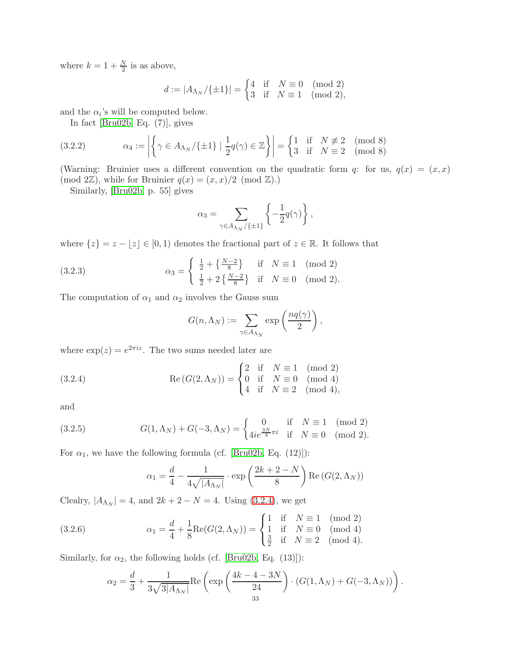where  $k = 1 + \frac{N}{2}$  is as above,

$$
d:=|A_{\Lambda_N}/\{\pm 1\}|=\begin{cases} 4 & \text{if}\quad N\equiv 0\pmod 2\\ 3 & \text{if}\quad N\equiv 1\pmod 2,\end{cases}
$$

and the  $\alpha_i$ 's will be computed below.

<span id="page-32-2"></span>In fact [\[Bru02b,](#page-60-18) Eq. (7)], gives

(3.2.2) 
$$
\alpha_4 := \left| \left\{ \gamma \in A_{\Lambda_N} / \{ \pm 1 \} \mid \frac{1}{2} q(\gamma) \in \mathbb{Z} \right\} \right| = \begin{cases} 1 & \text{if } N \not\equiv 2 \pmod{8} \\ 3 & \text{if } N \equiv 2 \pmod{8} \end{cases}
$$

(Warning: Bruinier uses a different convention on the quadratic form q: for us,  $q(x) = (x, x)$ (mod 2Z), while for Bruinier  $q(x) = (x, x)/2 \pmod{\mathbb{Z}}$ .)

Similarly, [\[Bru02b,](#page-60-18) p. 55] gives

$$
\alpha_3 = \sum_{\gamma \in A_{\Lambda_N}/\{\pm 1\}} \left\{-\frac{1}{2}q(\gamma)\right\},\,
$$

where  $\{z\} = z - \lfloor z \rfloor \in [0, 1)$  denotes the fractional part of  $z \in \mathbb{R}$ . It follows that

(3.2.3) 
$$
\alpha_3 = \begin{cases} \frac{1}{2} + \left\{ \frac{N-2}{8} \right\} & \text{if } N \equiv 1 \pmod{2} \\ \frac{1}{2} + 2 \left\{ \frac{N-2}{8} \right\} & \text{if } N \equiv 0 \pmod{2}. \end{cases}
$$

The computation of  $\alpha_1$  and  $\alpha_2$  involves the Gauss sum

<span id="page-32-3"></span><span id="page-32-0"></span>
$$
G(n, \Lambda_N) := \sum_{\gamma \in A_{\Lambda_N}} \exp\left(\frac{nq(\gamma)}{2}\right),
$$

where  $\exp(z) = e^{2\pi i z}$ . The two sums needed later are

(3.2.4) 
$$
Re(G(2, \Lambda_N)) = \begin{cases} 2 & \text{if } N \equiv 1 \pmod{2} \\ 0 & \text{if } N \equiv 0 \pmod{4} \\ 4 & \text{if } N \equiv 2 \pmod{4}, \end{cases}
$$

and

(3.2.5) 
$$
G(1,\Lambda_N) + G(-3,\Lambda_N) = \begin{cases} 0 & \text{if } N \equiv 1 \pmod{2} \\ 4ie^{\frac{3N}{4}\pi i} & \text{if } N \equiv 0 \pmod{2}. \end{cases}
$$

For  $\alpha_1$ , we have the following formula (cf. [\[Bru02b,](#page-60-18) Eq. (12)]):

<span id="page-32-4"></span><span id="page-32-1"></span>
$$
\alpha_1 = \frac{d}{4} - \frac{1}{4\sqrt{|A_{\Lambda_N}|}} \cdot \exp\left(\frac{2k+2-N}{8}\right) \text{Re}\left(G(2,\Lambda_N)\right)
$$

Clealry,  $|A_{\Lambda_N}| = 4$ , and  $2k + 2 - N = 4$ . Using [\(3.2.4\)](#page-32-0), we get

(3.2.6) 
$$
\alpha_1 = \frac{d}{4} + \frac{1}{8} \text{Re}(G(2, \Lambda_N)) = \begin{cases} 1 & \text{if } N \equiv 1 \pmod{2} \\ 1 & \text{if } N \equiv 0 \pmod{4} \\ \frac{3}{2} & \text{if } N \equiv 2 \pmod{4}. \end{cases}
$$

Similarly, for  $\alpha_2$ , the following holds (cf. [\[Bru02b,](#page-60-18) Eq. (13)]):

$$
\alpha_2 = \frac{d}{3} + \frac{1}{3\sqrt{3|A_{\Lambda_N}|}} \text{Re}\left(\exp\left(\frac{4k - 4 - 3N}{24}\right) \cdot \left(G(1, \Lambda_N) + G(-3, \Lambda_N)\right)\right).
$$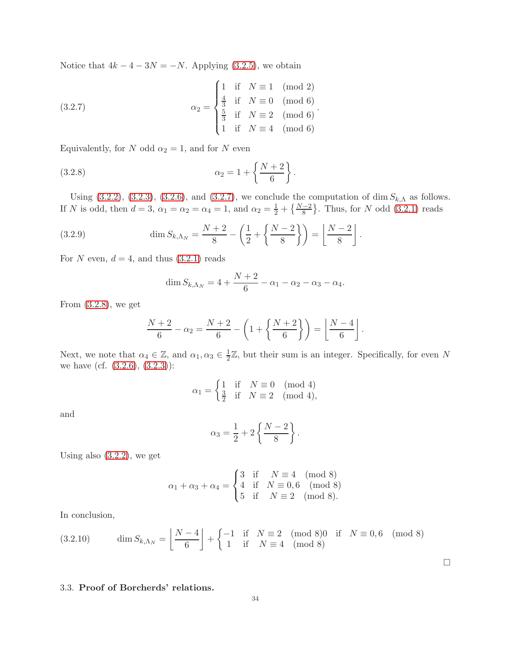Notice that  $4k - 4 - 3N = -N$ . Applying [\(3.2.5\)](#page-32-1), we obtain

<span id="page-33-3"></span>(3.2.7) 
$$
\alpha_2 = \begin{cases} 1 & \text{if } N \equiv 1 \pmod{2} \\ \frac{4}{3} & \text{if } N \equiv 0 \pmod{6} \\ \frac{5}{3} & \text{if } N \equiv 2 \pmod{6} \\ 1 & \text{if } N \equiv 4 \pmod{6} \end{cases}.
$$

Equivalently, for N odd  $\alpha_2 = 1$ , and for N even

(3.2.8) 
$$
\alpha_2 = 1 + \left\{ \frac{N+2}{6} \right\}.
$$

Using [\(3.2.2\)](#page-32-2), [\(3.2.3\)](#page-32-3), [\(3.2.6\)](#page-32-4), and [\(3.2.7\)](#page-33-3), we conclude the computation of dim  $S_{k,\Lambda}$  as follows. If N is odd, then  $d = 3$ ,  $\alpha_1 = \alpha_2 = \alpha_4 = 1$ , and  $\alpha_2 = \frac{1}{2} + {\frac{N-2}{8}}$ . Thus, for N odd [\(3.2.1\)](#page-31-7) reads

(3.2.9) 
$$
\dim S_{k,\Lambda_N} = \frac{N+2}{8} - \left(\frac{1}{2} + \left\{\frac{N-2}{8}\right\}\right) = \left\lfloor \frac{N-2}{8} \right\rfloor.
$$

For N even,  $d = 4$ , and thus  $(3.2.1)$  reads

<span id="page-33-4"></span><span id="page-33-1"></span>
$$
\dim S_{k,\Lambda_N} = 4 + \frac{N+2}{6} - \alpha_1 - \alpha_2 - \alpha_3 - \alpha_4.
$$

From [\(3.2.8\)](#page-33-4), we get

$$
\frac{N+2}{6} - \alpha_2 = \frac{N+2}{6} - \left(1 + \left\{\frac{N+2}{6}\right\}\right) = \left\lfloor \frac{N-4}{6} \right\rfloor.
$$

Next, we note that  $\alpha_4 \in \mathbb{Z}$ , and  $\alpha_1, \alpha_3 \in \frac{1}{2}$  $\frac{1}{2}\mathbb{Z}$ , but their sum is an integer. Specifically, for even N we have (cf.  $(3.2.6), (3.2.3)$  $(3.2.6), (3.2.3)$ ):

$$
\alpha_1 = \begin{cases} 1 \quad \text{if} \quad N \equiv 0 \pmod{4} \\ \frac{3}{2} \quad \text{if} \quad N \equiv 2 \pmod{4}, \end{cases}
$$

and

$$
\alpha_3 = \frac{1}{2} + 2\left\{\frac{N-2}{8}\right\}.
$$

Using also  $(3.2.2)$ , we get

$$
\alpha_1 + \alpha_3 + \alpha_4 = \begin{cases} 3 & \text{if} \quad N \equiv 4 \pmod{8} \\ 4 & \text{if} \quad N \equiv 0,6 \pmod{8} \\ 5 & \text{if} \quad N \equiv 2 \pmod{8}. \end{cases}
$$

In conclusion,

<span id="page-33-2"></span>
$$
(3.2.10) \qquad \dim S_{k,\Lambda_N} = \left\lfloor \frac{N-4}{6} \right\rfloor + \begin{cases} -1 & \text{if} \quad N \equiv 2 \pmod{8} \\ 1 & \text{if} \quad N \equiv 4 \pmod{8} \end{cases} \quad \text{(mod 8)}
$$

 $\Box$ 

# <span id="page-33-0"></span>3.3. Proof of Borcherds' relations.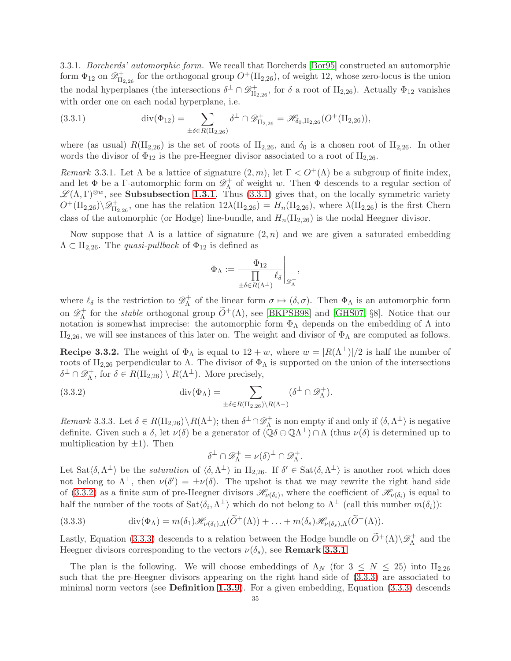3.3.1. Borcherds' automorphic form. We recall that Borcherds [\[Bor95\]](#page-60-8) constructed an automorphic form  $\Phi_{12}$  on  $\mathscr{D}_{\mathrm{II}}^+$  $\mathcal{U}_{\mathrm{II}_{2,26}}^{+}$  for the orthogonal group  $O^{+}(\mathrm{II}_{2,26})$ , of weight 12, whose zero-locus is the union the nodal hyperplanes (the intersections  $\delta^{\perp} \cap \mathscr{D}_{\text{IL}}^+$  $\mathcal{I}_{\mathrm{II}_{2,26}}^{+}$ , for  $\delta$  a root of  $\mathrm{II}_{2,26}$ ). Actually  $\Phi_{12}$  vanishes with order one on each nodal hyperplane, i.e.

<span id="page-34-0"></span>(3.3.1) 
$$
\operatorname{div}(\Phi_{12}) = \sum_{\pm \delta \in R(\mathrm{II}_{2,26})} \delta^{\perp} \cap \mathscr{D}_{\mathrm{II}_{2,26}}^{+} = \mathscr{H}_{\delta_0, \mathrm{II}_{2,26}}(O^+(\mathrm{II}_{2,26})),
$$

where (as usual)  $R(\text{II}_{2,26})$  is the set of roots of  $\text{II}_{2,26}$ , and  $\delta_0$  is a chosen root of  $\text{II}_{2,26}$ . In other words the divisor of  $\Phi_{12}$  is the pre-Heegner divisor associated to a root of  $II_{2,26}$ .

<span id="page-34-3"></span>Remark 3.3.1. Let  $\Lambda$  be a lattice of signature  $(2, m)$ , let  $\Gamma < O^+(\Lambda)$  be a subgroup of finite index, and let  $\Phi$  be a Γ-automorphic form on  $\mathscr{D}_{\Lambda}^+$  $<sub>Λ</sub><sup>+</sup>$  of weight w. Then  $\Phi$  descends to a regular section of</sub>  $\mathscr{L}(\Lambda,\Gamma)^{\otimes w}$ , see **Subsubsection [1.3.1](#page-9-0)**. Thus [\(3.3.1\)](#page-34-0) gives that, on the locally symmetric variety  $O^+(\Pi_{2,26})\backslash\mathscr{D}^+_{\Pi_{2,26}}$ , one has the relation  $12\lambda(\Pi_{2,26}) = H_n(\Pi_{2,26})$ , where  $\lambda(\Pi_{2,26})$  is the first Chern class of the automorphic (or Hodge) line-bundle, and  $H_n(\mathrm{II}_{2,26})$  is the nodal Heegner divisor.

Now suppose that  $\Lambda$  is a lattice of signature  $(2, n)$  and we are given a saturated embedding  $\Lambda \subset \Pi_{2,26}$ . The *quasi-pullback* of  $\Phi_{12}$  is defined as

$$
\Phi_{\Lambda} := \frac{\Phi_{12}}{\prod\limits_{\pm\delta\in R(\Lambda^{\perp})}\ell_{\delta}}\Bigg|_{\mathscr{D}_{\Lambda}^{+}},
$$

where  $\ell_{\delta}$  is the restriction to  $\mathscr{D}_{\Lambda}^{+}$  $\alpha_{\Lambda}^{+}$  of the linear form  $\sigma \mapsto (\delta, \sigma)$ . Then  $\Phi_{\Lambda}$  is an automorphic form on  $\mathscr{D}_{\Lambda}^+$ <sup>+</sup> for the *stable* orthogonal group  $O^+(\Lambda)$ , see [\[BKPSB98\]](#page-60-19) and [\[GHS07,](#page-60-7) §8]. Notice that our notation is somewhat imprecise: the automorphic form  $\Phi_{\Lambda}$  depends on the embedding of  $\Lambda$  into  $II_{2,26}$ , we will see instances of this later on. The weight and divisor of  $\Phi_{\Lambda}$  are computed as follows.

<span id="page-34-5"></span>**Recipe 3.3.2.** The weight of  $\Phi_{\Lambda}$  is equal to  $12 + w$ , where  $w = |R(\Lambda^{\perp})|/2$  is half the number of roots of  $II_{2,26}$  perpendicular to  $\Lambda$ . The divisor of  $\Phi_{\Lambda}$  is supported on the union of the intersections  $\delta^{\perp}\cap {\mathscr D}^+_\Lambda$  $\Lambda^+$ , for  $\delta \in R(\mathrm{II}_{2,26}) \setminus R(\Lambda^{\perp})$ . More precisely,

(3.3.2) 
$$
\operatorname{div}(\Phi_{\Lambda}) = \sum_{\pm \delta \in R(\text{II}_{2,26}) \backslash R(\Lambda^{\perp})} (\delta^{\perp} \cap \mathscr{D}_{\Lambda}^{+}).
$$

<span id="page-34-4"></span>Remark 3.3.3. Let  $\delta \in R(\mathrm{II}_{2,26}) \setminus R(\Lambda^{\perp})$ ; then  $\delta^{\perp} \cap \mathscr{D}_{\Lambda}^{+}$  $\Lambda^+$  is non empty if and only if  $\langle \delta, \Lambda^\perp \rangle$  is negative definite. Given such a  $\delta$ , let  $\nu(\delta)$  be a generator of  $(\mathbb{Q}\delta \oplus \mathbb{Q}\Lambda^{\perp}) \cap \Lambda$  (thus  $\nu(\delta)$  is determined up to multiplication by  $\pm 1$ ). Then

<span id="page-34-1"></span>
$$
\delta^{\perp} \cap \mathscr{D}_{\Lambda}^{+} = \nu(\delta)^{\perp} \cap \mathscr{D}_{\Lambda}^{+}.
$$

Let  $\text{Sat}\langle \delta, \Lambda^{\perp} \rangle$  be the *saturation* of  $\langle \delta, \Lambda^{\perp} \rangle$  in  $\text{II}_{2,26}$ . If  $\delta' \in \text{Sat}\langle \delta, \Lambda^{\perp} \rangle$  is another root which does not belong to  $\Lambda^{\perp}$ , then  $\nu(\delta') = \pm \nu(\delta)$ . The upshot is that we may rewrite the right hand side of [\(3.3.2\)](#page-34-1) as a finite sum of pre-Heegner divisors  $\mathscr{H}_{\nu(\delta_i)}$ , where the coefficient of  $\mathscr{H}_{\nu(\delta_i)}$  is equal to half the number of the roots of  $\text{Sat}\langle\delta_i,\Lambda^{\perp}\rangle$  which do not belong to  $\Lambda^{\perp}$  (call this number  $m(\delta_i)$ ):

<span id="page-34-2"></span>(3.3.3) 
$$
\operatorname{div}(\Phi_{\Lambda}) = m(\delta_1)\mathscr{H}_{\nu(\delta_i),\Lambda}(\widetilde{O}^+(\Lambda)) + \ldots + m(\delta_s)\mathscr{H}_{\nu(\delta_s),\Lambda}(\widetilde{O}^+(\Lambda)).
$$

Lastly, Equation [\(3.3.3\)](#page-34-2) descends to a relation between the Hodge bundle on  $\widetilde{O}^+(\Lambda)\backslash \mathscr{D}_{\Lambda}^+$  $\Lambda^+$  and the Heegner divisors corresponding to the vectors  $\nu(\delta_s)$ , see **Remark [3.3.1](#page-34-3)**.

The plan is the following. We will choose embeddings of  $\Lambda_N$  (for  $3 \leq N \leq 25$ ) into II<sub>2,26</sub> such that the pre-Heegner divisors appearing on the right hand side of  $(3.3.3)$  are associated to minimal norm vectors (see **Definition [1.3.9](#page-12-7)**). For a given embedding, Equation  $(3.3.3)$  descends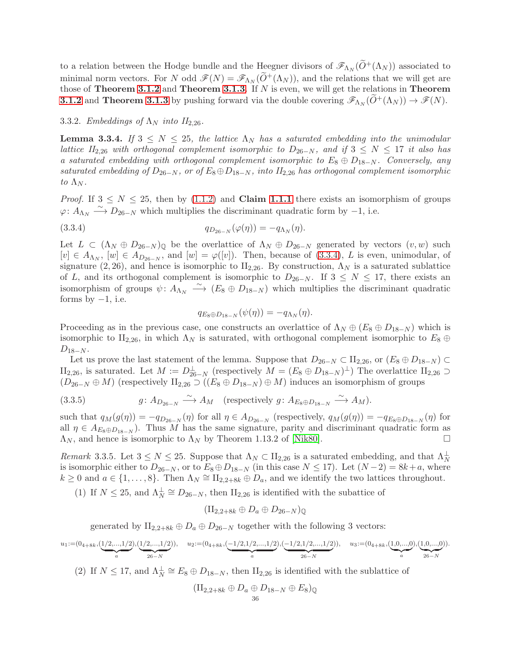to a relation between the Hodge bundle and the Heegner divisors of  $\mathscr{F}_{\Lambda_N}(\widetilde{O}^+(\Lambda_N))$  associated to minimal norm vectors. For N odd  $\mathscr{F}(N) = \mathscr{F}_{\Lambda_N}(\widetilde{O}^+(\Lambda_N))$ , and the relations that we will get are those of Theorem [3.1.2](#page-31-1) and Theorem [3.1.3](#page-31-2). If  $N$  is even, we will get the relations in Theorem **[3.1.2](#page-31-1)** and **Theorem [3.1.3](#page-31-2)** by pushing forward via the double covering  $\mathscr{F}_{\Lambda_N}(\widetilde{O}^+(\Lambda_N)) \to \mathscr{F}(N)$ .

## 3.3.2. Embeddings of  $\Lambda_N$  into  $II_{2,26}$ .

<span id="page-35-2"></span>**Lemma 3.3.4.** If  $3 \leq N \leq 25$ , the lattice  $\Lambda_N$  has a saturated embedding into the unimodular lattice II<sub>2,26</sub> with orthogonal complement isomorphic to  $D_{26-N}$ , and if  $3 \le N \le 17$  it also has a saturated embedding with orthogonal complement isomorphic to  $E_8 \oplus D_{18-N}$ . Conversely, any saturated embedding of  $D_{26-N}$ , or of  $E_8 \oplus D_{18-N}$ , into  $II_{2,26}$  has orthogonal complement isomorphic to  $\Lambda_N$ .

*Proof.* If  $3 \leq N \leq 25$ , then by [\(1.1.2\)](#page-7-1) and **Claim [1.1.1](#page-7-7)** there exists an isomorphism of groups  $\varphi: A_{\Lambda_N} \longrightarrow D_{26-N}$  which multiplies the discriminant quadratic form by -1, i.e.

(3.3.4) 
$$
q_{D_{26-N}}(\varphi(\eta)) = -q_{\Lambda_N}(\eta).
$$

Let  $L \subset (\Lambda_N \oplus D_{26-N})_{\mathbb{Q}}$  be the overlattice of  $\Lambda_N \oplus D_{26-N}$  generated by vectors  $(v, w)$  such  $[v] \in A_{\Lambda_N}$ ,  $[w] \in A_{D_{26-N}}$ , and  $[w] = \varphi([v])$ . Then, because of [\(3.3.4\)](#page-35-0), L is even, unimodular, of signature (2, 26), and hence is isomorphic to  $II_{2,26}$ . By construction,  $\Lambda_N$  is a saturated sublattice of L, and its orthogonal complement is isomorphic to  $D_{26-N}$ . If  $3 \leq N \leq 17$ , there exists an isomorphism of groups  $\psi: A_{\Lambda_N} \longrightarrow (E_8 \oplus D_{18-N})$  which multiplies the discriminant quadratic forms by  $-1$ , i.e.

<span id="page-35-0"></span>
$$
q_{E_8\oplus D_{18-N}}(\psi(\eta))=-q_{\Lambda_N}(\eta).
$$

Proceeding as in the previous case, one constructs an overlattice of  $\Lambda_N \oplus (E_8 \oplus D_{18-N})$  which is isomorphic to  $II_{2,26}$ , in which  $\Lambda_N$  is saturated, with orthogonal complement isomorphic to  $E_8 \oplus$  $D_{18-N}$ .

Let us prove the last statement of the lemma. Suppose that  $D_{26-N} \subset \Pi_{2,26}$ , or  $(E_8 \oplus D_{18-N}) \subset$  $\text{II}_{2,26}$ , is saturated. Let  $M := D_{26-N}^{\perp}$  (respectively  $M = (E_8 \oplus D_{18-N})^{\perp}$ ) The overlattice  $\text{II}_{2,26} \supset$  $(D_{26-N} \oplus M)$  (respectively  $\text{II}_{2,26} \supset ((E_8 \oplus D_{18-N}) \oplus M)$  induces an isomorphism of groups

<span id="page-35-1"></span>(3.3.5) 
$$
g: A_{D_{26-N}} \xrightarrow{\sim} A_M \quad \text{(respectively } g: A_{E_8 \oplus D_{18-N}} \xrightarrow{\sim} A_M \text{)}.
$$

such that  $q_M(g(\eta)) = -q_{D_{26-N}}(\eta)$  for all  $\eta \in A_{D_{26-N}}$  (respectively,  $q_M(g(\eta)) = -q_{E_8 \oplus D_{18-N}}(\eta)$  for all  $\eta \in A_{E_8 \oplus D_{18-N}}$ . Thus M has the same signature, parity and discriminant quadratic form as  $\Lambda_N$ , and hence is isomorphic to  $\Lambda_N$  by Theorem 1.13.2 of [\[Nik80\]](#page-61-19).

<span id="page-35-3"></span>Remark 3.3.5. Let  $3 \leq N \leq 25$ . Suppose that  $\Lambda_N \subset \Pi_{2,26}$  is a saturated embedding, and that  $\Lambda_N^{\perp}$ is isomorphic either to  $D_{26-N}$ , or to  $E_8 \oplus D_{18-N}$  (in this case  $N \le 17$ ). Let  $(N-2) = 8k+a$ , where  $k \geq 0$  and  $a \in \{1, \ldots, 8\}$ . Then  $\Lambda_N \cong \Pi_{2,2+8k} \oplus D_a$ , and we identify the two lattices throughout.

(1) If  $N \leq 25$ , and  $\Lambda_N^{\perp} \cong D_{26-N}$ , then  $\text{II}_{2,26}$  is identified with the subattice of

$$
(\mathrm{II}_{2,2+8k} \oplus D_a \oplus D_{26-N})_{\mathbb{Q}}
$$

generated by  $II_{2,2+8k} \oplus D_a \oplus D_{26-N}$  together with the following 3 vectors:

$$
u_1:=(0_{4+8k},\underbrace{(1/2,...,1/2)}_{a},\underbrace{(1/2,...,1/2)}_{26-N}),\quad u_2:=(0_{4+8k},\underbrace{(-1/2,1/2,...,1/2)}_{a},\underbrace{(-1/2,1/2,...,1/2)}_{26-N}),\quad u_3:=(0_{4+8k},\underbrace{(1,0,...,0)}_{a},\underbrace{(1,0,...,0)}_{26-N}).
$$

(2) If  $N \leq 17$ , and  $\Lambda_N^{\perp} \cong E_8 \oplus D_{18-N}$ , then  $\text{II}_{2,26}$  is identified with the sublattice of

$$
(\mathrm{II}_{2,2+8k} \oplus D_a \oplus D_{18-N} \oplus E_8)_{\mathbb{Q}}
$$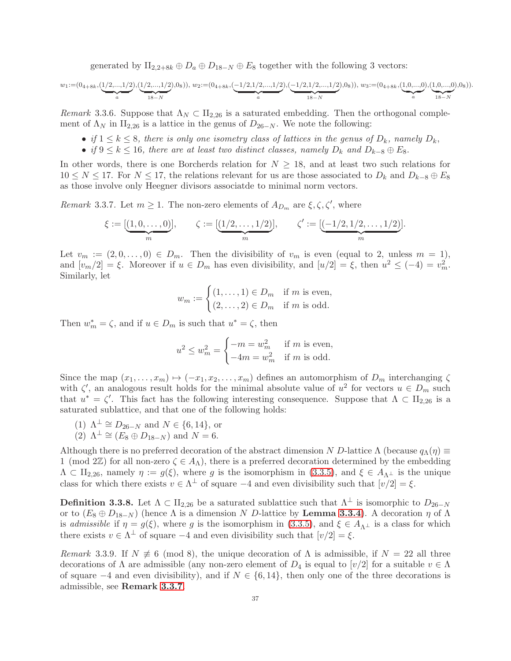generated by  $II_{2,2+8k} \oplus D_a \oplus D_{18-N} \oplus E_8$  together with the following 3 vectors:

$$
w_1:=(0_{4+8k},(\underbrace{1/2,...,1/2}_{a}),(\underbrace{1/2,...,1/2}_{18-N}),w_2:=(0_{4+8k},(\underbrace{-1/2,1/2,...,1/2}_{a}),(\underbrace{-1/2,1/2,...,1/2}_{18-N}),w_3:=(0_{4+8k},(\underbrace{1,0,...,0}_{a}),(\underbrace{1,0,...,0}_{18-N}),(\underbrace{1,0,...,0}_{18-N}),w_4:=(0_{4+8k},(\underbrace{1,0,...,0}_{18-N}),(\underbrace{1,0,...,0}_{18-N}),w_5:=(0_{4+8k},(\underbrace{1,0,...,0}_{18-N}),(\underbrace{1,0,...,0}_{18-N}),w_6:=(0_{4+8k},(\underbrace{1,0,...,0}_{18-N}),w_7:=(0_{4+8k},(\underbrace{1,0,...,0}_{18-N}),w_8:=(0_{4+8k},(\underbrace{1,0,...,0}_{18-N}),w_9:=(0_{4+8k},(\underbrace{1,0,...,0}_{18-N}),w_9:=(0_{4+8k},(\underbrace{1,0,...,0}_{18-N}),w_9:=(0_{4+8k},(\underbrace{1,0,...,0}_{18-N}),w_9:=(0_{4+8k},(\underbrace{1,0,...,0}_{18-N}),w_9:=(0_{4+8k},(\underbrace{1,0,...,0}_{18-N}),w_9:=(0_{4+8k},(\underbrace{1,0,...,0}_{18-N}),w_9:=(0_{4+8k},(\underbrace{1,0,...,0}_{18-N}),w_9:=(0_{4+8k},(\underbrace{1,0,...,0}_{18-N}),w_9:=(0_{4+8k},(\underbrace{1,0,...,0}_{18-N}),w_9:=(0_{4+8k},(\underbrace{1,0,...,0}_{18-N}),w_9:=(0_{4+8k},(\underbrace{1,0,...,0}_{18-N}),w_9:=(0_{4+8k},(\underbrace{1,0,...,0}_{18-N}),w_9:=(0_{4+8k},(\underbrace{1,0,...,0}_{18-N}),w_9:=(0_{4+8k},(\underbrace{1,0,...,0}_{18-N}),w_9:=(0_{4+8k},(\underbrace{1,0,...,0}_{18-N}),w_9:=(0_{4+8k},(\underbrace{1,0,...,0}_{18-N}),w_9:=(0_{4+8k
$$

Remark 3.3.6. Suppose that  $\Lambda_N \subset \Pi_{2,26}$  is a saturated embedding. Then the orthogonal complement of  $\Lambda_N$  in II<sub>2,26</sub> is a lattice in the genus of  $D_{26-N}$ . We note the following:

- if  $1 \leq k \leq 8$ , there is only one isometry class of lattices in the genus of  $D_k$ , namely  $D_k$ ,
- if  $9 \leq k \leq 16$ , there are at least two distinct classes, namely  $D_k$  and  $D_{k-8} \oplus E_8$ .

In other words, there is one Borcherds relation for  $N \geq 18$ , and at least two such relations for  $10 \le N \le 17$ . For  $N \le 17$ , the relations relevant for us are those associated to  $D_k$  and  $D_{k-8} \oplus E_8$ as those involve only Heegner divisors associatde to minimal norm vectors.

<span id="page-36-0"></span>Remark 3.3.7. Let  $m \geq 1$ . The non-zero elements of  $A_{D_m}$  are  $\xi, \zeta, \zeta'$ , where

$$
\xi:=[\underbrace{(1,0,\ldots,0)}_m],\qquad \zeta:=[\underbrace{(1/2,\ldots,1/2)}_m],\qquad \zeta':=[\underbrace{(-1/2,1/2,\ldots,1/2)}_m].
$$

Let  $v_m := (2, 0, \ldots, 0) \in D_m$ . Then the divisibility of  $v_m$  is even (equal to 2, unless  $m = 1$ ), and  $[v_m/2] = \xi$ . Moreover if  $u \in D_m$  has even divisibility, and  $[u/2] = \xi$ , then  $u^2 \le (-4) = v_m^2$ . Similarly, let

$$
w_m := \begin{cases} (1, \dots, 1) \in D_m & \text{if } m \text{ is even,} \\ (2, \dots, 2) \in D_m & \text{if } m \text{ is odd.} \end{cases}
$$

Then  $w_m^* = \zeta$ , and if  $u \in D_m$  is such that  $u^* = \zeta$ , then

$$
u^{2} \le w_{m}^{2} = \begin{cases} -m = w_{m}^{2} & \text{if } m \text{ is even,} \\ -4m = w_{m}^{2} & \text{if } m \text{ is odd.} \end{cases}
$$

Since the map  $(x_1, \ldots, x_m) \mapsto (-x_1, x_2, \ldots, x_m)$  defines an automorphism of  $D_m$  interchanging  $\zeta$ with  $\zeta'$ , an analogous result holds for the minimal absolute value of  $u^2$  for vectors  $u \in D_m$  such that  $u^* = \zeta'$ . This fact has the following interesting consequence. Suppose that  $\Lambda \subset \Pi_{2,26}$  is a saturated sublattice, and that one of the following holds:

- (1)  $\Lambda^{\perp} \cong D_{26-N}$  and  $N \in \{6, 14\}$ , or
- (2)  $\Lambda^{\perp} \cong (E_8 \oplus D_{18-N})$  and  $N = 6$ .

Although there is no preferred decoration of the abstract dimension N D-lattice  $\Lambda$  (because  $q_{\Lambda}(\eta) \equiv$ 1 (mod 2Z) for all non-zero  $\zeta \in A_{\Lambda}$ ), there is a preferred decoration determined by the embedding  $\Lambda \subset \Pi_{2,26}$ , namely  $\eta := g(\xi)$ , where g is the isomorphism in  $(3.3.5)$ , and  $\xi \in A_{\Lambda^{\perp}}$  is the unique class for which there exists  $v \in \Lambda^{\perp}$  of square  $-4$  and even divisibility such that  $[v/2] = \xi$ .

<span id="page-36-1"></span>**Definition 3.3.8.** Let  $\Lambda \subset \Pi_{2,26}$  be a saturated sublattice such that  $\Lambda^{\perp}$  is isomorphic to  $D_{26-N}$ or to  $(E_8 \oplus D_{18-N})$  (hence  $\Lambda$  is a dimension N D-lattice by **Lemma [3.3.4](#page-35-2)**). A decoration  $\eta$  of  $\Lambda$ is admissible if  $\eta = g(\xi)$ , where g is the isomorphism in [\(3.3.5\)](#page-35-1), and  $\xi \in A_{\Lambda^{\perp}}$  is a class for which there exists  $v \in \Lambda^{\perp}$  of square  $-4$  and even divisibility such that  $[v/2] = \xi$ .

Remark 3.3.9. If  $N \neq 6 \pmod{8}$ , the unique decoration of  $\Lambda$  is admissible, if  $N = 22$  all three decorations of  $\Lambda$  are admissible (any non-zero element of  $D_4$  is equal to  $[\nu/2]$  for a suitable  $v \in \Lambda$ of square  $-4$  and even divisibility), and if  $N \in \{6, 14\}$ , then only one of the three decorations is admissible, see Remark [3.3.7](#page-36-0).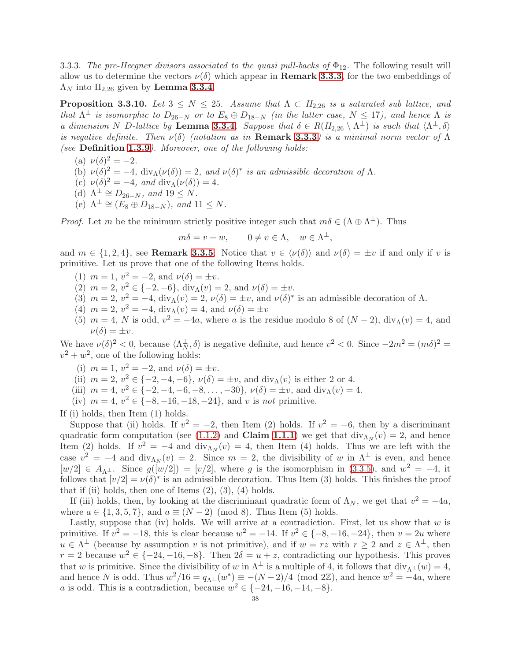3.3.3. The pre-Heegner divisors associated to the quasi pull-backs of  $\Phi_{12}$ . The following result will allow us to determine the vectors  $\nu(\delta)$  which appear in **Remark [3.3.3](#page-34-4)**, for the two embeddings of  $\Lambda_N$  into  $II_{2,26}$  given by Lemma [3.3.4](#page-35-2).

<span id="page-37-0"></span>**Proposition 3.3.10.** Let  $3 \leq N \leq 25$ . Assume that  $\Lambda \subset H_{2,26}$  is a saturated sub lattice, and that  $\Lambda^{\perp}$  is isomorphic to  $D_{26-N}$  or to  $E_8 \oplus D_{18-N}$  (in the latter case,  $N \leq 17$ ), and hence  $\Lambda$  is a dimension N D-lattice by Lemma [3.3.4](#page-35-2). Suppose that  $\delta \in R(H_{2,26} \setminus \Lambda^{\perp})$  is such that  $\langle \Lambda^{\perp}, \delta \rangle$ is negative definite. Then  $\nu(\delta)$  (notation as in **Remark [3.3.3](#page-34-4)**) is a minimal norm vector of  $\Lambda$ (see Definition [1.3.9](#page-12-7)). Moreover, one of the following holds:

(a)  $\nu(\delta)^2 = -2$ .

- (b)  $\nu(\delta)^2 = -4$ ,  $\text{div}_{\Lambda}(\nu(\delta)) = 2$ , and  $\nu(\delta)^*$  is an admissible decoration of  $\Lambda$ .
- (c)  $\nu(\delta)^2 = -4$ , and  $\text{div}_{\Lambda}(\nu(\delta)) = 4$ .
- (d)  $\Lambda^{\perp} \cong D_{26-N}$ , and  $19 \leq N$ .
- (e)  $\Lambda^{\perp} \cong (E_8 \oplus D_{18-N}),$  and  $11 \leq N$ .

*Proof.* Let m be the minimum strictly positive integer such that  $m\delta \in (\Lambda \oplus \Lambda^{\perp})$ . Thus

 $m\delta = v + w, \qquad 0 \neq v \in \Lambda, \quad w \in \Lambda^{\perp},$ 

and  $m \in \{1, 2, 4\}$ , see **Remark [3.3.5](#page-35-3)**. Notice that  $v \in \langle \nu(\delta) \rangle$  and  $\nu(\delta) = \pm v$  if and only if v is primitive. Let us prove that one of the following Items holds.

- (1)  $m = 1$ ,  $v^2 = -2$ , and  $v(\delta) = \pm v$ .
- (2)  $m = 2, v^2 \in \{-2, -6\}, \text{div}_{\Lambda}(v) = 2, \text{ and } \nu(\delta) = \pm v.$
- (3)  $m = 2$ ,  $v^2 = -4$ ,  $\text{div}_{\Lambda}(v) = 2$ ,  $\nu(\delta) = \pm v$ , and  $\nu(\delta)^*$  is an admissible decoration of  $\Lambda$ .
- (4)  $m = 2, v^2 = -4, \text{div}_{\Lambda}(v) = 4, \text{ and } \nu(\delta) = \pm v$
- (5)  $m = 4$ , N is odd,  $v^2 = -4a$ , where a is the residue modulo 8 of  $(N 2)$ ,  $div_A(v) = 4$ , and  $\nu(\delta) = \pm v.$

We have  $\nu(\delta)^2 < 0$ , because  $\langle \Lambda_N^{\perp}, \delta \rangle$  is negative definite, and hence  $v^2 < 0$ . Since  $-2m^2 = (m\delta)^2 =$  $v^2 + w^2$ , one of the following holds:

- (i)  $m = 1, v^2 = -2, \text{ and } \nu(\delta) = \pm v.$
- (ii)  $m = 2, v^2 \in \{-2, -4, -6\}, v(\delta) = \pm v$ , and  $\text{div}_{\Lambda}(v)$  is either 2 or 4.
- (iii)  $m = 4, v^2 \in \{-2, -4, -6, -8, \dots, -30\}, \nu(\delta) = \pm v$ , and  $\text{div}_{\Lambda}(v) = 4$ .
- (iv)  $m = 4$ ,  $v^2 \in \{-8, -16, -18, -24\}$ , and v is not primitive.

If (i) holds, then Item (1) holds.

Suppose that (ii) holds. If  $v^2 = -2$ , then Item (2) holds. If  $v^2 = -6$ , then by a discriminant quadratic form computation (see [\(1.1.2\)](#page-7-1) and **Claim [1.1.1](#page-7-7)**) we get that  $div_{\Lambda_N}(v) = 2$ , and hence Item (2) holds. If  $v^2 = -4$  and  $\text{div}_{\Lambda_N}(v) = 4$ , then Item (4) holds. Thus we are left with the case  $v^2 = -4$  and  $\text{div}_{\Lambda_N}(v) = 2$ . Since  $m = 2$ , the divisibility of w in  $\Lambda^{\perp}$  is even, and hence  $[w/2] \in A_{\Lambda^{\perp}}$ . Since  $g([w/2]) = [v/2]$ , where g is the isomorphism in [\(3.3.5\)](#page-35-1), and  $w^2 = -4$ , it follows that  $[v/2] = v(\delta)^*$  is an admissible decoration. Thus Item (3) holds. This finishes the proof that if (ii) holds, then one of Items  $(2)$ ,  $(3)$ ,  $(4)$  holds.

If (iii) holds, then, by looking at the discriminant quadratic form of  $\Lambda_N$ , we get that  $v^2 = -4a$ , where  $a \in \{1, 3, 5, 7\}$ , and  $a \equiv (N-2) \pmod{8}$ . Thus Item (5) holds.

Lastly, suppose that (iv) holds. We will arrive at a contradiction. First, let us show that  $w$  is primitive. If  $v^2 = -18$ , this is clear because  $w^2 = -14$ . If  $v^2 \in \{-8, -16, -24\}$ , then  $v = 2u$  where  $u \in \Lambda^{\perp}$  (because by assumption v is not primitive), and if  $w = rz$  with  $r \geq 2$  and  $z \in \Lambda^{\perp}$ , then  $r = 2$  because  $w^2 \in \{-24, -16, -8\}$ . Then  $2\delta = u + z$ , contradicting our hypothesis. This proves that w is primitive. Since the divisibility of w in  $\Lambda^{\perp}$  is a multiple of 4, it follows that  $\text{div}_{\Lambda^{\perp}}(w) = 4$ , and hence N is odd. Thus  $w^2/16 = q_{\Lambda^{\perp}}(w^*) \equiv -(N-2)/4 \pmod{2\mathbb{Z}}$ , and hence  $w^2 = -4a$ , where a is odd. This is a contradiction, because  $w^2 \in \{-24, -16, -14, -8\}.$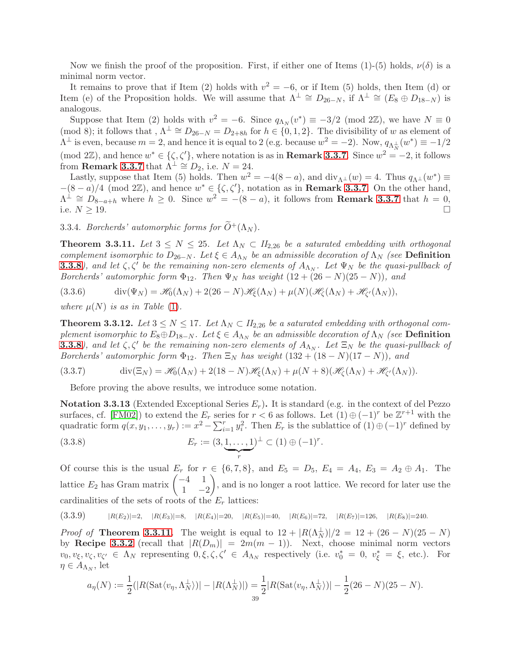Now we finish the proof of the proposition. First, if either one of Items (1)-(5) holds,  $\nu(\delta)$  is a minimal norm vector.

It remains to prove that if Item (2) holds with  $v^2 = -6$ , or if Item (5) holds, then Item (d) or Item (e) of the Proposition holds. We will assume that  $\Lambda^{\perp} \cong D_{26-N}$ , if  $\Lambda^{\perp} \cong (E_8 \oplus D_{18-N})$  is analogous.

Suppose that Item (2) holds with  $v^2 = -6$ . Since  $q_{\Lambda_N}(v^*) \equiv -3/2 \pmod{2\mathbb{Z}}$ , we have  $N \equiv 0$ (mod 8); it follows that ,  $\Lambda^{\perp} \cong D_{26-N} = D_{2+8h}$  for  $h \in \{0,1,2\}$ . The divisibility of w as element of  $\Lambda^{\perp}$  is even, because  $m=2$ , and hence it is equal to 2 (e.g. because  $w^2=-2$ ). Now,  $q_{\Lambda_N^{\perp}}(w^*)\equiv -1/2$ (mod 2Z), and hence  $w^* \in \{\zeta, \zeta'\}$ , where notation is as in **Remark [3.3.7](#page-36-0)**. Since  $w^2 = -2$ , it follows from **Remark [3.3.7](#page-36-0)** that  $\Lambda^{\perp} \cong D_2$ , i.e.  $N = 24$ .

Lastly, suppose that Item (5) holds. Then  $w^2 = -4(8 - a)$ , and  $\text{div}_{\Lambda} (w) = 4$ . Thus  $q_{\Lambda} (w^*) \equiv$  $-(8-a)/4$  (mod 2 $\mathbb{Z}$ ), and hence  $w^* \in \{\zeta, \zeta'\}$ , notation as in **Remark [3.3.7](#page-36-0)**. On the other hand,  $\Lambda^{\perp} \cong D_{8-a+h}$  where  $h \geq 0$ . Since  $w^2 = -(8-a)$ , it follows from **Remark [3.3.7](#page-36-0)** that  $h = 0$ , i.e.  $N \geq 19$ .

3.3.4. Borcherds' automorphic forms for  $\widetilde{O}^+(\Lambda_N)$ .

<span id="page-38-0"></span>**Theorem 3.3.11.** Let  $3 \leq N \leq 25$ . Let  $\Lambda_N \subset H_{2,26}$  be a saturated embedding with orthogonal complement isomorphic to  $D_{26-N}$ . Let  $\xi \in A_{\Lambda_N}$  be an admissible decoration of  $\Lambda_N$  (see **Definition [3.3.8](#page-36-1)**), and let  $\zeta$ ,  $\zeta'$  be the remaining non-zero elements of  $A_{\Lambda_N}$ . Let  $\Psi_N$  be the quasi-pullback of Borcherds' automorphic form  $\Phi_{12}$ . Then  $\Psi_N$  has weight  $(12 + (26 - N)(25 - N))$ , and

<span id="page-38-3"></span>(3.3.6) 
$$
\operatorname{div}(\Psi_N) = \mathscr{H}_0(\Lambda_N) + 2(26-N)\mathscr{H}_\xi(\Lambda_N) + \mu(N)(\mathscr{H}_\xi(\Lambda_N) + \mathscr{H}_{\xi'}(\Lambda_N)),
$$

where  $\mu(N)$  is as in Table [\(1\)](#page-30-3).

<span id="page-38-2"></span>**Theorem 3.3.12.** Let  $3 \leq N \leq 17$ . Let  $\Lambda_N \subset H_{2,26}$  be a saturated embedding with orthogonal complement isomorphic to  $E_8 \oplus D_{18-N}$ . Let  $\xi \in A_{\Lambda_N}$  be an admissible decoration of  $\Lambda_N$  (see **Definition [3.3.8](#page-36-1)**), and let  $\zeta$ ,  $\zeta'$  be the remaining non-zero elements of  $A_{\Lambda_N}$ . Let  $\Xi_N$  be the quasi-pullback of Borcherds' automorphic form  $\Phi_{12}$ . Then  $\Xi_N$  has weight  $(132 + (18 - N)(17 - N))$ , and

(3.3.7) 
$$
\operatorname{div}(\Xi_N) = \mathscr{H}_0(\Lambda_N) + 2(18 - N)\mathscr{H}_\xi(\Lambda_N) + \mu(N+8)(\mathscr{H}_\zeta(\Lambda_N) + \mathscr{H}_{\zeta'}(\Lambda_N)).
$$

Before proving the above results, we introduce some notation.

Notation 3.3.13 (Extended Exceptional Series  $E_r$ ). It is standard (e.g. in the context of del Pezzo surfaces, cf. [\[FM02\]](#page-60-20)) to extend the  $E_r$  series for  $r < 6$  as follows. Let  $(1) \oplus (-1)^r$  be  $\mathbb{Z}^{r+1}$  with the quadratic form  $q(x, y_1, \ldots, y_r) := x^2 - \sum_{i=1}^r y_i^2$ . Then  $E_r$  is the sublattice of  $(1) \oplus (-1)^r$  defined by

(3.3.8) 
$$
E_r := (3, \underbrace{1, \ldots, 1}_{r})^{\perp} \subset (1) \oplus (-1)^{r}.
$$

Of course this is the usual  $E_r$  for  $r \in \{6, 7, 8\}$ , and  $E_5 = D_5$ ,  $E_4 = A_4$ ,  $E_3 = A_2 \oplus A_1$ . The lattice  $E_2$  has Gram matrix  $\begin{pmatrix} -4 & 1 \\ 1 & 0 \end{pmatrix}$  $1 -2$  $\setminus$ , and is no longer a root lattice. We record for later use the cardinalities of the sets of roots of the  $E_r$  lattices:

<span id="page-38-1"></span>
$$
(3.3.9) \qquad |R(E_2)|=2, \quad |R(E_3)|=8, \quad |R(E_4)|=20, \quad |R(E_5)|=40, \quad |R(E_6)|=72, \quad |R(E_7)|=126, \quad |R(E_8)|=240.
$$

*Proof of* **Theorem [3.3.11](#page-38-0)**. The weight is equal to  $12 + |R(\Lambda_N^{\perp})|/2 = 12 + (26 - N)(25 - N)$ by Recipe [3.3.2](#page-34-5) (recall that  $|R(D_m)| = 2m(m-1)$ ). Next, choose minimal norm vectors  $v_0, v_{\xi}, v_{\zeta}, v_{\zeta'} \in \Lambda_N$  representing  $0, \xi, \zeta, \zeta' \in A_{\Lambda_N}$  respectively (i.e.  $v_0^* = 0, v_{\xi}^* = \xi$ , etc.). For  $\eta \in A_{\Lambda_N}$ , let

$$
a_{\eta}(N):=\frac{1}{2}(|R(\mathrm{Sat}\langle v_{\eta},\Lambda_{N}^{\perp}\rangle)|-|R(\Lambda_{N}^{\perp})|)=\frac{1}{2}|R(\mathrm{Sat}\langle v_{\eta},\Lambda_{N}^{\perp}\rangle)|-\frac{1}{2}(26-N)(25-N).
$$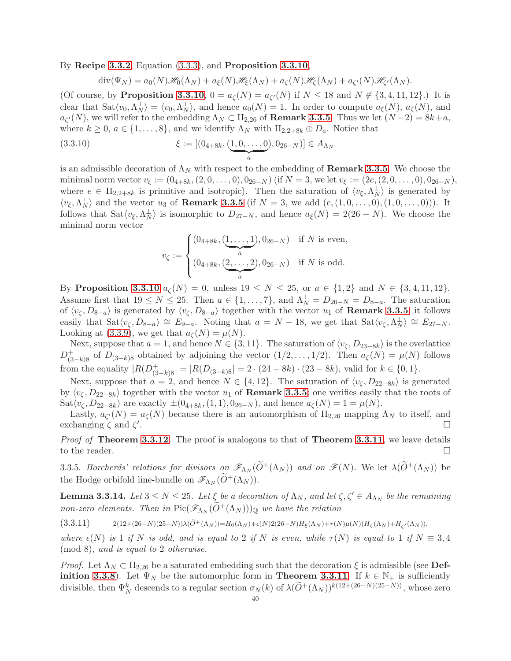By Recipe [3.3.2](#page-34-5), Equation [\(3.3.3\)](#page-34-2), and Proposition [3.3.10](#page-37-0),

$$
\operatorname{div}(\Psi_N) = a_0(N)\mathcal{H}_0(\Lambda_N) + a_{\xi}(N)\mathcal{H}_{\xi}(\Lambda_N) + a_{\zeta}(N)\mathcal{H}_{\zeta}(\Lambda_N) + a_{\zeta'}(N)\mathcal{H}_{\zeta'}(\Lambda_N).
$$

(Of course, by **Proposition [3.3.10](#page-37-0)**,  $0 = a_{\zeta}(N) = a_{\zeta'}(N)$  if  $N \le 18$  and  $N \notin \{3, 4, 11, 12\}$ .) It is clear that  $\text{Sat}\langle v_0, \Lambda_N^{\perp} \rangle = \langle v_0, \Lambda_N^{\perp} \rangle$ , and hence  $a_0(N) = 1$ . In order to compute  $a_{\xi}(N)$ ,  $a_{\zeta}(N)$ , and  $a_{\zeta'}(N)$ , we will refer to the embedding  $\Lambda_N \subset \Pi_{2,26}$  of **Remark [3.3.5](#page-35-3)**. Thus we let  $(N-2) = 8k + a$ , where  $k \geq 0$ ,  $a \in \{1, \ldots, 8\}$ , and we identify  $\Lambda_N$  with  $\text{II}_{2,2+8k} \oplus D_a$ . Notice that

$$
(3.3.10) \t\t \xi := [(0_{4+8k}, (\underbrace{1,0,\ldots,0}_{a}), 0_{26-N})] \in A_{\Lambda_N}
$$

is an admissible decoration of  $\Lambda_N$  with respect to the embedding of **Remark [3.3.5](#page-35-3)**. We choose the minimal norm vector  $v_{\xi} := (0_{4+8k}, (2, 0, \ldots, 0), 0_{26-N})$  (if  $N = 3$ , we let  $v_{\xi} := (2e, (2, 0, \ldots, 0), 0_{26-N})$ , where  $e \in \Pi_{2,2+8k}$  is primitive and isotropic). Then the saturation of  $\langle v_{\xi}, \Lambda_N^{\perp} \rangle$  is generated by  $\langle v_{\xi}, \Lambda_N^{\perp} \rangle$  and the vector  $u_3$  of **Remark [3.3.5](#page-35-3)** (if  $N = 3$ , we add  $(e, (1, 0, \ldots, 0), (1, 0, \ldots, 0)))$ . It follows that  $\text{Sat}\langle v_{\xi}, \Lambda_N^{\perp} \rangle$  is isomorphic to  $D_{27-N}$ , and hence  $a_{\xi}(N) = 2(26-N)$ . We choose the minimal norm vector

$$
v_{\zeta} := \begin{cases} (0_{4+8k}, \underbrace{(1, \ldots, 1)}_{a}, 0_{26-N}) & \text{if } N \text{ is even,} \\ (0_{4+8k}, \underbrace{(2, \ldots, 2)}_{a}, 0_{26-N}) & \text{if } N \text{ is odd.} \end{cases}
$$

By Proposition [3.3.10](#page-37-0)  $a_{\zeta}(N) = 0$ , unless  $19 \le N \le 25$ , or  $a \in \{1,2\}$  and  $N \in \{3,4,11,12\}$ . Assume first that  $19 \le N \le 25$ . Then  $a \in \{1, ..., 7\}$ , and  $\Lambda_N^{\perp} = D_{26-N} = D_{8-a}$ . The saturation of  $\langle v_\zeta, D_{8-a} \rangle$  is generated by  $\langle v_\zeta, D_{8-a} \rangle$  together with the vector  $u_1$  of **Remark [3.3.5](#page-35-3)**; it follows easily that  $\text{Sat}\langle v_{\zeta}, D_{8-a}\rangle \cong E_{9-a}$ . Noting that  $a = N - 18$ , we get that  $\text{Sat}\langle v_{\zeta}, \Lambda_N^{\perp} \rangle \cong E_{27-N}$ . Looking at [\(3.3.9\)](#page-38-1), we get that  $a_{\zeta}(N) = \mu(N)$ .

Next, suppose that  $a = 1$ , and hence  $N \in \{3, 11\}$ . The saturation of  $\langle v_{\zeta}, D_{23-8k} \rangle$  is the overlattice  $D_{(3-k)8}^+$  of  $D_{(3-k)8}$  obtained by adjoining the vector  $(1/2,\ldots,1/2)$ . Then  $a_{\zeta}(N) = \mu(N)$  follows from the equality  $|R(D^+_{(3-k)8}| = |R(D_{(3-k)8}| = 2 \cdot (24 - 8k) \cdot (23 - 8k)$ , valid for  $k \in \{0, 1\}$ .

Next, suppose that  $a = 2$ , and hence  $N \in \{4, 12\}$ . The saturation of  $\langle v_{\zeta}, D_{22-8k} \rangle$  is generated by  $\langle v_\zeta, D_{22-8k} \rangle$  together with the vector  $u_1$  of **Remark [3.3.5](#page-35-3)**; one verifies easily that the roots of  $\text{Sat}\langle v_{\zeta}, D_{22-8k} \rangle$  are exactly  $\pm (0_{4+8k},(1,1), 0_{26-N})$ , and hence  $a_{\zeta}(N) = 1 = \mu(N)$ .

Lastly,  $a_{\zeta'}(N) = a_{\zeta}(N)$  because there is an automorphism of  $\mathrm{II}_{2,26}$  mapping  $\Lambda_N$  to itself, and exchanging  $\zeta$  and  $\zeta'$ .

*Proof of* Theorem [3.3.12](#page-38-2). The proof is analogous to that of Theorem [3.3.11](#page-38-0), we leave details to the reader.  $\Box$ 

3.3.5. Borcherds' relations for divisors on  $\mathscr{F}_{\Lambda_N}(\widetilde{O}^+(\Lambda_N))$  and on  $\mathscr{F}(N)$ . We let  $\lambda(\widetilde{O}^+(\Lambda_N))$  be the Hodge orbifold line-bundle on  $\mathscr{F}_{\Lambda_N}(\widetilde{O}^+(\Lambda_N)).$ 

<span id="page-39-1"></span>**Lemma 3.3.14.** Let  $3 \leq N \leq 25$ . Let  $\xi$  be a decoration of  $\Lambda_N$ , and let  $\zeta, \zeta' \in A_{\Lambda_N}$  be the remaining non-zero elements. Then in  $Pic(\mathscr{F}_{\Lambda_N}(\widetilde{O}^+(\Lambda_N)))_\mathbb{Q}$  we have the relation

<span id="page-39-0"></span> $(3.3.11)$  2(12+(26−N)(25−N))λ( $\tilde{O}^+(\Lambda_N)$ )=H<sub>0</sub>( $\Lambda_N$ )+ $\epsilon(N)$ 2(26−N)H<sub>ξ</sub>( $\Lambda_N$ )+ $\tau(N)\mu(N)(H_\zeta(\Lambda_N)+H_{\zeta'}(\Lambda_N))$ ,

where  $\epsilon(N)$  is 1 if N is odd, and is equal to 2 if N is even, while  $\tau(N)$  is equal to 1 if  $N \equiv 3, 4$ (mod 8), and is equal to 2 otherwise.

*Proof.* Let  $\Lambda_N \subset \Pi_{2,26}$  be a saturated embedding such that the decoration  $\xi$  is admissible (see Def-**inition [3.3.8](#page-36-1)**). Let  $\Psi_N$  be the automorphic form in **Theorem [3.3.11](#page-38-0)**. If  $k \in \mathbb{N}_+$  is sufficiently divisible, then  $\Psi_N^k$  descends to a regular section  $\sigma_N(k)$  of  $\lambda(\widetilde{O}^+(\Lambda_N))^{k(12+(26-N)(25-N))}$ , whose zero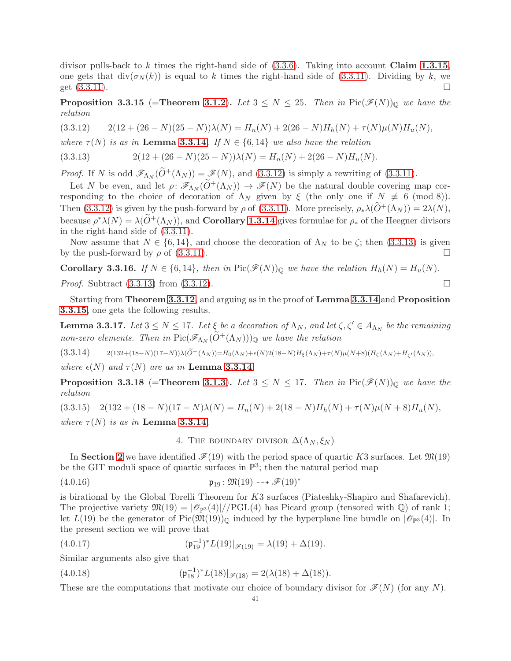divisor pulls-back to k times the right-hand side of  $(3.3.6)$ . Taking into account Claim [1.3.15](#page-12-8), one gets that  $div(\sigma_N(k))$  is equal to k times the right-hand side of [\(3.3.11\)](#page-39-0). Dividing by k, we get  $(3.3.11)$ .

<span id="page-40-3"></span>**Proposition 3.3.15** (=Theorem [3.1.2](#page-31-1)). Let  $3 \leq N \leq 25$ . Then in Pic $(\mathscr{F}(N))_0$  we have the relation

<span id="page-40-1"></span> $(3.3.12)$   $2(12 + (26 - N)(25 - N))\lambda(N) = H_n(N) + 2(26 - N)H_n(N) + \tau(N)\mu(N)H_n(N),$ 

where  $\tau(N)$  is as in Lemma [3.3.14](#page-39-1). If  $N \in \{6, 14\}$  we also have the relation

<span id="page-40-2"></span>
$$
(3.3.13) \t2(12 + (26 - N)(25 - N))\lambda(N) = H_n(N) + 2(26 - N)H_u(N).
$$

*Proof.* If N is odd  $\mathscr{F}_{\Lambda_N}(\tilde{O}^+(\Lambda_N)) = \mathscr{F}(N)$ , and [\(3.3.12\)](#page-40-1) is simply a rewriting of [\(3.3.11\)](#page-39-0).

Let N be even, and let  $\rho: \mathscr{F}_{\Lambda_N}(\widetilde{O}^+(\Lambda_N)) \to \mathscr{F}(N)$  be the natural double covering map corresponding to the choice of decoration of  $\Lambda_N$  given by  $\xi$  (the only one if  $N \neq 6 \pmod{8}$ ). Then [\(3.3.12\)](#page-40-1) is given by the push-forward by  $\rho$  of [\(3.3.11\)](#page-39-0). More precisely,  $\rho_*\lambda(O^+(\Lambda_N)) = 2\lambda(N)$ , because  $\rho^*\lambda(N) = \lambda(\widetilde{O}^+(\Lambda_N))$ , and **Corollary [1.3.14](#page-12-5)** gives formulae for  $\rho_*$  of the Heegner divisors in the right-hand side of [\(3.3.11\)](#page-39-0).

Now assume that  $N \in \{6, 14\}$ , and choose the decoration of  $\Lambda_N$  to be  $\zeta$ ; then  $(3.3.13)$  is given by the push-forward by  $\rho$  of [\(3.3.11\)](#page-39-0).

**Corollary 3.3.16.** If  $N \in \{6, 14\}$ , then in Pic $(\mathscr{F}(N))_{\mathbb{Q}}$  we have the relation  $H_h(N) = H_u(N)$ .

*Proof.* Subtract  $(3.3.13)$  from  $(3.3.12)$ .

Starting from Theorem [3.3.12](#page-38-2), and arguing as in the proof of Lemma [3.3.14](#page-39-1) and Proposition [3.3.15](#page-40-3), one gets the following results.

**Lemma 3.3.17.** Let  $3 \leq N \leq 17$ . Let  $\xi$  be a decoration of  $\Lambda_N$ , and let  $\zeta, \zeta' \in A_{\Lambda_N}$  be the remaining non-zero elements. Then in  $Pic(\mathscr{F}_{\Lambda_N}(\widetilde{O}^+(\Lambda_N)))_\mathbb{Q}$  we have the relation

 $(3.3.14)$  2(132+(18−N)(17−N))λ( $\tilde{O}^+(\Lambda_N)$ )=H<sub>0</sub>( $\Lambda_N$ )+ $\epsilon(N)$ 2(18−N)H<sub>ξ</sub>( $\Lambda_N$ )+ $\tau(N)\mu(N+8)(H_\zeta(\Lambda_N)+H_{\zeta'}(\Lambda_N))$ ,

where  $\epsilon(N)$  and  $\tau(N)$  are as in **Lemma [3.3.14](#page-39-1)**.

**Proposition 3.3.18** (=Theorem [3.1.3](#page-31-2)). Let  $3 \leq N \leq 17$ . Then in Pic $(\mathscr{F}(N))_0$  we have the relation

<span id="page-40-0"></span> $(3.3.15)$   $2(132 + (18 - N)(17 - N)\lambda(N) = H_n(N) + 2(18 - N)H_n(N) + \tau(N)\mu(N+8)H_n(N),$ where  $\tau(N)$  is as in Lemma [3.3.14](#page-39-1).

<span id="page-40-4"></span>4. THE BOUNDARY DIVISOR  $\Delta(\Lambda_N, \xi_N)$ 

In Section [2](#page-25-0) we have identified  $\mathcal{F}(19)$  with the period space of quartic K3 surfaces. Let  $\mathfrak{M}(19)$ be the GIT moduli space of quartic surfaces in  $\mathbb{P}^3$ ; then the natural period map

$$
(4.0.16) \quad \mathfrak{p}_{19} \colon \mathfrak{M}(19) \dashrightarrow \mathscr{F}(19)^*
$$

is birational by the Global Torelli Theorem for K3 surfaces (Piateshky-Shapiro and Shafarevich). The projective variety  $\mathfrak{M}(19) = |\mathcal{O}_{\mathbb{P}^3}(4)|/PGL(4)$  has Picard group (tensored with Q) of rank 1; let  $L(19)$  be the generator of Pic $(\mathfrak{M}(19))_{\mathbb{Q}}$  induced by the hyperplane line bundle on  $|\mathscr{O}_{\mathbb{P}^3}(4)|$ . In the present section we will prove that

(4.0.17) 
$$
(\mathfrak{p}_{19}^{-1})^* L(19)|_{\mathscr{F}(19)} = \lambda(19) + \Delta(19).
$$

Similar arguments also give that

<span id="page-40-5"></span>(4.0.18) 
$$
(\mathfrak{p}_{18}^{-1})^* L(18)|_{\mathscr{F}(18)} = 2(\lambda(18) + \Delta(18)).
$$

These are the computations that motivate our choice of boundary divisor for  $\mathscr{F}(N)$  (for any N).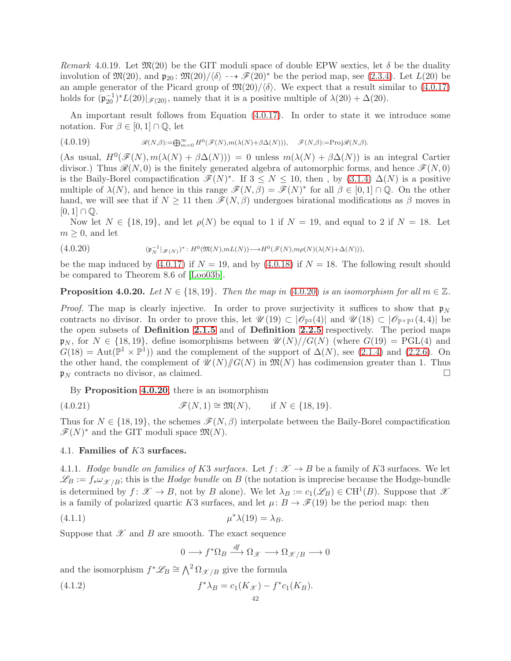Remark 4.0.19. Let  $\mathfrak{M}(20)$  be the GIT moduli space of double EPW sextics, let  $\delta$  be the duality involution of  $\mathfrak{M}(20)$ , and  $\mathfrak{p}_{20}$ :  $\mathfrak{M}(20)/\langle\delta\rangle \rightarrow$   $\mathcal{F}(20)^{*}$  be the period map, see [\(2.3.4\)](#page-29-0). Let  $L(20)$  be an ample generator of the Picard group of  $\mathfrak{M}(20)/\langle \delta \rangle$ . We expect that a result similar to [\(4.0.17\)](#page-40-4) holds for  $(\mathfrak{p}_{20}^{-1})^*L(20)|_{\mathscr{F}(20)}$ , namely that it is a positive multiple of  $\lambda(20) + \Delta(20)$ .

An important result follows from Equation [\(4.0.17\)](#page-40-4). In order to state it we introduce some notation. For  $\beta \in [0,1] \cap \mathbb{Q}$ , let

$$
(4.0.19) \t\t \mathscr{R}(N,\beta) := \bigoplus_{m=0}^{\infty} H^0(\mathscr{F}(N),m(\lambda(N)+\beta\Delta(N))), \t \mathscr{F}(N,\beta) := \text{Proj}\mathscr{R}(N,\beta).
$$

(As usual,  $H^0(\mathscr{F}(N), m(\lambda(N) + \beta \Delta(N))) = 0$  unless  $m(\lambda(N) + \beta \Delta(N))$  is an integral Cartier divisor.) Thus  $\mathcal{R}(N, 0)$  is the finitely generated algebra of automorphic forms, and hence  $\mathcal{F}(N, 0)$ is the Baily-Borel compactification  $\mathscr{F}(N)^*$ . If  $3 \leq N \leq 10$ , then, by  $(3.1.4) \Delta(N)$  is a positive multiple of  $\lambda(N)$ , and hence in this range  $\mathscr{F}(N,\beta) = \mathscr{F}(N)^*$  for all  $\beta \in [0,1] \cap \mathbb{Q}$ . On the other hand, we will see that if  $N \geq 11$  then  $\mathscr{F}(N,\beta)$  undergoes birational modifications as  $\beta$  moves in  $[0, 1] \cap \mathbb{Q}$ .

Now let  $N \in \{18, 19\}$ , and let  $\rho(N)$  be equal to 1 if  $N = 19$ , and equal to 2 if  $N = 18$ . Let  $m \geq 0$ , and let

<span id="page-41-0"></span>(4.0.20) (p −1 <sup>N</sup> |F(N) ) ∗ : H<sup>0</sup> (M(N),mL(N))−→H<sup>0</sup> (F(N),mρ(N)(λ(N)+∆(N))),

be the map induced by  $(4.0.17)$  if  $N = 19$ , and by  $(4.0.18)$  if  $N = 18$ . The following result should be compared to Theorem 8.6 of [\[Loo03b\]](#page-61-3).

<span id="page-41-1"></span>**Proposition 4.0.20.** Let  $N \in \{18, 19\}$ . Then the map in [\(4.0.20\)](#page-41-0) is an isomorphism for all  $m \in \mathbb{Z}$ .

*Proof.* The map is clearly injective. In order to prove surjectivity it suffices to show that  $p_N$ contracts no divisor. In order to prove this, let  $\mathscr{U}(19) \subset |\mathscr{O}_{\mathbb{P}^3}(4)|$  and  $\mathscr{U}(18) \subset |\mathscr{O}_{\mathbb{P}^{\times} \mathbb{P}^1}(4,4)|$  be the open subsets of Definition [2.1.5](#page-26-4) and of Definition [2.2.5](#page-28-1) respectively. The period maps  $\mathfrak{p}_N$ , for  $N \in \{18, 19\}$ , define isomorphisms between  $\mathcal{U}(N)/\sqrt{G(N)}$  (where  $G(19) = \text{PGL}(4)$  and  $G(18) = \text{Aut}(\mathbb{P}^1 \times \mathbb{P}^1)$  and the complement of the support of  $\Delta(N)$ , see [\(2.1.4\)](#page-26-5) and [\(2.2.6\)](#page-28-2). On the other hand, the complement of  $\mathcal{U}(N)/\mathcal{G}(N)$  in  $\mathfrak{M}(N)$  has codimension greater than 1. Thus  $\mathfrak{p}_N$  contracts no divisor, as claimed.

By Proposition [4.0.20](#page-41-1), there is an isomorphism

(4.0.21) 
$$
\mathscr{F}(N,1) \cong \mathfrak{M}(N), \quad \text{if } N \in \{18,19\}.
$$

Thus for  $N \in \{18, 19\}$ , the schemes  $\mathscr{F}(N, \beta)$  interpolate between the Baily-Borel compactification  $\mathscr{F}(N)^*$  and the GIT moduli space  $\mathfrak{M}(N)$ .

## 4.1. Families of K3 surfaces.

4.1.1. Hodge bundle on families of K3 surfaces. Let  $f: \mathscr{X} \to B$  be a family of K3 surfaces. We let  $\mathscr{L}_B := f_* \omega_{\mathscr{X}/B}$ ; this is the *Hodge bundle* on B (the notation is imprecise because the Hodge-bundle is determined by  $f: \mathscr{X} \to B$ , not by B alone). We let  $\lambda_B := c_1(\mathscr{L}_B) \in \mathrm{CH}^1(B)$ . Suppose that  $\mathscr{X}$ is a family of polarized quartic K3 surfaces, and let  $\mu: B \to \mathscr{F}(19)$  be the period map: then

$$
\mu^* \lambda(19) = \lambda_B.
$$

Suppose that  $\mathscr X$  and  $B$  are smooth. The exact sequence

<span id="page-41-2"></span>
$$
0 \longrightarrow f^* \Omega_B \xrightarrow{df} \Omega_{\mathcal{X}} \longrightarrow \Omega_{\mathcal{X}/B} \longrightarrow 0
$$

and the isomorphism  $f^* \mathscr{L}_B \cong \bigwedge^2 \Omega_{\mathscr{X}/B}$  give the formula

(4.1.2) 
$$
f^*\lambda_B = c_1(K_{\mathcal{X}}) - f^*c_1(K_B).
$$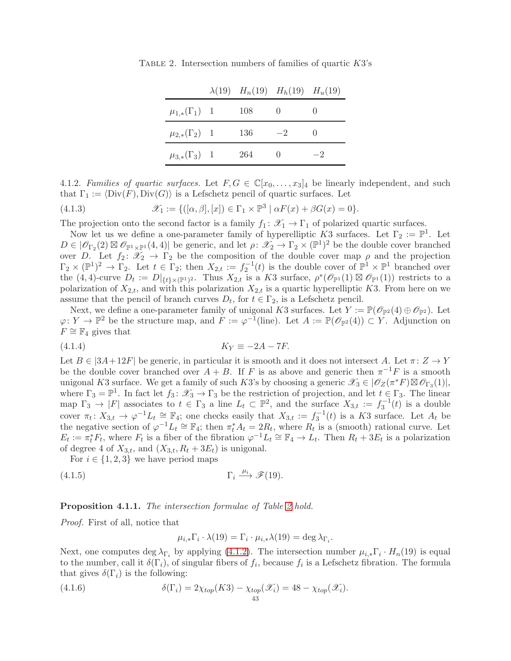<span id="page-42-0"></span>

|                         |     | $\lambda(19)$ $H_n(19)$ $H_h(19)$ $H_u(19)$ |      |
|-------------------------|-----|---------------------------------------------|------|
| $\mu_{1,*}(\Gamma_1)$ 1 | 108 |                                             |      |
| $\mu_{2,*}(\Gamma_2)$ 1 | 136 | $-2$                                        |      |
| $\mu_{3,*}(\Gamma_3)$ 1 | 264 |                                             | $-2$ |

TABLE 2. Intersection numbers of families of quartic  $K3$ 's

<span id="page-42-1"></span>4.1.2. Families of quartic surfaces. Let  $F, G \in \mathbb{C}[x_0, \ldots, x_3]_4$  be linearly independent, and such that  $\Gamma_1 := \langle \text{Div}(F), \text{Div}(G) \rangle$  is a Lefschetz pencil of quartic surfaces. Let

(4.1.3) 
$$
\mathscr{X}_1 := \{ ([\alpha, \beta], [x]) \in \Gamma_1 \times \mathbb{P}^3 \mid \alpha F(x) + \beta G(x) = 0 \}.
$$

The projection onto the second factor is a family  $f_1: \mathscr{X}_1 \to \Gamma_1$  of polarized quartic surfaces.

Now let us we define a one-parameter family of hyperelliptic K3 surfaces. Let  $\Gamma_2 := \mathbb{P}^1$ . Let  $D \in | \mathscr{O}_{\Gamma_2}(2) \boxtimes \mathscr{O}_{\mathbb{P}^1 \times \mathbb{P}^1}(4,4)|$  be generic, and let  $\rho \colon \mathscr{X}_2 \to \Gamma_2 \times (\mathbb{P}^1)^2$  be the double cover branched over D. Let  $f_2 \colon \mathscr{X}_2 \to \Gamma_2$  be the composition of the double cover map  $\rho$  and the projection  $\Gamma_2 \times (\mathbb{P}^1)^2 \to \Gamma_2$ . Let  $t \in \Gamma_2$ ; then  $X_{2,t} := f_2^{-1}(t)$  is the double cover of  $\mathbb{P}^1 \times \mathbb{P}^1$  branched over the  $(4,4)$ -curve  $D_t := D|_{\{t\}\times(\mathbb{P}^1)^2}$ . Thus  $X_{2,t}$  is a K3 surface,  $\rho^*(\mathscr{O}_{\mathbb{P}^1}(1) \boxtimes \mathscr{O}_{\mathbb{P}^1}(1))$  restricts to a polarization of  $X_{2,t}$ , and with this polarization  $X_{2,t}$  is a quartic hyperelliptic K3. From here on we assume that the pencil of branch curves  $D_t$ , for  $t \in \Gamma_2$ , is a Lefschetz pencil.

Next, we define a one-parameter family of unigonal K3 surfaces. Let  $Y := \mathbb{P}(\mathcal{O}_{\mathbb{P}^2}(4) \oplus \mathcal{O}_{\mathbb{P}^2})$ . Let  $\varphi \colon Y \to \mathbb{P}^2$  be the structure map, and  $F := \varphi^{-1}(\text{line})$ . Let  $A := \mathbb{P}(\mathscr{O}_{\mathbb{P}^2}(4)) \subset Y$ . Adjunction on  $F \cong \mathbb{F}_4$  gives that

$$
(4.1.4) \t\t KY \equiv -2A - 7F.
$$

Let  $B \in |3A+12F|$  be generic, in particular it is smooth and it does not intersect A. Let  $\pi: Z \to Y$ be the double cover branched over  $A + B$ . If F is as above and generic then  $\pi^{-1}F$  is a smooth unigonal K3 surface. We get a family of such K3's by choosing a generic  $\mathscr{X}_3 \in |\mathscr{O}_Z(\pi^*F) \boxtimes \mathscr{O}_{\Gamma_3}(1)|$ , where  $\Gamma_3 = \mathbb{P}^1$ . In fact let  $f_3: \mathscr{X}_3 \to \Gamma_3$  be the restriction of projection, and let  $t \in \Gamma_3$ . The linear map  $\Gamma_3 \to |F|$  associates to  $t \in \Gamma_3$  a line  $L_t \subset \mathbb{P}^2$ , and the surface  $X_{3,t} := f_3^{-1}(t)$  is a double cover  $\pi_t \colon X_{3,t} \to \varphi^{-1} L_t \cong \mathbb{F}_4$ ; one checks easily that  $X_{3,t} := f_3^{-1}(t)$  is a K3 surface. Let  $A_t$  be the negative section of  $\varphi^{-1}L_t \cong \mathbb{F}_4$ ; then  $\pi_t^* A_t = 2R_t$ , where  $R_t$  is a (smooth) rational curve. Let  $E_t := \pi_t^* F_t$ , where  $F_t$  is a fiber of the fibration  $\varphi^{-1} L_t \cong \mathbb{F}_4 \to L_t$ . Then  $R_t + 3E_t$  is a polarization of degree 4 of  $X_{3,t}$ , and  $(X_{3,t}, R_t + 3E_t)$  is unigonal.

For  $i \in \{1, 2, 3\}$  we have period maps

$$
(4.1.5) \t\Gamma_i \xrightarrow{\mu_i} \mathscr{F}(19).
$$

#### **Proposition 4.1.1.** The intersection formulae of Table [2](#page-42-0) hold.

Proof. First of all, notice that

$$
\mu_{i,*} \Gamma_i \cdot \lambda(19) = \Gamma_i \cdot \mu_{i,*} \lambda(19) = \deg \lambda_{\Gamma_i}.
$$

Next, one computes deg  $\lambda_{\Gamma_i}$  by applying [\(4.1.2\)](#page-41-2). The intersection number  $\mu_{i,*}\Gamma_i \cdot H_n(19)$  is equal to the number, call it  $\delta(\Gamma_i)$ , of singular fibers of  $f_i$ , because  $f_i$  is a Lefschetz fibration. The formula that gives  $\delta(\Gamma_i)$  is the following:

(4.1.6) 
$$
\delta(\Gamma_i) = 2\chi_{top}(K3) - \chi_{top}(\mathscr{X}_i) = 48 - \chi_{top}(\mathscr{X}_i).
$$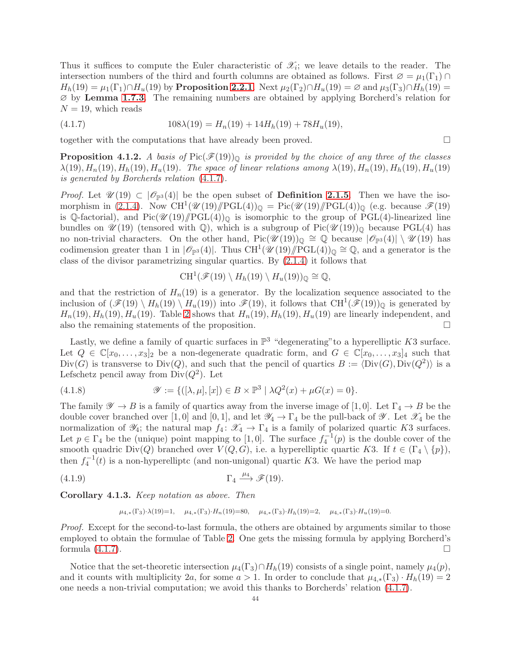Thus it suffices to compute the Euler characteristic of  $\mathscr{X}_i$ ; we leave details to the reader. The intersection numbers of the third and fourth columns are obtained as follows. First  $\varnothing = \mu_1(\Gamma_1) \cap$  $H_h(19) = \mu_1(\Gamma_1) \cap H_u(19)$  by Proposition [2.2.1](#page-26-1). Next  $\mu_2(\Gamma_2) \cap H_u(19) = \emptyset$  and  $\mu_3(\Gamma_3) \cap H_h(19) =$ ∅ by Lemma [1.7.3](#page-23-5). The remaining numbers are obtained by applying Borcherd's relation for  $N = 19$ , which reads

<span id="page-43-0"></span>(4.1.7) 
$$
108\lambda(19) = H_n(19) + 14H_h(19) + 78H_u(19),
$$

together with the computations that have already been proved.

<span id="page-43-1"></span>**Proposition 4.1.2.** A basis of  $Pic(\mathcal{F}(19))_{\Omega}$  is provided by the choice of any three of the classes  $\lambda(19), H_n(19), H_h(19), H_u(19)$ . The space of linear relations among  $\lambda(19), H_n(19), H_h(19), H_u(19)$ is generated by Borcherds relation [\(4.1.7\)](#page-43-0).

*Proof.* Let  $\mathcal{U}(19) \subset |\mathcal{O}_{\mathbb{P}^3}(4)|$  be the open subset of **Definition [2.1.5](#page-26-4)**. Then we have the iso-morphism in [\(2.1.4\)](#page-26-5). Now CH<sup>1</sup>( $\mathcal{U}(19)/PGL(4)$ )<sub>Q</sub> = Pic( $\mathcal{U}(19)/PGL(4)$ )<sub>Q</sub> (e.g. because  $\mathcal{F}(19)$ is Q-factorial), and  $Pic(\mathcal{U}(19)/\!\!/PGL(4))_{\mathbb{Q}}$  is isomorphic to the group of PGL(4)-linearized line bundles on  $\mathscr{U}(19)$  (tensored with Q), which is a subgroup of Pic $(\mathscr{U}(19))_{\mathbb{Q}}$  because PGL(4) has no non-trivial characters. On the other hand,  $Pic(\mathscr{U}(19))_{\mathbb{Q}} \cong \mathbb{Q}$  because  $|\mathscr{O}_{\mathbb{P}^3}(4)| \setminus \mathscr{U}(19)$  has codimension greater than 1 in  $|\mathscr{O}_{\mathbb{P}^3}(4)|$ . Thus  $\text{CH}^1(\mathscr{U}(19)/\text{PGL}(4))_{\mathbb{Q}} \cong \mathbb{Q}$ , and a generator is the class of the divisor parametrizing singular quartics. By [\(2.1.4\)](#page-26-5) it follows that

$$
CH^1(\mathscr{F}(19) \setminus H_h(19) \setminus H_u(19))_{\mathbb{Q}} \cong \mathbb{Q},
$$

and that the restriction of  $H_n(19)$  is a generator. By the localization sequence associated to the inclusion of  $(\mathscr{F}(19) \setminus H_h(19) \setminus H_u(19))$  into  $\mathscr{F}(19)$ , it follows that  $\text{CH}^1(\mathscr{F}(19))_{\mathbb{Q}}$  is generated by  $H_n(19), H_n(19), H_u(19)$ . Table [2](#page-42-0) shows that  $H_n(19), H_n(19), H_u(19)$  are linearly independent, and also the remaining statements of the proposition.  $\Box$ 

Lastly, we define a family of quartic surfaces in  $\mathbb{P}^3$  "degenerating" to a hyperelliptic K3 surface. Let  $Q \in \mathbb{C}[x_0,\ldots,x_3]_2$  be a non-degenerate quadratic form, and  $G \in \mathbb{C}[x_0,\ldots,x_3]_4$  such that  $Div(G)$  is transverse to  $Div(Q)$ , and such that the pencil of quartics  $B := \langle Div(G), Div(Q^2) \rangle$  is a Lefschetz pencil away from  $Div(Q^2)$ . Let

(4.1.8) 
$$
\mathscr{Y} := \{ ([\lambda, \mu], [x]) \in B \times \mathbb{P}^3 \mid \lambda Q^2(x) + \mu G(x) = 0 \}.
$$

The family  $\mathscr{Y} \to B$  is a family of quartics away from the inverse image of [1,0]. Let  $\Gamma_4 \to B$  be the double cover branched over [1,0] and [0,1], and let  $\mathscr{Y}_4 \to \Gamma_4$  be the pull-back of  $\mathscr{Y}$ . Let  $\mathscr{X}_4$  be the normalization of  $\mathscr{Y}_4$ ; the natural map  $f_4: \mathscr{X}_4 \to \Gamma_4$  is a family of polarized quartic K3 surfaces. Let  $p \in \Gamma_4$  be the (unique) point mapping to [1,0]. The surface  $f_4^{-1}(p)$  is the double cover of the smooth quadric Div(Q) branched over  $V(Q, G)$ , i.e. a hyperelliptic quartic K3. If  $t \in (\Gamma_4 \setminus \{p\}),$ then  $f_4^{-1}(t)$  is a non-hyperelliptc (and non-unigonal) quartic K3. We have the period map

$$
(4.1.9) \t\Gamma_4 \xrightarrow{\mu_4} \mathscr{F}(19).
$$

<span id="page-43-2"></span>Corollary 4.1.3. Keep notation as above. Then

$$
\mu_{4,*}(\Gamma_3)\cdot \lambda(19)=1,\quad \mu_{4,*}(\Gamma_3)\cdot H_n(19)=80,\quad \mu_{4,*}(\Gamma_3)\cdot H_h(19)=2,\quad \mu_{4,*}(\Gamma_3)\cdot H_u(19)=0.
$$

Proof. Except for the second-to-last formula, the others are obtained by arguments similar to those employed to obtain the formulae of Table [2.](#page-42-0) One gets the missing formula by applying Borcherd's formula  $(4.1.7)$ .

Notice that the set-theoretic intersection  $\mu_4(\Gamma_3) \cap H_h(19)$  consists of a single point, namely  $\mu_4(p)$ , and it counts with multiplicity 2a, for some  $a > 1$ . In order to conclude that  $\mu_{4,*}(\Gamma_3) \cdot H_h(19) = 2$ one needs a non-trivial computation; we avoid this thanks to Borcherds' relation [\(4.1.7\)](#page-43-0).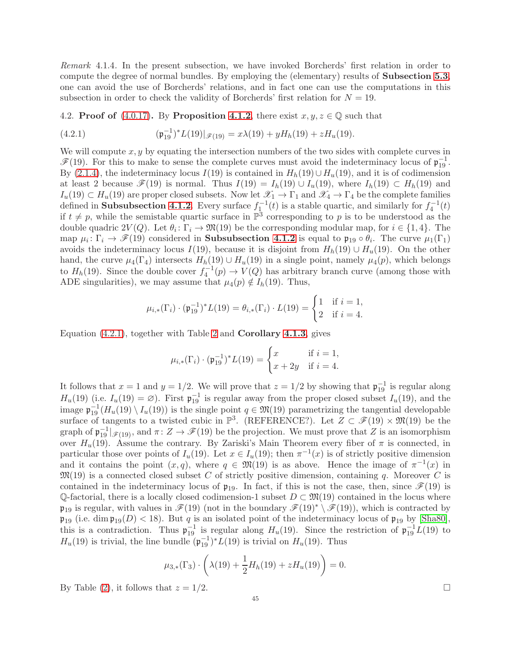Remark 4.1.4. In the present subsection, we have invoked Borcherds' first relation in order to compute the degree of normal bundles. By employing the (elementary) results of Subsection [5.3](#page-54-0), one can avoid the use of Borcherds' relations, and in fact one can use the computations in this subsection in order to check the validity of Borcherds' first relation for  $N = 19$ .

4.2. Proof of [\(4.0.17\)](#page-40-4). By Proposition [4.1.2](#page-43-1), there exist  $x, y, z \in \mathbb{Q}$  such that

<span id="page-44-0"></span>(4.2.1) 
$$
(\mathfrak{p}_{19}^{-1})^*L(19)|_{\mathscr{F}(19)} = x\lambda(19) + yH_h(19) + zH_u(19).
$$

We will compute  $x, y$  by equating the intersection numbers of the two sides with complete curves in  $\mathscr{F}(19)$ . For this to make to sense the complete curves must avoid the indeterminacy locus of  $\mathfrak{p}_{19}^{-1}$ . By [\(2.1.4\)](#page-26-5), the indeterminacy locus  $I(19)$  is contained in  $H_h(19) \cup H_u(19)$ , and it is of codimension at least 2 because  $\mathscr{F}(19)$  is normal. Thus  $I(19) = I_h(19) \cup I_u(19)$ , where  $I_h(19) \subset H_h(19)$  and  $I_u(19) \subset H_u(19)$  are proper closed subsets. Now let  $\mathscr{X}_1 \to \Gamma_1$  and  $\mathscr{X}_4 \to \Gamma_4$  be the complete families defined in **Subsubsection [4.1.2](#page-42-1)**. Every surface  $f_1^{-1}(t)$  is a stable quartic, and similarly for  $f_4^{-1}(t)$ if  $t \neq p$ , while the semistable quartic surface in  $\mathbb{P}^3$  corresponding to p is to be understood as the double quadric  $2V(Q)$ . Let  $\theta_i: \Gamma_i \to \mathfrak{M}(19)$  be the corresponding modular map, for  $i \in \{1,4\}$ . The map  $\mu_i: \Gamma_i \to \mathscr{F}(19)$  considered in **Subsubsection [4.1.2](#page-42-1)** is equal to  $\mathfrak{p}_{19} \circ \theta_i$ . The curve  $\mu_1(\Gamma_1)$ avoids the indeterminacy locus I(19), because it is disjoint from  $H_h(19) \cup H_u(19)$ . On the other hand, the curve  $\mu_4(\Gamma_4)$  intersects  $H_h(19) \cup H_u(19)$  in a single point, namely  $\mu_4(p)$ , which belongs to  $H_h(19)$ . Since the double cover  $f_4^{-1}(p) \to V(Q)$  has arbitrary branch curve (among those with ADE singularities), we may assume that  $\mu_4(p) \notin I_h(19)$ . Thus,

$$
\mu_{i,*}(\Gamma_i) \cdot (\mathfrak{p}_{19}^{-1})^* L(19) = \theta_{i,*}(\Gamma_i) \cdot L(19) = \begin{cases} 1 & \text{if } i = 1, \\ 2 & \text{if } i = 4. \end{cases}
$$

Equation [\(4.2.1\)](#page-44-0), together with Table [2](#page-42-0) and Corollary [4.1.3](#page-43-2), gives

$$
\mu_{i,*}(\Gamma_i) \cdot (\mathfrak{p}_{19}^{-1})^* L(19) = \begin{cases} x & \text{if } i = 1, \\ x + 2y & \text{if } i = 4. \end{cases}
$$

It follows that  $x = 1$  and  $y = 1/2$ . We will prove that  $z = 1/2$  by showing that  $\mathfrak{p}_{19}^{-1}$  is regular along  $H_u(19)$  (i.e.  $I_u(19) = \emptyset$ ). First  $\mathfrak{p}_{19}^{-1}$  is regular away from the proper closed subset  $I_u(19)$ , and the image  $\mathfrak{p}_{19}^{-1}(H_u(19) \setminus I_u(19))$  is the single point  $q \in \mathfrak{M}(19)$  parametrizing the tangential developable surface of tangents to a twisted cubic in  $\mathbb{P}^3$ . (REFERENCE?). Let  $Z \subset \mathscr{F}(19) \times \mathfrak{M}(19)$  be the graph of  $\mathfrak{p}_{19}^{-1}|_{\mathscr{F}(19)}$ , and  $\pi: Z \to \mathscr{F}(19)$  be the projection. We must prove that Z is an isomorphism over  $H_u(19)$ . Assume the contrary. By Zariski's Main Theorem every fiber of  $\pi$  is connected, in particular those over points of  $I_u(19)$ . Let  $x \in I_u(19)$ ; then  $\pi^{-1}(x)$  is of strictly positive dimension and it contains the point  $(x, q)$ , where  $q \in \mathfrak{M}(19)$  is as above. Hence the image of  $\pi^{-1}(x)$  in  $\mathfrak{M}(19)$  is a connected closed subset C of strictly positive dimension, containing q. Moreover C is contained in the indeterminacy locus of  $\mathfrak{p}_{19}$ . In fact, if this is not the case, then, since  $\mathcal{F}(19)$  is  $\mathbb{Q}$ -factorial, there is a locally closed codimension-1 subset  $D \subset \mathfrak{M}(19)$  contained in the locus where  $\mathfrak{p}_{19}$  is regular, with values in  $\mathscr{F}(19)$  (not in the boundary  $\mathscr{F}(19)^* \setminus \mathscr{F}(19)$ ), which is contracted by  $\mathfrak{p}_{19}$  (i.e. dim  $\mathfrak{p}_{19}(D) < 18$ ). But q is an isolated point of the indeterminacy locus of  $\mathfrak{p}_{19}$  by [\[Sha80\]](#page-61-0), this is a contradiction. Thus  $\mathfrak{p}_{19}^{-1}$  is regular along  $H_u(19)$ . Since the restriction of  $\mathfrak{p}_{19}^{-1}\bar{L}(19)$  to  $H_u(19)$  is trivial, the line bundle  $(\mathfrak{p}_{19}^{-1})^*L(19)$  is trivial on  $H_u(19)$ . Thus

$$
\mu_{3,*}(\Gamma_3) \cdot \left(\lambda(19) + \frac{1}{2}H_h(19) + zH_u(19)\right) = 0.
$$

By Table [\(2\)](#page-42-0), it follows that  $z = 1/2$ .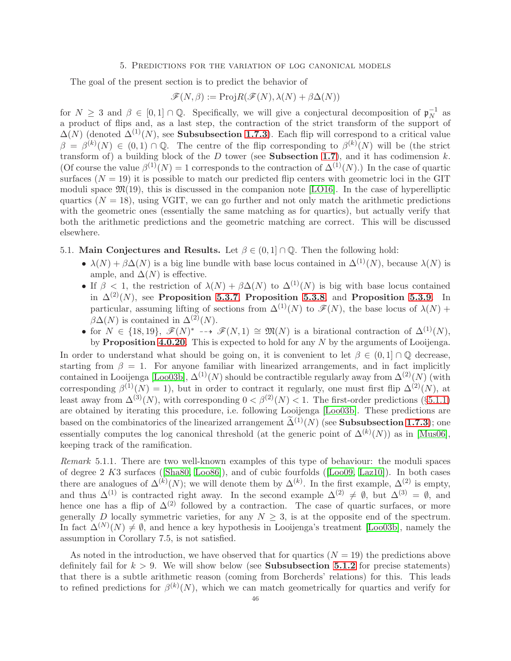#### 5. Predictions for the variation of log canonical models

<span id="page-45-0"></span>The goal of the present section is to predict the behavior of

$$
\mathscr{F}(N,\beta) := \text{Proj} R(\mathscr{F}(N),\lambda(N) + \beta \Delta(N))
$$

for  $N \geq 3$  and  $\beta \in [0,1] \cap \mathbb{Q}$ . Specifically, we will give a conjectural decomposition of  $\mathfrak{p}_N^{-1}$  $\overline{N}^1$  as a product of flips and, as a last step, the contraction of the strict transform of the support of  $\Delta(N)$  (denoted  $\Delta^{(1)}(N)$ , see **Subsubsection [1.7.3](#page-22-3)**). Each flip will correspond to a critical value  $\beta = \beta^{(k)}(N) \in (0,1) \cap \mathbb{Q}$ . The centre of the flip corresponding to  $\beta^{(k)}(N)$  will be (the strict transform of) a building block of the D tower (see Subsection [1.7](#page-21-0)), and it has codimension  $k$ . (Of course the value  $\beta^{(1)}(N) = 1$  corresponds to the contraction of  $\Delta^{(1)}(N)$ .) In the case of quartic surfaces  $(N = 19)$  it is possible to match our predicted flip centers with geometric loci in the GIT moduli space  $\mathfrak{M}(19)$ , this is discussed in the companion note [\[LO16\]](#page-61-10). In the case of hyperelliptic quartics  $(N = 18)$ , using VGIT, we can go further and not only match the arithmetic predictions with the geometric ones (essentially the same matching as for quartics), but actually verify that both the arithmetic predictions and the geometric matching are correct. This will be discussed elsewhere.

# 5.1. Main Conjectures and Results. Let  $\beta \in (0,1] \cap \mathbb{Q}$ . Then the following hold:

- $\lambda(N) + \beta \Delta(N)$  is a big line bundle with base locus contained in  $\Delta^{(1)}(N)$ , because  $\lambda(N)$  is ample, and  $\Delta(N)$  is effective.
- If  $\beta$  < 1, the restriction of  $\lambda(N) + \beta \Delta(N)$  to  $\Delta^{(1)}(N)$  is big with base locus contained in  $\Delta^{(2)}(N)$ , see Proposition [5.3.7](#page-57-0), Proposition [5.3.8](#page-57-1), and Proposition [5.3.9](#page-57-2). In particular, assuming lifting of sections from  $\Delta^{(1)}(N)$  to  $\mathscr{F}(N)$ , the base locus of  $\lambda(N)$  +  $\beta\Delta(N)$  is contained in  $\Delta^{(2)}(N)$ .
- for  $N \in \{18, 19\}$ ,  $\mathscr{F}(N)^* \dashrightarrow \mathscr{F}(N, 1) \cong \mathfrak{M}(N)$  is a birational contraction of  $\Delta^{(1)}(N)$ ,

by **Proposition [4.0.20](#page-41-1)**. This is expected to hold for any  $N$  by the arguments of Looijenga. In order to understand what should be going on, it is convenient to let  $\beta \in (0,1] \cap \mathbb{Q}$  decrease, starting from  $\beta = 1$ . For anyone familiar with linearized arrangements, and in fact implicitly contained in Looijenga [\[Loo03b\]](#page-61-3),  $\Delta^{(1)}(N)$  should be contractible regularly away from  $\Delta^{(2)}(N)$  (with corresponding  $\beta^{(1)}(N) = 1$ , but in order to contract it regularly, one must first flip  $\Delta^{(2)}(N)$ , at least away from  $\Delta^{(3)}(N)$ , with corresponding  $0 < \beta^{(2)}(N) < 1$ . The first-order predictions (§[5.1.1\)](#page-46-0) are obtained by iterating this procedure, i.e. following Looijenga [\[Loo03b\]](#page-61-3). These predictions are based on the combinatorics of the linearized arrangement  $\tilde{\Delta}^{(1)}(N)$  (see **Subsubsection [1.7.3](#page-22-3)**); one essentially computes the log canonical threshold (at the generic point of  $\Delta^{(k)}(N)$ ) as in [\[Mus06\]](#page-61-26), keeping track of the ramification.

Remark 5.1.1. There are two well-known examples of this type of behaviour: the moduli spaces of degree 2 K3 surfaces([\[Sha80,](#page-61-0) [Loo86\]](#page-61-4)), and of cubic fourfolds([\[Loo09,](#page-61-1) [Laz10\]](#page-61-5)). In both cases there are analogues of  $\Delta^{(k)}(N)$ ; we will denote them by  $\Delta^{(k)}$ . In the first example,  $\Delta^{(2)}$  is empty, and thus  $\Delta^{(1)}$  is contracted right away. In the second example  $\Delta^{(2)} \neq \emptyset$ , but  $\Delta^{(3)} = \emptyset$ , and hence one has a flip of  $\Delta^{(2)}$  followed by a contraction. The case of quartic surfaces, or more generally D locally symmetric varieties, for any  $N \geq 3$ , is at the opposite end of the spectrum. In fact  $\Delta^{(N)}(N) \neq \emptyset$ , and hence a key hypothesis in Looijenga's treatment [\[Loo03b\]](#page-61-3), namely the assumption in Corollary 7.5, is not satisfied.

As noted in the introduction, we have observed that for quartics  $(N = 19)$  the predictions above definitely fail for  $k > 9$ . We will show below (see **Subsubsection [5.1.2](#page-46-1)** for precise statements) that there is a subtle arithmetic reason (coming from Borcherds' relations) for this. This leads to refined predictions for  $\beta^{(k)}(N)$ , which we can match geometrically for quartics and verify for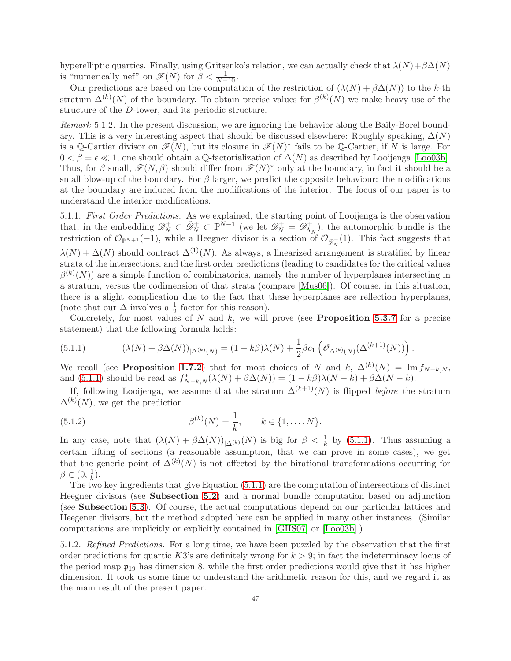hyperelliptic quartics. Finally, using Gritsenko's relation, we can actually check that  $\lambda(N)+\beta\Delta(N)$ is "numerically nef" on  $\mathscr{F}(N)$  for  $\beta < \frac{1}{N-10}$ .

Our predictions are based on the computation of the restriction of  $(\lambda(N) + \beta \Delta(N))$  to the k-th stratum  $\Delta^{(k)}(N)$  of the boundary. To obtain precise values for  $\beta^{(k)}(N)$  we make heavy use of the structure of the D-tower, and its periodic structure.

Remark 5.1.2. In the present discussion, we are ignoring the behavior along the Baily-Borel boundary. This is a very interesting aspect that should be discussed elsewhere: Roughly speaking,  $\Delta(N)$ is a Q-Cartier divisor on  $\mathscr{F}(N)$ , but its closure in  $\mathscr{F}(N)^*$  fails to be Q-Cartier, if N is large. For  $0 < \beta = \epsilon \ll 1$ , one should obtain a Q-factorialization of  $\Delta(N)$  as described by Looijenga [\[Loo03b\]](#page-61-3). Thus, for  $\beta$  small,  $\mathscr{F}(N,\beta)$  should differ from  $\mathscr{F}(N)^*$  only at the boundary, in fact it should be a small blow-up of the boundary. For  $\beta$  larger, we predict the opposite behaviour: the modifications at the boundary are induced from the modifications of the interior. The focus of our paper is to understand the interior modifications.

<span id="page-46-0"></span>5.1.1. First Order Predictions. As we explained, the starting point of Looijenga is the observation that, in the embedding  $\mathscr{D}_N^+ \subset \check{\mathscr{D}}_N^+ \subset \mathbb{P}^{\tilde{N}+1}$  (we let  $\mathscr{D}_N^+ = \mathscr{D}_\Lambda^+$  $\Lambda_N^+$ , the automorphic bundle is the restriction of  $\mathcal{O}_{\mathbb{P}^{N+1}}(-1)$ , while a Heegner divisor is a section of  $\mathcal{O}_{\mathscr{D}_{N}^{+}}(1)$ . This fact suggests that  $\lambda(N) + \Delta(N)$  should contract  $\Delta^{(1)}(N)$ . As always, a linearized arrangement is stratified by linear strata of the intersections, and the first order predictions (leading to candidates for the critical values  $\beta^{(k)}(N)$  are a simple function of combinatorics, namely the number of hyperplanes intersecting in a stratum, versus the codimension of that strata (compare [\[Mus06\]](#page-61-26)). Of course, in this situation, there is a slight complication due to the fact that these hyperplanes are reflection hyperplanes, (note that our  $\Delta$  involves a  $\frac{1}{2}$  factor for this reason).

Concretely, for most values of  $N$  and  $k$ , we will prove (see **Proposition [5.3.7](#page-57-0)** for a precise statement) that the following formula holds:

<span id="page-46-2"></span>(5.1.1) 
$$
(\lambda(N) + \beta \Delta(N))_{|\Delta^{(k)}(N)} = (1 - k\beta)\lambda(N) + \frac{1}{2}\beta c_1 \left(\mathcal{O}_{\Delta^{(k)}(N)}(\Delta^{(k+1)}(N))\right).
$$

We recall (see **Proposition [1.7.2](#page-23-0)**) that for most choices of N and k,  $\Delta^{(k)}(N) = \text{Im} f_{N-k,N}$ , and [\(5.1.1\)](#page-46-2) should be read as  $f_{N-k,N}^*(\lambda(N) + \beta \Delta(N)) = (1 - k\beta)\lambda(N - k) + \beta \Delta(N - k)$ .

If, following Looijenga, we assume that the stratum  $\Delta^{(k+1)}(N)$  is flipped *before* the stratum  $\Delta^{(k)}(N)$ , we get the prediction

(5.1.2) 
$$
\beta^{(k)}(N) = \frac{1}{k}, \qquad k \in \{1, ..., N\}.
$$

In any case, note that  $(\lambda(N) + \beta \Delta(N))_{|\Delta^{(k)}(N)}$  is big for  $\beta < \frac{1}{k}$  by [\(5.1.1\)](#page-46-2). Thus assuming a certain lifting of sections (a reasonable assumption, that we can prove in some cases), we get that the generic point of  $\Delta^{(k)}(N)$  is not affected by the birational transformations occurring for  $\beta \in (0, \frac{1}{k})$  $(\frac{1}{k})$ .

The two key ingredients that give Equation [\(5.1.1\)](#page-46-2) are the computation of intersections of distinct Heegner divisors (see Subsection [5.2](#page-48-0)) and a normal bundle computation based on adjunction (see Subsection [5.3](#page-54-0)). Of course, the actual computations depend on our particular lattices and Heegener divisors, but the method adopted here can be applied in many other instances. (Similar computations are implicitly or explicitly contained in [\[GHS07\]](#page-60-7) or [\[Loo03b\]](#page-61-3).)

<span id="page-46-1"></span>5.1.2. Refined Predictions. For a long time, we have been puzzled by the observation that the first order predictions for quartic K3's are definitely wrong for  $k > 9$ ; in fact the indeterminacy locus of the period map  $\mathfrak{p}_{19}$  has dimension 8, while the first order predictions would give that it has higher dimension. It took us some time to understand the arithmetic reason for this, and we regard it as the main result of the present paper.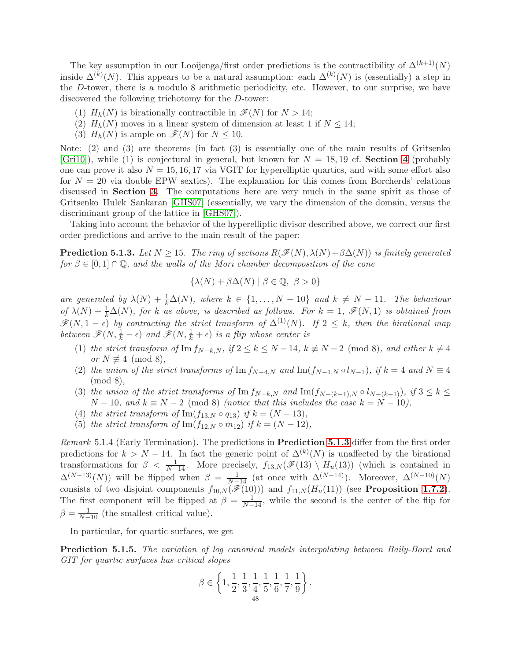The key assumption in our Looijenga/first order predictions is the contractibility of  $\Delta^{(k+1)}(N)$ inside  $\Delta^{(k)}(N)$ . This appears to be a natural assumption: each  $\Delta^{(k)}(N)$  is (essentially) a step in the D-tower, there is a modulo 8 arithmetic periodicity, etc. However, to our surprise, we have discovered the following trichotomy for the D-tower:

- (1)  $H_h(N)$  is birationally contractible in  $\mathcal{F}(N)$  for  $N > 14$ ;
- (2)  $H_h(N)$  moves in a linear system of dimension at least 1 if  $N \leq 14$ ;
- (3)  $H_h(N)$  is ample on  $\mathscr{F}(N)$  for  $N \leq 10$ .

Note: (2) and (3) are theorems (in fact (3) is essentially one of the main results of Gritsenko  $[Gri10]$ , while (1) is conjectural in general, but known for  $N = 18, 19$  cf. **Section [4](#page-40-0)** (probably one can prove it also  $N = 15, 16, 17$  via VGIT for hyperelliptic quartics, and with some effort also for  $N = 20$  via double EPW sextics). The explanation for this comes from Borcherds' relations discussed in Section [3](#page-30-0). The computations here are very much in the same spirit as those of Gritsenko–Hulek–Sankaran [\[GHS07\]](#page-60-7) (essentially, we vary the dimension of the domain, versus the discriminant group of the lattice in [\[GHS07\]](#page-60-7)).

Taking into account the behavior of the hyperelliptic divisor described above, we correct our first order predictions and arrive to the main result of the paper:

<span id="page-47-0"></span>**Prediction 5.1.3.** Let  $N > 15$ . The ring of sections  $R(\mathcal{F}(N), \lambda(N) + \beta \Delta(N))$  is finitely generated for  $\beta \in [0,1] \cap \mathbb{Q}$ , and the walls of the Mori chamber decomposition of the cone

$$
\{\lambda(N) + \beta \Delta(N) \mid \beta \in \mathbb{Q}, \ \beta > 0\}
$$

are generated by  $\lambda(N) + \frac{1}{k}\Delta(N)$ , where  $k \in \{1, ..., N - 10\}$  and  $k \neq N - 11$ . The behaviour of  $\lambda(N) + \frac{1}{k}\Delta(N)$ , for k as above, is described as follows. For  $k = 1$ ,  $\mathscr{F}(N,1)$  is obtained from  $\mathscr{F}(N, 1-\epsilon)$  by contracting the strict transform of  $\Delta^{(1)}(N)$ . If  $2 \leq k$ , then the birational map between  $\mathscr{F}(N, \frac{1}{k} - \epsilon)$  and  $\mathscr{F}(N, \frac{1}{k} + \epsilon)$  is a flip whose center is

- (1) the strict transform of Im  $f_{N-k,N}$ , if  $2 \le k \le N-14$ ,  $k \not\equiv N-2 \pmod{8}$ , and either  $k \ne 4$ or  $N \not\equiv 4 \pmod{8}$ ,
- (2) the union of the strict transforms of Im  $f_{N-4,N}$  and Im $(f_{N-1,N} \circ l_{N-1}),$  if  $k = 4$  and  $N \equiv 4$ (mod 8),
- (3) the union of the strict transforms of  $\text{Im} f_{N-k,N}$  and  $\text{Im}(f_{N-(k-1),N} \circ l_{N-(k-1)})$ , if  $3 \leq k \leq$  $N-10$ , and  $k \equiv N-2 \pmod{8}$  (notice that this includes the case  $k = N-10$ ),
- (4) the strict transform of Im( $f_{13,N} \circ q_{13}$ ) if  $k = (N-13)$ ,
- (5) the strict transform of Im( $f_{12,N} \circ m_{12}$ ) if  $k = (N 12)$ ,

Remark 5.1.4 (Early Termination). The predictions in **Prediction [5.1.3](#page-47-0)** differ from the first order predictions for  $k > N - 14$ . In fact the generic point of  $\Delta^{(k)}(N)$  is unaffected by the birational transformations for  $\beta < \frac{1}{N-14}$ . More precisely,  $f_{13,N}(\mathscr{F}(13) \setminus H_u(13))$  (which is contained in  $\Delta^{(N-13)}(N)$  will be flipped when  $\beta = \frac{1}{N-14}$  (at once with  $\Delta^{(N-14)}$ ). Moreover,  $\Delta^{(N-10)}(N)$ consists of two disjoint components  $f_{10,N}(\tilde{\mathcal{F}}(10))$  and  $f_{11,N}(H_u(11))$  (see **Proposition [1.7.2](#page-23-0)**). The first component will be flipped at  $\beta = \frac{1}{N-14}$ , while the second is the center of the flip for  $\beta = \frac{1}{N-10}$  (the smallest critical value).

In particular, for quartic surfaces, we get

Prediction 5.1.5. The variation of log canonical models interpolating between Baily-Borel and GIT for quartic surfaces has critical slopes

$$
\beta \in \left\{1,\frac{1}{2},\frac{1}{3},\frac{1}{4},\frac{1}{5},\frac{1}{6},\frac{1}{7},\frac{1}{9}\right\}.
$$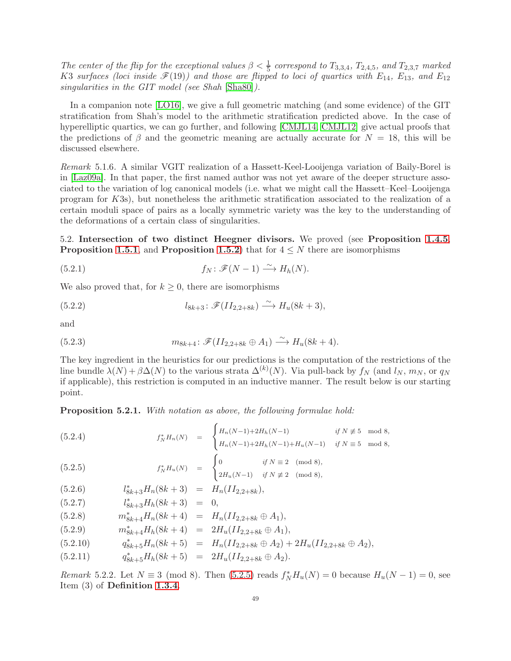The center of the flip for the exceptional values  $\beta < \frac{1}{5}$  correspond to  $T_{3,3,4}$ ,  $T_{2,4,5}$ , and  $T_{2,3,7}$  marked K3 surfaces (loci inside  $\mathscr{F}(19)$ ) and those are flipped to loci of quartics with  $E_{14}$ ,  $E_{13}$ , and  $E_{12}$ singularities in the GIT model (see Shah [\[Sha80\]](#page-61-0)).

In a companion note [\[LO16\]](#page-61-10), we give a full geometric matching (and some evidence) of the GIT stratification from Shah's model to the arithmetic stratification predicted above. In the case of hyperelliptic quartics, we can go further, and following [\[CMJL14,](#page-60-1) [CMJL12\]](#page-60-13) give actual proofs that the predictions of  $\beta$  and the geometric meaning are actually accurate for  $N = 18$ , this will be discussed elsewhere.

Remark 5.1.6. A similar VGIT realization of a Hassett-Keel-Looijenga variation of Baily-Borel is in [\[Laz09a\]](#page-60-21). In that paper, the first named author was not yet aware of the deeper structure associated to the variation of log canonical models (i.e. what we might call the Hassett–Keel–Looijenga program for K3s), but nonetheless the arithmetic stratification associated to the realization of a certain moduli space of pairs as a locally symmetric variety was the key to the understanding of the deformations of a certain class of singularities.

<span id="page-48-0"></span>5.2. Intersection of two distinct Heegner divisors. We proved (see Proposition [1.4.5](#page-14-1), **Proposition [1.5.1](#page-17-0)**, and **Proposition [1.5.2](#page-18-0)**) that for  $4 \leq N$  there are isomorphisms

(5.2.1) 
$$
f_N \colon \mathscr{F}(N-1) \xrightarrow{\sim} H_h(N).
$$

We also proved that, for  $k \geq 0$ , there are isomorphisms

(5.2.2) 
$$
l_{8k+3} : \mathscr{F}(II_{2,2+8k}) \xrightarrow{\sim} H_u(8k+3),
$$

and

(5.2.3) 
$$
m_{8k+4} : \mathscr{F}(II_{2,2+8k} \oplus A_1) \xrightarrow{\sim} H_u(8k+4).
$$

The key ingredient in the heuristics for our predictions is the computation of the restrictions of the line bundle  $\lambda(N) + \beta \Delta(N)$  to the various strata  $\Delta^{(k)}(N)$ . Via pull-back by  $f_N$  (and  $l_N$ ,  $m_N$ , or  $q_N$ if applicable), this restriction is computed in an inductive manner. The result below is our starting point.

Proposition 5.2.1. With notation as above, the following formulae hold:

<span id="page-48-1"></span>
$$
(5.2.4) \t\t f_N^*H_n(N) = \begin{cases} H_n(N-1)+2H_h(N-1) & \text{if } N \not\equiv 5 \mod 8, \\ H_n(N-1)+2H_h(N-1)+H_u(N-1) & \text{if } N \equiv 5 \mod 8, \end{cases}
$$

(5.2.5) 
$$
f_N^* H_u(N) = \begin{cases} 0 & \text{if } N \equiv 2 \pmod{8}, \\ 2H_u(N-1) & \text{if } N \not\equiv 2 \pmod{8}, \end{cases}
$$

(5.2.6) 
$$
l_{8k+3}^*H_n(8k+3) = H_n(II_{2,2+8k}),
$$

$$
(5.2.7) \t\t l_{8k+3}^*H_h(8k+3) = 0,
$$

$$
(5.2.8) \t m_{8k+4}^* H_n(8k+4) = H_n(II_{2,2+8k} \oplus A_1),
$$

$$
(5.2.9) \t m_{8k+4}^* H_h(8k+4) = 2H_u(II_{2,2+8k} \oplus A_1),
$$

$$
(5.2.10) \t\t q_{8k+5}^*H_n(8k+5) = H_n(II_{2,2+8k} \oplus A_2) + 2H_u(II_{2,2+8k} \oplus A_2),
$$

$$
(5.2.11) \tq_{8k+5}^*H_h(8k+5) = 2H_u(II_{2,2+8k} \oplus A_2).
$$

*Remark* 5.2.2. Let  $N \equiv 3 \pmod{8}$ . Then [\(5.2.5\)](#page-48-1) reads  $f_N^* H_u(N) = 0$  because  $H_u(N - 1) = 0$ , see Item (3) of Definition [1.3.4](#page-10-3).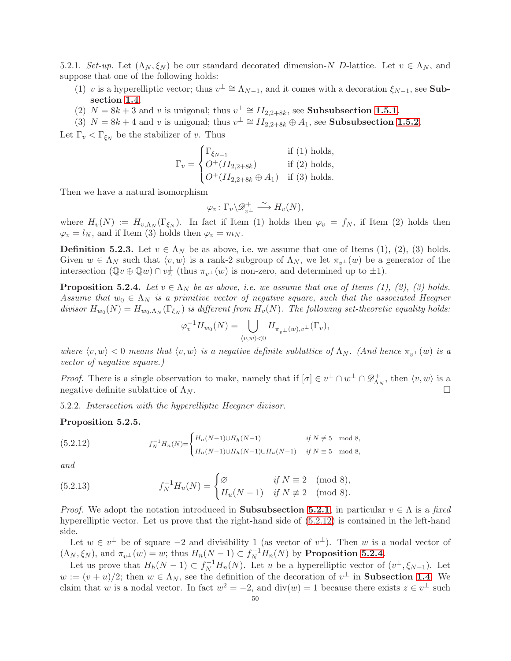<span id="page-49-0"></span>5.2.1. Set-up. Let  $(\Lambda_N, \xi_N)$  be our standard decorated dimension-N D-lattice. Let  $v \in \Lambda_N$ , and suppose that one of the following holds:

- (1) v is a hyperelliptic vector; thus  $v^{\perp} \cong \Lambda_{N-1}$ , and it comes with a decoration  $\xi_{N-1}$ , see **Sub**section [1.4](#page-13-5).
- (2)  $N = 8k + 3$  and v is unigonal; thus  $v^{\perp} \cong H_{2,2+8k}$ , see **Subsubsection [1.5.1](#page-17-4)**.
- (3)  $N = 8k + 4$  and v is unigonal; thus  $v^{\perp} \cong II_{2,2+8k} \oplus A_1$ , see **Subsubsection [1.5.2](#page-17-5)**.

Let  $\Gamma_v < \Gamma_{\xi_N}$  be the stabilizer of v. Thus

$$
\Gamma_v = \begin{cases} \Gamma_{\xi_{N-1}} & \text{if (1) holds,} \\ O^+(II_{2,2+8k}) & \text{if (2) holds,} \\ O^+(II_{2,2+8k} \oplus A_1) & \text{if (3) holds.} \end{cases}
$$

Then we have a natural isomorphism

$$
\varphi_v \colon \Gamma_v \backslash \mathscr{D}^+_{v^\perp} \xrightarrow{\sim} H_v(N),
$$

where  $H_v(N) := H_{v,\Lambda_N}(\Gamma_{\xi_N})$ . In fact if Item (1) holds then  $\varphi_v = f_N$ , if Item (2) holds then  $\varphi_v = l_N$ , and if Item (3) holds then  $\varphi_v = m_N$ .

**Definition 5.2.3.** Let  $v \in \Lambda_N$  be as above, i.e. we assume that one of Items (1), (2), (3) holds. Given  $w \in \Lambda_N$  such that  $\langle v, w \rangle$  is a rank-2 subgroup of  $\Lambda_N$ , we let  $\pi_{v^{\perp}}(w)$  be a generator of the intersection  $(\mathbb{Q} v \oplus \mathbb{Q} w) \cap v_{\mathbb{Z}}^{\perp}$  (thus  $\pi_{v^{\perp}}(w)$  is non-zero, and determined up to  $\pm 1$ ).

<span id="page-49-2"></span>**Proposition 5.2.4.** Let  $v \in \Lambda_N$  be as above, i.e. we assume that one of Items (1), (2), (3) holds. Assume that  $w_0 \in \Lambda_N$  is a primitive vector of negative square, such that the associated Heegner divisor  $H_{w_0}(N) = H_{w_0,\Lambda_N}(\Gamma_{\xi_N})$  is different from  $H_v(N)$ . The following set-theoretic equality holds:

$$
\varphi_v^{-1} H_{w_0}(N) = \bigcup_{\langle v, w \rangle < 0} H_{\pi_{v^\perp}(w), v^\perp}(\Gamma_v),
$$

where  $\langle v, w \rangle < 0$  means that  $\langle v, w \rangle$  is a negative definite sublattice of  $\Lambda_N$ . (And hence  $\pi_{v^{\perp}}(w)$  is a vector of negative square.)

*Proof.* There is a single observation to make, namely that if  $[\sigma] \in v^{\perp} \cap w^{\perp} \cap \mathscr{D}_{\Lambda}^{+}$  $u^+_{\Lambda_N}$ , then  $\langle v, w \rangle$  is a negative definite sublattice of  $\Lambda_N$ .

5.2.2. Intersection with the hyperelliptic Heegner divisor.

### <span id="page-49-4"></span>Proposition 5.2.5.

<span id="page-49-1"></span>(5.2.12) 
$$
f_N^{-1}H_n(N) = \begin{cases} H_n(N-1)\cup H_h(N-1) & \text{if } N \not\equiv 5 \mod 8, \\ H_n(N-1)\cup H_h(N-1)\cup H_u(N-1) & \text{if } N \equiv 5 \mod 8, \end{cases}
$$

and

<span id="page-49-3"></span>(5.2.13) 
$$
f_N^{-1}H_u(N) = \begin{cases} \varnothing & \text{if } N \equiv 2 \pmod{8}, \\ H_u(N-1) & \text{if } N \not\equiv 2 \pmod{8}. \end{cases}
$$

*Proof.* We adopt the notation introduced in **Subsubsection [5.2.1](#page-49-0)**, in particular  $v \in \Lambda$  is a fixed hyperelliptic vector. Let us prove that the right-hand side of [\(5.2.12\)](#page-49-1) is contained in the left-hand side.

Let  $w \in v^{\perp}$  be of square  $-2$  and divisibility 1 (as vector of  $v^{\perp}$ ). Then w is a nodal vector of  $(\Lambda_N, \xi_N)$ , and  $\pi_{v^{\perp}}(w) = w$ ; thus  $H_n(N-1) \subset f_N^{-1}H_n(N)$  by **Proposition [5.2.4](#page-49-2)**.

Let us prove that  $H_h(N-1) \subset f_N^{-1}H_n(N)$ . Let u be a hyperelliptic vector of  $(v^{\perp}, \xi_{N-1})$ . Let  $w := (v + u)/2$ ; then  $w \in \Lambda_N$ , see the definition of the decoration of  $v^{\perp}$  in **Subsection [1.4](#page-13-5)**. We claim that w is a nodal vector. In fact  $w^2 = -2$ , and  $\text{div}(w) = 1$  because there exists  $z \in v^{\perp}$  such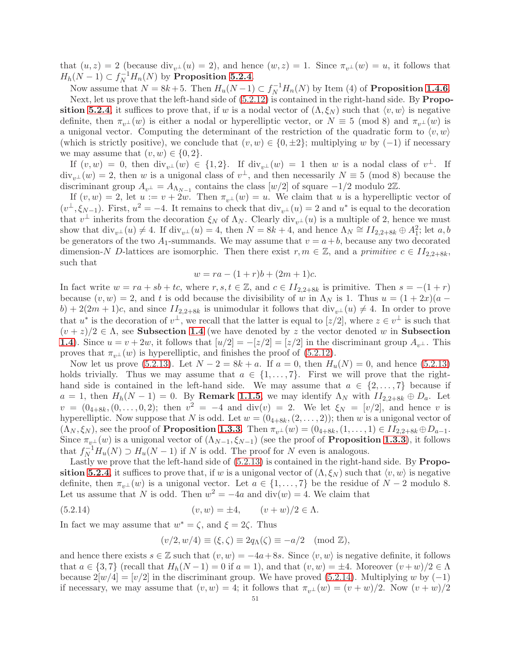that  $(u, z) = 2$  (because  $\text{div}_{v^{\perp}}(u) = 2$ ), and hence  $(w, z) = 1$ . Since  $\pi_{v^{\perp}}(w) = u$ , it follows that  $H_h(N-1) \subset f_N^{-1}H_n(N)$  by **Proposition [5.2.4](#page-49-2)**.

Now assume that  $N = 8k + 5$ . Then  $H_u(N-1) \subset f_N^{-1}H_n(N)$  by Item (4) of **Proposition [1.4.6](#page-14-4)**.

Next, let us prove that the left-hand side of  $(5.2.12)$  is contained in the right-hand side. By **Propo-**sition [5.2.4](#page-49-2), it suffices to prove that, if w is a nodal vector of  $(\Lambda, \xi_N)$  such that  $\langle v, w \rangle$  is negative definite, then  $\pi_{v^{\perp}}(w)$  is either a nodal or hyperelliptic vector, or  $N \equiv 5 \pmod{8}$  and  $\pi_{v^{\perp}}(w)$  is a unigonal vector. Computing the determinant of the restriction of the quadratic form to  $\langle v, w \rangle$ (which is strictly positive), we conclude that  $(v, w) \in \{0, \pm 2\}$ ; multiplying w by  $(-1)$  if necessary we may assume that  $(v, w) \in \{0, 2\}.$ 

If  $(v, w) = 0$ , then  $\text{div}_{v^{\perp}}(w) \in \{1, 2\}$ . If  $\text{div}_{v^{\perp}}(w) = 1$  then w is a nodal class of  $v^{\perp}$ . If  $div_{v^{\perp}}(w) = 2$ , then w is a unigonal class of  $v^{\perp}$ , and then necessarily  $N \equiv 5 \pmod{8}$  because the discriminant group  $A_{v^{\perp}} = A_{\Lambda_{N-1}}$  contains the class  $[w/2]$  of square  $-1/2$  modulo 2Z.

If  $(v, w) = 2$ , let  $u := v + 2w$ . Then  $\pi_{v^{\perp}}(w) = u$ . We claim that u is a hyperelliptic vector of  $(v^{\perp}, \xi_{N-1})$ . First,  $u^2 = -4$ . It remains to check that  $\text{div}_{v^{\perp}}(u) = 2$  and  $u^*$  is equal to the decoration that  $v^{\perp}$  inherits from the decoration  $\xi_N$  of  $\Lambda_N$ . Clearly div<sub>v<sup>⊥</sup></sub> (u) is a multiple of 2, hence we must show that  $\text{div}_{v}u(u) \neq 4$ . If  $\text{div}_{v}u(u) = 4$ , then  $N = 8k + 4$ , and hence  $\Lambda_N \cong H_{2,2+8k} \oplus A_1^2$ ; let  $a, b$ be generators of the two  $A_1$ -summands. We may assume that  $v = a + b$ , because any two decorated dimension-N D-lattices are isomorphic. Then there exist  $r, m \in \mathbb{Z}$ , and a primitive  $c \in H_{2,2+8k}$ , such that

$$
w = ra - (1+r)b + (2m+1)c.
$$

In fact write  $w = ra + sb + tc$ , where  $r, s, t \in \mathbb{Z}$ , and  $c \in II_{2,2+8k}$  is primitive. Then  $s = -(1+r)$ because  $(v, w) = 2$ , and t is odd because the divisibility of w in  $\Lambda_N$  is 1. Thus  $u = (1 + 2x)(a$  $b$ ) + 2(2m + 1)c, and since  $II_{2,2+8k}$  is unimodular it follows that  $\text{div}_{v}u(u) \neq 4$ . In order to prove that  $u^*$  is the decoration of  $v^{\perp}$ , we recall that the latter is equal to  $[z/2]$ , where  $z \in v^{\perp}$  is such that  $(v + z)/2 \in \Lambda$ , see **Subsection [1.4](#page-13-5)** (we have denoted by z the vector denoted w in **Subsection** [1.4](#page-13-5)). Since  $u = v + 2w$ , it follows that  $[u/2] = -\frac{z}{2} = \frac{z}{2}$  in the discriminant group  $A_{v+1}$ . This proves that  $\pi_{v^{\perp}}(w)$  is hyperelliptic, and finishes the proof of [\(5.2.12\)](#page-49-1).

Now let us prove [\(5.2.13\)](#page-49-3). Let  $N - 2 = 8k + a$ . If  $a = 0$ , then  $H_u(N) = 0$ , and hence (5.2.13) holds trivially. Thus we may assume that  $a \in \{1, \ldots, 7\}$ . First we will prove that the righthand side is contained in the left-hand side. We may assume that  $a \in \{2, \ldots, 7\}$  because if  $a = 1$ , then  $H_h(N-1) = 0$ . By **Remark [1.1.5](#page-7-6)**, we may identify  $\Lambda_N$  with  $II_{2,2+8k} \oplus D_a$ . Let  $v = (0_{4+8k}, (0, \ldots, 0, 2);$  then  $v^2 = -4$  and  $\text{div}(v) = 2$ . We let  $\xi_N = [v/2]$ , and hence v is hyperelliptic. Now suppose that N is odd. Let  $w = (0_{4+8k}, (2, \ldots, 2))$ ; then w is a unigonal vector of  $(\Lambda_N, \xi_N)$ , see the proof of **Proposition [1.3.3](#page-10-1)**. Then  $\pi_{v^{\perp}}(w) = (0_{4+8k}, (1, \ldots, 1) \in H_{2,2+8k} \oplus D_{a-1}.$ Since  $\pi_{v^{\perp}}(w)$  is a unigonal vector of  $(\Lambda_{N-1}, \xi_{N-1})$  (see the proof of **Proposition [1.3.3](#page-10-1)**), it follows that  $f_N^{-1}H_u(N) \supset H_u(N-1)$  if N is odd. The proof for N even is analogous.

Lastly we prove that the left-hand side of [\(5.2.13\)](#page-49-3) is contained in the right-hand side. By Propo-sition [5.2.4](#page-49-2), it suffices to prove that, if w is a unigonal vector of  $(\Lambda, \xi_N)$  such that  $\langle v, w \rangle$  is negative definite, then  $\pi_{n\perp}(w)$  is a unigonal vector. Let  $a \in \{1, \ldots, 7\}$  be the residue of  $N-2$  modulo 8. Let us assume that N is odd. Then  $w^2 = -4a$  and  $\text{div}(w) = 4$ . We claim that

(5.2.14) 
$$
(v, w) = \pm 4, \qquad (v + w)/2 \in \Lambda.
$$

In fact we may assume that  $w^* = \zeta$ , and  $\xi = 2\zeta$ . Thus

<span id="page-50-0"></span>
$$
(v/2, w/4) \equiv (\xi, \zeta) \equiv 2q_{\Lambda}(\zeta) \equiv -a/2 \pmod{\mathbb{Z}},
$$

and hence there exists  $s \in \mathbb{Z}$  such that  $(v, w) = -4a + 8s$ . Since  $\langle v, w \rangle$  is negative definite, it follows that  $a \in \{3, 7\}$  (recall that  $H_h(N-1) = 0$  if  $a = 1$ ), and that  $(v, w) = \pm 4$ . Moreover  $(v+w)/2 \in \Lambda$ because  $2[w/4] = [v/2]$  in the discriminant group. We have proved [\(5.2.14\)](#page-50-0). Multiplying w by (-1) if necessary, we may assume that  $(v, w) = 4$ ; it follows that  $\pi_{v^{\perp}}(w) = (v + w)/2$ . Now  $(v + w)/2$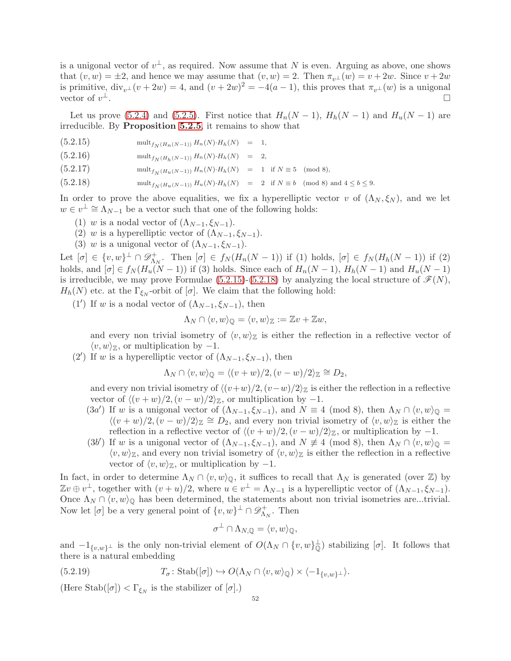is a unigonal vector of  $v^{\perp}$ , as required. Now assume that N is even. Arguing as above, one shows that  $(v, w) = \pm 2$ , and hence we may assume that  $(v, w) = 2$ . Then  $\pi_{v} (w) = v + 2w$ . Since  $v + 2w$ is primitive,  $\text{div}_{v} \mathcal{L}(v + 2w) = 4$ , and  $(v + 2w)^2 = -4(a - 1)$ , this proves that  $\pi_{v} \mathcal{L}(w)$  is a unigonal vector of  $v^{\perp}$ . <sup>⊥</sup>.

Let us prove [\(5.2.4\)](#page-48-1) and [\(5.2.5\)](#page-48-1). First notice that  $H_n(N-1)$ ,  $H_h(N-1)$  and  $H_u(N-1)$  are irreducible. By Proposition [5.2.5](#page-49-4), it remains to show that

- <span id="page-51-0"></span>(5.2.15) mult $f_{N(H_n(N-1))} H_n(N) \cdot H_h(N) = 1$ ,
- (5.2.16) mult $f_N(H_h(N-1)) H_n(N) \cdot H_h(N) = 2$ ,
- $(5.2.17)$  mult $_{f_{N}(H_{n}(N-1))} H_{n}(N) \cdot H_{h}(N) = 1$  if  $N \equiv 5 \pmod{8}$ ,
- $(5.2.18)$  mult $_{f_N(H_u(N-1))} H_u(N) \cdot H_h(N) = 2$  if  $N \equiv b \pmod{8}$  and  $4 \le b \le 9$ .

In order to prove the above equalities, we fix a hyperelliptic vector v of  $(\Lambda_N, \xi_N)$ , and we let  $w \in v^{\perp} \cong \Lambda_{N-1}$  be a vector such that one of the following holds:

- (1) w is a nodal vector of  $(\Lambda_{N-1}, \xi_{N-1})$ .
- (2) w is a hyperelliptic vector of  $(\Lambda_{N-1}, \xi_{N-1})$ .
- (3) w is a unigonal vector of  $(\Lambda_{N-1}, \xi_{N-1})$ .

Let  $[\sigma] \in \{v,w\}^{\perp} \cap \mathscr{D}_{\Lambda}^+$  $\Lambda_N^+$ . Then  $[\sigma] \in f_N(H_n(N-1))$  if (1) holds,  $[\sigma] \in f_N(H_n(N-1))$  if (2) holds, and  $[\sigma] \in f_N(H_u(N-1))$  if (3) holds. Since each of  $H_n(N-1)$ ,  $H_h(N-1)$  and  $H_u(N-1)$ is irreducible, we may prove Formulae  $(5.2.15)-(5.2.18)$  $(5.2.15)-(5.2.18)$  by analyzing the local structure of  $\mathcal{F}(N)$ ,  $H_h(N)$  etc. at the  $\Gamma_{\xi_N}$ -orbit of  $[\sigma]$ . We claim that the following hold:

(1') If w is a nodal vector of  $(\Lambda_{N-1}, \xi_{N-1})$ , then

$$
\Lambda_N \cap \langle v, w \rangle_{\mathbb{Q}} = \langle v, w \rangle_{\mathbb{Z}} := \mathbb{Z}v + \mathbb{Z}w,
$$

and every non trivial isometry of  $\langle v, w \rangle_{\mathbb{Z}}$  is either the reflection in a reflective vector of  $\langle v, w \rangle_{\mathbb{Z}}$ , or multiplication by  $-1$ .

(2') If w is a hyperelliptic vector of  $(\Lambda_{N-1}, \xi_{N-1})$ , then

$$
\Lambda_N \cap \langle v, w \rangle_{\mathbb{Q}} = \langle (v+w)/2, (v-w)/2 \rangle_{\mathbb{Z}} \cong D_2,
$$

and every non trivial isometry of  $\langle (v+w)/2, (v-w)/2 \rangle_{\mathbb{Z}}$  is either the reflection in a reflective vector of  $\langle (v + w)/2, (v - w)/2 \rangle \mathbb{Z}$ , or multiplication by  $-1$ .

- (3a') If w is a unigonal vector of  $(\Lambda_{N-1}, \xi_{N-1})$ , and  $N \equiv 4 \pmod{8}$ , then  $\Lambda_N \cap \langle v, w \rangle_{\mathbb{Q}} =$  $\langle (v+w)/2, (v-w)/2 \rangle_{\mathbb{Z}} \cong D_2$ , and every non trivial isometry of  $\langle v, w \rangle_{\mathbb{Z}}$  is either the reflection in a reflective vector of  $\langle (v + w)/2, (v - w)/2 \rangle \mathbb{Z}$ , or multiplication by -1.
- (3b') If w is a unigonal vector of  $(\Lambda_{N-1}, \xi_{N-1})$ , and  $N \neq 4 \pmod{8}$ , then  $\Lambda_N \cap \langle v, w \rangle_{\mathbb{Q}} =$  $\langle v, w \rangle_{\mathbb{Z}}$ , and every non trivial isometry of  $\langle v, w \rangle_{\mathbb{Z}}$  is either the reflection in a reflective vector of  $\langle v, w \rangle_{\mathbb{Z}}$ , or multiplication by  $-1$ .

In fact, in order to determine  $\Lambda_N \cap \langle v, w \rangle_{\mathbb{Q}}$ , it suffices to recall that  $\Lambda_N$  is generated (over Z) by  $\mathbb{Z}v \oplus v^{\perp}$ , together with  $(v+u)/2$ , where  $u \in v^{\perp} = \Lambda_{N-1}$  is a hyperelliptic vector of  $(\Lambda_{N-1}, \xi_{N-1})$ . Once  $\Lambda_N \cap \langle v, w \rangle_0$  has been determined, the statements about non trivial isometries are...trivial. Now let  $[\sigma]$  be a very general point of  $\{v, w\}^{\perp} \cap \mathscr{D}_{\Lambda}^+$  $\Lambda_N^+$ . Then

<span id="page-51-1"></span>
$$
\sigma^{\perp} \cap \Lambda_{N, \mathbb{Q}} = \langle v, w \rangle_{\mathbb{Q}},
$$

and  $-1_{\{v,w\}^{\perp}}$  is the only non-trivial element of  $O(\Lambda_N \cap \{v,w\}_{\mathbb{Q}}^{\perp})$  stabilizing  $[\sigma]$ . It follows that there is a natural embedding

(5.2.19) 
$$
T_{\sigma} \colon \mathrm{Stab}([\sigma]) \hookrightarrow O(\Lambda_N \cap \langle v, w \rangle_{\mathbb{Q}}) \times \langle -1_{\{v, w\}^{\perp}} \rangle.
$$

(Here Stab $([\sigma]) < \Gamma_{\xi_N}$  is the stabilizer of  $[\sigma]$ .)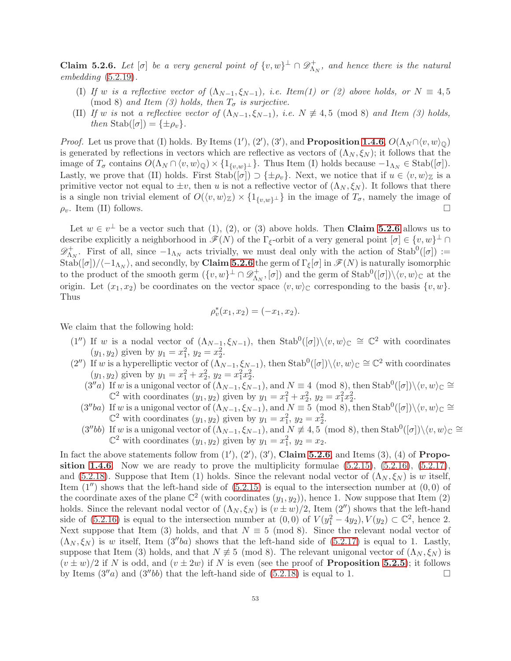<span id="page-52-0"></span>**Claim 5.2.6.** Let  $[\sigma]$  be a very general point of  $\{v, w\}^{\perp} \cap \mathscr{D}_{\Lambda}^{+}$  $\Lambda_N^+$ , and hence there is the natural  $embedding (5.2.19).$  $embedding (5.2.19).$  $embedding (5.2.19).$ 

- (I) If w is a reflective vector of  $(\Lambda_{N-1}, \xi_{N-1})$ , i.e. Item(1) or (2) above holds, or  $N \equiv 4, 5$ (mod 8) and Item (3) holds, then  $T_{\sigma}$  is surjective.
- (II) If w is not a reflective vector of  $(\Lambda_{N-1}, \xi_{N-1})$ , i.e.  $N \neq 4, 5 \pmod{8}$  and Item (3) holds, then Stab $([\sigma]) = {\pm \rho_v}.$

*Proof.* Let us prove that (I) holds. By Items  $(1')$ ,  $(2')$ ,  $(3')$ , and **Proposition [1.4.6](#page-14-4)**,  $O(\Lambda_N \cap \langle v, w \rangle_{\mathbb{Q}})$ is generated by reflections in vectors which are reflective as vectors of  $(\Lambda_N, \xi_N)$ ; it follows that the image of  $T_{\sigma}$  contains  $O(\Lambda_N \cap \langle v, w \rangle_{\mathbb{Q}}) \times \{1_{\{v,w\}^\perp}\}\)$ . Thus Item (I) holds because  $-1_{\Lambda_N} \in \text{Stab}([\sigma])$ . Lastly, we prove that (II) holds. First  $\text{Stab}([\sigma]) \supset {\pm \rho_v}$ . Next, we notice that if  $u \in \langle v, w \rangle_{\mathbb{Z}}$  is a primitive vector not equal to  $\pm v$ , then u is not a reflective vector of  $(\Lambda_N, \xi_N)$ . It follows that there is a single non trivial element of  $O(\langle v, w \rangle_{\mathbb{Z}}) \times \{1_{\{v, w\}^\perp}\}\$  in the image of  $T_\sigma$ , namely the image of  $\rho_v$ . Item (II) follows.

Let  $w \in v^{\perp}$  be a vector such that (1), (2), or (3) above holds. Then **Claim [5.2.6](#page-52-0)** allows us to describe explicitly a neighborhood in  $\mathscr{F}(N)$  of the  $\Gamma_{\xi}$ -orbit of a very general point  $[\sigma] \in \{v, w\}^{\perp} \cap$  $\mathscr{D}^+$  $\Lambda_N^+$ . First of all, since  $-1_{\Lambda_N}$  acts trivially, we must deal only with the action of Stab<sup>0</sup>([ $\sigma$ ]) :=  $\mathrm{Stab}([\sigma])/\langle -1_{\Lambda_N}\rangle$ , and secondly, by **Claim [5.2.6](#page-52-0)** the germ of  $\Gamma_\xi[\sigma]$  in  $\mathscr{F}(N)$  is naturally isomorphic to the product of the smooth germ  $(\lbrace v, w \rbrace^{\perp} \cap \mathscr{D}_{\Lambda}^{\perp})$  $\Lambda_N^{\dagger}$ ,  $[\sigma]$ ) and the germ of  $\text{Stab}^0([\sigma]) \setminus \langle v, w \rangle_{\mathbb{C}}$  at the origin. Let  $(x_1, x_2)$  be coordinates on the vector space  $\langle v, w \rangle$  corresponding to the basis  $\{v, w\}$ . Thus

$$
\rho_v^*(x_1, x_2) = (-x_1, x_2).
$$

We claim that the following hold:

- (1'') If w is a nodal vector of  $(\Lambda_{N-1}, \xi_{N-1})$ , then  $\text{Stab}^0([\sigma]) \setminus \langle v, w \rangle_{\mathbb{C}} \cong \mathbb{C}^2$  with coordinates  $(y_1, y_2)$  given by  $y_1 = x_1^2, y_2 = x_2^2$ .
- (2'') If w is a hyperelliptic vector of  $(\Lambda_{N-1}, \xi_{N-1})$ , then  $\text{Stab}^0([\sigma]) \setminus \langle v, w \rangle_{\mathbb{C}} \cong \mathbb{C}^2$  with coordinates  $(y_1, y_2)$  given by  $y_1 = x_1^2 + x_2^2$ ,  $y_2 = x_1^2 x_2^2$ .
	- $(3''a)$  If w is a unigonal vector of  $(\Lambda_{N-1}, \xi_{N-1})$ , and  $N \equiv 4 \pmod{8}$ , then Stab<sup>0</sup> $([\sigma]) \setminus \langle v, w \rangle_{\mathbb{C}} \cong$  $\mathbb{C}^2$  with coordinates  $(y_1, y_2)$  given by  $y_1 = x_1^2 + x_2^2$ ,  $y_2 = x_1^2 x_2^2$ .
	- $(3''ba)$  If w is a unigonal vector of  $(\Lambda_{N-1}, \xi_{N-1})$ , and  $N \equiv 5 \pmod{8}$ , then Stab<sup>0</sup> $([\sigma]) \setminus \langle v, w \rangle_{\mathbb{C}} \cong$  $\mathbb{C}^2$  with coordinates  $(y_1, y_2)$  given by  $y_1 = x_1^2$ ,  $y_2 = x_2^2$ .
	- $(3''bb)$  If w is a unigonal vector of  $(\Lambda_{N-1}, \xi_{N-1})$ , and  $N \neq 4, 5 \pmod{8}$ , then Stab<sup>0</sup> $([\sigma]) \setminus \langle v, w \rangle_{\mathbb{C}} \cong$  $\mathbb{C}^2$  with coordinates  $(y_1, y_2)$  given by  $y_1 = x_1^2$ ,  $y_2 = x_2$ .

In fact the above statements follow from  $(1')$ ,  $(2')$ ,  $(3')$ , Claim [5.2.6](#page-52-0), and Items  $(3)$ ,  $(4)$  of Propo-sition [1.4.6](#page-14-4). Now we are ready to prove the multiplicity formulae  $(5.2.15)$ ,  $(5.2.16)$ ,  $(5.2.17)$ , and [\(5.2.18\)](#page-51-0). Suppose that Item (1) holds. Since the relevant nodal vector of  $(\Lambda_N, \xi_N)$  is w itself, Item  $(1'')$  shows that the left-hand side of  $(5.2.15)$  is equal to the intersection number at  $(0,0)$  of the coordinate axes of the plane  $\mathbb{C}^2$  (with coordinates  $(y_1, y_2)$ ), hence 1. Now suppose that Item (2) holds. Since the relevant nodal vector of  $(\Lambda_N, \xi_N)$  is  $(v \pm w)/2$ , Item  $(2'')$  shows that the left-hand side of  $(5.2.16)$  is equal to the intersection number at  $(0,0)$  of  $V(y_1^2-4y_2), V(y_2) \subset \mathbb{C}^2$ , hence 2. Next suppose that Item (3) holds, and that  $N \equiv 5 \pmod{8}$ . Since the relevant nodal vector of  $(\Lambda_N, \xi_N)$  is w itself, Item  $(3''ba)$  shows that the left-hand side of  $(5.2.17)$  is equal to 1. Lastly, suppose that Item (3) holds, and that  $N \neq 5 \pmod{8}$ . The relevant unigonal vector of  $(\Lambda_N, \xi_N)$  is  $(v \pm w)/2$  if N is odd, and  $(v \pm 2w)$  if N is even (see the proof of **Proposition [5.2.5](#page-49-4)**); it follows by Items  $(3''a)$  and  $(3''bb)$  that the left-hand side of  $(5.2.18)$  is equal to 1.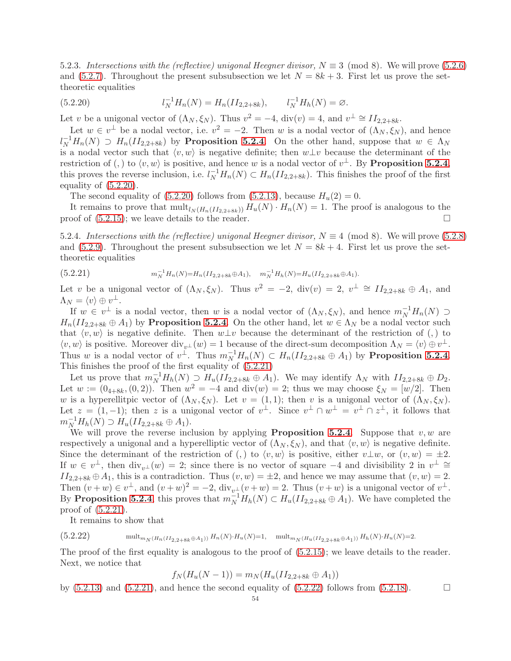5.2.3. Intersections with the (reflective) unigonal Heegner divisor,  $N \equiv 3 \pmod{8}$ . We will prove [\(5.2.6\)](#page-48-1) and [\(5.2.7\)](#page-48-1). Throughout the present subsubsection we let  $N = 8k + 3$ . First let us prove the settheoretic equalities

<span id="page-53-0"></span>(5.2.20) 
$$
l_N^{-1}H_n(N) = H_n(II_{2,2+8k}), \qquad l_N^{-1}H_n(N) = \varnothing.
$$

Let v be a unigonal vector of  $(\Lambda_N, \xi_N)$ . Thus  $v^2 = -4$ , div $(v) = 4$ , and  $v^{\perp} \cong H_{2,2+8k}$ .

Let  $w \in v^{\perp}$  be a nodal vector, i.e.  $v^2 = -2$ . Then w is a nodal vector of  $(\Lambda_N, \xi_N)$ , and hence  $l_N^{-1}H_n(N) \supset H_n(II_{2,2+8k})$  by **Proposition [5.2.4](#page-49-2)**. On the other hand, suppose that  $w \in \Lambda_N$ is a nodal vector such that  $\langle v, w \rangle$  is negative definite; then  $w \bot v$  because the determinant of the restriction of (,) to  $\langle v, w \rangle$  is positive, and hence w is a nodal vector of  $v^{\perp}$ . By **Proposition [5.2.4](#page-49-2)**, this proves the reverse inclusion, i.e.  $l_N^{-1}H_n(N) \subset H_n(II_{2,2+8k})$ . This finishes the proof of the first equality of [\(5.2.20\)](#page-53-0).

The second equality of  $(5.2.20)$  follows from  $(5.2.13)$ , because  $H_u(2) = 0$ .

It remains to prove that  $\text{mult}_{l_N(H_n(II_{2,2+8k}))} H_u(N) \cdot H_n(N) = 1$ . The proof is analogous to the proof of  $(5.2.15)$ ; we leave details to the reader.

5.2.4. Intersections with the (reflective) unigonal Heegner divisor,  $N \equiv 4 \pmod{8}$ . We will prove [\(5.2.8\)](#page-48-1) and [\(5.2.9\)](#page-48-1). Throughout the present subsubsection we let  $N = 8k + 4$ . First let us prove the settheoretic equalities

<span id="page-53-1"></span> $(5.2.21)$  $N_{N}^{-1}H_{n}(N) = H_{n}(II_{2,2+8k} \oplus A_{1}), \quad m_{N}^{-1}H_{h}(N) = H_{u}(II_{2,2+8k} \oplus A_{1}).$ 

Let v be a unigonal vector of  $(\Lambda_N, \xi_N)$ . Thus  $v^2 = -2$ , div $(v) = 2$ ,  $v^{\perp} \cong H_{2,2+8k} \oplus A_1$ , and  $\Lambda_N = \langle v \rangle \oplus v^\perp.$ 

If  $w \in v^{\perp}$  is a nodal vector, then w is a nodal vector of  $(\Lambda_N, \xi_N)$ , and hence  $m_N^{-1}H_n(N) \supset$  $H_n(II_{2,2+8k} \oplus A_1)$  by **Proposition [5.2.4](#page-49-2)**. On the other hand, let  $w \in \Lambda_N$  be a nodal vector such that  $\langle v, w \rangle$  is negative definite. Then  $w \perp v$  because the determinant of the restriction of (,) to  $\langle v, w \rangle$  is positive. Moreover  $\text{div}_{v^{\perp}}(w) = 1$  because of the direct-sum decomposition  $\Lambda_N = \langle v \rangle \oplus v^{\perp}$ . Thus w is a nodal vector of  $v^{\perp}$ . Thus  $m_N^{-1}H_n(N) \subset H_n(II_{2,2+8k} \oplus A_1)$  by **Proposition [5.2.4](#page-49-2).** This finishes the proof of the first equality of [\(5.2.21\)](#page-53-1)

Let us prove that  $m_N^{-1}H_h(N) \supseteq H_u(II_{2,2+8k} \oplus A_1)$ . We may identify  $\Lambda_N$  with  $II_{2,2+8k} \oplus D_2$ . Let  $w := (0_{4+8k}, (0, 2))$ . Then  $w^2 = -4$  and  $\text{div}(w) = 2$ ; thus we may choose  $\xi_N = [w/2]$ . Then w is a hyperellitpic vector of  $(\Lambda_N, \xi_N)$ . Let  $v = (1, 1)$ ; then v is a unigonal vector of  $(\Lambda_N, \xi_N)$ . Let  $z = (1, -1)$ ; then z is a unigonal vector of  $v^{\perp}$ . Since  $v^{\perp} \cap w^{\perp} = v^{\perp} \cap z^{\perp}$ , it follows that  $m_N^{-1}H_h(N) \supset H_u(II_{2,2+8k} \oplus A_1).$ 

We will prove the reverse inclusion by applying **Proposition [5.2.4](#page-49-2).** Suppose that  $v, w$  are respectively a unigonal and a hyperelliptic vector of  $(\Lambda_N, \xi_N)$ , and that  $\langle v, w \rangle$  is negative definite. Since the determinant of the restriction of (,) to  $\langle v, w \rangle$  is positive, either  $v \bot w$ , or  $(v, w) = \pm 2$ . If  $w \in v^{\perp}$ , then  $\text{div}_{v^{\perp}}(w) = 2$ ; since there is no vector of square  $-4$  and divisibility 2 in  $v^{\perp} \cong$  $II_{2,2+8k} \oplus A_1$ , this is a contradiction. Thus  $(v, w) = \pm 2$ , and hence we may assume that  $(v, w) = 2$ . Then  $(v+w) \in v^{\perp}$ , and  $(v+w)^2 = -2$ ,  $\text{div}_{v^{\perp}}(v+w) = 2$ . Thus  $(v+w)$  is a unigonal vector of  $v^{\perp}$ . By **Proposition [5.2.4](#page-49-2)**, this proves that  $m_N^{-1}H_h(N) \subset H_u(II_{2,2+8k} \oplus A_1)$ . We have completed the proof of [\(5.2.21\)](#page-53-1).

<span id="page-53-2"></span>It remains to show that

(5.2.22) multmN (Hn(II2,2+8k⊕A1)) <sup>H</sup>n(N)·Hu(N)=1, multmN (Hu(II2,2+8k⊕A1)) <sup>H</sup>h(N)·Hu(N)=2.

The proof of the first equality is analogous to the proof of  $(5.2.15)$ ; we leave details to the reader. Next, we notice that

$$
f_N(H_u(N-1)) = m_N(H_u(II_{2,2+8k} \oplus A_1))
$$

by  $(5.2.13)$  and  $(5.2.21)$ , and hence the second equality of  $(5.2.22)$  follows from  $(5.2.18)$ .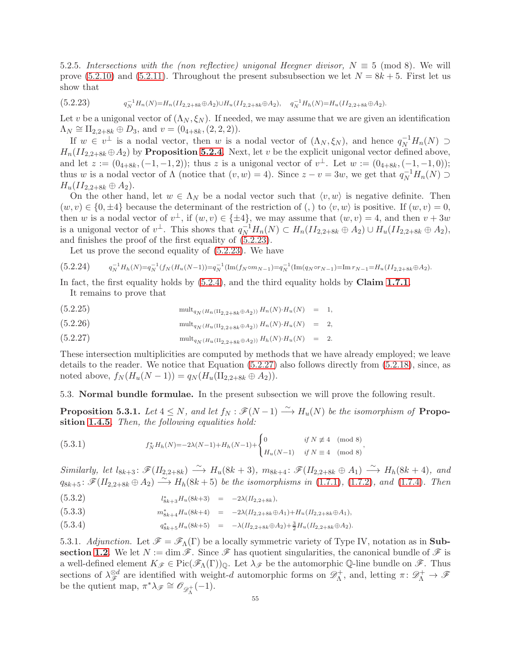5.2.5. Intersections with the (non reflective) unigonal Heegner divisor,  $N \equiv 5 \pmod{8}$ . We will prove  $(5.2.10)$  and  $(5.2.11)$ . Throughout the present subsubsection we let  $N = 8k + 5$ . First let us show that

<span id="page-54-1"></span> $(5.2.23)$  $\frac{-1}{N}H_n(N)=H_n(II_{2,2+8k} \oplus A_2) \cup H_u(II_{2,2+8k} \oplus A_2), \quad q_N^{-1}H_n(N)=H_u(II_{2,2+8k} \oplus A_2).$ 

Let v be a unigonal vector of  $(\Lambda_N, \xi_N)$ . If needed, we may assume that we are given an identification  $\Lambda_N \cong \Pi_{2,2+8k} \oplus D_3$ , and  $v = (0_{4+8k}, (2,2,2)).$ 

If  $w \in v^{\perp}$  is a nodal vector, then w is a nodal vector of  $(\Lambda_N, \xi_N)$ , and hence  $q_N^{-1}H_n(N) \supset$  $H_n(II_{2,2+8k} \oplus A_2)$  by **Proposition [5.2.4](#page-49-2)**. Next, let v be the explicit unigonal vector defined above, and let  $z := (0_{4+8k}, (-1,-1,2))$ ; thus z is a unigonal vector of  $v^{\perp}$ . Let  $w := (0_{4+8k}, (-1,-1,0))$ ; thus w is a nodal vector of  $\Lambda$  (notice that  $(v, w) = 4$ ). Since  $z - v = 3w$ , we get that  $q_N^{-1}H_n(N) \supset$  $H_u(II_{2,2+8k} \oplus A_2).$ 

On the other hand, let  $w \in \Lambda_N$  be a nodal vector such that  $\langle v, w \rangle$  is negative definite. Then  $(w, v) \in \{0, \pm 4\}$  because the determinant of the restriction of (,) to  $\langle v, w \rangle$  is positive. If  $(w, v) = 0$ , then w is a nodal vector of  $v^{\perp}$ , if  $(w, v) \in {\pm 4}$ , we may assume that  $(w, v) = 4$ , and then  $v + 3w$ is a unigonal vector of  $v^{\perp}$ . This shows that  $q_N^{-1}H_n(N) \subset H_n(II_{2,2+8k} \oplus A_2) \cup H_u(II_{2,2+8k} \oplus A_2),$ and finishes the proof of the first equality of [\(5.2.23\)](#page-54-1).

Let us prove the second equality of [\(5.2.23\)](#page-54-1). We have

$$
(5.2.24) \t q_N^{-1}H_h(N) = q_N^{-1}(f_N(H_u(N-1)) = q_N^{-1}(\text{Im}(f_N \circ m_{N-1}) = q_N^{-1}(\text{Im}(q_N \circ r_{N-1}) = \text{Im} r_{N-1} = H_u(II_{2,2+8k} \oplus A_2).
$$

In fact, the first equality holds by  $(5.2.4)$ , and the third equality holds by **Claim [1.7.1](#page-22-4)**. It remains to prove that

<span id="page-54-2"></span>(5.2.25) 
$$
\text{mult}_{q_N(H_n(\Pi_{2,2+8k} \oplus A_2))} H_n(N) \cdot H_u(N) = 1,
$$

(5.2.26) 
$$
\text{mult}_{q_N(H_u(\Pi_{2,2}+\mathbf{8k}\oplus A_2))} H_n(N) \cdot H_u(N) = 2,
$$

(5.2.27) 
$$
\text{mult}_{q_N(H_u(\Pi_{2,2+8k} \oplus A_2))} H_h(N) \cdot H_u(N) = 2.
$$

These intersection multiplicities are computed by methods that we have already employed; we leave details to the reader. We notice that Equation [\(5.2.27\)](#page-54-2) also follows directly from [\(5.2.18\)](#page-51-0), since, as noted above,  $f_N(H_u(N-1)) = q_N(H_u(\Pi_{2,2+8k} \oplus A_2)).$ 

<span id="page-54-0"></span>5.3. Normal bundle formulae. In the present subsection we will prove the following result.

**Proposition 5.3.1.** Let  $4 \leq N$ , and let  $f_N : \mathscr{F}(N-1) \longrightarrow H_u(N)$  be the isomorphism of **Propo-**sition [1.4.5](#page-14-1). Then, the following equalities hold:

<span id="page-54-3"></span>(5.3.1) 
$$
f_N^* H_h(N) = -2\lambda(N-1) + H_h(N-1) + \begin{cases} 0 & \text{if } N \not\equiv 4 \pmod{8} \\ H_u(N-1) & \text{if } N \equiv 4 \pmod{8} \end{cases},
$$

Similarly, let  $l_{8k+3}$ :  $\mathscr{F}(II_{2,2+8k}) \stackrel{\sim}{\longrightarrow} H_u(8k+3)$ ,  $m_{8k+4}$ :  $\mathscr{F}(II_{2,2+8k} \oplus A_1) \stackrel{\sim}{\longrightarrow} H_h(8k+4)$ , and  $q_{8k+5}$ :  $\mathscr{F}(H_{2,2+8k} \oplus A_2) \stackrel{\sim}{\longrightarrow} H_h(8k+5)$  be the isomorphisms in [\(1.7.1\)](#page-21-2), [\(1.7.2\)](#page-21-2), and [\(1.7.4\)](#page-21-2). Then

<span id="page-54-4"></span>
$$
(5.3.2) \t\t\t l_{8k+3}^*H_u(8k+3) = -2\lambda (II_{2,2+8k}),
$$

$$
(5.3.3) \t m_{8k+4}^* H_u(8k+4) = -2\lambda (II_{2,2+8k} \oplus A_1) + H_u(II_{2,2+8k} \oplus A_1),
$$

$$
(5.3.4) \t\t\t q_{8k+5}^*H_u(8k+5) = -\lambda (II_{2,2+8k} \oplus A_2) + \frac{3}{2}H_u(II_{2,2+8k} \oplus A_2).
$$

5.3.1. Adjunction. Let  $\mathscr{F} = \mathscr{F}_{\Lambda}(\Gamma)$  be a locally symmetric variety of Type IV, notation as in **Sub-**section [1.2](#page-8-4). We let  $N := \dim \mathscr{F}$ . Since  $\mathscr{F}$  has quotient singularities, the canonical bundle of  $\mathscr{F}$  is a well-defined element  $K_{\mathscr{F}} \in \text{Pic}(\mathscr{F}_{\Lambda}(\Gamma))_{\mathbb{Q}}$ . Let  $\lambda_{\mathscr{F}}$  be the automorphic Q-line bundle on  $\mathscr{F}$ . Thus sections of  $\lambda_{\mathscr{F}}^{\otimes d}$  are identified with weight-d automorphic forms on  $\mathscr{D}^+_\Lambda$  $\chi^+_{\Lambda}$ , and, letting  $\pi \colon \mathscr{D}_{\Lambda}^+ \to \mathscr{F}$ be the qutient map,  $\pi^* \lambda_{\mathscr{F}} \cong \mathscr{O}_{\mathscr{D}_{\Lambda}^+}(-1)$ .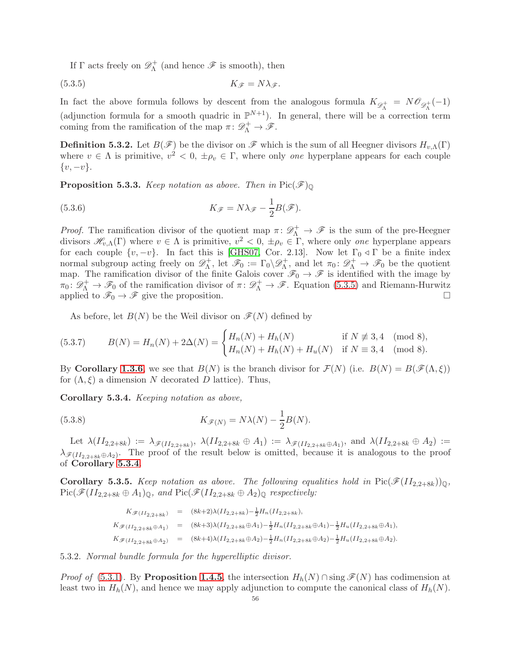<span id="page-55-0"></span>If  $\Gamma$  acts freely on  $\mathscr{D}_{\Lambda}^+$  $\Lambda_{\Lambda}^{+}$  (and hence  $\mathscr F$  is smooth), then

$$
(5.3.5) \t\t K_{\mathscr{F}} = N\lambda_{\mathscr{F}}.
$$

In fact the above formula follows by descent from the analogous formula  $K_{\mathscr{D}^+} = N\mathscr{O}_{\mathscr{D}^+}(-1)$ (adjunction formula for a smooth quadric in  $\mathbb{P}^{N+1}$ ). In general, there will be a correction term coming from the ramification of the map  $\pi \colon \mathscr{D}^+_\Lambda \to \mathscr{F}$ .

**Definition 5.3.2.** Let  $B(\mathscr{F})$  be the divisor on  $\mathscr{F}$  which is the sum of all Heegner divisors  $H_{v,\Lambda}(\Gamma)$ where  $v \in \Lambda$  is primitive,  $v^2 < 0, \pm \rho_v \in \Gamma$ , where only one hyperplane appears for each couple  $\{v, -v\}.$ 

**Proposition 5.3.3.** Keep notation as above. Then in  $Pic(\mathcal{F})_{\mathbb{Q}}$ 

(5.3.6) 
$$
K_{\mathscr{F}} = N\lambda_{\mathscr{F}} - \frac{1}{2}B(\mathscr{F}).
$$

*Proof.* The ramification divisor of the quotient map  $\pi \colon \mathscr{D}^+_\Lambda \to \mathscr{F}$  is the sum of the pre-Heegner divisors  $\mathscr{H}_{v,\Lambda}(\Gamma)$  where  $v \in \Lambda$  is primitive,  $v^2 < 0, \pm \rho_v \in \Gamma$ , where only one hyperplane appears for each couple  $\{v, -v\}$ . In fact this is [\[GHS07,](#page-60-7) Cor. 2.13]. Now let  $\Gamma_0 \triangleleft \Gamma$  be a finite index normal subgroup acting freely on  $\mathscr{D}_{\Lambda}^{+}$  $\mathcal{F}_{\Lambda}^+$ , let  $\mathscr{F}_0 := \Gamma_0 \backslash \mathscr{D}_{\Lambda}^+$  $\pi_{\Lambda}^{+}$ , and let  $\pi_{0} \colon \mathscr{D}_{\Lambda}^{+} \to \mathscr{F}_{0}$  be the quotient map. The ramification divisor of the finite Galois cover  $\mathscr{F}_0 \to \mathscr{F}$  is identified with the image by  $\pi_0: \mathscr{D}_{\Lambda}^+ \to \mathscr{F}_0$  of the ramification divisor of  $\pi: \mathscr{D}_{\Lambda}^+ \to \mathscr{F}$ . Equation [\(5.3.5\)](#page-55-0) and Riemann-Hurwitz applied to  $\mathscr{F}_0 \to \mathscr{F}$  give the proposition.

As before, let  $B(N)$  be the Weil divisor on  $\mathscr{F}(N)$  defined by

(5.3.7) 
$$
B(N) = H_n(N) + 2\Delta(N) = \begin{cases} H_n(N) + H_h(N) & \text{if } N \not\equiv 3,4 \pmod{8}, \\ H_n(N) + H_h(N) + H_u(N) & \text{if } N \equiv 3,4 \pmod{8}. \end{cases}
$$

By Corollary [1.3.6](#page-11-0), we see that  $B(N)$  is the branch divisor for  $\mathcal{F}(N)$  (i.e.  $B(N) = B(\mathcal{F}(\Lambda, \xi))$ for  $(\Lambda, \xi)$  a dimension N decorated D lattice). Thus,

<span id="page-55-1"></span>Corollary 5.3.4. Keeping notation as above,

(5.3.8) 
$$
K_{\mathscr{F}(N)} = N\lambda(N) - \frac{1}{2}B(N).
$$

Let  $\lambda(II_{2,2+8k}) := \lambda_{\mathscr{F}(II_{2,2+8k})}, \ \lambda(II_{2,2+8k} \oplus A_1) := \lambda_{\mathscr{F}(II_{2,2+8k} \oplus A_1)}, \text{ and } \lambda(II_{2,2+8k} \oplus A_2) :=$  $\lambda_{\mathscr{F}(II_{2,2+8k}\oplus A_2)}$ . The proof of the result below is omitted, because it is analogous to the proof of Corollary [5.3.4](#page-55-1).

<span id="page-55-3"></span>**Corollary 5.3.5.** Keep notation as above. The following equalities hold in  $Pic(\mathcal{F}(II_{2,2+8k}))_{\mathbb{Q}},$  $Pic(\mathscr{F}(II_{2,2+8k} \oplus A_1)_{\mathbb{Q}},$  and  $Pic(\mathscr{F}(II_{2,2+8k} \oplus A_2)_{\mathbb{Q}})$  respectively:

<span id="page-55-2"></span>
$$
K_{\mathscr{F}(II_{2,2+8k})} = (8k+2)\lambda(II_{2,2+8k}) - \frac{1}{2}H_n(II_{2,2+8k}),
$$
  
\n
$$
K_{\mathscr{F}(II_{2,2+8k} \oplus A_1)} = (8k+3)\lambda(II_{2,2+8k} \oplus A_1) - \frac{1}{2}H_n(II_{2,2+8k} \oplus A_1) - \frac{1}{2}H_u(II_{2,2+8k} \oplus A_1),
$$
  
\n
$$
K_{\mathscr{F}(II_{2,2+8k} \oplus A_2)} = (8k+4)\lambda(II_{2,2+8k} \oplus A_2) - \frac{1}{2}H_n(II_{2,2+8k} \oplus A_2) - \frac{1}{2}H_u(II_{2,2+8k} \oplus A_2).
$$

5.3.2. Normal bundle formula for the hyperelliptic divisor.

*Proof of* [\(5.3.1\)](#page-54-3). By **Proposition [1.4.5](#page-14-1)**, the intersection  $H_h(N) \cap \text{sing } \mathscr{F}(N)$  has codimension at least two in  $H_h(N)$ , and hence we may apply adjunction to compute the canonical class of  $H_h(N)$ .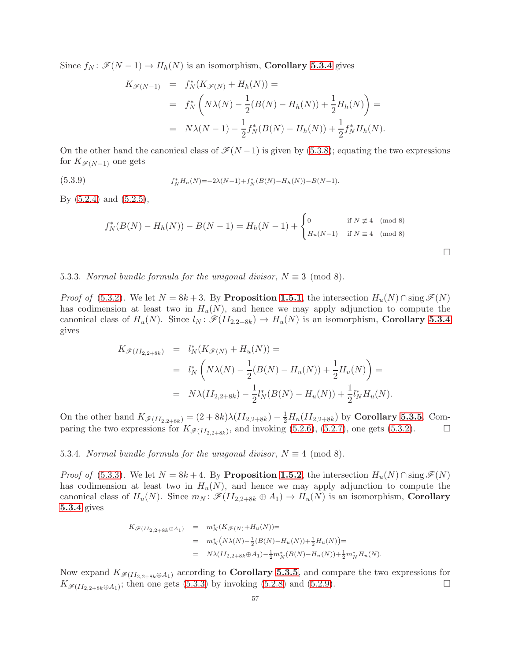Since  $f_N : \mathcal{F}(N-1) \to H_h(N)$  is an isomorphism, **Corollary [5.3.4](#page-55-1)** gives

$$
K_{\mathscr{F}(N-1)} = f_N^*(K_{\mathscr{F}(N)} + H_h(N)) =
$$
  
=  $f_N^* \left( N\lambda(N) - \frac{1}{2}(B(N) - H_h(N)) + \frac{1}{2}H_h(N) \right) =$   
=  $N\lambda(N-1) - \frac{1}{2}f_N^*(B(N) - H_h(N)) + \frac{1}{2}f_N^*H_h(N).$ 

On the other hand the canonical class of  $\mathcal{F}(N-1)$  is given by [\(5.3.8\)](#page-55-2); equating the two expressions for  $K_{\mathscr{F}(N-1)}$  one gets

(5.3.9) 
$$
f_N^* H_h(N) = -2\lambda(N-1) + f_N^*(B(N) - H_h(N)) - B(N-1).
$$

By [\(5.2.4\)](#page-48-1) and [\(5.2.5\)](#page-48-1),

$$
f_N^*(B(N) - H_h(N)) - B(N - 1) = H_h(N - 1) + \begin{cases} 0 & \text{if } N \not\equiv 4 \pmod{8} \\ H_u(N - 1) & \text{if } N \equiv 4 \pmod{8} \end{cases}
$$

 $\Box$ 

5.3.3. Normal bundle formula for the unigonal divisor,  $N \equiv 3 \pmod{8}$ .

*Proof of* [\(5.3.2\)](#page-54-4). We let  $N = 8k + 3$ . By Proposition [1.5.1](#page-17-0), the intersection  $H_u(N) \cap \text{sing } \mathscr{F}(N)$ has codimension at least two in  $H_u(N)$ , and hence we may apply adjunction to compute the canonical class of  $H_u(N)$ . Since  $l_N : \mathscr{F}(H_{2,2+8k}) \to H_u(N)$  is an isomorphism, **Corollary [5.3.4](#page-55-1)** gives

$$
K_{\mathscr{F}(II_{2,2+8k})} = l_N^*(K_{\mathscr{F}(N)} + H_u(N)) =
$$
  
=  $l_N^* \left( N\lambda(N) - \frac{1}{2} (B(N) - H_u(N)) + \frac{1}{2} H_u(N) \right) =$   
=  $N\lambda(II_{2,2+8k}) - \frac{1}{2} l_N^*(B(N) - H_u(N)) + \frac{1}{2} l_N^* H_u(N).$ 

On the other hand  $K_{\mathscr{F}(II_{2,2+8k})} = (2+8k)\lambda(II_{2,2+8k}) - \frac{1}{2}H_n(II_{2,2+8k})$  by **Corollary [5.3.5](#page-55-3)**. Comparing the two expressions for  $K_{\mathscr{F}(II_{2,2+8k})}$ , and invoking [\(5.2.6\)](#page-48-1), [\(5.2.7\)](#page-48-1), one gets [\(5.3.2\)](#page-54-4).

## 5.3.4. Normal bundle formula for the unigonal divisor,  $N \equiv 4 \pmod{8}$ .

*Proof of* [\(5.3.3\)](#page-54-4). We let  $N = 8k + 4$ . By **Proposition [1.5.2](#page-18-0)**, the intersection  $H_u(N) \cap \text{sing } \mathscr{F}(N)$ has codimension at least two in  $H_u(N)$ , and hence we may apply adjunction to compute the canonical class of  $H_u(N)$ . Since  $m_N : \mathscr{F}(H_{2,2+8k} \oplus A_1) \to H_u(N)$  is an isomorphism, **Corollary** [5.3.4](#page-55-1) gives

$$
K_{\mathscr{F}(II_{2,2+8k}\oplus A_1)} = m_N^*(K_{\mathscr{F}(N)} + H_u(N)) =
$$
  
=  $m_N^*(N\lambda(N) - \frac{1}{2}(B(N) - H_u(N)) + \frac{1}{2}H_u(N)) =$   
=  $N\lambda(II_{2,2+8k}\oplus A_1) - \frac{1}{2}m_N^*(B(N) - H_u(N)) + \frac{1}{2}m_N^*H_u(N).$ 

Now expand  $K_{\mathscr{F}(II_{2,2+8k}\oplus A_1)}$  according to **Corollary [5.3.5](#page-55-3)**, and compare the two expressions for  $K_{\mathscr{F}(II_{2,2+8k}\oplus A_1)}$ ; then one gets [\(5.3.3\)](#page-54-4) by invoking [\(5.2.8\)](#page-48-1) and [\(5.2.9\)](#page-48-1).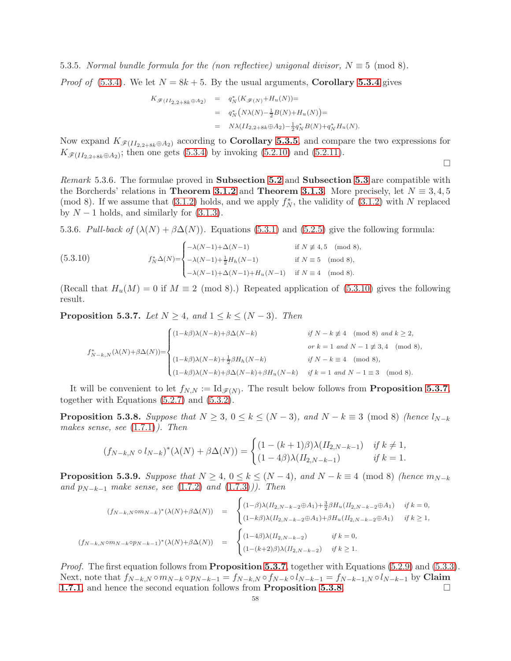5.3.5. Normal bundle formula for the (non reflective) unigonal divisor,  $N \equiv 5 \pmod{8}$ .

*Proof of* [\(5.3.4\)](#page-54-4). We let  $N = 8k + 5$ . By the usual arguments, **Corollary [5.3.4](#page-55-1)** gives

$$
K_{\mathscr{F}(II_{2,2+8k}\oplus A_2)} = q_N^*(K_{\mathscr{F}(N)} + H_u(N)) =
$$
  
=  $q_N^*(N\lambda(N) - \frac{1}{2}B(N) + H_u(N)) =$   
=  $N\lambda(II_{2,2+8k}\oplus A_2) - \frac{1}{2}q_N^*B(N) + q_N^*H_u(N).$ 

Now expand  $K_{\mathscr{F}(II_{2,2+8k}\oplus A_2)}$  according to **Corollary [5.3.5](#page-55-3)**, and compare the two expressions for  $K_{\mathscr{F}(II_{2,2+8k}\oplus A_2)}$ ; then one gets [\(5.3.4\)](#page-54-4) by invoking [\(5.2.10\)](#page-48-1) and [\(5.2.11\)](#page-48-1).

 $\Box$ 

<span id="page-57-4"></span>Remark [5.3](#page-54-0).6. The formulae proved in **Subsection [5.2](#page-48-0)** and **Subsection 5.3** are compatible with the Borcherds' relations in **Theorem [3.1.2](#page-31-1)** and **Theorem [3.1.3](#page-31-2)**. More precisely, let  $N \equiv 3, 4, 5$ (mod 8). If we assume that  $(3.1.2)$  holds, and we apply  $f_N^*$ , the validity of  $(3.1.2)$  with N replaced by  $N-1$  holds, and similarly for  $(3.1.3)$ .

<span id="page-57-5"></span>5.3.6. Pull-back of  $(\lambda(N) + \beta \Delta(N))$ . Equations [\(5.3.1\)](#page-54-3) and [\(5.2.5\)](#page-48-1) give the following formula:

<span id="page-57-3"></span>(5.3.10) 
$$
f_N^* \Delta(N) = \begin{cases} -\lambda(N-1) + \Delta(N-1) & \text{if } N \not\equiv 4, 5 \pmod{8}, \\ -\lambda(N-1) + \frac{1}{2} H_h(N-1) & \text{if } N \equiv 5 \pmod{8}, \\ -\lambda(N-1) + \Delta(N-1) + H_u(N-1) & \text{if } N \equiv 4 \pmod{8}. \end{cases}
$$

(Recall that  $H_u(M) = 0$  if  $M \equiv 2 \pmod{8}$ .) Repeated application of [\(5.3.10\)](#page-57-3) gives the following result.

<span id="page-57-0"></span>**Proposition 5.3.7.** Let  $N \geq 4$ , and  $1 \leq k \leq (N-3)$ . Then

$$
f_{N-k,N}^{*}(\lambda(N)+\beta\Delta(N)) = \begin{cases} (1-k\beta)\lambda(N-k)+\beta\Delta(N-k) & \text{if } N-k \not\equiv 4 \pmod{8} \text{ and } k \geq 2, \\ & \text{or } k=1 \text{ and } N-1 \not\equiv 3,4 \pmod{8}, \\ (1-k\beta)\lambda(N-k)+\frac{1}{2}\beta H_{h}(N-k) & \text{if } N-k \equiv 4 \pmod{8}, \\ (1-k\beta)\lambda(N-k)+\beta\Delta(N-k)+\beta H_{u}(N-k) & \text{if } k=1 \text{ and } N-1 \equiv 3 \pmod{8}. \end{cases}
$$

It will be convenient to let  $f_{N,N} := \mathrm{Id}_{\mathscr{F}(N)}$ . The result below follows from **Proposition [5.3.7](#page-57-0)**, together with Equations [\(5.2.7\)](#page-48-1) and [\(5.3.2\)](#page-54-4).

<span id="page-57-1"></span>**Proposition 5.3.8.** Suppose that  $N \geq 3$ ,  $0 \leq k \leq (N-3)$ , and  $N-k \equiv 3 \pmod{8}$  (hence  $l_{N-k}$ makes sense, see [\(1.7.1\)](#page-21-2)). Then

$$
(f_{N-k,N} \circ l_{N-k})^*(\lambda(N) + \beta \Delta(N)) = \begin{cases} (1 - (k+1)\beta)\lambda(H_{2,N-k-1}) & \text{if } k \neq 1, \\ (1 - 4\beta)\lambda(H_{2,N-k-1}) & \text{if } k = 1. \end{cases}
$$

<span id="page-57-2"></span>**Proposition 5.3.9.** Suppose that  $N \geq 4$ ,  $0 \leq k \leq (N-4)$ , and  $N-k \equiv 4 \pmod{8}$  (hence  $m_{N-k}$ and  $p_{N-k-1}$  make sense, see [\(1.7.2\)](#page-21-2) and [\(1.7.3\)](#page-21-2))). Then

$$
(f_{N-k,N} \circ m_{N-k})^* (\lambda(N) + \beta \Delta(N)) = \begin{cases} (1-\beta)\lambda (II_{2,N-k-2} \oplus A_1) + \frac{3}{2}\beta H_u (II_{2,N-k-2} \oplus A_1) & \text{if } k = 0, \\ (1-k\beta)\lambda (II_{2,N-k-2} \oplus A_1) + \beta H_u (II_{2,N-k-2} \oplus A_1) & \text{if } k \ge 1, \end{cases}
$$
  

$$
(f_{N-k,N} \circ m_{N-k} \circ p_{N-k-1})^* (\lambda(N) + \beta \Delta(N)) = \begin{cases} (1-4\beta)\lambda (II_{2,N-k-2}) & \text{if } k = 0, \\ (1-(k+2)\beta)\lambda (II_{2,N-k-2}) & \text{if } k \ge 1. \end{cases}
$$

*Proof.* The first equation follows from **Proposition [5.3.7](#page-57-0)**, together with Equations [\(5.2.9\)](#page-48-1) and [\(5.3.3\)](#page-54-4). Next, note that  $f_{N-k,N} \circ m_{N-k} \circ p_{N-k-1} = f_{N-k,N} \circ f_{N-k} \circ l_{N-k-1} = f_{N-k-1,N} \circ l_{N-k-1}$  by Claim **[1.7.1](#page-22-4)**, and hence the second equation follows from **Proposition [5.3.8](#page-57-1)**.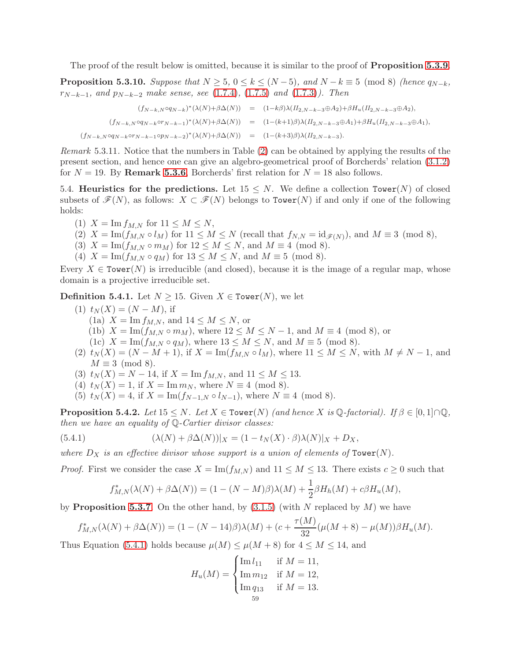The proof of the result below is omitted, because it is similar to the proof of **Proposition [5.3.9](#page-57-2).** 

**Proposition 5.3.10.** Suppose that  $N \geq 5$ ,  $0 \leq k \leq (N-5)$ , and  $N-k \equiv 5 \pmod{8}$  (hence  $q_{N-k}$ ,  $r_{N-k-1}$ , and  $p_{N-k-2}$  make sense, see [\(1.7.4\)](#page-21-2), [\(1.7.5\)](#page-21-2) and [\(1.7.3\)](#page-21-2)). Then

$$
(f_{N-k,N}\circ q_{N-k})^*(\lambda(N)+\beta\Delta(N)) = (1-k\beta)\lambda(H_{2,N-k-3}\oplus A_2)+\beta H_u(H_{2,N-k-3}\oplus A_2),
$$
  

$$
(f_{N-k,N}\circ q_{N-k}\circ r_{N-k-1})^*(\lambda(N)+\beta\Delta(N)) = (1-(k+1)\beta)\lambda(H_{2,N-k-3}\oplus A_1)+\beta H_u(H_{2,N-k-3}\oplus A_1),
$$
  

$$
(f_{N-k,N}\circ q_{N-k}\circ r_{N-k-1}\circ p_{N-k-2})^*(\lambda(N)+\beta\Delta(N)) = (1-(k+3)\beta)\lambda(H_{2,N-k-3}).
$$

Remark 5.3.11. Notice that the numbers in Table [\(2\)](#page-42-0) can be obtained by applying the results of the present section, and hence one can give an algebro-geometrical proof of Borcherds' relation [\(3.1.2\)](#page-31-3) for  $N = 19$ . By Remark [5.3.6](#page-57-4), Borcherds' first relation for  $N = 18$  also follows.

5.4. Heuristics for the predictions. Let  $15 \leq N$ . We define a collection Tower(N) of closed subsets of  $\mathcal{F}(N)$ , as follows:  $X \subset \mathcal{F}(N)$  belongs to Tower(N) if and only if one of the following holds:

- (1)  $X = \text{Im} f_{M,N}$  for  $11 \leq M \leq N$ ,
- (2)  $X = \text{Im}(f_{M,N} \circ l_M)$  for  $11 \leq M \leq N$  (recall that  $f_{N,N} = \text{id}_{\mathscr{F}(N)}$ ), and  $M \equiv 3 \pmod{8}$ ,
- (3)  $X = \text{Im}(f_{M,N} \circ m_M)$  for  $12 \leq M \leq N$ , and  $M \equiv 4 \pmod{8}$ .
- (4)  $X = \text{Im}(f_{M,N} \circ q_M)$  for  $13 \leq M \leq N$ , and  $M \equiv 5 \pmod{8}$ .

Every  $X \in \text{Tower}(N)$  is irreducible (and closed), because it is the image of a regular map, whose domain is a projective irreducible set.

<span id="page-58-1"></span>**Definition 5.4.1.** Let  $N \geq 15$ . Given  $X \in \text{Tour}(N)$ , we let

- (1)  $t_N(X) = (N M)$ , if (1a)  $X = \text{Im} f_{M,N}$ , and  $14 \leq M \leq N$ , or (1b)  $X = \text{Im}(f_{M,N} \circ m_M)$ , where  $12 \leq M \leq N-1$ , and  $M \equiv 4 \pmod{8}$ , or (1c)  $X = \text{Im}(f_{M,N} \circ q_M)$ , where  $13 \leq M \leq N$ , and  $M \equiv 5 \pmod{8}$ .
- (2)  $t_N(X) = (N M + 1)$ , if  $X = \text{Im}(f_{M,N} \circ l_M)$ , where  $11 \leq M \leq N$ , with  $M \neq N 1$ , and  $M \equiv 3 \pmod{8}$ .
- (3)  $t_N(X) = N 14$ , if  $X = \text{Im } f_{M,N}$ , and  $11 \leq M \leq 13$ .
- (4)  $t_N(X) = 1$ , if  $X = \text{Im } m_N$ , where  $N \equiv 4 \pmod{8}$ .
- (5)  $t_N(X) = 4$ , if  $X = \text{Im}(f_{N-1,N} \circ l_{N-1})$ , where  $N \equiv 4 \pmod{8}$ .

**Proposition 5.4.2.** Let  $15 \leq N$ . Let  $X \in \text{Tower}(N)$  (and hence X is  $\mathbb{Q}\text{-}factorial$ ). If  $\beta \in [0,1] \cap \mathbb{Q}$ , then we have an equality of  $\mathbb{Q}$ -Cartier divisor classes:

(5.4.1) 
$$
(\lambda(N) + \beta \Delta(N))|_X = (1 - t_N(X) \cdot \beta)\lambda(N)|_X + D_X,
$$

where  $D_X$  is an effective divisor whose support is a union of elements of Tower(N).

*Proof.* First we consider the case  $X = \text{Im}(f_{M,N})$  and  $11 \leq M \leq 13$ . There exists  $c \geq 0$  such that

<span id="page-58-0"></span>
$$
f_{M,N}^*(\lambda(N) + \beta \Delta(N)) = (1 - (N - M)\beta)\lambda(M) + \frac{1}{2}\beta H_h(M) + c\beta H_u(M),
$$

by **Proposition [5.3.7](#page-57-0)**. On the other hand, by  $(3.1.5)$  (with N replaced by M) we have

$$
f_{M,N}^*(\lambda(N) + \beta \Delta(N)) = (1 - (N - 14)\beta)\lambda(M) + (c + \frac{\tau(M)}{32}(\mu(M + 8) - \mu(M))\beta H_u(M).
$$

Thus Equation [\(5.4.1\)](#page-58-0) holds because  $\mu(M) \leq \mu(M + 8)$  for  $4 \leq M \leq 14$ , and

$$
H_u(M) = \begin{cases} \text{Im } l_{11} & \text{if } M = 11, \\ \text{Im } m_{12} & \text{if } M = 12, \\ \text{Im } q_{13} & \text{if } M = 13. \\ 59 & \end{cases}
$$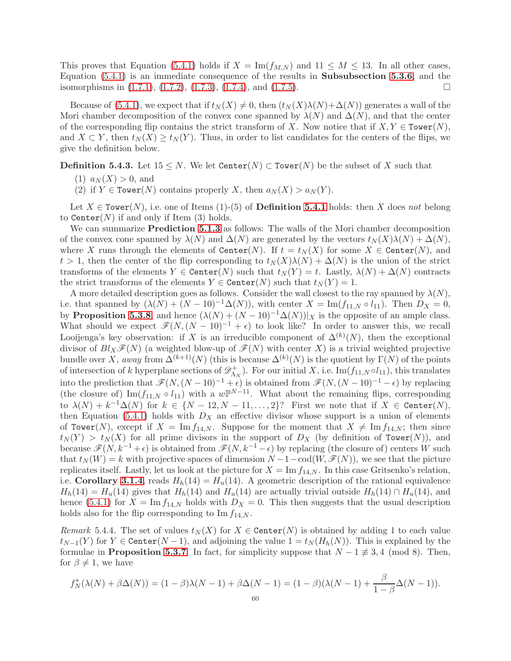This proves that Equation [\(5.4.1\)](#page-58-0) holds if  $X = \text{Im}(f_{M,N})$  and  $11 \leq M \leq 13$ . In all other cases, Equation [\(5.4.1\)](#page-58-0) is an immediate consequence of the results in Subsubsection [5.3.6](#page-57-5), and the isomorphisms in  $(1.7.1)$ ,  $(1.7.2)$ ,  $(1.7.3)$ ,  $(1.7.4)$ , and  $(1.7.5)$ .

Because of [\(5.4.1\)](#page-58-0), we expect that if  $t_N(X) \neq 0$ , then  $(t_N(X)\lambda(N)+\Delta(N))$  generates a wall of the Mori chamber decomposition of the convex cone spanned by  $\lambda(N)$  and  $\Delta(N)$ , and that the center of the corresponding flip contains the strict transform of X. Now notice that if  $X, Y \in \text{Tower}(N)$ , and  $X \subset Y$ , then  $t_N(X) \ge t_N(Y)$ . Thus, in order to list candidates for the centers of the flips, we give the definition below.

**Definition 5.4.3.** Let  $15 \leq N$ . We let  $\text{Center}(N) \subset \text{Lower}(N)$  be the subset of X such that

- $(1)$   $a_N(X) > 0$ , and
- (2) if  $Y \in \text{Tour}(N)$  contains properly X, then  $a_N(X) > a_N(Y)$ .

Let  $X \in \text{Tower}(N)$ , i.e. one of Items (1)-(5) of **Definition [5.4.1](#page-58-1)** holds: then X does not belong to Center $(N)$  if and only if Item  $(3)$  holds.

We can summarize **Prediction [5.1.3](#page-47-0)** as follows: The walls of the Mori chamber decomposition of the convex cone spanned by  $\lambda(N)$  and  $\Delta(N)$  are generated by the vectors  $t_N(X)\lambda(N) + \Delta(N)$ , where X runs through the elements of  $\mathtt{Center}(N)$ . If  $t = t<sub>N</sub>(X)$  for some  $X \in \mathtt{Center}(N)$ , and  $t > 1$ , then the center of the flip corresponding to  $t<sub>N</sub>(X)\lambda(N) + \Delta(N)$  is the union of the strict transforms of the elements  $Y \in \text{Center}(N)$  such that  $t_N(Y) = t$ . Lastly,  $\lambda(N) + \Delta(N)$  contracts the strict transforms of the elements  $Y \in \text{Center}(N)$  such that  $t_N(Y) = 1$ .

A more detailed description goes as follows. Consider the wall closest to the ray spanned by  $\lambda(N)$ , i.e. that spanned by  $(\lambda(N) + (N - 10)^{-1} \Delta(N))$ , with center  $X = \text{Im}(f_{11,N} \circ l_{11})$ . Then  $D_X = 0$ , by **Proposition [5.3.8](#page-57-1)**, and hence  $(\lambda(N) + (N - 10)^{-1}\Delta(N))|_X$  is the opposite of an ample class. What should we expect  $\mathscr{F}(N,(N-10)^{-1}+\epsilon)$  to look like? In order to answer this, we recall Looijenga's key observation: if X is an irreducible component of  $\Delta^{(k)}(N)$ , then the exceptional divisor of  $Bl_X\mathcal{F}(N)$  (a weighted blow-up of  $\mathcal{F}(N)$  with center X) is a trivial weighted projective bundle over X, away from  $\Delta^{(k+1)}(N)$  (this is because  $\Delta^{(k)}(N)$  is the quotient by  $\Gamma(N)$  of the points of intersection of k hyperplane sections of  $\mathscr{D}_{\Lambda}^+$  $\Lambda_N^+$ ). For our initial X, i.e. Im $(f_{11,N} \circ l_{11})$ , this translates into the prediction that  $\mathscr{F}(N,(N-10)^{-1}+\epsilon)$  is obtained from  $\mathscr{F}(N,(N-10)^{-1}-\epsilon)$  by replacing (the closure of) Im( $f_{11,N} \circ l_{11}$ ) with a  $w \mathbb{P}^{N-11}$ . What about the remaining flips, corresponding to  $\lambda(N) + k^{-1}\Delta(N)$  for  $k \in \{N-12, N-11, \ldots, 2\}$ ? First we note that if  $X \in \mathtt{Center}(N)$ , then Equation [\(5.4.1\)](#page-58-0) holds with  $D_X$  an effective divisor whose support is a union of elements of Tower(N), except if  $X = \text{Im } f_{14,N}$ . Suppose for the moment that  $X \neq \text{Im } f_{14,N}$ ; then since  $t_N(Y) > t_N(X)$  for all prime divisors in the support of  $D_X$  (by definition of Tower(N)), and because  $\mathscr{F}(N, k^{-1} + \epsilon)$  is obtained from  $\mathscr{F}(N, k^{-1} - \epsilon)$  by replacing (the closure of) centers W such that  $t<sub>N</sub>(W) = k$  with projective spaces of dimension  $N-1$  – cod( $W, \mathscr{F}(N)$ ), we see that the picture replicates itself. Lastly, let us look at the picture for  $X = \text{Im } f_{14,N}$ . In this case Gritsenko's relation, i.e. Corollary [3.1.4](#page-31-6), reads  $H_h(14) = H_u(14)$ . A geometric description of the rational equivalence  $H_h(14) = H_u(14)$  gives that  $H_h(14)$  and  $H_u(14)$  are actually trivial outside  $H_h(14) \cap H_u(14)$ , and hence [\(5.4.1\)](#page-58-0) for  $X = \text{Im } f_{14,N}$  holds with  $D_X = 0$ . This then suggests that the usual description holds also for the flip corresponding to  $\text{Im } f_{14,N}$ .

<span id="page-59-0"></span>Remark 5.4.4. The set of values  $t_N(X)$  for  $X \in \text{Center}(N)$  is obtained by adding 1 to each value  $t_{N-1}(Y)$  for  $Y \in \text{Center}(N-1)$ , and adjoining the value  $1 = t_N(H_h(N))$ . This is explained by the formulae in **Proposition [5.3.7](#page-57-0)**. In fact, for simplicity suppose that  $N - 1 \not\equiv 3, 4 \pmod{8}$ . Then, for  $\beta \neq 1$ , we have

$$
f_N^*(\lambda(N) + \beta \Delta(N)) = (1 - \beta)\lambda(N - 1) + \beta \Delta(N - 1) = (1 - \beta)(\lambda(N - 1) + \frac{\beta}{1 - \beta} \Delta(N - 1)).
$$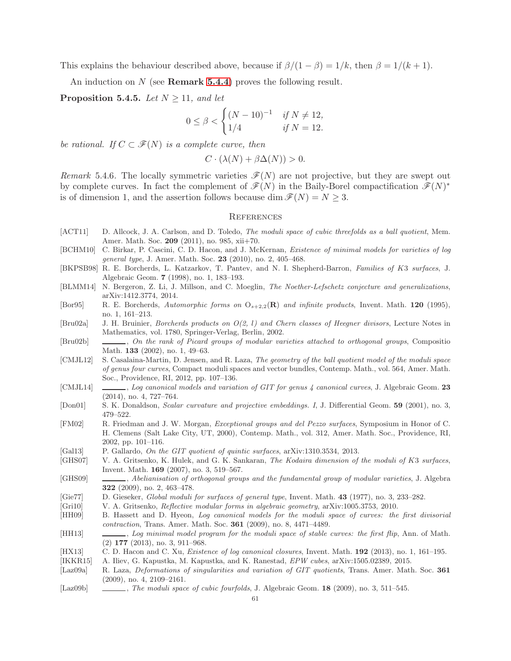This explains the behaviour described above, because if  $\beta/(1-\beta) = 1/k$ , then  $\beta = 1/(k+1)$ .

An induction on  $N$  (see **Remark [5.4.4](#page-59-0)**) proves the following result.

**Proposition 5.4.5.** Let  $N > 11$ , and let

$$
0 \le \beta < \begin{cases} (N-10)^{-1} & \text{if } N \neq 12, \\ 1/4 & \text{if } N = 12. \end{cases}
$$

be rational. If  $C \subset \mathscr{F}(N)$  is a complete curve, then

$$
C \cdot (\lambda(N) + \beta \Delta(N)) > 0.
$$

Remark 5.4.6. The locally symmetric varieties  $\mathscr{F}(N)$  are not projective, but they are swept out by complete curves. In fact the complement of  $\mathscr{F}(N)$  in the Baily-Borel compactification  $\mathscr{F}(N)^*$ is of dimension 1, and the assertion follows because dim  $\mathcal{F}(N) = N \geq 3$ .

## **REFERENCES**

- <span id="page-60-0"></span>[ACT11] D. Allcock, J. A. Carlson, and D. Toledo, *The moduli space of cubic threefolds as a ball quotient*, Mem. Amer. Math. Soc. 209 (2011), no. 985, xii+70.
- <span id="page-60-3"></span>[BCHM10] C. Birkar, P. Cascini, C. D. Hacon, and J. McKernan, Existence of minimal models for varieties of log general type, J. Amer. Math. Soc. 23 (2010), no. 2, 405–468.
- <span id="page-60-19"></span>[BKPSB98] R. E. Borcherds, L. Katzarkov, T. Pantev, and N. I. Shepherd-Barron, Families of K3 surfaces, J. Algebraic Geom. 7 (1998), no. 1, 183–193.
- <span id="page-60-10"></span>[BLMM14] N. Bergeron, Z. Li, J. Millson, and C. Moeglin, The Noether-Lefschetz conjecture and generalizations, arXiv:1412.3774, 2014.
- <span id="page-60-8"></span>[Bor95] R. E. Borcherds, Automorphic forms on  $O_{s+2,2}(\mathbf{R})$  and infinite products, Invent. Math. 120 (1995), no. 1, 161–213.
- <span id="page-60-9"></span>[Bru02a] J. H. Bruinier, Borcherds products on O(2, l) and Chern classes of Heegner divisors, Lecture Notes in Mathematics, vol. 1780, Springer-Verlag, Berlin, 2002.
- <span id="page-60-18"></span>[Bru02b] , On the rank of Picard groups of modular varieties attached to orthogonal groups, Compositio Math. 133 (2002), no. 1, 49–63.
- <span id="page-60-13"></span>[CMJL12] S. Casalaina-Martin, D. Jensen, and R. Laza, The geometry of the ball quotient model of the moduli space of genus four curves, Compact moduli spaces and vector bundles, Contemp. Math., vol. 564, Amer. Math. Soc., Providence, RI, 2012, pp. 107–136.
- <span id="page-60-1"></span>[CMJL14] , Log canonical models and variation of GIT for genus 4 canonical curves, J. Algebraic Geom. 23 (2014), no. 4, 727–764.
- <span id="page-60-15"></span>[Don01] S. K. Donaldson, *Scalar curvature and projective embeddings. I*, J. Differential Geom. **59** (2001), no. 3, 479–522.
- <span id="page-60-20"></span>[FM02] R. Friedman and J. W. Morgan, Exceptional groups and del Pezzo surfaces, Symposium in Honor of C. H. Clemens (Salt Lake City, UT, 2000), Contemp. Math., vol. 312, Amer. Math. Soc., Providence, RI, 2002, pp. 101–116.
- <span id="page-60-6"></span>[Gal13] P. Gallardo, *On the GIT quotient of quintic surfaces*, arXiv:1310.3534, 2013.
- <span id="page-60-7"></span>[GHS07] V. A. Gritsenko, K. Hulek, and G. K. Sankaran, The Kodaira dimension of the moduli of K3 surfaces, Invent. Math. 169 (2007), no. 3, 519–567.
- <span id="page-60-16"></span>[GHS09] , Abelianisation of orthogonal groups and the fundamental group of modular varieties, J. Algebra 322 (2009), no. 2, 463–478.
- <span id="page-60-14"></span>[Gie77] D. Gieseker, Global moduli for surfaces of general type, Invent. Math. 43 (1977), no. 3, 233–282.
- <span id="page-60-12"></span>[Gri10] V. A. Gritsenko, Reflective modular forms in algebraic geometry, arXiv:1005.3753, 2010.
- <span id="page-60-4"></span>[HH09] B. Hassett and D. Hyeon, Log canonical models for the moduli space of curves: the first divisorial contraction, Trans. Amer. Math. Soc. 361 (2009), no. 8, 4471–4489.
- <span id="page-60-5"></span>[HH13] , Log minimal model program for the moduli space of stable curves: the first flip, Ann. of Math. (2) 177 (2013), no. 3, 911–968.
- <span id="page-60-11"></span>[HX13] C. D. Hacon and C. Xu, *Existence of log canonical closures*, Invent. Math. **192** (2013), no. 1, 161–195.
- <span id="page-60-17"></span>[IKKR15] A. Iliev, G. Kapustka, M. Kapustka, and K. Ranestad, EPW cubes, arXiv:1505.02389, 2015.
- <span id="page-60-21"></span>[Laz09a] R. Laza, *Deformations of singularities and variation of GIT quotients*, Trans. Amer. Math. Soc. **361** (2009), no. 4, 2109–2161.
- <span id="page-60-2"></span>[Laz09b] , The moduli space of cubic fourfolds, J. Algebraic Geom. 18 (2009), no. 3, 511–545.